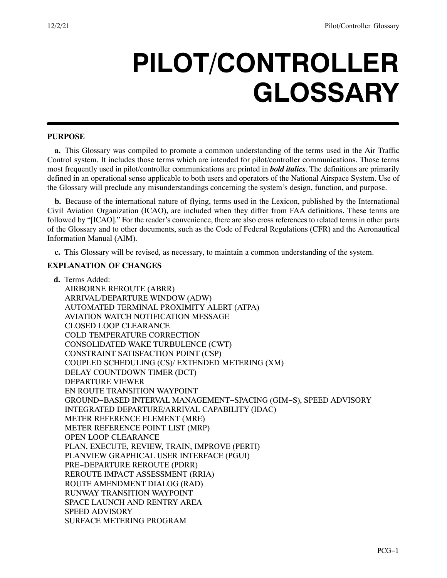# **PILOT/CONTROLLER GLOSSARY**

#### **PURPOSE**

**a.** This Glossary was compiled to promote a common understanding of the terms used in the Air Traffic Control system. It includes those terms which are intended for pilot/controller communications. Those terms most frequently used in pilot/controller communications are printed in *bold italics*. The definitions are primarily defined in an operational sense applicable to both users and operators of the National Airspace System. Use of the Glossary will preclude any misunderstandings concerning the system's design, function, and purpose.

**b.** Because of the international nature of flying, terms used in the Lexicon, published by the International Civil Aviation Organization (ICAO), are included when they differ from FAA definitions. These terms are followed by "[ICAO]." For the reader's convenience, there are also cross references to related terms in other parts of the Glossary and to other documents, such as the Code of Federal Regulations (CFR) and the Aeronautical Information Manual (AIM).

**c.** This Glossary will be revised, as necessary, to maintain a common understanding of the system.

#### **EXPLANATION OF CHANGES**

**d.** Terms Added: AIRBORNE REROUTE (ABRR) ARRIVAL/DEPARTURE WINDOW (ADW) AUTOMATED TERMINAL PROXIMITY ALERT (ATPA) AVIATION WATCH NOTIFICATION MESSAGE CLOSED LOOP CLEARANCE COLD TEMPERATURE CORRECTION CONSOLIDATED WAKE TURBULENCE (CWT) CONSTRAINT SATISFACTION POINT (CSP) COUPLED SCHEDULING (CS)/ EXTENDED METERING (XM) DELAY COUNTDOWN TIMER (DCT) DEPARTURE VIEWER EN ROUTE TRANSITION WAYPOINT GROUND-BASED INTERVAL MANAGEMENT-SPACING (GIM-S), SPEED ADVISORY INTEGRATED DEPARTURE/ARRIVAL CAPABILITY (IDAC) METER REFERENCE ELEMENT (MRE) METER REFERENCE POINT LIST (MRP) OPEN LOOP CLEARANCE PLAN, EXECUTE, REVIEW, TRAIN, IMPROVE (PERTI) PLANVIEW GRAPHICAL USER INTERFACE (PGUI) PRE-DEPARTURE REROUTE (PDRR) REROUTE IMPACT ASSESSMENT (RRIA) ROUTE AMENDMENT DIALOG (RAD) RUNWAY TRANSITION WAYPOINT SPACE LAUNCH AND RENTRY AREA SPEED ADVISORY SURFACE METERING PROGRAM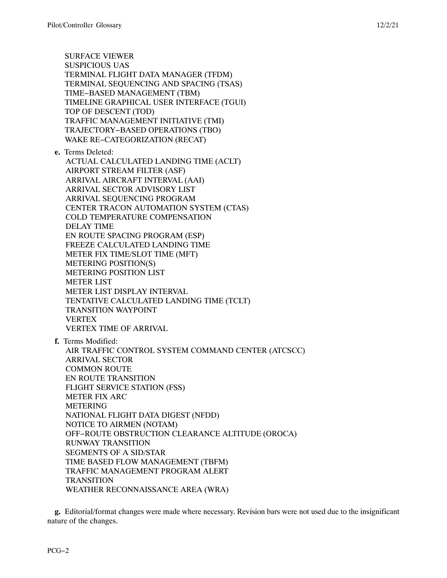SURFACE VIEWER SUSPICIOUS UAS TERMINAL FLIGHT DATA MANAGER (TFDM) TERMINAL SEQUENCING AND SPACING (TSAS) TIME-BASED MANAGEMENT (TBM) TIMELINE GRAPHICAL USER INTERFACE (TGUI) TOP OF DESCENT (TOD) TRAFFIC MANAGEMENT INITIATIVE (TMI) TRAJECTORY-BASED OPERATIONS (TBO) WAKE RE-CATEGORIZATION (RECAT)

**e.** Terms Deleted:

ACTUAL CALCULATED LANDING TIME (ACLT) AIRPORT STREAM FILTER (ASF) ARRIVAL AIRCRAFT INTERVAL (AAI) ARRIVAL SECTOR ADVISORY LIST ARRIVAL SEQUENCING PROGRAM CENTER TRACON AUTOMATION SYSTEM (CTAS) COLD TEMPERATURE COMPENSATION DELAY TIME EN ROUTE SPACING PROGRAM (ESP) FREEZE CALCULATED LANDING TIME METER FIX TIME/SLOT TIME (MFT) METERING POSITION(S) METERING POSITION LIST METER LIST METER LIST DISPLAY INTERVAL TENTATIVE CALCULATED LANDING TIME (TCLT) TRANSITION WAYPOINT VERTEX VERTEX TIME OF ARRIVAL

**f.** Terms Modified:

AIR TRAFFIC CONTROL SYSTEM COMMAND CENTER (ATCSCC) ARRIVAL SECTOR COMMON ROUTE EN ROUTE TRANSITION FLIGHT SERVICE STATION (FSS) METER FIX ARC METERING NATIONAL FLIGHT DATA DIGEST (NFDD) NOTICE TO AIRMEN (NOTAM) OFF-ROUTE OBSTRUCTION CLEARANCE ALTITUDE (OROCA) RUNWAY TRANSITION SEGMENTS OF A SID/STAR TIME BASED FLOW MANAGEMENT (TBFM) TRAFFIC MANAGEMENT PROGRAM ALERT **TRANSITION** WEATHER RECONNAISSANCE AREA (WRA)

**g.** Editorial/format changes were made where necessary. Revision bars were not used due to the insignificant nature of the changes.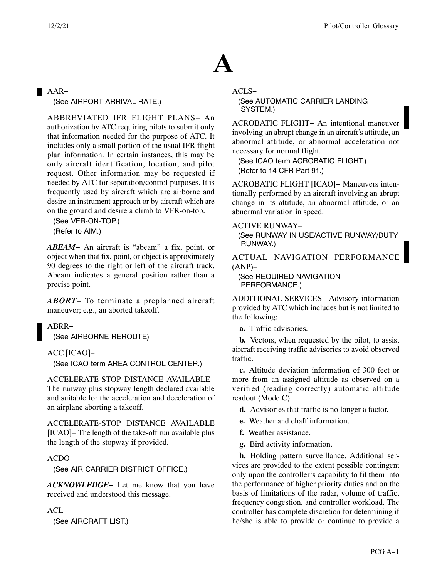

#### $AAR$ (See AIRPORT ARRIVAL RATE.)

ABBREVIATED IFR FLIGHT PLANS- An only aircraft identification, location, and pilot request. Other information may be requested if authorization by ATC requiring pilots to submit only that information needed for the purpose of ATC. It includes only a small portion of the usual IFR flight plan information. In certain instances, this may be needed by ATC for separation/control purposes. It is frequently used by aircraft which are airborne and desire an instrument approach or by aircraft which are on the ground and desire a climb to VFR-on-top.

(See VFR-ON-TOP.) (Refer to AIM.)

*ABEAM* – An aircraft is "abeam" a fix, point, or object when that fix, point, or object is approximately 90 degrees to the right or left of the aircraft track. Abeam indicates a general position rather than a precise point.

ABORT- To terminate a preplanned aircraft maneuver; e.g., an aborted takeoff.

# ABRR-

(See AIRBORNE REROUTE)

```
ACC [ICAO]-
```
(See ICAO term AREA CONTROL CENTER.)

ACCELERATE-STOP DISTANCE AVAILABLE-The runway plus stopway length declared available and suitable for the acceleration and deceleration of an airplane aborting a takeoff.

ACCELERATE-STOP DISTANCE AVAILABLE  $[ICAO]$  - The length of the take-off run available plus the length of the stopway if provided.

# ACDO-

(See AIR CARRIER DISTRICT OFFICE.)

*ACKNOWLEDGE* – Let me know that you have received and understood this message.

# ACL-

(See AIRCRAFT LIST.)

#### $ACLS-$ (See AUTOMATIC CARRIER LANDING SYSTEM.)

 abnormal attitude, or abnormal acceleration not ACROBATIC FLIGHT- An intentional maneuver involving an abrupt change in an aircraft's attitude, an necessary for normal flight.

(See ICAO term ACROBATIC FLIGHT.) (Refer to 14 CFR Part 91.)

ACROBATIC FLIGHT [ICAO]- Maneuvers intentionally performed by an aircraft involving an abrupt change in its attitude, an abnormal attitude, or an abnormal variation in speed.

#### **ACTIVE RUNWAY-**

(See RUNWAY IN USE/ACTIVE RUNWAY/DUTY RUNWAY.)

ACTUAL NAVIGATION PERFORMANCE  $(ANP)$ -

(See REQUIRED NAVIGATION PERFORMANCE.)

ADDITIONAL SERVICES- Advisory information provided by ATC which includes but is not limited to the following:

**a.** Traffic advisories.

**b.** Vectors, when requested by the pilot, to assist aircraft receiving traffic advisories to avoid observed traffic.

 verified (reading correctly) automatic altitude **c.** Altitude deviation information of 300 feet or more from an assigned altitude as observed on a readout (Mode C).

**d.** Advisories that traffic is no longer a factor.

- **e.** Weather and chaff information.
- **f.** Weather assistance.
- **g.** Bird activity information.

**h.** Holding pattern surveillance. Additional services are provided to the extent possible contingent only upon the controller's capability to fit them into the performance of higher priority duties and on the basis of limitations of the radar, volume of traffic, frequency congestion, and controller workload. The controller has complete discretion for determining if he/she is able to provide or continue to provide a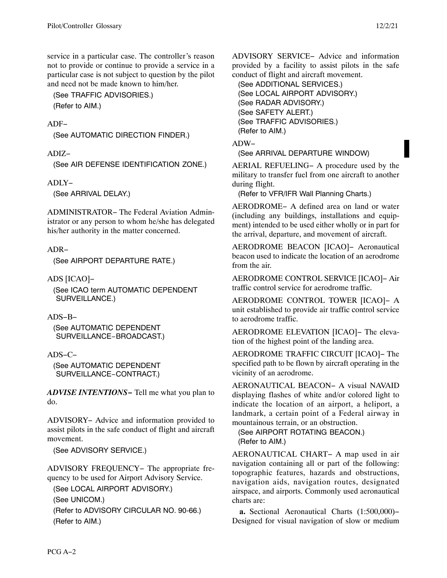service in a particular case. The controller's reason not to provide or continue to provide a service in a particular case is not subject to question by the pilot and need not be made known to him/her.

(See TRAFFIC ADVISORIES.) (Refer to AIM.)

# $ADF-$

(See AUTOMATIC DIRECTION FINDER.)

# $ADIZ-$

(See AIR DEFENSE IDENTIFICATION ZONE.)

# ADLY-

(See ARRIVAL DELAY.)

ADMINISTRATOR- The Federal Aviation Administrator or any person to whom he/she has delegated his/her authority in the matter concerned.

### $ADR-$

(See AIRPORT DEPARTURE RATE.)

ADS [ICAO]-

(See ICAO term AUTOMATIC DEPENDENT SURVEILLANCE.)

 $ADS-B-$ 

(See AUTOMATIC DEPENDENT SURVEILLANCE-BROADCAST.)

 $ADS-C$ 

(See AUTOMATIC DEPENDENT SURVEILLANCE-CONTRACT.)

*ADVISE INTENTIONSï* Tell me what you plan to do.

ADVISORY- Advice and information provided to assist pilots in the safe conduct of flight and aircraft movement.

(See ADVISORY SERVICE.)

ADVISORY FREQUENCY- The appropriate frequency to be used for Airport Advisory Service.

(See LOCAL AIRPORT ADVISORY.)

(See UNICOM.)

(Refer to ADVISORY CIRCULAR NO. 90-66.) (Refer to AIM.)

ADVISORY SERVICE- Advice and information provided by a facility to assist pilots in the safe conduct of flight and aircraft movement.

(See ADDITIONAL SERVICES.) (See LOCAL AIRPORT ADVISORY.) (See RADAR ADVISORY.) (See SAFETY ALERT.) (See TRAFFIC ADVISORIES.) (Refer to AIM.)

 $ADW-$ 

(See ARRIVAL DEPARTURE WINDOW)

AERIAL REFUELING – A procedure used by the military to transfer fuel from one aircraft to another during flight.

(Refer to VFR/IFR Wall Planning Charts.)

AERODROME– A defined area on land or water (including any buildings, installations and equipment) intended to be used either wholly or in part for the arrival, departure, and movement of aircraft.

AERODROME BEACON [ICAO]- Aeronautical beacon used to indicate the location of an aerodrome from the air.

AERODROME CONTROL SERVICE [ICAO]- Air traffic control service for aerodrome traffic.

AERODROME CONTROL TOWER [ICAO]- A unit established to provide air traffic control service to aerodrome traffic.

AERODROME ELEVATION [ICAO]- The elevation of the highest point of the landing area.

AERODROME TRAFFIC CIRCUIT [ICAO]– The specified path to be flown by aircraft operating in the vicinity of an aerodrome.

 indicate the location of an airport, a heliport, a landmark, a certain point of a Federal airway in AERONAUTICAL BEACON- A visual NAVAID displaying flashes of white and/or colored light to mountainous terrain, or an obstruction.

(See AIRPORT ROTATING BEACON.) (Refer to AIM.)

AERONAUTICAL CHART- A map used in air topographic features, hazards and obstructions, navigation containing all or part of the following: navigation aids, navigation routes, designated airspace, and airports. Commonly used aeronautical charts are:

**a.** Sectional Aeronautical Charts (1:500,000)– Designed for visual navigation of slow or medium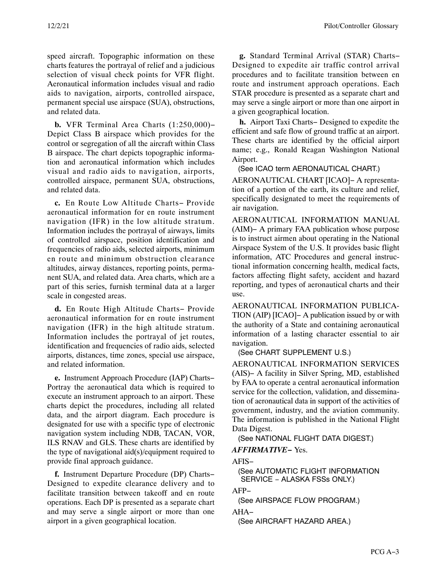selection of visual check points for VFR flight. aids to navigation, airports, controlled airspace, speed aircraft. Topographic information on these charts features the portrayal of relief and a judicious Aeronautical information includes visual and radio permanent special use airspace (SUA), obstructions, and related data.

 Depict Class B airspace which provides for the **b.** VFR Terminal Area Charts  $(1:250,000)$ control or segregation of all the aircraft within Class B airspace. The chart depicts topographic information and aeronautical information which includes visual and radio aids to navigation, airports, controlled airspace, permanent SUA, obstructions, and related data.

c. En Route Low Altitude Charts- Provide aeronautical information for en route instrument navigation (IFR) in the low altitude stratum. en route and minimum obstruction clearance Information includes the portrayal of airways, limits of controlled airspace, position identification and frequencies of radio aids, selected airports, minimum altitudes, airway distances, reporting points, permanent SUA, and related data. Area charts, which are a part of this series, furnish terminal data at a larger scale in congested areas.

d. En Route High Altitude Charts- Provide aeronautical information for en route instrument navigation (IFR) in the high altitude stratum. Information includes the portrayal of jet routes, identification and frequencies of radio aids, selected airports, distances, time zones, special use airspace, and related information.

**e.** Instrument Approach Procedure (IAP) Charts-Portray the aeronautical data which is required to execute an instrument approach to an airport. These charts depict the procedures, including all related data, and the airport diagram. Each procedure is designated for use with a specific type of electronic navigation system including NDB, TACAN, VOR, ILS RNAV and GLS. These charts are identified by the type of navigational aid(s)/equipment required to provide final approach guidance.

 Designed to expedite clearance delivery and to f. Instrument Departure Procedure (DP) Chartsfacilitate transition between takeoff and en route operations. Each DP is presented as a separate chart and may serve a single airport or more than one airport in a given geographical location.

 Designed to expedite air traffic control arrival route and instrument approach operations. Each g. Standard Terminal Arrival (STAR) Chartsprocedures and to facilitate transition between en STAR procedure is presented as a separate chart and may serve a single airport or more than one airport in a given geographical location.

**h.** Airport Taxi Charts-Designed to expedite the efficient and safe flow of ground traffic at an airport. These charts are identified by the official airport name; e.g., Ronald Reagan Washington National Airport.

(See ICAO term AERONAUTICAL CHART.)

AERONAUTICAL CHART [ICAO]- A representation of a portion of the earth, its culture and relief, specifically designated to meet the requirements of air navigation.

AERONAUTICAL INFORMATION MANUAL  $(AIM)$ – A primary FAA publication whose purpose is to instruct airmen about operating in the National Airspace System of the U.S. It provides basic flight information, ATC Procedures and general instructional information concerning health, medical facts, factors affecting flight safety, accident and hazard reporting, and types of aeronautical charts and their use.

AERONAUTICAL INFORMATION PUBLICA-TION (AIP)  $[ICAO]$ – A publication issued by or with the authority of a State and containing aeronautical information of a lasting character essential to air navigation.

(See CHART SUPPLEMENT U.S.)

AERONAUTICAL INFORMATION SERVICES (AIS)- A facility in Silver Spring, MD, established by FAA to operate a central aeronautical information service for the collection, validation, and dissemination of aeronautical data in support of the activities of government, industry, and the aviation community. The information is published in the National Flight Data Digest.

(See NATIONAL FLIGHT DATA DIGEST.)

*AFFIRMATIVE* - Yes.

AFIS-

(See AUTOMATIC FLIGHT INFORMATION SERVICE – ALASKA FSSs ONLY.)

 $AFP-$ 

(See AIRSPACE FLOW PROGRAM.)

 $AHA$ 

(See AIRCRAFT HAZARD AREA.)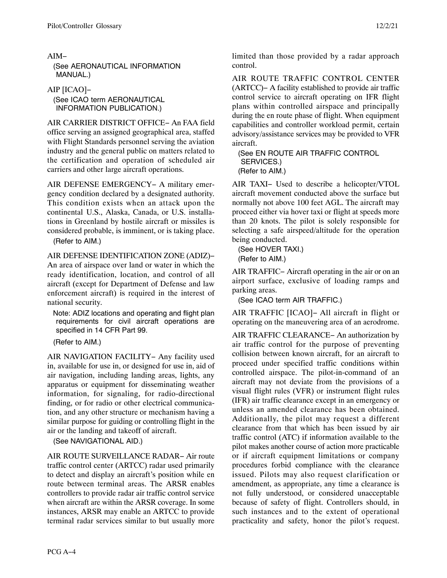# $AlM-$ (See AERONAUTICAL INFORMATION MANUAL.)

AIP [ICAO]-(See ICAO term AERONAUTICAL INFORMATION PUBLICATION.)

 the certification and operation of scheduled air AIR CARRIER DISTRICT OFFICE- An FAA field office serving an assigned geographical area, staffed with Flight Standards personnel serving the aviation industry and the general public on matters related to carriers and other large aircraft operations.

 This condition exists when an attack upon the AIR DEFENSE EMERGENCY- A military emergency condition declared by a designated authority. continental U.S., Alaska, Canada, or U.S. installations in Greenland by hostile aircraft or missiles is considered probable, is imminent, or is taking place.

(Refer to AIM.)

 ready identification, location, and control of all AIR DEFENSE IDENTIFICATION ZONE (ADIZ)-An area of airspace over land or water in which the aircraft (except for Department of Defense and law enforcement aircraft) is required in the interest of national security.

Note: ADIZ locations and operating and flight plan requirements for civil aircraft operations are specified in 14 CFR Part 99.

(Refer to AIM.)

 information, for signaling, for radio-directional AIR NAVIGATION FACILITY- Any facility used in, available for use in, or designed for use in, aid of air navigation, including landing areas, lights, any apparatus or equipment for disseminating weather finding, or for radio or other electrical communication, and any other structure or mechanism having a similar purpose for guiding or controlling flight in the air or the landing and takeoff of aircraft.

(See NAVIGATIONAL AID.)

AIR ROUTE SURVEILLANCE RADAR- Air route traffic control center (ARTCC) radar used primarily to detect and display an aircraft's position while en route between terminal areas. The ARSR enables controllers to provide radar air traffic control service when aircraft are within the ARSR coverage. In some instances, ARSR may enable an ARTCC to provide terminal radar services similar to but usually more

limited than those provided by a radar approach control.

 AIR ROUTE TRAFFIC CONTROL CENTER plans within controlled airspace and principally  $(ARTCC)$ – A facility established to provide air traffic control service to aircraft operating on IFR flight during the en route phase of flight. When equipment capabilities and controller workload permit, certain advisory/assistance services may be provided to VFR aircraft.

(See EN ROUTE AIR TRAFFIC CONTROL SERVICES.) (Refer to AIM.)

AIR TAXI– Used to describe a helicopter/VTOL aircraft movement conducted above the surface but normally not above 100 feet AGL. The aircraft may proceed either via hover taxi or flight at speeds more than 20 knots. The pilot is solely responsible for selecting a safe airspeed/altitude for the operation being conducted.

(See HOVER TAXI.) (Refer to AIM.)

AIR TRAFFIC- Aircraft operating in the air or on an airport surface, exclusive of loading ramps and parking areas.

(See ICAO term AIR TRAFFIC.)

AIR TRAFFIC [ICAO]- All aircraft in flight or operating on the maneuvering area of an aerodrome.

 air traffic control for the purpose of preventing unless an amended clearance has been obtained. Additionally, the pilot may request a different or if aircraft equipment limitations or company issued. Pilots may also request clarification or such instances and to the extent of operational AIR TRAFFIC CLEARANCE - An authorization by collision between known aircraft, for an aircraft to proceed under specified traffic conditions within controlled airspace. The pilot-in-command of an aircraft may not deviate from the provisions of a visual flight rules (VFR) or instrument flight rules (IFR) air traffic clearance except in an emergency or clearance from that which has been issued by air traffic control (ATC) if information available to the pilot makes another course of action more practicable procedures forbid compliance with the clearance amendment, as appropriate, any time a clearance is not fully understood, or considered unacceptable because of safety of flight. Controllers should, in practicality and safety, honor the pilot's request.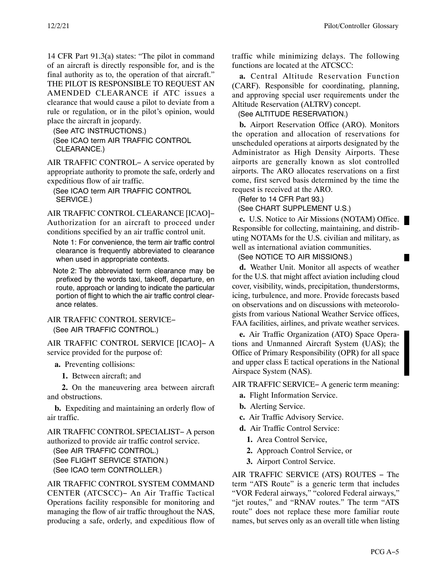AMENDED CLEARANCE if ATC issues a 14 CFR Part 91.3(a) states: "The pilot in command of an aircraft is directly responsible for, and is the final authority as to, the operation of that aircraft." THE PILOT IS RESPONSIBLE TO REQUEST AN clearance that would cause a pilot to deviate from a rule or regulation, or in the pilot's opinion, would place the aircraft in jeopardy.

(See ATC INSTRUCTIONS.) (See ICAO term AIR TRAFFIC CONTROL CLEARANCE.)

AIR TRAFFIC CONTROL – A service operated by appropriate authority to promote the safe, orderly and expeditious flow of air traffic.

(See ICAO term AIR TRAFFIC CONTROL SERVICE.)

 Authorization for an aircraft to proceed under AIR TRAFFIC CONTROL CLEARANCE [ICAO]conditions specified by an air traffic control unit.

Note 1: For convenience, the term air traffic control clearance is frequently abbreviated to clearance when used in appropriate contexts.

Note 2: The abbreviated term clearance may be prefixed by the words taxi, takeoff, departure, en route, approach or landing to indicate the particular portion of flight to which the air traffic control clearance relates.

AIR TRAFFIC CONTROL SERVICE-(See AIR TRAFFIC CONTROL.)

AIR TRAFFIC CONTROL SERVICE [ICAO]- A service provided for the purpose of:

**a.** Preventing collisions:

**1.** Between aircraft; and

**2.** On the maneuvering area between aircraft and obstructions.

**b.** Expediting and maintaining an orderly flow of air traffic.

AIR TRAFFIC CONTROL SPECIALIST- A person authorized to provide air traffic control service.

(See AIR TRAFFIC CONTROL.) (See FLIGHT SERVICE STATION.) (See ICAO term CONTROLLER.)

CENTER (ATCSCC)- An Air Traffic Tactical AIR TRAFFIC CONTROL SYSTEM COMMAND Operations facility responsible for monitoring and managing the flow of air traffic throughout the NAS, producing a safe, orderly, and expeditious flow of

 traffic while minimizing delays. The following functions are located at the ATCSCC:

**a.** Central Altitude Reservation Function (CARF). Responsible for coordinating, planning, and approving special user requirements under the Altitude Reservation (ALTRV) concept.

(See ALTITUDE RESERVATION.)

 the operation and allocation of reservations for Administrator as High Density Airports. These airports are generally known as slot controlled **b.** Airport Reservation Office (ARO). Monitors unscheduled operations at airports designated by the airports. The ARO allocates reservations on a first come, first served basis determined by the time the request is received at the ARO.

(Refer to 14 CFR Part 93.)

(See CHART SUPPLEMENT U.S.)

**c.** U.S. Notice to Air Missions (NOTAM) Office. Responsible for collecting, maintaining, and distributing NOTAMs for the U.S. civilian and military, as well as international aviation communities.

(See NOTICE TO AIR MISSIONS.)

**d.** Weather Unit. Monitor all aspects of weather for the U.S. that might affect aviation including cloud cover, visibility, winds, precipitation, thunderstorms, icing, turbulence, and more. Provide forecasts based on observations and on discussions with meteorologists from various National Weather Service offices, FAA facilities, airlines, and private weather services.

**e.** Air Traffic Organization (ATO) Space Operations and Unmanned Aircraft System (UAS); the Office of Primary Responsibility (OPR) for all space and upper class E tactical operations in the National Airspace System (NAS).

AIR TRAFFIC SERVICE- A generic term meaning:

- **a.** Flight Information Service.
- **b.** Alerting Service.
- **c.** Air Traffic Advisory Service.
- **d.** Air Traffic Control Service:
	- **1.** Area Control Service,
	- **2.** Approach Control Service, or
	- **3.** Airport Control Service.

AIR TRAFFIC SERVICE (ATS) ROUTES - The term "ATS Route" is a generic term that includes "VOR Federal airways," "colored Federal airways," "jet routes," and "RNAV routes." The term "ATS route" does not replace these more familiar route names, but serves only as an overall title when listing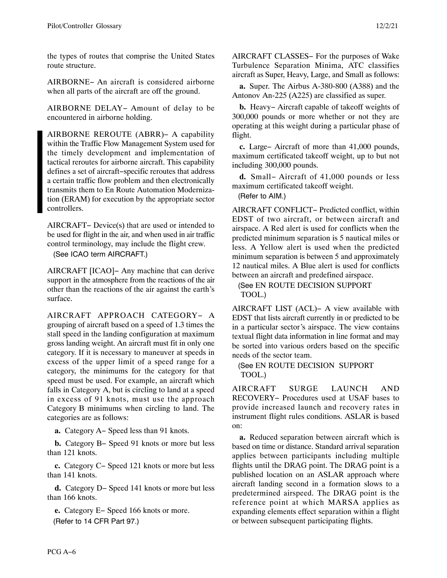the types of routes that comprise the United States route structure.

AIRBORNE- An aircraft is considered airborne when all parts of the aircraft are off the ground.

AIRBORNE DELAY- Amount of delay to be encountered in airborne holding.

AIRBORNE REROUTE  $(ABRR)$ – A capability within the Traffic Flow Management System used for the timely development and implementation of tactical reroutes for airborne aircraft. This capability defines a set of aircraft-specific reroutes that address a certain traffic flow problem and then electronically transmits them to En Route Automation Modernization (ERAM) for execution by the appropriate sector controllers.

AIRCRAFT – Device $(s)$  that are used or intended to be used for flight in the air, and when used in air traffic control terminology, may include the flight crew.

(See ICAO term AIRCRAFT.)

AIRCRAFT  $[ICAO]$ – Any machine that can derive support in the atmosphere from the reactions of the air other than the reactions of the air against the earth's surface.

 excess of the upper limit of a speed range for a in excess of 91 knots, must use the approach AIRCRAFT APPROACH CATEGORY- A grouping of aircraft based on a speed of 1.3 times the stall speed in the landing configuration at maximum gross landing weight. An aircraft must fit in only one category. If it is necessary to maneuver at speeds in category, the minimums for the category for that speed must be used. For example, an aircraft which falls in Category A, but is circling to land at a speed Category B minimums when circling to land. The categories are as follows:

**a.** Category A– Speed less than 91 knots.

**b.** Category B– Speed 91 knots or more but less than 121 knots.

**c.** Category C– Speed 121 knots or more but less than 141 knots.

**d.** Category D– Speed 141 knots or more but less than 166 knots.

**e.** Category E- Speed 166 knots or more. (Refer to 14 CFR Part 97.)

 Turbulence Separation Minima, ATC classifies AIRCRAFT CLASSES- For the purposes of Wake aircraft as Super, Heavy, Large, and Small as follows:

**a.** Super. The Airbus A-380-800 (A388) and the Antonov An-225 (A225) are classified as super.

**b.** Heavy– Aircraft capable of takeoff weights of 300,000 pounds or more whether or not they are operating at this weight during a particular phase of flight.

**c.** Large– Aircraft of more than 41,000 pounds, maximum certificated takeoff weight, up to but not including 300,000 pounds.

d. Small- Aircraft of 41,000 pounds or less maximum certificated takeoff weight.

(Refer to AIM.)

 EDST of two aircraft, or between aircraft and less. A Yellow alert is used when the predicted AIRCRAFT CONFLICT – Predicted conflict, within airspace. A Red alert is used for conflicts when the predicted minimum separation is 5 nautical miles or minimum separation is between 5 and approximately 12 nautical miles. A Blue alert is used for conflicts between an aircraft and predefined airspace.

(See EN ROUTE DECISION SUPPORT TOOL.)

AIRCRAFT LIST (ACL) $-$  A view available with EDST that lists aircraft currently in or predicted to be in a particular sector's airspace. The view contains textual flight data information in line format and may be sorted into various orders based on the specific needs of the sector team.

#### (See EN ROUTE DECISION SUPPORT TOOL.)

 provide increased launch and recovery rates in AIRCRAFT SURGE LAUNCH AND RECOVERY- Procedures used at USAF bases to instrument flight rules conditions. ASLAR is based on:

 applies between participants including multiple predetermined airspeed. The DRAG point is the reference point at which MARSA applies as **a.** Reduced separation between aircraft which is based on time or distance. Standard arrival separation flights until the DRAG point. The DRAG point is a published location on an ASLAR approach where aircraft landing second in a formation slows to a expanding elements effect separation within a flight or between subsequent participating flights.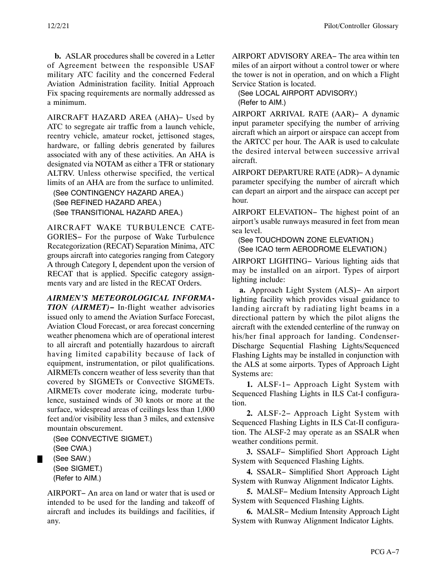of Agreement between the responsible USAF military ATC facility and the concerned Federal **b.** ASLAR procedures shall be covered in a Letter Aviation Administration facility. Initial Approach Fix spacing requirements are normally addressed as a minimum.

AIRCRAFT HAZARD AREA (AHA)- Used by ATC to segregate air traffic from a launch vehicle, reentry vehicle, amateur rocket, jettisoned stages, hardware, or falling debris generated by failures associated with any of these activities. An AHA is designated via NOTAM as either a TFR or stationary ALTRV. Unless otherwise specified, the vertical limits of an AHA are from the surface to unlimited.

(See CONTINGENCY HAZARD AREA.) (See REFINED HAZARD AREA.) (See TRANSITIONAL HAZARD AREA.)

GORIES- For the purpose of Wake Turbulence AIRCRAFT WAKE TURBULENCE CATE-Recategorization (RECAT) Separation Minima, ATC groups aircraft into categories ranging from Category A through Category I, dependent upon the version of RECAT that is applied. Specific category assignments vary and are listed in the RECAT Orders.

 having limited capability because of lack of *AIRMEN'S METEOROLOGICAL INFORMA-TION (AIRMET)*– In-flight weather advisories issued only to amend the Aviation Surface Forecast, Aviation Cloud Forecast, or area forecast concerning weather phenomena which are of operational interest to all aircraft and potentially hazardous to aircraft equipment, instrumentation, or pilot qualifications. AIRMETs concern weather of less severity than that covered by SIGMETs or Convective SIGMETs. AIRMETs cover moderate icing, moderate turbulence, sustained winds of 30 knots or more at the surface, widespread areas of ceilings less than 1,000 feet and/or visibility less than 3 miles, and extensive mountain obscurement.

(See CONVECTIVE SIGMET.) (See CWA.) (See SAW.) (See SIGMET.) (Refer to AIM.)

ш

AIRPORT – An area on land or water that is used or intended to be used for the landing and takeoff of aircraft and includes its buildings and facilities, if any.

AIRPORT ADVISORY AREA– The area within ten miles of an airport without a control tower or where the tower is not in operation, and on which a Flight Service Station is located.

(See LOCAL AIRPORT ADVISORY.) (Refer to AIM.)

 the desired interval between successive arrival AIRPORT ARRIVAL RATE (AAR)- A dynamic input parameter specifying the number of arriving aircraft which an airport or airspace can accept from the ARTCC per hour. The AAR is used to calculate aircraft.

AIRPORT DEPARTURE RATE (ADR)- A dynamic parameter specifying the number of aircraft which can depart an airport and the airspace can accept per hour.

AIRPORT ELEVATION- The highest point of an airport's usable runways measured in feet from mean sea level.

(See TOUCHDOWN ZONE ELEVATION.) (See ICAO term AERODROME ELEVATION.)

 may be installed on an airport. Types of airport AIRPORT LIGHTING- Various lighting aids that lighting include:

 landing aircraft by radiating light beams in a directional pattern by which the pilot aligns the his/her final approach for landing. Condenser**a.** Approach Light System (ALS)– An airport lighting facility which provides visual guidance to aircraft with the extended centerline of the runway on Discharge Sequential Flashing Lights/Sequenced Flashing Lights may be installed in conjunction with the ALS at some airports. Types of Approach Light Systems are:

1. ALSF-1- Approach Light System with Sequenced Flashing Lights in ILS Cat-I configuration.

2. ALSF-2- Approach Light System with Sequenced Flashing Lights in ILS Cat-II configuration. The ALSF-2 may operate as an SSALR when weather conditions permit.

**3. SSALF- Simplified Short Approach Light** System with Sequenced Flashing Lights.

4. SSALR- Simplified Short Approach Light System with Runway Alignment Indicator Lights.

**5. MALSF- Medium Intensity Approach Light** System with Sequenced Flashing Lights.

**6.** MALSR-Medium Intensity Approach Light System with Runway Alignment Indicator Lights.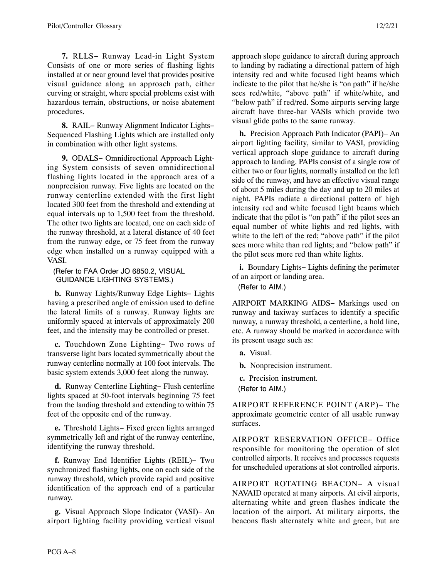visual guidance along an approach path, either 7. RLLS- Runway Lead-in Light System Consists of one or more series of flashing lights installed at or near ground level that provides positive curving or straight, where special problems exist with hazardous terrain, obstructions, or noise abatement procedures.

**8.** RAIL– Runway Alignment Indicator Lights– Sequenced Flashing Lights which are installed only in combination with other light systems.

 ing System consists of seven omnidirectional flashing lights located in the approach area of a runway centerline extended with the first light **9.** ODALS– Omnidirectional Approach Lightnonprecision runway. Five lights are located on the located 300 feet from the threshold and extending at equal intervals up to 1,500 feet from the threshold. The other two lights are located, one on each side of the runway threshold, at a lateral distance of 40 feet from the runway edge, or 75 feet from the runway edge when installed on a runway equipped with a VASI.

(Refer to FAA Order JO 6850.2, VISUAL GUIDANCE LIGHTING SYSTEMS.)

**b.** Runway Lights/Runway Edge Lights – Lights having a prescribed angle of emission used to define the lateral limits of a runway. Runway lights are uniformly spaced at intervals of approximately 200 feet, and the intensity may be controlled or preset.

c. Touchdown Zone Lighting- Two rows of transverse light bars located symmetrically about the runway centerline normally at 100 foot intervals. The basic system extends 3,000 feet along the runway.

**d.** Runway Centerline Lighting– Flush centerline lights spaced at 50-foot intervals beginning 75 feet from the landing threshold and extending to within 75 feet of the opposite end of the runway.

**e.** Threshold Lights– Fixed green lights arranged symmetrically left and right of the runway centerline, identifying the runway threshold.

**f.** Runway End Identifier Lights (REIL)– Two synchronized flashing lights, one on each side of the runway threshold, which provide rapid and positive identification of the approach end of a particular runway.

 airport lighting facility providing vertical visual **g.** Visual Approach Slope Indicator (VASI)– An

approach slope guidance to aircraft during approach to landing by radiating a directional pattern of high intensity red and white focused light beams which indicate to the pilot that he/she is "on path" if he/she sees red/white, "above path" if white/white, and "below path" if red/red. Some airports serving large aircraft have three-bar VASIs which provide two visual glide paths to the same runway.

**h.** Precision Approach Path Indicator (PAPI)– An airport lighting facility, similar to VASI, providing vertical approach slope guidance to aircraft during approach to landing. PAPIs consist of a single row of either two or four lights, normally installed on the left side of the runway, and have an effective visual range of about 5 miles during the day and up to 20 miles at night. PAPIs radiate a directional pattern of high intensity red and white focused light beams which indicate that the pilot is "on path" if the pilot sees an equal number of white lights and red lights, with white to the left of the red; "above path" if the pilot sees more white than red lights; and "below path" if the pilot sees more red than white lights.

**i.** Boundary Lights–Lights defining the perimeter of an airport or landing area.

(Refer to AIM.)

AIRPORT MARKING AIDS- Markings used on runway and taxiway surfaces to identify a specific runway, a runway threshold, a centerline, a hold line, etc. A runway should be marked in accordance with its present usage such as:

- **a.** Visual.
- **b.** Nonprecision instrument.
- **c.** Precision instrument.
- (Refer to AIM.)

AIRPORT REFERENCE POINT (ARP)- The approximate geometric center of all usable runway surfaces.

 responsible for monitoring the operation of slot AIRPORT RESERVATION OFFICE- Office controlled airports. It receives and processes requests for unscheduled operations at slot controlled airports.

 alternating white and green flashes indicate the location of the airport. At military airports, the AIRPORT ROTATING BEACON- A visual NAVAID operated at many airports. At civil airports, beacons flash alternately white and green, but are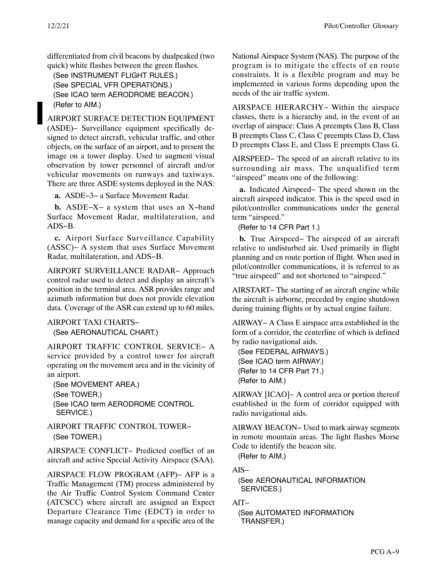differentiated from civil beacons by dualpeaked (two quick) white flashes between the green flashes.

(See INSTRUMENT FLIGHT RULES.) (See SPECIAL VFR OPERATIONS.) (See ICAO term AERODROME BEACON.) (Refer to AIM.)

 vehicular movements on runways and taxiways. AIRPORT SURFACE DETECTION EQUIPMENT (ASDE)- Surveillance equipment specifically designed to detect aircraft, vehicular traffic, and other objects, on the surface of an airport, and to present the image on a tower display. Used to augment visual observation by tower personnel of aircraft and/or There are three ASDE systems deployed in the NAS:

**a.** ASDE-3- a Surface Movement Radar.

**b.** ASDE-X- a system that uses an X-band Surface Movement Radar, multilateration, and ADS-B.

 $(ASSC)$ – A system that uses Surface Movement **c.** Airport Surface Surveillance Capability Radar, multilateration, and ADS-B.

AIRPORT SURVEILLANCE RADAR- Approach control radar used to detect and display an aircraft's position in the terminal area. ASR provides range and azimuth information but does not provide elevation data. Coverage of the ASR can extend up to 60 miles.

AIRPORT TAXI CHARTS-

(See AERONAUTICAL CHART.)

AIRPORT TRAFFIC CONTROL SERVICE- A service provided by a control tower for aircraft operating on the movement area and in the vicinity of an airport.

(See MOVEMENT AREA.) (See TOWER.) (See ICAO term AERODROME CONTROL SERVICE.)

AIRPORT TRAFFIC CONTROL TOWER-(See TOWER.)

AIRSPACE CONFLICT- Predicted conflict of an aircraft and active Special Activity Airspace (SAA).

 Departure Clearance Time (EDCT) in order to AIRSPACE FLOW PROGRAM (AFP)- AFP is a Traffic Management (TM) process administered by the Air Traffic Control System Command Center (ATCSCC) where aircraft are assigned an Expect manage capacity and demand for a specific area of the

 program is to mitigate the effects of en route constraints. It is a flexible program and may be National Airspace System (NAS). The purpose of the implemented in various forms depending upon the needs of the air traffic system.

AIRSPACE HIERARCHY- Within the airspace classes, there is a hierarchy and, in the event of an overlap of airspace: Class A preempts Class B, Class B preempts Class C, Class C preempts Class D, Class D preempts Class E, and Class E preempts Class G.

 surrounding air mass. The unqualified term AIRSPEED- The speed of an aircraft relative to its "airspeed" means one of the following:

a. Indicated Airspeed– The speed shown on the aircraft airspeed indicator. This is the speed used in pilot/controller communications under the general term "airspeed."

(Refer to 14 CFR Part 1.)

**b.** True Airspeed– The airspeed of an aircraft relative to undisturbed air. Used primarily in flight planning and en route portion of flight. When used in pilot/controller communications, it is referred to as "true airspeed" and not shortened to "airspeed."

AIRSTART – The starting of an aircraft engine while the aircraft is airborne, preceded by engine shutdown during training flights or by actual engine failure.

 $AIRWAY - A Class E$  airspace area established in the form of a corridor, the centerline of which is defined by radio navigational aids.

(See FEDERAL AIRWAYS.) (See ICAO term AIRWAY.) (Refer to 14 CFR Part 71.) (Refer to AIM.)

AIRWAY  $[ICAO]$ – A control area or portion thereof established in the form of corridor equipped with radio navigational aids.

AIRWAY BEACON– Used to mark airway segments in remote mountain areas. The light flashes Morse Code to identify the beacon site.

(Refer to AIM.)

AIS-

(See AERONAUTICAL INFORMATION SERVICES.)

 $AIT-$ 

(See AUTOMATED INFORMATION TRANSFER.)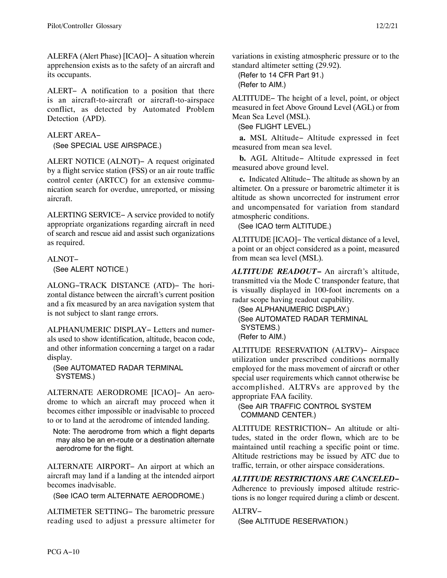ALERFA (Alert Phase) [ICAO] - A situation wherein apprehension exists as to the safety of an aircraft and its occupants.

 is an aircraft-to-aircraft or aircraft-to-airspace conflict, as detected by Automated Problem ALERT- A notification to a position that there Detection (APD).

ALERT AREA-(See SPECIAL USE AIRSPACE.)

ALERT NOTICE (ALNOT)– A request originated by a flight service station (FSS) or an air route traffic control center (ARTCC) for an extensive communication search for overdue, unreported, or missing aircraft.

ALERTING SERVICE - A service provided to notify appropriate organizations regarding aircraft in need of search and rescue aid and assist such organizations as required.

### ALNOT-

(See ALERT NOTICE.)

ALONG-TRACK DISTANCE (ATD)- The horizontal distance between the aircraft's current position and a fix measured by an area navigation system that is not subject to slant range errors.

ALPHANUMERIC DISPLAY – Letters and numerals used to show identification, altitude, beacon code, and other information concerning a target on a radar display.

(See AUTOMATED RADAR TERMINAL SYSTEMS.)

ALTERNATE AERODROME [ICAO]- An aerodrome to which an aircraft may proceed when it becomes either impossible or inadvisable to proceed to or to land at the aerodrome of intended landing.

Note: The aerodrome from which a flight departs may also be an en-route or a destination alternate aerodrome for the flight.

ALTERNATE AIRPORT- An airport at which an aircraft may land if a landing at the intended airport becomes inadvisable.

(See ICAO term ALTERNATE AERODROME.)

 reading used to adjust a pressure altimeter for ALTIMETER SETTING – The barometric pressure

variations in existing atmospheric pressure or to the standard altimeter setting (29.92).

(Refer to 14 CFR Part 91.) (Refer to AIM.)

ALTITUDE – The height of a level, point, or object measured in feet Above Ground Level (AGL) or from Mean Sea Level (MSL).

(See FLIGHT LEVEL.)

a. MSL Altitude- Altitude expressed in feet measured from mean sea level.

**b.** AGL Altitude- Altitude expressed in feet measured above ground level.

**c.** Indicated Altitude– The altitude as shown by an altimeter. On a pressure or barometric altimeter it is altitude as shown uncorrected for instrument error and uncompensated for variation from standard atmospheric conditions.

(See ICAO term ALTITUDE.)

ALTITUDE  $[ICAO]$  The vertical distance of a level, a point or an object considered as a point, measured from mean sea level (MSL).

*ALTITUDE READOUT* - An aircraft's altitude, transmitted via the Mode C transponder feature, that is visually displayed in 100-foot increments on a radar scope having readout capability.

(See ALPHANUMERIC DISPLAY.) (See AUTOMATED RADAR TERMINAL SYSTEMS.) (Refer to AIM.)

 utilization under prescribed conditions normally accomplished. ALTRVs are approved by the ALTITUDE RESERVATION (ALTRV)- Airspace employed for the mass movement of aircraft or other special user requirements which cannot otherwise be appropriate FAA facility.

(See AIR TRAFFIC CONTROL SYSTEM COMMAND CENTER.)

ALTITUDE RESTRICTION- An altitude or altitudes, stated in the order flown, which are to be maintained until reaching a specific point or time. Altitude restrictions may be issued by ATC due to traffic, terrain, or other airspace considerations.

*ALTITUDE RESTRICTIONS ARE CANCELEDï* Adherence to previously imposed altitude restrictions is no longer required during a climb or descent.

ALTRV-

(See ALTITUDE RESERVATION.)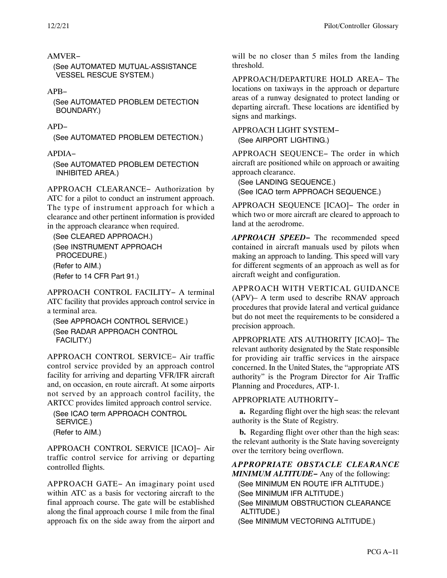# AMVER-

(See AUTOMATED MUTUAL-ASSISTANCE VESSEL RESCUE SYSTEM.)

# $APB-$

(See AUTOMATED PROBLEM DETECTION BOUNDARY.)

# $APD-$

(See AUTOMATED PROBLEM DETECTION.)

# APDIA-

(See AUTOMATED PROBLEM DETECTION INHIBITED AREA.)

 The type of instrument approach for which a APPROACH CLEARANCE- Authorization by ATC for a pilot to conduct an instrument approach. clearance and other pertinent information is provided in the approach clearance when required.

(See CLEARED APPROACH.) (See INSTRUMENT APPROACH PROCEDURE.) (Refer to AIM.) (Refer to 14 CFR Part 91.)

APPROACH CONTROL FACILITY- A terminal ATC facility that provides approach control service in a terminal area.

(See APPROACH CONTROL SERVICE.) (See RADAR APPROACH CONTROL FACILITY.)

 not served by an approach control facility, the APPROACH CONTROL SERVICE- Air traffic control service provided by an approach control facility for arriving and departing VFR/IFR aircraft and, on occasion, en route aircraft. At some airports ARTCC provides limited approach control service.

```
(See ICAO term APPROACH CONTROL 
SERVICE.) 
(Refer to AIM.)
```
 traffic control service for arriving or departing APPROACH CONTROL SERVICE [ICAO]- Air controlled flights.

APPROACH GATE- An imaginary point used within ATC as a basis for vectoring aircraft to the final approach course. The gate will be established along the final approach course 1 mile from the final approach fix on the side away from the airport and

will be no closer than 5 miles from the landing threshold.

APPROACH/DEPARTURE HOLD AREA– The locations on taxiways in the approach or departure areas of a runway designated to protect landing or departing aircraft. These locations are identified by signs and markings.

APPROACH LIGHT SYSTEMï (See AIRPORT LIGHTING.)

APPROACH SEQUENCE- The order in which aircraft are positioned while on approach or awaiting approach clearance.

(See LANDING SEQUENCE.)

(See ICAO term APPROACH SEQUENCE.)

APPROACH SEQUENCE [ICAO]- The order in which two or more aircraft are cleared to approach to land at the aerodrome.

*APPROACH SPEED*- The recommended speed contained in aircraft manuals used by pilots when making an approach to landing. This speed will vary for different segments of an approach as well as for aircraft weight and configuration.

APPROACH WITH VERTICAL GUIDANCE (APV)– A term used to describe RNAV approach procedures that provide lateral and vertical guidance but do not meet the requirements to be considered a precision approach.

 for providing air traffic services in the airspace APPROPRIATE ATS AUTHORITY [ICAO]- The relevant authority designated by the State responsible concerned. In the United States, the "appropriate ATS authority" is the Program Director for Air Traffic Planning and Procedures, ATP-1.

# APPROPRIATE AUTHORITY-

**a.** Regarding flight over the high seas: the relevant authority is the State of Registry.

**b.** Regarding flight over other than the high seas: the relevant authority is the State having sovereignty over the territory being overflown.

*APPROPRIATE OBSTACLE CLEARANCE MINIMUM ALTITUDE* - Any of the following: (See MINIMUM EN ROUTE IFR ALTITUDE.) (See MINIMUM IFR ALTITUDE.) (See MINIMUM OBSTRUCTION CLEARANCE ALTITUDE.) (See MINIMUM VECTORING ALTITUDE.)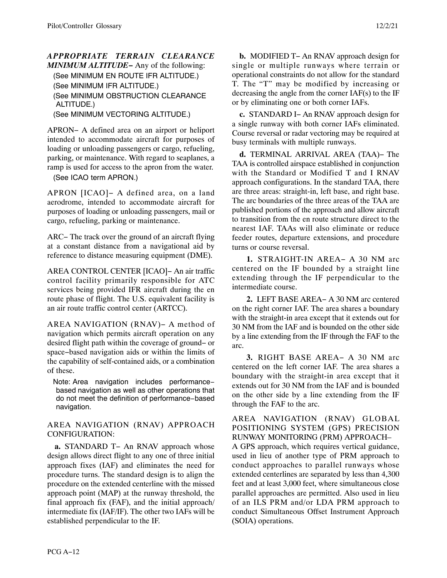# *APPROPRIATE TERRAIN CLEARANCE MINIMUM ALTITUDE* – Any of the following: (See MINIMUM EN ROUTE IFR ALTITUDE.) (See MINIMUM IFR ALTITUDE.) (See MINIMUM OBSTRUCTION CLEARANCE ALTITUDE.) (See MINIMUM VECTORING ALTITUDE.)

APRON– A defined area on an airport or heliport intended to accommodate aircraft for purposes of loading or unloading passengers or cargo, refueling, parking, or maintenance. With regard to seaplanes, a ramp is used for access to the apron from the water.

(See ICAO term APRON.)

APRON [ICAO]- A defined area, on a land aerodrome, intended to accommodate aircraft for purposes of loading or unloading passengers, mail or cargo, refueling, parking or maintenance.

ARC– The track over the ground of an aircraft flying at a constant distance from a navigational aid by reference to distance measuring equipment (DME).

AREA CONTROL CENTER [ICAO] - An air traffic control facility primarily responsible for ATC services being provided IFR aircraft during the en route phase of flight. The U.S. equivalent facility is an air route traffic control center (ARTCC).

AREA NAVIGATION (RNAV)- A method of navigation which permits aircraft operation on any desired flight path within the coverage of ground – or space–based navigation aids or within the limits of the capability of self-contained aids, or a combination of these.

Note: Area navigation includes performancebased navigation as well as other operations that do not meet the definition of performance-based navigation.

#### AREA NAVIGATION (RNAV) APPROACH CONFIGURATION:

**a.** STANDARD T- An RNAV approach whose design allows direct flight to any one of three initial approach fixes (IAF) and eliminates the need for procedure turns. The standard design is to align the procedure on the extended centerline with the missed approach point (MAP) at the runway threshold, the final approach fix (FAF), and the initial approach/ intermediate fix (IAF/IF). The other two IAFs will be established perpendicular to the IF.

 T. The "T" may be modified by increasing or **b.** MODIFIED T- An RNAV approach design for single or multiple runways where terrain or operational constraints do not allow for the standard decreasing the angle from the corner IAF(s) to the IF or by eliminating one or both corner IAFs.

c. STANDARD I- An RNAV approach design for a single runway with both corner IAFs eliminated. Course reversal or radar vectoring may be required at busy terminals with multiple runways.

 with the Standard or Modified T and I RNAV nearest IAF. TAAs will also eliminate or reduce **d.** TERMINAL ARRIVAL AREA (TAA)– The TAA is controlled airspace established in conjunction approach configurations. In the standard TAA, there are three areas: straight-in, left base, and right base. The arc boundaries of the three areas of the TAA are published portions of the approach and allow aircraft to transition from the en route structure direct to the feeder routes, departure extensions, and procedure turns or course reversal.

**1. STRAIGHT-IN AREA- A 30 NM arc**  extending through the IF perpendicular to the centered on the IF bounded by a straight line intermediate course.

**2.** LEFT BASE AREA– A 30 NM arc centered on the right corner IAF. The area shares a boundary with the straight-in area except that it extends out for 30 NM from the IAF and is bounded on the other side by a line extending from the IF through the FAF to the arc.

 boundary with the straight-in area except that it 3. RIGHT BASE AREA- A 30 NM arc centered on the left corner IAF. The area shares a extends out for 30 NM from the IAF and is bounded on the other side by a line extending from the IF through the FAF to the arc.

 AREA NAVIGATION (RNAV) GLOBAL POSITIONING SYSTEM (GPS) PRECISION RUNWAY MONITORING (PRM) APPROACH–

 conduct approaches to parallel runways whose of an ILS PRM and/or LDA PRM approach to A GPS approach, which requires vertical guidance, used in lieu of another type of PRM approach to extended centerlines are separated by less than 4,300 feet and at least 3,000 feet, where simultaneous close parallel approaches are permitted. Also used in lieu conduct Simultaneous Offset Instrument Approach (SOIA) operations.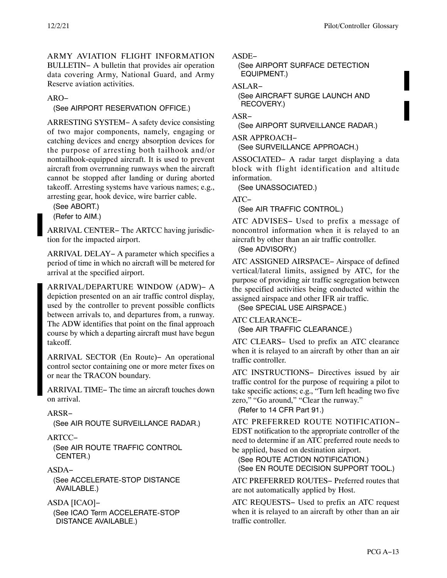ARMY AVIATION FLIGHT INFORMATION BULLETIN $-$  A bulletin that provides air operation data covering Army, National Guard, and Army Reserve aviation activities.

### $ARO$ -

(See AIRPORT RESERVATION OFFICE.)

 the purpose of arresting both tailhook and/or ARRESTING SYSTEM - A safety device consisting of two major components, namely, engaging or catching devices and energy absorption devices for nontailhook-equipped aircraft. It is used to prevent aircraft from overrunning runways when the aircraft cannot be stopped after landing or during aborted takeoff. Arresting systems have various names; e.g., arresting gear, hook device, wire barrier cable.

(See ABORT.) (Refer to AIM.)

ARRIVAL CENTER- The ARTCC having jurisdiction for the impacted airport.

ARRIVAL DELAY – A parameter which specifies a period of time in which no aircraft will be metered for arrival at the specified airport.

ARRIVAL/DEPARTURE WINDOW (ADW)- A depiction presented on an air traffic control display, used by the controller to prevent possible conflicts between arrivals to, and departures from, a runway. The ADW identifies that point on the final approach course by which a departing aircraft must have begun takeoff.

ARRIVAL SECTOR (En Route)- An operational control sector containing one or more meter fixes on or near the TRACON boundary.

ARRIVAL TIME-The time an aircraft touches down on arrival.

ARSR-

(See AIR ROUTE SURVEILLANCE RADAR.)

#### ARTCC-

(See AIR ROUTE TRAFFIC CONTROL CENTER.)

#### ASDA-

(See ACCELERATE-STOP DISTANCE AVAILABLE.)

#### ASDA [ICAO]-

(See ICAO Term ACCELERATE-STOP DISTANCE AVAILABLE.)

ASDE-

(See AIRPORT SURFACE DETECTION EQUIPMENT.)

#### ASLAR-

(See AIRCRAFT SURGE LAUNCH AND RECOVERY.)

ASR-

(See AIRPORT SURVEILLANCE RADAR.)

#### **ASR APPROACH-**

(See SURVEILLANCE APPROACH.)

ASSOCIATED- A radar target displaying a data block with flight identification and altitude information.

(See UNASSOCIATED.)

 $ATC -$ 

(See AIR TRAFFIC CONTROL.)

ATC ADVISES- Used to prefix a message of noncontrol information when it is relayed to an aircraft by other than an air traffic controller.

(See ADVISORY.)

 vertical/lateral limits, assigned by ATC, for the ATC ASSIGNED AIRSPACE - Airspace of defined purpose of providing air traffic segregation between the specified activities being conducted within the assigned airspace and other IFR air traffic.

(See SPECIAL USE AIRSPACE.)

#### **ATC CLEARANCE-**

(See AIR TRAFFIC CLEARANCE.)

ATC CLEARS- Used to prefix an ATC clearance when it is relayed to an aircraft by other than an air traffic controller.

ATC INSTRUCTIONS- Directives issued by air traffic control for the purpose of requiring a pilot to take specific actions; e.g., "Turn left heading two five zero," "Go around," "Clear the runway."

(Refer to 14 CFR Part 91.)

ATC PREFERRED ROUTE NOTIFICATION-EDST notification to the appropriate controller of the need to determine if an ATC preferred route needs to be applied, based on destination airport.

(See ROUTE ACTION NOTIFICATION.) (See EN ROUTE DECISION SUPPORT TOOL.)

ATC PREFERRED ROUTES- Preferred routes that are not automatically applied by Host.

ATC REQUESTS- Used to prefix an ATC request when it is relayed to an aircraft by other than an air traffic controller.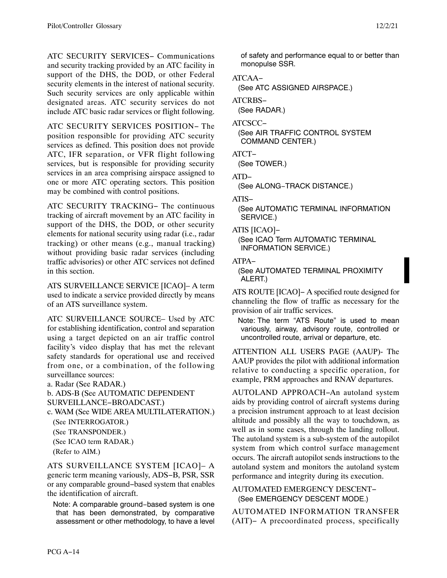support of the DHS, the DOD, or other Federal designated areas. ATC security services do not ATC SECURITY SERVICES- Communications and security tracking provided by an ATC facility in security elements in the interest of national security. Such security services are only applicable within include ATC basic radar services or flight following.

ATC SECURITY SERVICES POSITION- The position responsible for providing ATC security ATC, IFR separation, or VFR flight following services as defined. This position does not provide services, but is responsible for providing security services in an area comprising airspace assigned to one or more ATC operating sectors. This position may be combined with control positions.

 support of the DHS, the DOD, or other security tracking) or other means (e.g., manual tracking) ATC SECURITY TRACKING- The continuous tracking of aircraft movement by an ATC facility in elements for national security using radar (i.e., radar without providing basic radar services (including traffic advisories) or other ATC services not defined in this section.

ATS SURVEILLANCE SERVICE [ICAO]– A term used to indicate a service provided directly by means of an ATS surveillance system.

 from one, or a combination, of the following ATC SURVEILLANCE SOURCE– Used by ATC for establishing identification, control and separation using a target depicted on an air traffic control facility's video display that has met the relevant safety standards for operational use and received surveillance sources:

a. Radar (See RADAR.)

b. ADS-B (See AUTOMATIC DEPENDENT SURVEILLANCE-BROADCAST.)

c. WAM (See WIDE AREA MULTILATERATION.)

(See INTERROGATOR.) (See TRANSPONDER.) (See ICAO term RADAR.) (Refer to AIM.)

 ATS SURVEILLANCE SYSTEM [ICAO]– A generic term meaning variously, ADS-B, PSR, SSR or any comparable ground-based system that enables the identification of aircraft.

Note: A comparable ground-based system is one that has been demonstrated, by comparative assessment or other methodology, to have a level of safety and performance equal to or better than monopulse SSR.

ATCAA-

(See ATC ASSIGNED AIRSPACE.)

ATCRBS-

(See RADAR.)

ATCSCC-

(See AIR TRAFFIC CONTROL SYSTEM COMMAND CENTER.)

ATCT-

(See TOWER.)

 $ATD-$ 

(See ALONG-TRACK DISTANCE.)

ATIS-

(See AUTOMATIC TERMINAL INFORMATION SERVICE.)

ATIS [ICAO]-

(See ICAO Term AUTOMATIC TERMINAL INFORMATION SERVICE.)

ATPA-

(See AUTOMATED TERMINAL PROXIMITY ALERT.)

ATS ROUTE  $[ICAO]$  - A specified route designed for channeling the flow of traffic as necessary for the provision of air traffic services.

Note: The term "ATS Route" is used to mean variously, airway, advisory route, controlled or uncontrolled route, arrival or departure, etc.

ATTENTION ALL USERS PAGE (AAUP)- The AAUP provides the pilot with additional information relative to conducting a specific operation, for example, PRM approaches and RNAV departures.

 system from which control surface management AUTOLAND APPROACH-An autoland system aids by providing control of aircraft systems during a precision instrument approach to at least decision altitude and possibly all the way to touchdown, as well as in some cases, through the landing rollout. The autoland system is a sub-system of the autopilot occurs. The aircraft autopilot sends instructions to the autoland system and monitors the autoland system performance and integrity during its execution.

AUTOMATED EMERGENCY DESCENT-(See EMERGENCY DESCENT MODE.)

(AIT)- A precoordinated process, specifically AUTOMATED INFORMATION TRANSFER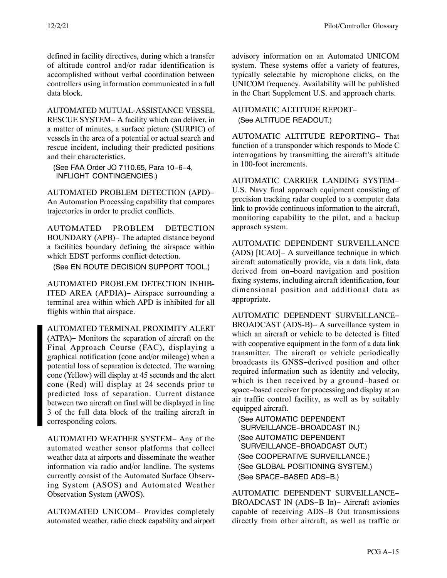of altitude control and/or radar identification is defined in facility directives, during which a transfer accomplished without verbal coordination between controllers using information communicated in a full data block.

AUTOMATED MUTUAL-ASSISTANCE VESSEL RESCUE SYSTEM- A facility which can deliver, in a matter of minutes, a surface picture (SURPIC) of vessels in the area of a potential or actual search and rescue incident, including their predicted positions and their characteristics.

(See FAA Order JO 7110.65, Para 10-6-4, INFLIGHT CONTINGENCIES.)

AUTOMATED PROBLEM DETECTION (APD)-An Automation Processing capability that compares trajectories in order to predict conflicts.

AUTOMATED PROBLEM DETECTION BOUNDARY (APB)– The adapted distance beyond a facilities boundary defining the airspace within which EDST performs conflict detection.

(See EN ROUTE DECISION SUPPORT TOOL.)

AUTOMATED PROBLEM DETECTION INHIB-ITED AREA (APDIA)- Airspace surrounding a terminal area within which APD is inhibited for all flights within that airspace.

 Final Approach Course (FAC), displaying a cone (Red) will display at 24 seconds prior to predicted loss of separation. Current distance AUTOMATED TERMINAL PROXIMITY ALERT  $(ATPA)$ – Monitors the separation of aircraft on the graphical notification (cone and/or mileage) when a potential loss of separation is detected. The warning cone (Yellow) will display at 45 seconds and the alert between two aircraft on final will be displayed in line 3 of the full data block of the trailing aircraft in corresponding colors.

 ing System (ASOS) and Automated Weather AUTOMATED WEATHER SYSTEM- Any of the automated weather sensor platforms that collect weather data at airports and disseminate the weather information via radio and/or landline. The systems currently consist of the Automated Surface Observ-Observation System (AWOS).

AUTOMATED UNICOM- Provides completely automated weather, radio check capability and airport advisory information on an Automated UNICOM system. These systems offer a variety of features, typically selectable by microphone clicks, on the UNICOM frequency. Availability will be published in the Chart Supplement U.S. and approach charts.

# AUTOMATIC ALTITUDE REPORT-(See ALTITUDE READOUT.)

AUTOMATIC ALTITUDE REPORTING- That function of a transponder which responds to Mode C interrogations by transmitting the aircraft's altitude in 100-foot increments.

 monitoring capability to the pilot, and a backup AUTOMATIC CARRIER LANDING SYSTEMï U.S. Navy final approach equipment consisting of precision tracking radar coupled to a computer data link to provide continuous information to the aircraft, approach system.

 dimensional position and additional data as AUTOMATIC DEPENDENT SURVEILLANCE (ADS)  $[ICAO]$ – A surveillance technique in which aircraft automatically provide, via a data link, data derived from on-board navigation and position fixing systems, including aircraft identification, four appropriate.

 transmitter. The aircraft or vehicle periodically air traffic control facility, as well as by suitably AUTOMATIC DEPENDENT SURVEILLANCE-BROADCAST (ADS-B)- A surveillance system in which an aircraft or vehicle to be detected is fitted with cooperative equipment in the form of a data link broadcasts its GNSS-derived position and other required information such as identity and velocity, which is then received by a ground-based or space–based receiver for processing and display at an equipped aircraft.

(See AUTOMATIC DEPENDENT SURVEILLANCE-BROADCAST IN.) (See AUTOMATIC DEPENDENT SURVEILLANCE-BROADCAST OUT.) (See COOPERATIVE SURVEILLANCE.) (See GLOBAL POSITIONING SYSTEM.) (See SPACE-BASED ADS-B.)

 directly from other aircraft, as well as traffic or AUTOMATIC DEPENDENT SURVEILLANCE-BROADCAST IN (ADS-B In)- Aircraft avionics capable of receiving ADS-B Out transmissions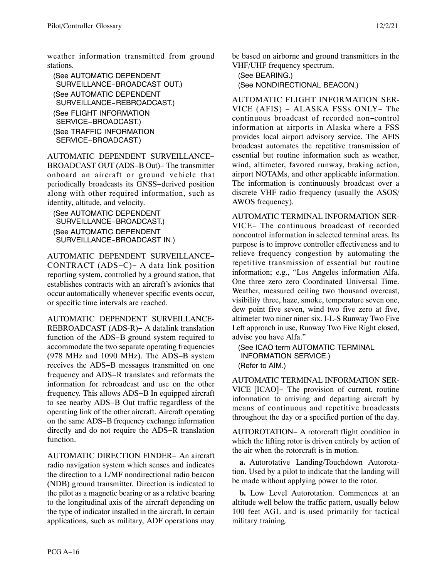weather information transmitted from ground stations.

```
(See AUTOMATIC DEPENDENT 
SURVEILLANCE-BROADCAST OUT.)
(See AUTOMATIC DEPENDENT 
SURVEILLANCE-REBROADCAST.)
(See FLIGHT INFORMATION 
SERVICE-BROADCAST.)
(See TRAFFIC INFORMATION 
SERVICE-BROADCAST.)
```
 onboard an aircraft or ground vehicle that along with other required information, such as AUTOMATIC DEPENDENT SURVEILLANCE-BROADCAST OUT (ADS-B Out)- The transmitter periodically broadcasts its GNSS-derived position identity, altitude, and velocity.

(See AUTOMATIC DEPENDENT SURVEILLANCE-BROADCAST.) (See AUTOMATIC DEPENDENT SURVEILLANCE-BROADCAST IN.)

CONTRACT (ADS $-C$ )– A data link position AUTOMATIC DEPENDENT SURVEILLANCEreporting system, controlled by a ground station, that establishes contracts with an aircraft's avionics that occur automatically whenever specific events occur, or specific time intervals are reached.

 $(978 \text{ MHz and } 1090 \text{ MHz})$ . The ADS-B system AUTOMATIC DEPENDENT SURVEILLANCE-REBROADCAST (ADS-R) $-$  A datalink translation function of the ADS-B ground system required to accommodate the two separate operating frequencies receives the ADS-B messages transmitted on one frequency and ADS-R translates and reformats the information for rebroadcast and use on the other frequency. This allows ADS-B In equipped aircraft to see nearby ADS-B Out traffic regardless of the operating link of the other aircraft. Aircraft operating on the same ADS-B frequency exchange information directly and do not require the ADS-R translation function.

AUTOMATIC DIRECTION FINDER- An aircraft radio navigation system which senses and indicates the direction to a L/MF nondirectional radio beacon (NDB) ground transmitter. Direction is indicated to the pilot as a magnetic bearing or as a relative bearing to the longitudinal axis of the aircraft depending on the type of indicator installed in the aircraft. In certain applications, such as military, ADF operations may

be based on airborne and ground transmitters in the VHF/UHF frequency spectrum.

(See BEARING.) (See NONDIRECTIONAL BEACON.)

VICE (AFIS) - ALASKA FSSs ONLY- The information at airports in Alaska where a FSS AUTOMATIC FLIGHT INFORMATION SERcontinuous broadcast of recorded non-control provides local airport advisory service. The AFIS broadcast automates the repetitive transmission of essential but routine information such as weather, wind, altimeter, favored runway, braking action, airport NOTAMs, and other applicable information. The information is continuously broadcast over a discrete VHF radio frequency (usually the ASOS/ AWOS frequency).

VICE- The continuous broadcast of recorded relieve frequency congestion by automating the AUTOMATIC TERMINAL INFORMATION SERnoncontrol information in selected terminal areas. Its purpose is to improve controller effectiveness and to repetitive transmission of essential but routine information; e.g., "Los Angeles information Alfa. One three zero zero Coordinated Universal Time. Weather, measured ceiling two thousand overcast, visibility three, haze, smoke, temperature seven one, dew point five seven, wind two five zero at five, altimeter two niner niner six. I-L-S Runway Two Five Left approach in use, Runway Two Five Right closed, advise you have Alfa."

(See ICAO term AUTOMATIC TERMINAL INFORMATION SERVICE.) (Refer to AIM.)

 means of continuous and repetitive broadcasts AUTOMATIC TERMINAL INFORMATION SER-VICE [ICAO]- The provision of current, routine information to arriving and departing aircraft by throughout the day or a specified portion of the day.

AUTOROTATION- A rotorcraft flight condition in which the lifting rotor is driven entirely by action of the air when the rotorcraft is in motion.

**a.** Autorotative Landing/Touchdown Autorotation. Used by a pilot to indicate that the landing will be made without applying power to the rotor.

 100 feet AGL and is used primarily for tactical **b.** Low Level Autorotation. Commences at an altitude well below the traffic pattern, usually below military training.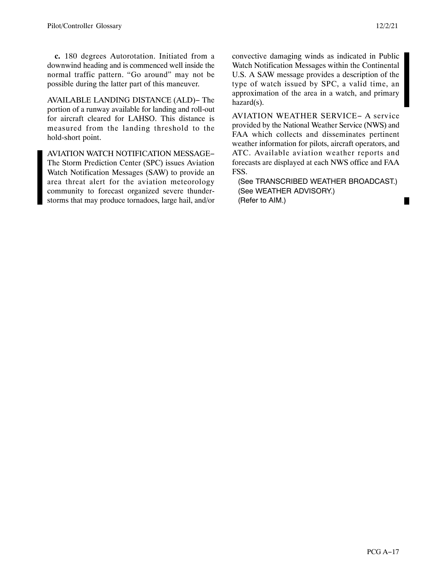ш

 **c.** 180 degrees Autorotation. Initiated from a normal traffic pattern. "Go around" may not be downwind heading and is commenced well inside the possible during the latter part of this maneuver.

 measured from the landing threshold to the AVAILABLE LANDING DISTANCE (ALD)- The portion of a runway available for landing and roll-out for aircraft cleared for LAHSO. This distance is hold-short point.

 area threat alert for the aviation meteorology AVIATION WATCH NOTIFICATION MESSAGE-The Storm Prediction Center (SPC) issues Aviation Watch Notification Messages (SAW) to provide an community to forecast organized severe thunderstorms that may produce tornadoes, large hail, and/or

convective damaging winds as indicated in Public Watch Notification Messages within the Continental U.S. A SAW message provides a description of the type of watch issued by SPC, a valid time, an approximation of the area in a watch, and primary hazard(s).

AVIATION WEATHER SERVICE- A service provided by the National Weather Service (NWS) and FAA which collects and disseminates pertinent weather information for pilots, aircraft operators, and ATC. Available aviation weather reports and forecasts are displayed at each NWS office and FAA FSS.

(See TRANSCRIBED WEATHER BROADCAST.) (See WEATHER ADVISORY.) (Refer to AIM.)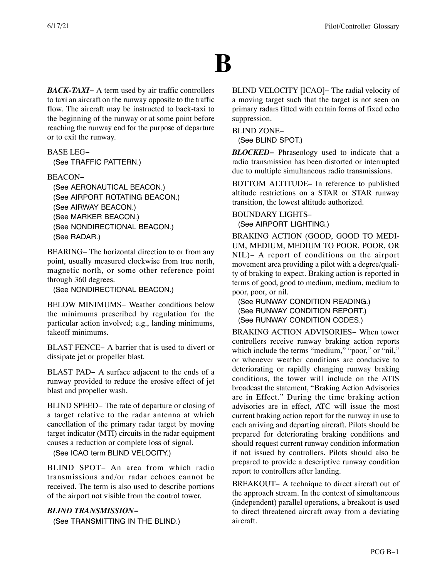# **B**

*BACK-TAXI*– A term used by air traffic controllers to taxi an aircraft on the runway opposite to the traffic flow. The aircraft may be instructed to back-taxi to the beginning of the runway or at some point before reaching the runway end for the purpose of departure or to exit the runway.

**BASE LEG-**

(See TRAFFIC PATTERN.)

### BEACON-

(See AERONAUTICAL BEACON.) (See AIRPORT ROTATING BEACON.) (See AIRWAY BEACON.) (See MARKER BEACON.) (See NONDIRECTIONAL BEACON.) (See RADAR.)

 magnetic north, or some other reference point BEARING – The horizontal direction to or from any point, usually measured clockwise from true north, through 360 degrees.

(See NONDIRECTIONAL BEACON.)

 the minimums prescribed by regulation for the BELOW MINIMUMS- Weather conditions below particular action involved; e.g., landing minimums, takeoff minimums.

BLAST FENCE- A barrier that is used to divert or dissipate jet or propeller blast.

BLAST PAD– A surface adjacent to the ends of a runway provided to reduce the erosive effect of jet blast and propeller wash.

 a target relative to the radar antenna at which BLIND SPEED– The rate of departure or closing of cancellation of the primary radar target by moving target indicator (MTI) circuits in the radar equipment causes a reduction or complete loss of signal.

(See ICAO term BLIND VELOCITY.)

BLIND SPOT- An area from which radio transmissions and/or radar echoes cannot be received. The term is also used to describe portions of the airport not visible from the control tower.

# *BLIND TRANSMISSIONï*

(See TRANSMITTING IN THE BLIND.)

BLIND VELOCITY [ICAO]– The radial velocity of a moving target such that the target is not seen on primary radars fitted with certain forms of fixed echo suppression.

**BLIND ZONE-**

(See BLIND SPOT.)

**BLOCKED**- Phraseology used to indicate that a radio transmission has been distorted or interrupted due to multiple simultaneous radio transmissions.

BOTTOM ALTITUDE– In reference to published altitude restrictions on a STAR or STAR runway transition, the lowest altitude authorized.

**BOUNDARY LIGHTS-**(See AIRPORT LIGHTING.)

 $NIL$ )– A report of conditions on the airport BRAKING ACTION (GOOD, GOOD TO MEDI-UM, MEDIUM, MEDIUM TO POOR, POOR, OR movement area providing a pilot with a degree/quality of braking to expect. Braking action is reported in terms of good, good to medium, medium, medium to poor, poor, or nil.

(See RUNWAY CONDITION READING.) (See RUNWAY CONDITION REPORT.) (See RUNWAY CONDITION CODES.)

 conditions, the tower will include on the ATIS are in Effect." During the time braking action BRAKING ACTION ADVISORIES- When tower controllers receive runway braking action reports which include the terms "medium," "poor," or "nil," or whenever weather conditions are conducive to deteriorating or rapidly changing runway braking broadcast the statement, "Braking Action Advisories advisories are in effect, ATC will issue the most current braking action report for the runway in use to each arriving and departing aircraft. Pilots should be prepared for deteriorating braking conditions and should request current runway condition information if not issued by controllers. Pilots should also be prepared to provide a descriptive runway condition report to controllers after landing.

 $BREAKOUT- A technique to direct aircraft out of$ the approach stream. In the context of simultaneous (independent) parallel operations, a breakout is used to direct threatened aircraft away from a deviating aircraft.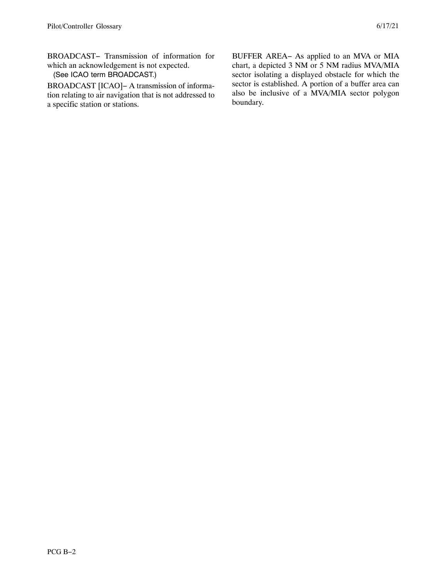BROADCAST- Transmission of information for which an acknowledgement is not expected.

(See ICAO term BROADCAST.)

BROADCAST [ICAO]- A transmission of information relating to air navigation that is not addressed to a specific station or stations.

BUFFER AREA- As applied to an MVA or MIA chart, a depicted 3 NM or 5 NM radius MVA/MIA sector isolating a displayed obstacle for which the sector is established. A portion of a buffer area can also be inclusive of a MVA/MIA sector polygon boundary.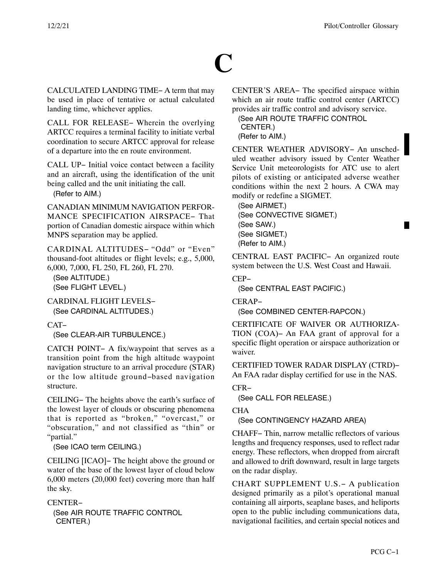# **C**

CALCULATED LANDING TIME – A term that may be used in place of tentative or actual calculated landing time, whichever applies.

CALL FOR RELEASE- Wherein the overlying ARTCC requires a terminal facility to initiate verbal coordination to secure ARTCC approval for release of a departure into the en route environment.

CALL UP- Initial voice contact between a facility and an aircraft, using the identification of the unit being called and the unit initiating the call.

(Refer to AIM.)

CANADIAN MINIMUM NAVIGATION PERFOR-MANCE SPECIFICATION AIRSPACE- That portion of Canadian domestic airspace within which MNPS separation may be applied.

CARDINAL ALTITUDES- "Odd" or "Even" thousand-foot altitudes or flight levels; e.g., 5,000, 6,000, 7,000, FL 250, FL 260, FL 270.

(See ALTITUDE.) (See FLIGHT LEVEL.)

CARDINAL FLIGHT LEVELS-(See CARDINAL ALTITUDES.)

 $CAT -$ 

(See CLEAR-AIR TURBULENCE.)

 transition point from the high altitude waypoint or the low altitude ground-based navigation CATCH POINT- A fix/waypoint that serves as a navigation structure to an arrival procedure (STAR) structure.

 "obscuration," and not classified as "thin" or CEILING– The heights above the earth's surface of the lowest layer of clouds or obscuring phenomena that is reported as "broken," "overcast," or "partial."

(See ICAO term CEILING.)

CEILING [ICAO]– The height above the ground or water of the base of the lowest layer of cloud below 6,000 meters (20,000 feet) covering more than half the sky.

CENTER-

(See AIR ROUTE TRAFFIC CONTROL CENTER.)

CENTER'S AREA– The specified airspace within which an air route traffic control center (ARTCC) provides air traffic control and advisory service.

(See AIR ROUTE TRAFFIC CONTROL CENTER.) (Refer to AIM.)

 pilots of existing or anticipated adverse weather CENTER WEATHER ADVISORY- An unscheduled weather advisory issued by Center Weather Service Unit meteorologists for ATC use to alert conditions within the next 2 hours. A CWA may modify or redefine a SIGMET.

(See AIRMET.) (See CONVECTIVE SIGMET.) (See SAW.) (See SIGMET.) (Refer to AIM.)

CENTRAL EAST PACIFIC- An organized route system between the U.S. West Coast and Hawaii.

 $CEP$ 

(See CENTRAL EAST PACIFIC.)

CERAP-

(See COMBINED CENTER-RAPCON.)

TION (COA)- An FAA grant of approval for a CERTIFICATE OF WAIVER OR AUTHORIZAspecific flight operation or airspace authorization or waiver.

CERTIFIED TOWER RADAR DISPLAY (CTRD)-An FAA radar display certified for use in the NAS.

 $CFR-$ 

(See CALL FOR RELEASE.)

CHA

(See CONTINGENCY HAZARD AREA)

CHAFF-Thin, narrow metallic reflectors of various lengths and frequency responses, used to reflect radar energy. These reflectors, when dropped from aircraft and allowed to drift downward, result in large targets on the radar display.

CHART SUPPLEMENT U.S. - A publication designed primarily as a pilot's operational manual containing all airports, seaplane bases, and heliports open to the public including communications data, navigational facilities, and certain special notices and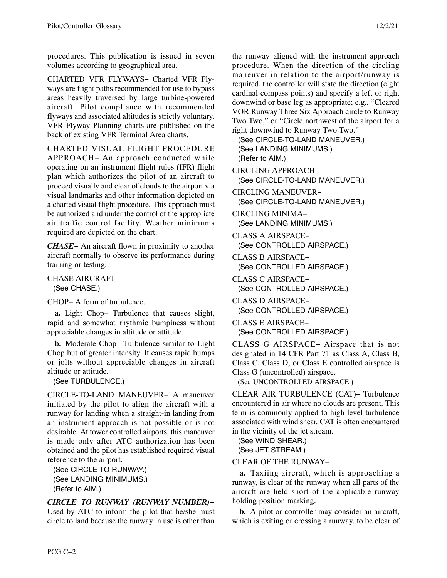procedures. This publication is issued in seven volumes according to geographical area.

 aircraft. Pilot compliance with recommended CHARTED VFR FLYWAYS- Charted VFR Flyways are flight paths recommended for use to bypass areas heavily traversed by large turbine-powered flyways and associated altitudes is strictly voluntary. VFR Flyway Planning charts are published on the back of existing VFR Terminal Area charts.

 CHARTED VISUAL FLIGHT PROCEDURE APPROACH- An approach conducted while plan which authorizes the pilot of an aircraft to air traffic control facility. Weather minimums operating on an instrument flight rules (IFR) flight proceed visually and clear of clouds to the airport via visual landmarks and other information depicted on a charted visual flight procedure. This approach must be authorized and under the control of the appropriate required are depicted on the chart.

*CHASE* – An aircraft flown in proximity to another aircraft normally to observe its performance during training or testing.

**CHASE AIRCRAFT-**(See CHASE.)

CHOP- A form of turbulence.

**a.** Light Chop– Turbulence that causes slight, rapid and somewhat rhythmic bumpiness without appreciable changes in altitude or attitude.

 or jolts without appreciable changes in aircraft **b.** Moderate Chop– Turbulence similar to Light Chop but of greater intensity. It causes rapid bumps altitude or attitude.

(See TURBULENCE.)

 initiated by the pilot to align the aircraft with a an instrument approach is not possible or is not is made only after ATC authorization has been CIRCLE-TO-LAND MANEUVER- A maneuver runway for landing when a straight-in landing from desirable. At tower controlled airports, this maneuver obtained and the pilot has established required visual reference to the airport.

(See CIRCLE TO RUNWAY.) (See LANDING MINIMUMS.) (Refer to AIM.)

# *CIRCLE TO RUNWAY (RUNWAY NUMBER)ï*

Used by ATC to inform the pilot that he/she must circle to land because the runway in use is other than

 procedure. When the direction of the circling the runway aligned with the instrument approach maneuver in relation to the airport/runway is required, the controller will state the direction (eight cardinal compass points) and specify a left or right downwind or base leg as appropriate; e.g., "Cleared VOR Runway Three Six Approach circle to Runway Two Two," or "Circle northwest of the airport for a right downwind to Runway Two Two."

(See CIRCLE-TO-LAND MANEUVER.) (See LANDING MINIMUMS.) (Refer to AIM.)

CIRCLING APPROACH-(See CIRCLE-TO-LAND MANEUVER.)

CIRCLING MANEUVER-(See CIRCLE-TO-LAND MANEUVER.)

CIRCLING MINIMA-(See LANDING MINIMUMS.)

CLASS A AIRSPACE-(See CONTROLLED AIRSPACE.)

**CLASS B AIRSPACE-**(See CONTROLLED AIRSPACE.)

**CLASS C AIRSPACE-**(See CONTROLLED AIRSPACE.)

CLASS D AIRSPACE-(See CONTROLLED AIRSPACE.)

**CLASS E AIRSPACE-**(See CONTROLLED AIRSPACE.)

CLASS G AIRSPACE- Airspace that is not designated in 14 CFR Part 71 as Class A, Class B, Class C, Class D, or Class E controlled airspace is Class G (uncontrolled) airspace.

(See UNCONTROLLED AIRSPACE.)

CLEAR AIR TURBULENCE (CAT)- Turbulence encountered in air where no clouds are present. This term is commonly applied to high-level turbulence associated with wind shear. CAT is often encountered in the vicinity of the jet stream.

(See WIND SHEAR.)

(See JET STREAM.)

#### CLEAR OF THE RUNWAY-

 aircraft are held short of the applicable runway **a.** Taxiing aircraft, which is approaching a runway, is clear of the runway when all parts of the holding position marking.

**b.** A pilot or controller may consider an aircraft, which is exiting or crossing a runway, to be clear of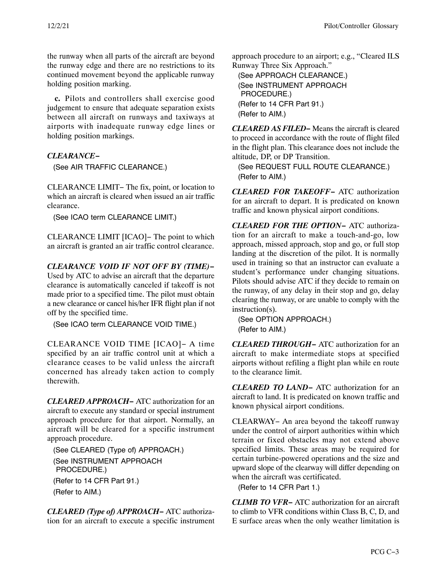the runway when all parts of the aircraft are beyond the runway edge and there are no restrictions to its continued movement beyond the applicable runway holding position marking.

 **c.** Pilots and controllers shall exercise good between all aircraft on runways and taxiways at airports with inadequate runway edge lines or judgement to ensure that adequate separation exists holding position markings.

# *CLEARANCEï*

(See AIR TRAFFIC CLEARANCE.)

CLEARANCE LIMIT – The fix, point, or location to which an aircraft is cleared when issued an air traffic clearance.

(See ICAO term CLEARANCE LIMIT.)

CLEARANCE LIMIT [ICAO]- The point to which an aircraft is granted an air traffic control clearance.

*CLEARANCE VOID IF NOT OFF BY (TIME)ï* Used by ATC to advise an aircraft that the departure clearance is automatically canceled if takeoff is not made prior to a specified time. The pilot must obtain a new clearance or cancel his/her IFR flight plan if not off by the specified time.

(See ICAO term CLEARANCE VOID TIME.)

 clearance ceases to be valid unless the aircraft concerned has already taken action to comply CLEARANCE VOID TIME [ICAO]- A time specified by an air traffic control unit at which a therewith.

 aircraft will be cleared for a specific instrument **CLEARED APPROACH** ATC authorization for an aircraft to execute any standard or special instrument approach procedure for that airport. Normally, an approach procedure.

(See CLEARED (Type of) APPROACH.) (See INSTRUMENT APPROACH PROCEDURE.) (Refer to 14 CFR Part 91.) (Refer to AIM.)

*CLEARED (Type of) APPROACH* - ATC authorization for an aircraft to execute a specific instrument approach procedure to an airport; e.g., "Cleared ILS Runway Three Six Approach."

(See APPROACH CLEARANCE.) (See INSTRUMENT APPROACH PROCEDURE.) (Refer to 14 CFR Part 91.) (Refer to AIM.)

*CLEARED AS FILED* – Means the aircraft is cleared to proceed in accordance with the route of flight filed in the flight plan. This clearance does not include the altitude, DP, or DP Transition.

(See REQUEST FULL ROUTE CLEARANCE.) (Refer to AIM.)

**CLEARED FOR TAKEOFF-** ATC authorization for an aircraft to depart. It is predicated on known traffic and known physical airport conditions.

 tion for an aircraft to make a touch-and-go, low **CLEARED FOR THE OPTION- ATC authoriza**approach, missed approach, stop and go, or full stop landing at the discretion of the pilot. It is normally used in training so that an instructor can evaluate a student's performance under changing situations. Pilots should advise ATC if they decide to remain on the runway, of any delay in their stop and go, delay clearing the runway, or are unable to comply with the instruction(s).

(See OPTION APPROACH.) (Refer to AIM.)

 aircraft to make intermediate stops at specified *CLEARED THROUGH* - ATC authorization for an airports without refiling a flight plan while en route to the clearance limit.

*CLEARED TO LAND* – ATC authorization for an aircraft to land. It is predicated on known traffic and known physical airport conditions.

 terrain or fixed obstacles may not extend above CLEARWAY- An area beyond the takeoff runway under the control of airport authorities within which specified limits. These areas may be required for certain turbine-powered operations and the size and upward slope of the clearway will differ depending on when the aircraft was certificated.

(Refer to 14 CFR Part 1.)

**CLIMB TO VFR**-ATC authorization for an aircraft to climb to VFR conditions within Class B, C, D, and E surface areas when the only weather limitation is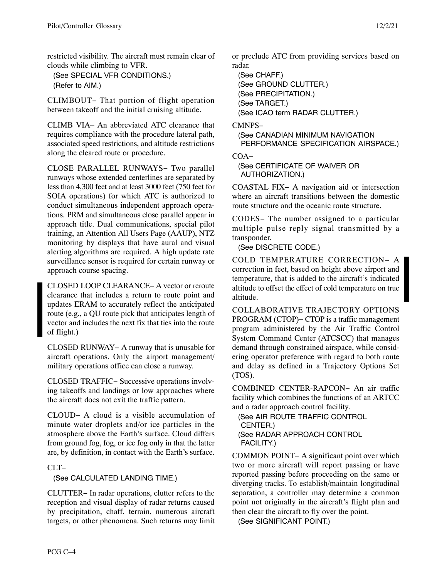restricted visibility. The aircraft must remain clear of clouds while climbing to VFR.

(See SPECIAL VFR CONDITIONS.) (Refer to AIM.)

CLIMBOUT- That portion of flight operation between takeoff and the initial cruising altitude.

CLIMB VIA– An abbreviated ATC clearance that requires compliance with the procedure lateral path, associated speed restrictions, and altitude restrictions along the cleared route or procedure.

CLOSE PARALLEL RUNWAYS- Two parallel runways whose extended centerlines are separated by less than 4,300 feet and at least 3000 feet (750 feet for SOIA operations) for which ATC is authorized to conduct simultaneous independent approach operations. PRM and simultaneous close parallel appear in approach title. Dual communications, special pilot training, an Attention All Users Page (AAUP), NTZ monitoring by displays that have aural and visual alerting algorithms are required. A high update rate surveillance sensor is required for certain runway or approach course spacing.

CLOSED LOOP CLEARANCE- A vector or reroute clearance that includes a return to route point and updates ERAM to accurately reflect the anticipated route (e.g., a QU route pick that anticipates length of vector and includes the next fix that ties into the route of flight.)

CLOSED RUNWAY – A runway that is unusable for aircraft operations. Only the airport management/ military operations office can close a runway.

CLOSED TRAFFIC– Successive operations involving takeoffs and landings or low approaches where the aircraft does not exit the traffic pattern.

CLOUD- A cloud is a visible accumulation of minute water droplets and/or ice particles in the atmosphere above the Earth's surface. Cloud differs from ground fog, fog, or ice fog only in that the latter are, by definition, in contact with the Earth's surface.

# $CIT$

# (See CALCULATED LANDING TIME.)

CLUTTER- In radar operations, clutter refers to the reception and visual display of radar returns caused by precipitation, chaff, terrain, numerous aircraft targets, or other phenomena. Such returns may limit or preclude ATC from providing services based on radar.

(See CHAFF.) (See GROUND CLUTTER.) (See PRECIPITATION.) (See TARGET.) (See ICAO term RADAR CLUTTER.)

CMNPS-

(See CANADIAN MINIMUM NAVIGATION PERFORMANCE SPECIFICATION AIRSPACE.)

 $COA-$ 

(See CERTIFICATE OF WAIVER OR AUTHORIZATION.)

COASTAL FIX- A navigation aid or intersection where an aircraft transitions between the domestic route structure and the oceanic route structure.

CODES- The number assigned to a particular multiple pulse reply signal transmitted by a transponder.

(See DISCRETE CODE.)

COLD TEMPERATURE CORRECTION- A correction in feet, based on height above airport and temperature, that is added to the aircraft's indicated altitude to offset the effect of cold temperature on true altitude.

COLLABORATIVE TRAJECTORY OPTIONS PROGRAM (CTOP)– CTOP is a traffic management program administered by the Air Traffic Control System Command Center (ATCSCC) that manages demand through constrained airspace, while considering operator preference with regard to both route and delay as defined in a Trajectory Options Set (TOS).

COMBINED CENTER-RAPCON- An air traffic facility which combines the functions of an ARTCC and a radar approach control facility.

(See AIR ROUTE TRAFFIC CONTROL CENTER.) (See RADAR APPROACH CONTROL FACILITY.)

 two or more aircraft will report passing or have COMMON POINT – A significant point over which reported passing before proceeding on the same or diverging tracks. To establish/maintain longitudinal separation, a controller may determine a common point not originally in the aircraft's flight plan and then clear the aircraft to fly over the point.

(See SIGNIFICANT POINT.)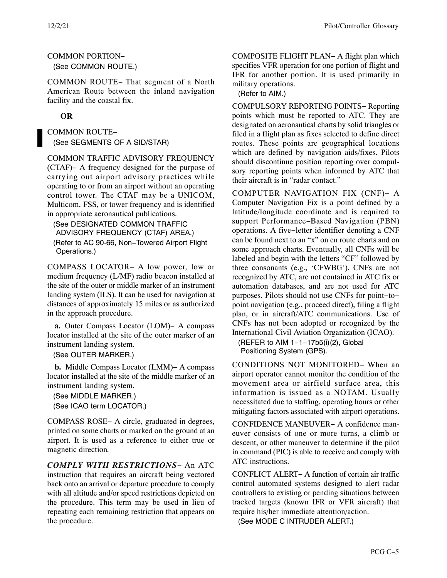#### **COMMON PORTION-**(See COMMON ROUTE.)

 American Route between the inland navigation COMMON ROUTE– That segment of a North facility and the coastal fix.

**OR** 

# **COMMON ROUTE-**(See SEGMENTS OF A SID/STAR)

 control tower. The CTAF may be a UNICOM, COMMON TRAFFIC ADVISORY FREQUENCY  $(CTAF)$ – A frequency designed for the purpose of carrying out airport advisory practices while operating to or from an airport without an operating Multicom, FSS, or tower frequency and is identified in appropriate aeronautical publications.

(See DESIGNATED COMMON TRAFFIC ADVISORY FREQUENCY (CTAF) AREA.) (Refer to AC 90-66, Non-Towered Airport Flight Operations.)

COMPASS LOCATOR- A low power, low or medium frequency (L/MF) radio beacon installed at the site of the outer or middle marker of an instrument landing system (ILS). It can be used for navigation at distances of approximately 15 miles or as authorized in the approach procedure.

**a.** Outer Compass Locator (LOM)– A compass locator installed at the site of the outer marker of an instrument landing system.

(See OUTER MARKER.)

**b.** Middle Compass Locator (LMM)- A compass locator installed at the site of the middle marker of an instrument landing system.

(See MIDDLE MARKER.) (See ICAO term LOCATOR.)

COMPASS ROSE- A circle, graduated in degrees, printed on some charts or marked on the ground at an airport. It is used as a reference to either true or magnetic direction*.* 

*COMPLY WITH RESTRICTIONS- An ATC* instruction that requires an aircraft being vectored back onto an arrival or departure procedure to comply with all altitude and/or speed restrictions depicted on the procedure. This term may be used in lieu of repeating each remaining restriction that appears on the procedure.

 IFR for another portion. It is used primarily in COMPOSITE FLIGHT PLAN- A flight plan which specifies VFR operation for one portion of flight and military operations.

(Refer to AIM.)

 routes. These points are geographical locations COMPULSORY REPORTING POINTS- Reporting points which must be reported to ATC. They are designated on aeronautical charts by solid triangles or filed in a flight plan as fixes selected to define direct which are defined by navigation aids/fixes. Pilots should discontinue position reporting over compulsory reporting points when informed by ATC that their aircraft is in "radar contact."

COMPUTER NAVIGATION FIX (CNF)- A latitude/longitude coordinate and is required to Computer Navigation Fix is a point defined by a support Performance–Based Navigation (PBN) operations. A five-letter identifier denoting a CNF can be found next to an "x" on en route charts and on some approach charts. Eventually, all CNFs will be labeled and begin with the letters "CF" followed by three consonants (e.g., 'CFWBG'). CNFs are not recognized by ATC, are not contained in ATC fix or automation databases, and are not used for ATC purposes. Pilots should not use CNFs for point-topoint navigation (e.g., proceed direct), filing a flight plan, or in aircraft/ATC communications. Use of CNFs has not been adopted or recognized by the International Civil Aviation Organization (ICAO).

(REFER to AIM  $1-1-17b5(i)(2)$ , Global Positioning System (GPS).

 movement area or airfield surface area, this information is issued as a NOTAM. Usually CONDITIONS NOT MONITORED- When an airport operator cannot monitor the condition of the necessitated due to staffing, operating hours or other mitigating factors associated with airport operations.

 euver consists of one or more turns, a climb or CONFIDENCE MANEUVER- A confidence mandescent, or other maneuver to determine if the pilot in command (PIC) is able to receive and comply with ATC instructions.

CONFLICT ALERT- A function of certain air traffic control automated systems designed to alert radar controllers to existing or pending situations between tracked targets (known IFR or VFR aircraft) that require his/her immediate attention/action.

(See MODE C INTRUDER ALERT.)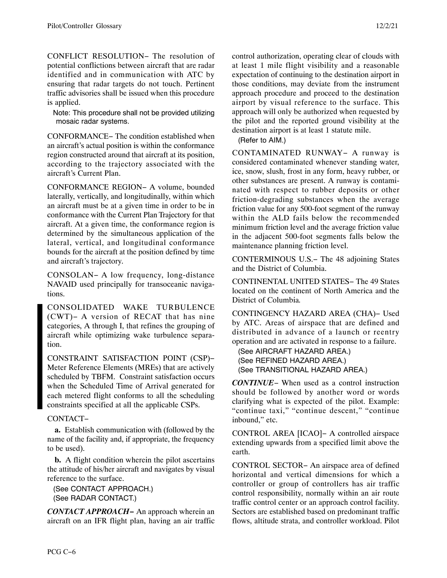CONFLICT RESOLUTION- The resolution of identified and in communication with ATC by potential conflictions between aircraft that are radar ensuring that radar targets do not touch. Pertinent traffic advisories shall be issued when this procedure is applied.

Note: This procedure shall not be provided utilizing mosaic radar systems.

 according to the trajectory associated with the CONFORMANCE- The condition established when an aircraft's actual position is within the conformance region constructed around that aircraft at its position, aircraft's Current Plan.

CONFORMANCE REGION- A volume, bounded laterally, vertically, and longitudinally, within which an aircraft must be at a given time in order to be in conformance with the Current Plan Trajectory for that aircraft. At a given time, the conformance region is determined by the simultaneous application of the lateral, vertical, and longitudinal conformance bounds for the aircraft at the position defined by time and aircraft's trajectory.

CONSOLAN- A low frequency, long-distance NAVAID used principally for transoceanic navigations.

 $(CWT)$ - A version of RECAT that has nine CONSOLIDATED WAKE TURBULENCE categories, A through I, that refines the grouping of aircraft while optimizing wake turbulence separation.

CONSTRAINT SATISFACTION POINT (CSP)-Meter Reference Elements (MREs) that are actively scheduled by TBFM. Constraint satisfaction occurs when the Scheduled Time of Arrival generated for each metered flight conforms to all the scheduling constraints specified at all the applicable CSPs.

#### CONTACT-

**a.** Establish communication with (followed by the name of the facility and, if appropriate, the frequency to be used).

**b.** A flight condition wherein the pilot ascertains the attitude of his/her aircraft and navigates by visual reference to the surface.

(See CONTACT APPROACH.) (See RADAR CONTACT.)

*CONTACT APPROACH* – An approach wherein an aircraft on an IFR flight plan, having an air traffic

 at least 1 mile flight visibility and a reasonable airport by visual reference to the surface. This control authorization, operating clear of clouds with expectation of continuing to the destination airport in those conditions, may deviate from the instrument approach procedure and proceed to the destination approach will only be authorized when requested by the pilot and the reported ground visibility at the destination airport is at least 1 statute mile.

(Refer to AIM.)

 nated with respect to rubber deposits or other friction-degrading substances when the average within the ALD fails below the recommended CONTAMINATED RUNWAY- A runway is considered contaminated whenever standing water, ice, snow, slush, frost in any form, heavy rubber, or other substances are present. A runway is contamifriction value for any 500-foot segment of the runway minimum friction level and the average friction value in the adjacent 500-foot segments falls below the maintenance planning friction level.

CONTERMINOUS U.S.– The 48 adjoining States and the District of Columbia.

CONTINENTAL UNITED STATES-The 49 States located on the continent of North America and the District of Columbia*.* 

 by ATC. Areas of airspace that are defined and distributed in advance of a launch or reentry CONTINGENCY HAZARD AREA (CHA)- Used operation and are activated in response to a failure.

(See AIRCRAFT HAZARD AREA.) (See REFINED HAZARD AREA.) (See TRANSITIONAL HAZARD AREA.)

 should be followed by another word or words "continue taxi," "continue descent," "continue *CONTINUE* When used as a control instruction clarifying what is expected of the pilot. Example: inbound," etc.

CONTROL AREA [ICAO]- A controlled airspace extending upwards from a specified limit above the earth.

 horizontal and vertical dimensions for which a controller or group of controllers has air traffic CONTROL SECTOR– An airspace area of defined control responsibility, normally within an air route traffic control center or an approach control facility. Sectors are established based on predominant traffic flows, altitude strata, and controller workload. Pilot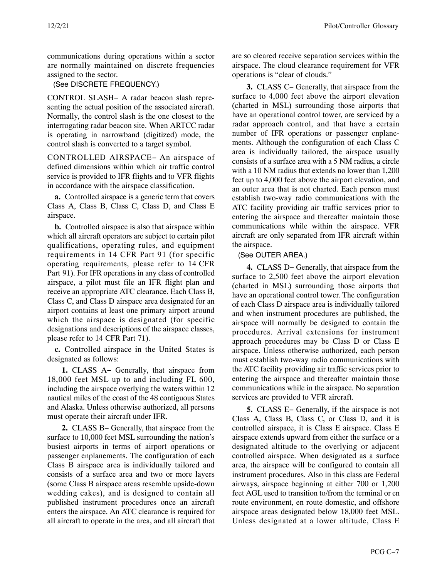are normally maintained on discrete frequencies communications during operations within a sector assigned to the sector.

(See DISCRETE FREQUENCY.)

CONTROL SLASH- A radar beacon slash representing the actual position of the associated aircraft. Normally, the control slash is the one closest to the interrogating radar beacon site. When ARTCC radar is operating in narrowband (digitized) mode, the control slash is converted to a target symbol.

CONTROLLED AIRSPACE - An airspace of defined dimensions within which air traffic control service is provided to IFR flights and to VFR flights in accordance with the airspace classification.

**a.** Controlled airspace is a generic term that covers Class A, Class B, Class C, Class D, and Class E airspace.

 qualifications, operating rules, and equipment requirements in 14 CFR Part 91 (for specific operating requirements, please refer to 14 CFR which the airspace is designated (for specific **b.** Controlled airspace is also that airspace within which all aircraft operators are subject to certain pilot Part 91). For IFR operations in any class of controlled airspace, a pilot must file an IFR flight plan and receive an appropriate ATC clearance. Each Class B, Class C, and Class D airspace area designated for an airport contains at least one primary airport around designations and descriptions of the airspace classes, please refer to 14 CFR Part 71).

 **c.** Controlled airspace in the United States is designated as follows:

 18,000 feet MSL up to and including FL 600, **1.** CLASS A– Generally, that airspace from including the airspace overlying the waters within 12 nautical miles of the coast of the 48 contiguous States and Alaska. Unless otherwise authorized, all persons must operate their aircraft under IFR.

 wedding cakes), and is designed to contain all **2.** CLASS B– Generally, that airspace from the surface to 10,000 feet MSL surrounding the nation's busiest airports in terms of airport operations or passenger enplanements. The configuration of each Class B airspace area is individually tailored and consists of a surface area and two or more layers (some Class B airspace areas resemble upside-down published instrument procedures once an aircraft enters the airspace. An ATC clearance is required for all aircraft to operate in the area, and all aircraft that

are so cleared receive separation services within the airspace. The cloud clearance requirement for VFR operations is "clear of clouds."

 surface to 4,000 feet above the airport elevation radar approach control, and that have a certain **3.** CLASS C– Generally, that airspace from the (charted in MSL) surrounding those airports that have an operational control tower, are serviced by a number of IFR operations or passenger enplanements. Although the configuration of each Class C area is individually tailored, the airspace usually consists of a surface area with a 5 NM radius, a circle with a 10 NM radius that extends no lower than 1,200 feet up to 4,000 feet above the airport elevation, and an outer area that is not charted. Each person must establish two-way radio communications with the ATC facility providing air traffic services prior to entering the airspace and thereafter maintain those communications while within the airspace. VFR aircraft are only separated from IFR aircraft within the airspace.

# (See OUTER AREA.)

 surface to 2,500 feet above the airport elevation **4.** CLASS D– Generally, that airspace from the (charted in MSL) surrounding those airports that have an operational control tower. The configuration of each Class D airspace area is individually tailored and when instrument procedures are published, the airspace will normally be designed to contain the procedures. Arrival extensions for instrument approach procedures may be Class D or Class E airspace. Unless otherwise authorized, each person must establish two-way radio communications with the ATC facility providing air traffic services prior to entering the airspace and thereafter maintain those communications while in the airspace. No separation services are provided to VFR aircraft.

 designated altitude to the overlying or adjacent Unless designated at a lower altitude, Class E **5.** CLASS E– Generally, if the airspace is not Class A, Class B, Class C, or Class D, and it is controlled airspace, it is Class E airspace. Class E airspace extends upward from either the surface or a controlled airspace. When designated as a surface area, the airspace will be configured to contain all instrument procedures. Also in this class are Federal airways, airspace beginning at either 700 or 1,200 feet AGL used to transition to/from the terminal or en route environment, en route domestic, and offshore airspace areas designated below 18,000 feet MSL.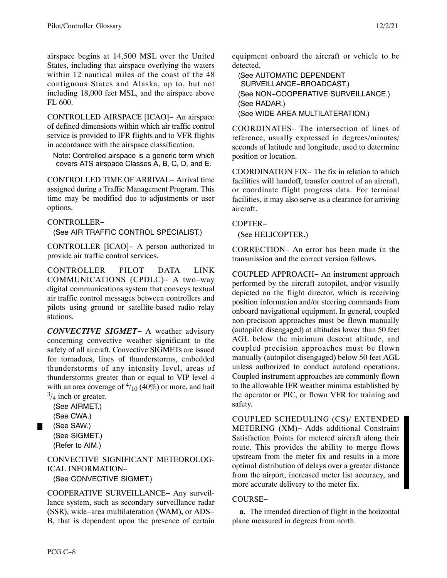airspace begins at 14,500 MSL over the United within 12 nautical miles of the coast of the 48 contiguous States and Alaska, up to, but not States, including that airspace overlying the waters including 18,000 feet MSL, and the airspace above FL 600.

CONTROLLED AIRSPACE [ICAO]- An airspace of defined dimensions within which air traffic control service is provided to IFR flights and to VFR flights in accordance with the airspace classification.

Note: Controlled airspace is a generic term which covers ATS airspace Classes A, B, C, D, and E.

CONTROLLED TIME OF ARRIVAL- Arrival time assigned during a Traffic Management Program. This time may be modified due to adjustments or user options.

CONTROLLER-

(See AIR TRAFFIC CONTROL SPECIALIST.)

CONTROLLER  $[ICAO]$ – A person authorized to provide air traffic control services.

CONTROLLER PILOT DATA LINK COMMUNICATIONS (CPDLC)- A two-way digital communications system that conveys textual air traffic control messages between controllers and pilots using ground or satellite-based radio relay stations.

 thunderstorms of any intensity level, areas of *CONVECTIVE SIGMET*- A weather advisory concerning convective weather significant to the safety of all aircraft. Convective SIGMETs are issued for tornadoes, lines of thunderstorms, embedded thunderstorms greater than or equal to VIP level 4 with an area coverage of  $\frac{4}{10}$  (40%) or more, and hail  $\frac{3}{4}$  inch or greater.

(See AIRMET.) (See CWA.) (See SAW.) (See SIGMET.) (Refer to AIM.)

CONVECTIVE SIGNIFICANT METEOROLOG-**ICAL INFORMATION-**

(See CONVECTIVE SIGMET.)

COOPERATIVE SURVEILLANCE- Any surveillance system, such as secondary surveillance radar (SSR), wide-area multilateration (WAM), or ADS $-$ B, that is dependent upon the presence of certain

 equipment onboard the aircraft or vehicle to be detected.

(See AUTOMATIC DEPENDENT SURVEILLANCE-BROADCAST.) (See NON-COOPERATIVE SURVEILLANCE.) (See RADAR.) (See WIDE AREA MULTILATERATION.)

 reference, usually expressed in degrees/minutes/ COORDINATES- The intersection of lines of seconds of latitude and longitude, used to determine position or location.

 or coordinate flight progress data. For terminal COORDINATION  $FIX -$  The fix in relation to which facilities will handoff, transfer control of an aircraft, facilities, it may also serve as a clearance for arriving aircraft.

#### COPTER-

(See HELICOPTER.)

CORRECTION- An error has been made in the transmission and the correct version follows.

 coupled precision approaches must be flown COUPLED APPROACH- An instrument approach performed by the aircraft autopilot, and/or visually depicted on the flight director, which is receiving position information and/or steering commands from onboard navigational equipment. In general, coupled non-precision approaches must be flown manually (autopilot disengaged) at altitudes lower than 50 feet AGL below the minimum descent altitude, and manually (autopilot disengaged) below 50 feet AGL unless authorized to conduct autoland operations. Coupled instrument approaches are commonly flown to the allowable IFR weather minima established by the operator or PIC, or flown VFR for training and safety.

 COUPLED SCHEDULING (CS)/ EXTENDED METERING (XM)- Adds additional Constraint route. This provides the ability to merge flows Satisfaction Points for metered aircraft along their upstream from the meter fix and results in a more optimal distribution of delays over a greater distance from the airport, increased meter list accuracy, and more accurate delivery to the meter fix.

#### COURSE-

**a.** The intended direction of flight in the horizontal plane measured in degrees from north.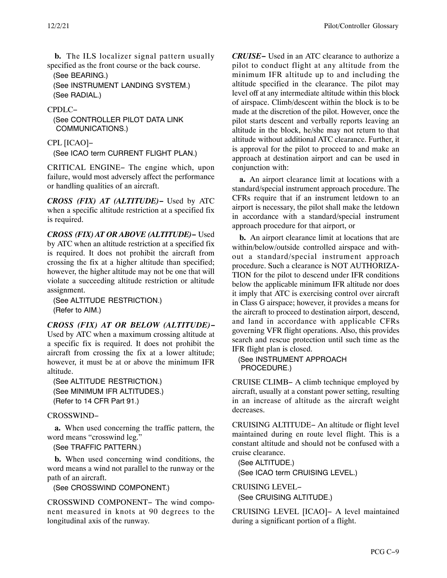**b.** The ILS localizer signal pattern usually specified as the front course or the back course.

(See BEARING.)

(See INSTRUMENT LANDING SYSTEM.) (See RADIAL.)

CPDLC-

(See CONTROLLER PILOT DATA LINK COMMUNICATIONS.)

CPL [ICAO]-(See ICAO term CURRENT FLIGHT PLAN.)

CRITICAL ENGINE- The engine which, upon failure, would most adversely affect the performance or handling qualities of an aircraft.

*CROSS (FIX) AT (ALTITUDE)*- Used by ATC when a specific altitude restriction at a specified fix is required.

*CROSS (FIX) AT OR ABOVE (ALTITUDE)* – Used by ATC when an altitude restriction at a specified fix is required. It does not prohibit the aircraft from crossing the fix at a higher altitude than specified; however, the higher altitude may not be one that will violate a succeeding altitude restriction or altitude assignment.

(See ALTITUDE RESTRICTION.) (Refer to AIM.)

 *CROSS (FIX) AT OR BELOW (ALTITUDE)ï* Used by ATC when a maximum crossing altitude at a specific fix is required. It does not prohibit the aircraft from crossing the fix at a lower altitude; however, it must be at or above the minimum IFR altitude.

(See ALTITUDE RESTRICTION.) (See MINIMUM IFR ALTITUDES.) (Refer to 14 CFR Part 91.)

CROSSWIND-

**a.** When used concerning the traffic pattern, the word means "crosswind leg."

(See TRAFFIC PATTERN.)

**b.** When used concerning wind conditions, the word means a wind not parallel to the runway or the path of an aircraft.

(See CROSSWIND COMPONENT.)

CROSSWIND COMPONENT- The wind component measured in knots at 90 degrees to the longitudinal axis of the runway.

 pilot to conduct flight at any altitude from the minimum IFR altitude up to and including the level off at any intermediate altitude within this block *CRUISE* – Used in an ATC clearance to authorize a altitude specified in the clearance. The pilot may of airspace. Climb/descent within the block is to be made at the discretion of the pilot. However, once the pilot starts descent and verbally reports leaving an altitude in the block, he/she may not return to that altitude without additional ATC clearance. Further, it is approval for the pilot to proceed to and make an approach at destination airport and can be used in conjunction with:

**a.** An airport clearance limit at locations with a standard/special instrument approach procedure. The CFRs require that if an instrument letdown to an airport is necessary, the pilot shall make the letdown in accordance with a standard/special instrument approach procedure for that airport, or

 out a standard/special instrument approach and land in accordance with applicable CFRs **b.** An airport clearance limit at locations that are within/below/outside controlled airspace and withprocedure. Such a clearance is NOT AUTHORIZA-TION for the pilot to descend under IFR conditions below the applicable minimum IFR altitude nor does it imply that ATC is exercising control over aircraft in Class G airspace; however, it provides a means for the aircraft to proceed to destination airport, descend, governing VFR flight operations. Also, this provides search and rescue protection until such time as the IFR flight plan is closed.

(See INSTRUMENT APPROACH PROCEDURE.)

 in an increase of altitude as the aircraft weight CRUISE CLIMB – A climb technique employed by aircraft, usually at a constant power setting, resulting decreases.

CRUISING ALTITUDE - An altitude or flight level maintained during en route level flight. This is a constant altitude and should not be confused with a cruise clearance.

(See ALTITUDE.) (See ICAO term CRUISING LEVEL.)

CRUISING LEVEL-(See CRUISING ALTITUDE.)

CRUISING LEVEL [ICAO]- A level maintained during a significant portion of a flight.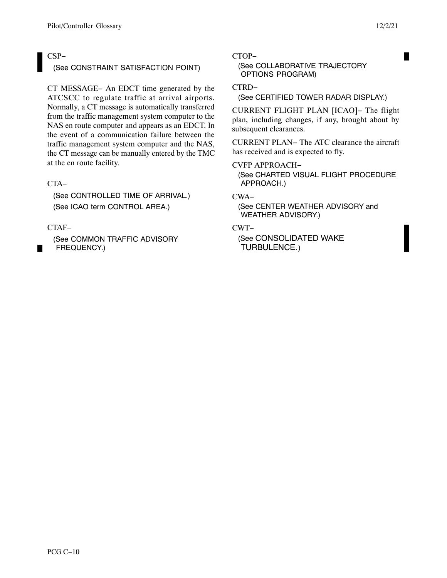# CSP-

# (See CONSTRAINT SATISFACTION POINT)

 ATCSCC to regulate traffic at arrival airports. CT MESSAGE- An EDCT time generated by the Normally, a CT message is automatically transferred from the traffic management system computer to the NAS en route computer and appears as an EDCT. In the event of a communication failure between the traffic management system computer and the NAS, the CT message can be manually entered by the TMC at the en route facility.

# CTA-

(See CONTROLLED TIME OF ARRIVAL.) (See ICAO term CONTROL AREA.)

# CTAF-

(See COMMON TRAFFIC ADVISORY FREQUENCY.)

#### CTOP-

#### (See COLLABORATIVE TRAJECTORY OPTIONS PROGRAM)

#### CTRD-

(See CERTIFIED TOWER RADAR DISPLAY.)

CURRENT FLIGHT PLAN [ICAO]- The flight plan, including changes, if any, brought about by subsequent clearances.

CURRENT PLAN– The ATC clearance the aircraft has received and is expected to fly.

#### CVFP APPROACH-

(See CHARTED VISUAL FLIGHT PROCEDURE APPROACH.)

CWA-

(See CENTER WEATHER ADVISORY and WEATHER ADVISORY.)

#### $CWT-$

(See CONSOLIDATED WAKE TURBULENCE.)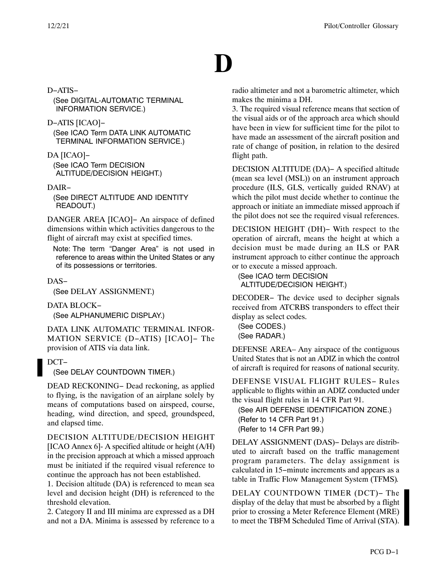# **D**

# D-ATIS-

(See DIGITAL-AUTOMATIC TERMINAL INFORMATION SERVICE.)

# D-ATIS [ICAO]-

(See ICAO Term DATA LINK AUTOMATIC TERMINAL INFORMATION SERVICE.)

DA [ICAO]-

(See ICAO Term DECISION ALTITUDE/DECISION HEIGHT.)

# DAIR-

(See DIRECT ALTITUDE AND IDENTITY READOUT.)

DANGER AREA [ICAO]– An airspace of defined dimensions within which activities dangerous to the flight of aircraft may exist at specified times.

Note: The term "Danger Area" is not used in reference to areas within the United States or any of its possessions or territories.

 $DAS-$ 

(See DELAY ASSIGNMENT.)

DATA BLOCK-(See ALPHANUMERIC DISPLAY.)

DATA LINK AUTOMATIC TERMINAL INFOR-MATION SERVICE (D-ATIS) [ICAO]- The provision of ATIS via data link.

# DCT-

(See DELAY COUNTDOWN TIMER.)

DEAD RECKONING – Dead reckoning, as applied to flying, is the navigation of an airplane solely by means of computations based on airspeed, course, heading, wind direction, and speed, groundspeed, and elapsed time.

DECISION ALTITUDE/DECISION HEIGHT [ICAO Annex 6]- A specified altitude or height  $(A/H)$ ] in the precision approach at which a missed approach must be initiated if the required visual reference to continue the approach has not been established.

1. Decision altitude (DA) is referenced to mean sea level and decision height (DH) is referenced to the threshold elevation.

2. Category II and III minima are expressed as a DH and not a DA. Minima is assessed by reference to a radio altimeter and not a barometric altimeter, which makes the minima a DH.

3. The required visual reference means that section of the visual aids or of the approach area which should have been in view for sufficient time for the pilot to have made an assessment of the aircraft position and rate of change of position, in relation to the desired flight path.

DECISION ALTITUDE (DA)– A specified altitude (mean sea level (MSL)) on an instrument approach procedure (ILS, GLS, vertically guided RNAV) at which the pilot must decide whether to continue the approach or initiate an immediate missed approach if the pilot does not see the required visual references.

DECISION HEIGHT (DH)- With respect to the decision must be made during an ILS or PAR operation of aircraft, means the height at which a instrument approach to either continue the approach or to execute a missed approach.

(See ICAO term DECISION ALTITUDE/DECISION HEIGHT.)

DECODER – The device used to decipher signals received from ATCRBS transponders to effect their display as select codes.

(See CODES.) (See RADAR.)

DEFENSE AREA– Any airspace of the contiguous United States that is not an ADIZ in which the control of aircraft is required for reasons of national security.

DEFENSE VISUAL FLIGHT RULES- Rules applicable to flights within an ADIZ conducted under the visual flight rules in 14 CFR Part 91.

(See AIR DEFENSE IDENTIFICATION ZONE.) (Refer to 14 CFR Part 91.) (Refer to 14 CFR Part 99.)

DELAY ASSIGNMENT (DAS)- Delays are distributed to aircraft based on the traffic management program parameters. The delay assignment is calculated in 15–minute increments and appears as a table in Traffic Flow Management System (TFMS)*.* 

DELAY COUNTDOWN TIMER (DCT)-The display of the delay that must be absorbed by a flight prior to crossing a Meter Reference Element (MRE) to meet the TBFM Scheduled Time of Arrival (STA).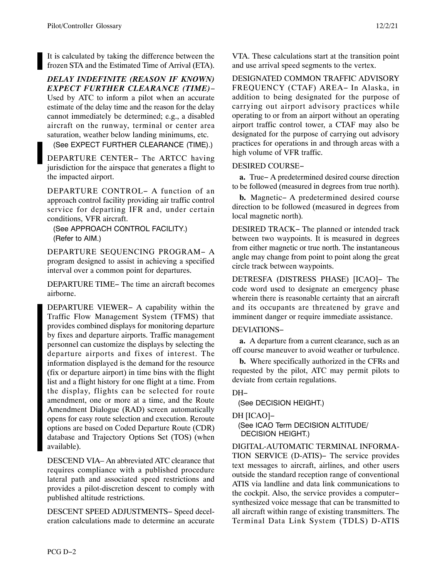It is calculated by taking the difference between the frozen STA and the Estimated Time of Arrival (ETA).

 *DELAY INDEFINITE (REASON IF KNOWN)*  aircraft on the runway, terminal or center area **EXPECT FURTHER CLEARANCE (TIME)-**Used by ATC to inform a pilot when an accurate estimate of the delay time and the reason for the delay cannot immediately be determined; e.g., a disabled saturation, weather below landing minimums, etc.

(See EXPECT FURTHER CLEARANCE (TIME).)

DEPARTURE CENTER- The ARTCC having jurisdiction for the airspace that generates a flight to the impacted airport.

DEPARTURE CONTROL- A function of an service for departing IFR and, under certain approach control facility providing air traffic control conditions, VFR aircraft.

(See APPROACH CONTROL FACILITY.) (Refer to AIM.)

DEPARTURE SEQUENCING PROGRAM- A program designed to assist in achieving a specified interval over a common point for departures.

DEPARTURE TIME– The time an aircraft becomes airborne.

 Traffic Flow Management System (TFMS) that the display, flights can be selected for route DEPARTURE VIEWER- A capability within the provides combined displays for monitoring departure by fixes and departure airports. Traffic management personnel can customize the displays by selecting the departure airports and fixes of interest. The information displayed is the demand for the resource (fix or departure airport) in time bins with the flight list and a flight history for one flight at a time. From amendment, one or more at a time, and the Route Amendment Dialogue (RAD) screen automatically opens for easy route selection and execution. Reroute options are based on Coded Departure Route (CDR) database and Trajectory Options Set (TOS) (when available).

 requires compliance with a published procedure DESCEND VIA– An abbreviated ATC clearance that lateral path and associated speed restrictions and provides a pilot-discretion descent to comply with published altitude restrictions.

DESCENT SPEED ADJUSTMENTS- Speed deceleration calculations made to determine an accurate VTA. These calculations start at the transition point and use arrival speed segments to the vertex.

FREQUENCY (CTAF) AREA- In Alaska, in addition to being designated for the purpose of carrying out airport advisory practices while DESIGNATED COMMON TRAFFIC ADVISORY operating to or from an airport without an operating airport traffic control tower, a CTAF may also be designated for the purpose of carrying out advisory practices for operations in and through areas with a high volume of VFR traffic.

#### DESIRED COURSE-

**a.** True– A predetermined desired course direction to be followed (measured in degrees from true north).

**b.** Magnetic- A predetermined desired course direction to be followed (measured in degrees from local magnetic north).

DESIRED TRACK– The planned or intended track between two waypoints. It is measured in degrees from either magnetic or true north. The instantaneous angle may change from point to point along the great circle track between waypoints.

 and its occupants are threatened by grave and DETRESFA (DISTRESS PHASE) [ICAO]- The code word used to designate an emergency phase wherein there is reasonable certainty that an aircraft imminent danger or require immediate assistance.

#### **DEVIATIONS-**

**a.** A departure from a current clearance, such as an off course maneuver to avoid weather or turbulence.

**b.** Where specifically authorized in the CFRs and requested by the pilot, ATC may permit pilots to deviate from certain regulations.

#### DH-

(See DECISION HEIGHT.)

#### DH [ICAO]-

```
(See ICAO Term DECISION ALTITUDE/ 
DECISION HEIGHT.)
```
 Terminal Data Link System (TDLS) D-ATIS DIGITAL-AUTOMATIC TERMINAL INFORMA-TION SERVICE (D-ATIS)– The service provides text messages to aircraft, airlines, and other users outside the standard reception range of conventional ATIS via landline and data link communications to the cockpit. Also, the service provides a computersynthesized voice message that can be transmitted to all aircraft within range of existing transmitters. The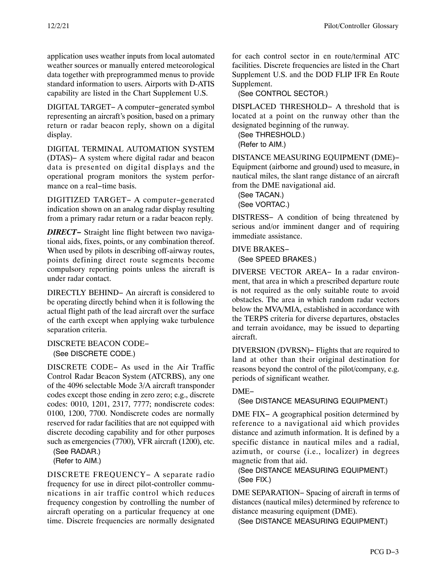application uses weather inputs from local automated weather sources or manually entered meteorological data together with preprogrammed menus to provide standard information to users. Airports with D-ATIS capability are listed in the Chart Supplement U.S.

 return or radar beacon reply, shown on a digital DIGITAL TARGET- A computer-generated symbol representing an aircraft's position, based on a primary display.

 data is presented on digital displays and the DIGITAL TERMINAL AUTOMATION SYSTEM  $(DTAS)$ – A system where digital radar and beacon operational program monitors the system performance on a real-time basis.

DIGITIZED TARGET- A computer-generated indication shown on an analog radar display resulting from a primary radar return or a radar beacon reply.

*DIRECT*- Straight line flight between two navigational aids, fixes, points, or any combination thereof. When used by pilots in describing off-airway routes, points defining direct route segments become compulsory reporting points unless the aircraft is under radar contact.

DIRECTLY BEHIND- An aircraft is considered to be operating directly behind when it is following the actual flight path of the lead aircraft over the surface of the earth except when applying wake turbulence separation criteria.

DISCRETE BEACON CODE-(See DISCRETE CODE.)

DISCRETE CODE- As used in the Air Traffic Control Radar Beacon System (ATCRBS), any one of the 4096 selectable Mode 3/A aircraft transponder codes except those ending in zero zero; e.g., discrete codes: 0010, 1201, 2317, 7777; nondiscrete codes: 0100, 1200, 7700. Nondiscrete codes are normally reserved for radar facilities that are not equipped with discrete decoding capability and for other purposes such as emergencies (7700), VFR aircraft (1200), etc.

(See RADAR.)

(Refer to AIM.)

 nications in air traffic control which reduces DISCRETE FREQUENCY- A separate radio frequency for use in direct pilot-controller commufrequency congestion by controlling the number of aircraft operating on a particular frequency at one time. Discrete frequencies are normally designated

for each control sector in en route/terminal ATC facilities. Discrete frequencies are listed in the Chart Supplement U.S. and the DOD FLIP IFR En Route Supplement.

(See CONTROL SECTOR.)

 located at a point on the runway other than the DISPLACED THRESHOLD- A threshold that is designated beginning of the runway.

(See THRESHOLD.) (Refer to AIM.)

DISTANCE MEASURING EQUIPMENT (DME)-Equipment (airborne and ground) used to measure, in nautical miles, the slant range distance of an aircraft from the DME navigational aid.

(See TACAN.) (See VORTAC.)

 $DISTRESS- A condition of being threatened by$ serious and/or imminent danger and of requiring immediate assistance.

#### DIVE BRAKES-

(See SPEED BRAKES.)

DIVERSE VECTOR AREA- In a radar environment, that area in which a prescribed departure route is not required as the only suitable route to avoid obstacles. The area in which random radar vectors below the MVA/MIA, established in accordance with the TERPS criteria for diverse departures, obstacles and terrain avoidance, may be issued to departing aircraft.

 land at other than their original destination for  $DIVERSION (DVRSN)$  Flights that are required to reasons beyond the control of the pilot/company, e.g. periods of significant weather.

#### $DME$

(See DISTANCE MEASURING EQUIPMENT.)

 reference to a navigational aid which provides specific distance in nautical miles and a radial, azimuth, or course (i.e., localizer) in degrees DME FIX- A geographical position determined by distance and azimuth information. It is defined by a magnetic from that aid.

(See DISTANCE MEASURING EQUIPMENT.) (See FIX.)

DME SEPARATION - Spacing of aircraft in terms of distances (nautical miles) determined by reference to distance measuring equipment (DME).

(See DISTANCE MEASURING EQUIPMENT.)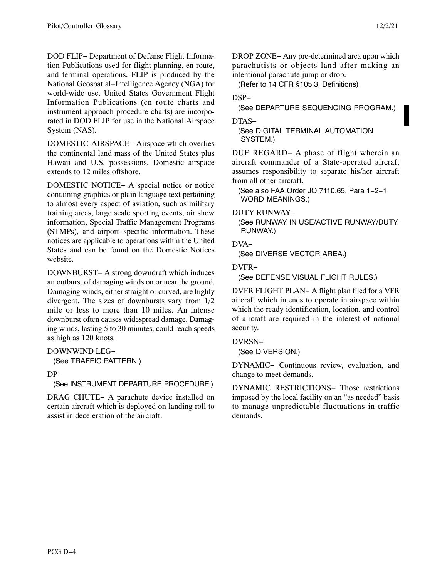Information Publications (en route charts and DOD FLIP- Department of Defense Flight Information Publications used for flight planning, en route, and terminal operations. FLIP is produced by the National Geospatial-Intelligence Agency (NGA) for world-wide use. United States Government Flight instrument approach procedure charts) are incorporated in DOD FLIP for use in the National Airspace System (NAS).

DOMESTIC AIRSPACE- Airspace which overlies the continental land mass of the United States plus Hawaii and U.S. possessions. Domestic airspace extends to 12 miles offshore.

DOMESTIC NOTICE- A special notice or notice containing graphics or plain language text pertaining to almost every aspect of aviation, such as military training areas, large scale sporting events, air show information, Special Traffic Management Programs (STMPs), and airport-specific information. These notices are applicable to operations within the United States and can be found on the Domestic Notices website.

 mile or less to more than 10 miles. An intense DOWNBURST- A strong downdraft which induces an outburst of damaging winds on or near the ground. Damaging winds, either straight or curved, are highly divergent. The sizes of downbursts vary from 1/2 downburst often causes widespread damage. Damaging winds, lasting 5 to 30 minutes, could reach speeds as high as 120 knots.

#### DOWNWIND LEG-(See TRAFFIC PATTERN.)

#### $DP-$

(See INSTRUMENT DEPARTURE PROCEDURE.)

DRAG CHUTE- A parachute device installed on certain aircraft which is deployed on landing roll to assist in deceleration of the aircraft.

 parachutists or objects land after making an DROP ZONE- Any pre-determined area upon which intentional parachute jump or drop.

(Refer to 14 CFR §105.3, Definitions)

# DSP-

(See DEPARTURE SEQUENCING PROGRAM.)

DTAS-

(See DIGITAL TERMINAL AUTOMATION SYSTEM.)

DUE REGARD- A phase of flight wherein an aircraft commander of a State-operated aircraft assumes responsibility to separate his/her aircraft from all other aircraft.

(See also FAA Order JO 7110.65, Para 1-2-1, WORD MEANINGS.)

DUTY RUNWAY-

(See RUNWAY IN USE/ACTIVE RUNWAY/DUTY RUNWAY.)

DVA-

(See DIVERSE VECTOR AREA.)

DVFR-

(See DEFENSE VISUAL FLIGHT RULES.)

DVFR FLIGHT PLAN– A flight plan filed for a VFR aircraft which intends to operate in airspace within which the ready identification, location, and control of aircraft are required in the interest of national security.

DVRSN-

(See DIVERSION.)

DYNAMIC- Continuous review, evaluation, and change to meet demands.

DYNAMIC RESTRICTIONS- Those restrictions imposed by the local facility on an "as needed" basis to manage unpredictable fluctuations in traffic demands.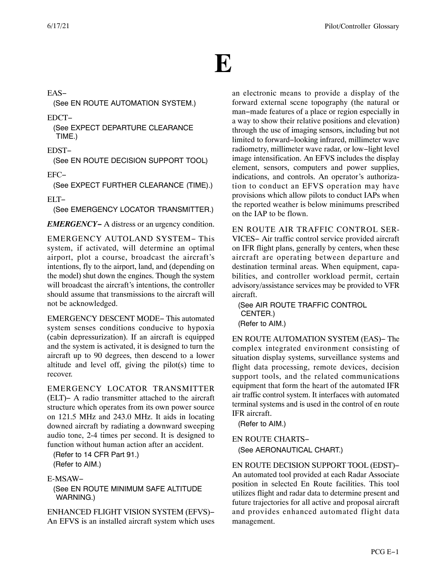### **E**

#### $EAS-$

(See EN ROUTE AUTOMATION SYSTEM.)

EDCT-

(See EXPECT DEPARTURE CLEARANCE TIME.)

EDST-

(See EN ROUTE DECISION SUPPORT TOOL)

 $EFC-$ 

(See EXPECT FURTHER CLEARANCE (TIME).)

 $ELT$ 

(See EMERGENCY LOCATOR TRANSMITTER.)

*EMERGENCY* – A distress or an urgency condition.

 system, if activated, will determine an optimal airport, plot a course, broadcast the aircraft's EMERGENCY AUTOLAND SYSTEM-This intentions, fly to the airport, land, and (depending on the model) shut down the engines. Though the system will broadcast the aircraft's intentions, the controller should assume that transmissions to the aircraft will not be acknowledged.

 system senses conditions conducive to hypoxia EMERGENCY DESCENT MODE-This automated (cabin depressurization). If an aircraft is equipped and the system is activated, it is designed to turn the aircraft up to 90 degrees, then descend to a lower altitude and level off, giving the pilot(s) time to recover.

EMERGENCY LOCATOR TRANSMITTER  $(ELT)$ – A radio transmitter attached to the aircraft structure which operates from its own power source on 121.5 MHz and 243.0 MHz. It aids in locating downed aircraft by radiating a downward sweeping audio tone, 2-4 times per second. It is designed to function without human action after an accident.

(Refer to 14 CFR Part 91.) (Refer to AIM.)

#### E-MSAW-

(See EN ROUTE MINIMUM SAFE ALTITUDE WARNING.)

ENHANCED FLIGHT VISION SYSTEM (EFVS)ï An EFVS is an installed aircraft system which uses

 tion to conduct an EFVS operation may have an electronic means to provide a display of the forward external scene topography (the natural or man-made features of a place or region especially in a way to show their relative positions and elevation) through the use of imaging sensors, including but not limited to forward-looking infrared, millimeter wave radiometry, millimeter wave radar, or low-light level image intensification. An EFVS includes the display element, sensors, computers and power supplies, indications, and controls. An operator's authorizaprovisions which allow pilots to conduct IAPs when the reported weather is below minimums prescribed on the IAP to be flown.

 aircraft are operating between departure and bilities, and controller workload permit, certain EN ROUTE AIR TRAFFIC CONTROL SER-VICES– Air traffic control service provided aircraft on IFR flight plans, generally by centers, when these destination terminal areas. When equipment, capaadvisory/assistance services may be provided to VFR aircraft.

(See AIR ROUTE TRAFFIC CONTROL CENTER.) (Refer to AIM.)

 complex integrated environment consisting of EN ROUTE AUTOMATION SYSTEM (EAS)- The situation display systems, surveillance systems and flight data processing, remote devices, decision support tools, and the related communications equipment that form the heart of the automated IFR air traffic control system. It interfaces with automated terminal systems and is used in the control of en route IFR aircraft.

(Refer to AIM.)

#### **EN ROUTE CHARTS-**

(See AERONAUTICAL CHART.)

 and provides enhanced automated flight data EN ROUTE DECISION SUPPORT TOOL (EDST)-An automated tool provided at each Radar Associate position in selected En Route facilities. This tool utilizes flight and radar data to determine present and future trajectories for all active and proposal aircraft management.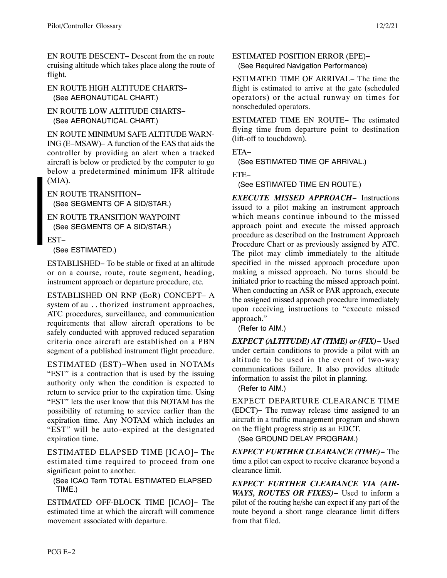EN ROUTE DESCENT – Descent from the en route cruising altitude which takes place along the route of flight.

#### EN ROUTE HIGH ALTITUDE CHARTS-(See AERONAUTICAL CHART.)

EN ROUTE LOW ALTITUDE CHARTS-(See AERONAUTICAL CHART.)

 controller by providing an alert when a tracked below a predetermined minimum IFR altitude EN ROUTE MINIMUM SAFE ALTITUDE WARN- $ING (E-MSAW)$ – A function of the EAS that aids the aircraft is below or predicted by the computer to go (MIA).

**EN ROUTE TRANSITION-**(See SEGMENTS OF A SID/STAR.)

EN ROUTE TRANSITION WAYPOINT (See SEGMENTS OF A SID/STAR.)

EST-

(See ESTIMATED.)

 or on a course, route, route segment, heading, ESTABLISHED–To be stable or fixed at an altitude instrument approach or departure procedure, etc.

 ESTABLISHED ON RNP (EoR) CONCEPT– A system of au .. thorized instrument approaches, criteria once aircraft are established on a PBN ATC procedures, surveillance, and communication requirements that allow aircraft operations to be safely conducted with approved reduced separation segment of a published instrument flight procedure.

"EST" will be auto-expired at the designated ESTIMATED (EST)-When used in NOTAMs "EST" is a contraction that is used by the issuing authority only when the condition is expected to return to service prior to the expiration time. Using "EST" lets the user know that this NOTAM has the possibility of returning to service earlier than the expiration time. Any NOTAM which includes an expiration time.

ESTIMATED ELAPSED TIME [ICAO]– The estimated time required to proceed from one significant point to another.

#### (See ICAO Term TOTAL ESTIMATED ELAPSED TIME.)

ESTIMATED OFF-BLOCK TIME [ICAO]- The estimated time at which the aircraft will commence movement associated with departure.

ESTIMATED POSITION ERROR (EPE)ï (See Required Navigation Performance)

 operators) or the actual runway on times for ESTIMATED TIME OF ARRIVAL– The time the flight is estimated to arrive at the gate (scheduled nonscheduled operators.

 flying time from departure point to destination ESTIMATED TIME EN ROUTE- The estimated (lift-off to touchdown).

 $ETA-$ 

(See ESTIMATED TIME OF ARRIVAL.)

 $ETE-$ 

(See ESTIMATED TIME EN ROUTE.)

 which means continue inbound to the missed making a missed approach. No turns should be *EXECUTE MISSED APPROACH*- Instructions issued to a pilot making an instrument approach approach point and execute the missed approach procedure as described on the Instrument Approach Procedure Chart or as previously assigned by ATC. The pilot may climb immediately to the altitude specified in the missed approach procedure upon initiated prior to reaching the missed approach point. When conducting an ASR or PAR approach, execute the assigned missed approach procedure immediately upon receiving instructions to "execute missed approach."

(Refer to AIM.)

 altitude to be used in the event of two-way *EXPECT (ALTITUDE) AT (TIME) or (FIX)* – Used under certain conditions to provide a pilot with an communications failure. It also provides altitude information to assist the pilot in planning.

(Refer to AIM.)

EXPECT DEPARTURE CLEARANCE TIME  $(EDCT)$ – The runway release time assigned to an aircraft in a traffic management program and shown on the flight progress strip as an EDCT.

(See GROUND DELAY PROGRAM.)

**EXPECT FURTHER CLEARANCE (TIME)**- The time a pilot can expect to receive clearance beyond a clearance limit.

*EXPECT FURTHER CLEARANCE VIA (AIR-WAYS, ROUTES OR FIXES*) - Used to inform a pilot of the routing he/she can expect if any part of the route beyond a short range clearance limit differs from that filed.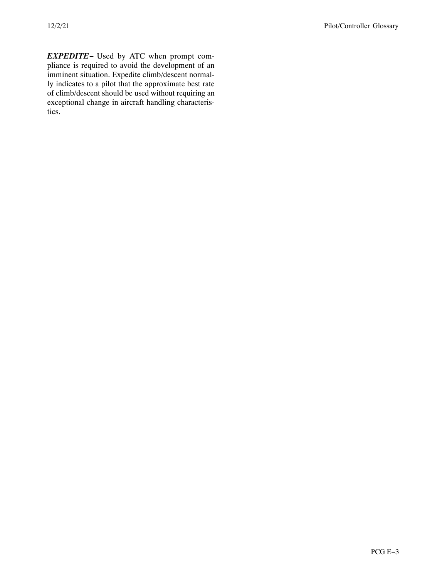*EXPEDITE* - Used by ATC when prompt compliance is required to avoid the development of an imminent situation. Expedite climb/descent normally indicates to a pilot that the approximate best rate of climb/descent should be used without requiring an exceptional change in aircraft handling characteristics.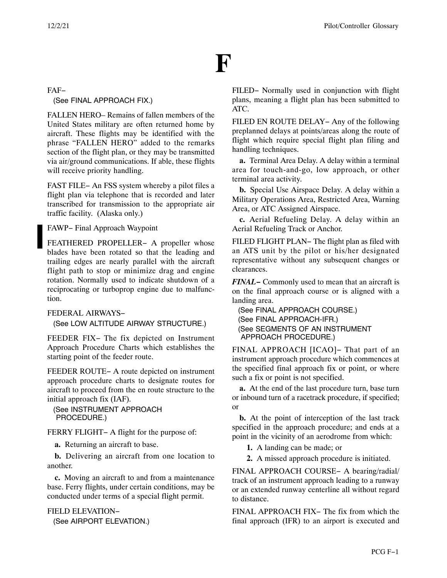### **F**

#### $FAF-$ (See FINAL APPROACH FIX.)

 phrase "FALLEN HERO" added to the remarks FALLEN HERO– Remains of fallen members of the United States military are often returned home by aircraft. These flights may be identified with the section of the flight plan, or they may be transmitted via air/ground communications. If able, these flights will receive priority handling.

FAST FILE – An FSS system whereby a pilot files a flight plan via telephone that is recorded and later transcribed for transmission to the appropriate air traffic facility. (Alaska only.)

FAWP- Final Approach Waypoint

 flight path to stop or minimize drag and engine FEATHERED PROPELLER- A propeller whose blades have been rotated so that the leading and trailing edges are nearly parallel with the aircraft rotation. Normally used to indicate shutdown of a reciprocating or turboprop engine due to malfunction.

FEDERAL AIRWAYS-(See LOW ALTITUDE AIRWAY STRUCTURE.)

FEEDER FIX- The fix depicted on Instrument Approach Procedure Charts which establishes the starting point of the feeder route.

FEEDER ROUTE – A route depicted on instrument approach procedure charts to designate routes for aircraft to proceed from the en route structure to the initial approach fix (IAF).

(See INSTRUMENT APPROACH PROCEDURE.)

FERRY FLIGHT – A flight for the purpose of:

**a.** Returning an aircraft to base.

 **b.** Delivering an aircraft from one location to another.

**c.** Moving an aircraft to and from a maintenance base. Ferry flights, under certain conditions, may be conducted under terms of a special flight permit.

FIELD ELEVATION-

(See AIRPORT ELEVATION.)

FILED– Normally used in conjunction with flight plans, meaning a flight plan has been submitted to ATC.

FILED EN ROUTE DELAY – Any of the following preplanned delays at points/areas along the route of flight which require special flight plan filing and handling techniques.

**a.** Terminal Area Delay. A delay within a terminal area for touch-and-go, low approach, or other terminal area activity.

**b.** Special Use Airspace Delay. A delay within a Military Operations Area, Restricted Area, Warning Area, or ATC Assigned Airspace.

 **c.** Aerial Refueling Delay. A delay within an Aerial Refueling Track or Anchor.

 an ATS unit by the pilot or his/her designated FILED FLIGHT PLAN– The flight plan as filed with representative without any subsequent changes or clearances.

*FINAL* – Commonly used to mean that an aircraft is on the final approach course or is aligned with a landing area.

(See FINAL APPROACH COURSE.) (See FINAL APPROACH-IFR.) (See SEGMENTS OF AN INSTRUMENT APPROACH PROCEDURE.)

FINAL APPROACH [ICAO]- That part of an instrument approach procedure which commences at the specified final approach fix or point, or where such a fix or point is not specified.

**a.** At the end of the last procedure turn, base turn or inbound turn of a racetrack procedure, if specified; or

**b.** At the point of interception of the last track specified in the approach procedure; and ends at a point in the vicinity of an aerodrome from which:

**1.** A landing can be made; or

**2.** A missed approach procedure is initiated.

FINAL APPROACH COURSE– A bearing/radial/ track of an instrument approach leading to a runway or an extended runway centerline all without regard to distance.

 $FINAL$  APPROACH  $FIX$  The fix from which the final approach (IFR) to an airport is executed and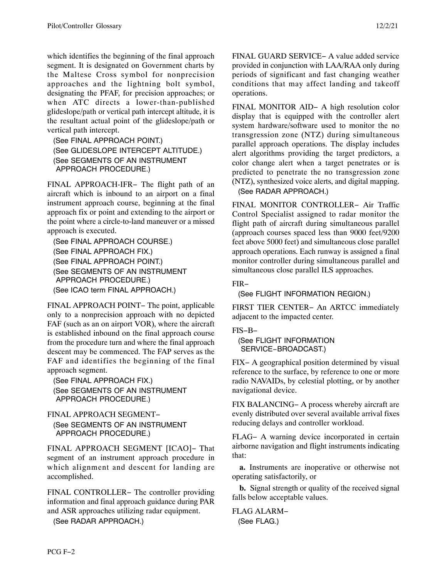the Maltese Cross symbol for nonprecision approaches and the lightning bolt symbol, when ATC directs a lower-than-published which identifies the beginning of the final approach segment. It is designated on Government charts by designating the PFAF, for precision approaches; or glideslope/path or vertical path intercept altitude, it is the resultant actual point of the glideslope/path or vertical path intercept.

(See FINAL APPROACH POINT.) (See GLIDESLOPE INTERCEPT ALTITUDE.) (See SEGMENTS OF AN INSTRUMENT APPROACH PROCEDURE.)

FINAL APPROACH-IFR- The flight path of an aircraft which is inbound to an airport on a final instrument approach course, beginning at the final approach fix or point and extending to the airport or the point where a circle-to-land maneuver or a missed approach is executed.

(See FINAL APPROACH COURSE.) (See FINAL APPROACH FIX.) (See FINAL APPROACH POINT.) (See SEGMENTS OF AN INSTRUMENT APPROACH PROCEDURE.) (See ICAO term FINAL APPROACH.)

 FAF and identifies the beginning of the final FINAL APPROACH POINT– The point, applicable only to a nonprecision approach with no depicted FAF (such as an on airport VOR), where the aircraft is established inbound on the final approach course from the procedure turn and where the final approach descent may be commenced. The FAP serves as the approach segment.

(See FINAL APPROACH FIX.) (See SEGMENTS OF AN INSTRUMENT APPROACH PROCEDURE.)

FINAL APPROACH SEGMENT-(See SEGMENTS OF AN INSTRUMENT APPROACH PROCEDURE.)

FINAL APPROACH SEGMENT [ICAO]- That segment of an instrument approach procedure in which alignment and descent for landing are accomplished.

FINAL CONTROLLER– The controller providing information and final approach guidance during PAR and ASR approaches utilizing radar equipment.

(See RADAR APPROACH.)

 periods of significant and fast changing weather FINAL GUARD SERVICE– A value added service provided in conjunction with LAA/RAA only during conditions that may affect landing and takeoff operations.

 predicted to penetrate the no transgression zone FINAL MONITOR AID- A high resolution color display that is equipped with the controller alert system hardware/software used to monitor the no transgression zone (NTZ) during simultaneous parallel approach operations. The display includes alert algorithms providing the target predictors, a color change alert when a target penetrates or is (NTZ), synthesized voice alerts, and digital mapping. (See RADAR APPROACH.)

 Control Specialist assigned to radar monitor the FINAL MONITOR CONTROLLER- Air Traffic flight path of aircraft during simultaneous parallel (approach courses spaced less than 9000 feet/9200 feet above 5000 feet) and simultaneous close parallel approach operations. Each runway is assigned a final monitor controller during simultaneous parallel and simultaneous close parallel ILS approaches.

 $FIR-$ 

(See FLIGHT INFORMATION REGION.)

FIRST TIER CENTER- An ARTCC immediately adjacent to the impacted center.

#### $FIS-B$

(See FLIGHT INFORMATION SERVICE-BROADCAST.)

 $FIX - A$  geographical position determined by visual reference to the surface, by reference to one or more radio NAVAIDs, by celestial plotting, or by another navigational device.

FIX BALANCING- A process whereby aircraft are evenly distributed over several available arrival fixes reducing delays and controller workload.

FLAG- A warning device incorporated in certain airborne navigation and flight instruments indicating that:

**a.** Instruments are inoperative or otherwise not operating satisfactorily, or

**b.** Signal strength or quality of the received signal falls below acceptable values.

**FLAG ALARM-**(See FLAG.)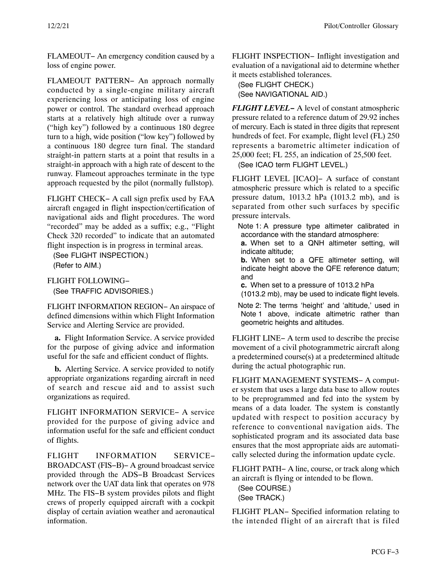FLAMEOUT- An emergency condition caused by a loss of engine power.

 conducted by a single-engine military aircraft FLAMEOUT PATTERN- An approach normally experiencing loss or anticipating loss of engine power or control. The standard overhead approach starts at a relatively high altitude over a runway ("high key") followed by a continuous 180 degree turn to a high, wide position ("low key") followed by a continuous 180 degree turn final. The standard straight-in pattern starts at a point that results in a straight-in approach with a high rate of descent to the runway. Flameout approaches terminate in the type approach requested by the pilot (normally fullstop).

FLIGHT CHECK- A call sign prefix used by FAA aircraft engaged in flight inspection/certification of navigational aids and flight procedures. The word "recorded" may be added as a suffix; e.g., "Flight Check 320 recorded" to indicate that an automated flight inspection is in progress in terminal areas.

(See FLIGHT INSPECTION.) (Refer to AIM.)

FLIGHT FOLLOWING-(See TRAFFIC ADVISORIES.)

FLIGHT INFORMATION REGION- An airspace of defined dimensions within which Flight Information Service and Alerting Service are provided.

**a.** Flight Information Service. A service provided for the purpose of giving advice and information useful for the safe and efficient conduct of flights.

 of search and rescue aid and to assist such **b.** Alerting Service. A service provided to notify appropriate organizations regarding aircraft in need organizations as required.

 provided for the purpose of giving advice and FLIGHT INFORMATION SERVICE- A service information useful for the safe and efficient conduct of flights.

FLIGHT INFORMATION SERVICE-BROADCAST (FIS-B)- A ground broadcast service provided through the ADS-B Broadcast Services network over the UAT data link that operates on 978 MHz. The FIS-B system provides pilots and flight crews of properly equipped aircraft with a cockpit display of certain aviation weather and aeronautical information.

FLIGHT INSPECTION- Inflight investigation and evaluation of a navigational aid to determine whether it meets established tolerances.

(See FLIGHT CHECK.) (See NAVIGATIONAL AID.)

*FLIGHT LEVEL* – A level of constant atmospheric pressure related to a reference datum of 29.92 inches of mercury. Each is stated in three digits that represent hundreds of feet. For example, flight level (FL) 250 represents a barometric altimeter indication of 25,000 feet; FL 255, an indication of 25,500 feet.

(See ICAO term FLIGHT LEVEL.)

 separated from other such surfaces by specific FLIGHT LEVEL [ICAO]– A surface of constant atmospheric pressure which is related to a specific pressure datum, 1013.2 hPa (1013.2 mb), and is pressure intervals.

Note 1: A pressure type altimeter calibrated in accordance with the standard atmosphere:

**a.** When set to a QNH altimeter setting, will indicate altitude;

**b.** When set to a QFE altimeter setting, will indicate height above the QFE reference datum; and

**c.** When set to a pressure of 1013.2 hPa

(1013.2 mb), may be used to indicate flight levels.

Note 2: The terms 'height' and 'altitude,' used in Note 1 above, indicate altimetric rather than geometric heights and altitudes.

FLIGHT LINE – A term used to describe the precise movement of a civil photogrammetric aircraft along a predetermined course(s) at a predetermined altitude during the actual photographic run.

 updated with respect to position accuracy by FLIGHT MANAGEMENT SYSTEMS- A computer system that uses a large data base to allow routes to be preprogrammed and fed into the system by means of a data loader. The system is constantly reference to conventional navigation aids. The sophisticated program and its associated data base ensures that the most appropriate aids are automatically selected during the information update cycle.

FLIGHT PATH- A line, course, or track along which an aircraft is flying or intended to be flown.

(See COURSE.) (See TRACK.)

 the intended flight of an aircraft that is filed FLIGHT PLAN– Specified information relating to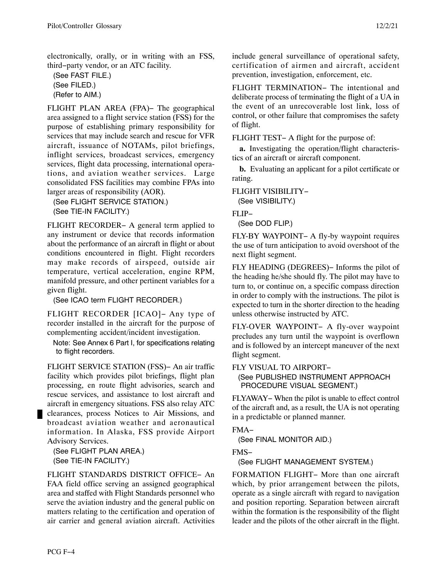electronically, orally, or in writing with an FSS, third-party vendor, or an ATC facility.

(See FAST FILE.) (See FILED.) (Refer to AIM.)

 aircraft, issuance of NOTAMs, pilot briefings, inflight services, broadcast services, emergency FLIGHT PLAN AREA (FPA)- The geographical area assigned to a flight service station (FSS) for the purpose of establishing primary responsibility for services that may include search and rescue for VFR services, flight data processing, international operations, and aviation weather services. Large consolidated FSS facilities may combine FPAs into larger areas of responsibility (AOR).

(See FLIGHT SERVICE STATION.) (See TIE-IN FACILITY.)

FLIGHT RECORDER– A general term applied to any instrument or device that records information about the performance of an aircraft in flight or about conditions encountered in flight. Flight recorders may make records of airspeed, outside air temperature, vertical acceleration, engine RPM, manifold pressure, and other pertinent variables for a given flight.

(See ICAO term FLIGHT RECORDER.)

FLIGHT RECORDER [ICAO]– Any type of recorder installed in the aircraft for the purpose of complementing accident/incident investigation.

Note: See Annex 6 Part I, for specifications relating to flight recorders.

 broadcast aviation weather and aeronautical information. In Alaska, FSS provide Airport FLIGHT SERVICE STATION (FSS)– An air traffic facility which provides pilot briefings, flight plan processing, en route flight advisories, search and rescue services, and assistance to lost aircraft and aircraft in emergency situations. FSS also relay ATC clearances, process Notices to Air Missions, and Advisory Services.

(See FLIGHT PLAN AREA.) (See TIE-IN FACILITY.)

FLIGHT STANDARDS DISTRICT OFFICE- An FAA field office serving an assigned geographical area and staffed with Flight Standards personnel who serve the aviation industry and the general public on matters relating to the certification and operation of air carrier and general aviation aircraft. Activities

 certification of airmen and aircraft, accident include general surveillance of operational safety, prevention, investigation, enforcement, etc.

 the event of an unrecoverable lost link, loss of FLIGHT TERMINATION- The intentional and deliberate process of terminating the flight of a UA in control, or other failure that compromises the safety of flight.

FLIGHT TEST- A flight for the purpose of:

**a.** Investigating the operation/flight characteristics of an aircraft or aircraft component.

**b.** Evaluating an applicant for a pilot certificate or rating.

FLIGHT VISIBILITY-(See VISIBILITY.)

FLIP-

(See DOD FLIP.)

FLY-BY WAYPOINT- A fly-by waypoint requires the use of turn anticipation to avoid overshoot of the next flight segment.

FLY HEADING (DEGREES)– Informs the pilot of the heading he/she should fly. The pilot may have to turn to, or continue on, a specific compass direction in order to comply with the instructions. The pilot is expected to turn in the shorter direction to the heading unless otherwise instructed by ATC.

FLY-OVER WAYPOINT- A fly-over waypoint precludes any turn until the waypoint is overflown and is followed by an intercept maneuver of the next flight segment.

FLY VISUAL TO AIRPORT-

(See PUBLISHED INSTRUMENT APPROACH PROCEDURE VISUAL SEGMENT.)

FLYAWAY – When the pilot is unable to effect control of the aircraft and, as a result, the UA is not operating in a predictable or planned manner.

FMA-

(See FINAL MONITOR AID.)

FMS-

(See FLIGHT MANAGEMENT SYSTEM.)

FORMATION FLIGHT- More than one aircraft which, by prior arrangement between the pilots, operate as a single aircraft with regard to navigation and position reporting. Separation between aircraft within the formation is the responsibility of the flight leader and the pilots of the other aircraft in the flight.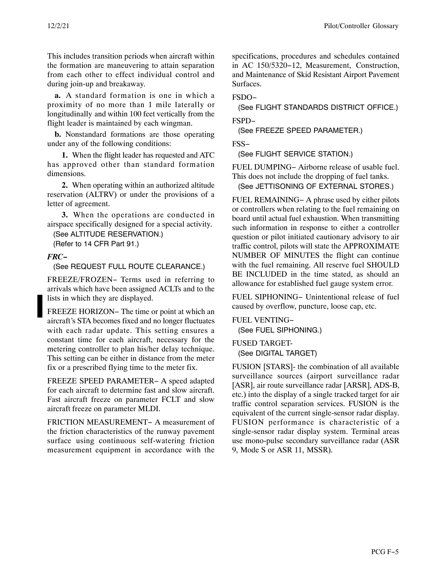from each other to effect individual control and This includes transition periods when aircraft within the formation are maneuvering to attain separation during join-up and breakaway.

 **a.** A standard formation is one in which a proximity of no more than 1 mile laterally or longitudinally and within 100 feet vertically from the flight leader is maintained by each wingman.

**b.** Nonstandard formations are those operating under any of the following conditions:

 has approved other than standard formation **1.** When the flight leader has requested and ATC dimensions.

**2.** When operating within an authorized altitude reservation (ALTRV) or under the provisions of a letter of agreement.

 **3.** When the operations are conducted in airspace specifically designed for a special activity.

(See ALTITUDE RESERVATION.)

(Refer to 14 CFR Part 91.)

#### *FRC*<sub> $-$ </sub>

(See REQUEST FULL ROUTE CLEARANCE.)

FREEZE/FROZEN- Terms used in referring to arrivals which have been assigned ACLTs and to the lists in which they are displayed.

 with each radar update. This setting ensures a FREEZE HORIZON- The time or point at which an aircraft's STA becomes fixed and no longer fluctuates constant time for each aircraft, necessary for the metering controller to plan his/her delay technique. This setting can be either in distance from the meter fix or a prescribed flying time to the meter fix.

FREEZE SPEED PARAMETER- A speed adapted for each aircraft to determine fast and slow aircraft. Fast aircraft freeze on parameter FCLT and slow aircraft freeze on parameter MLDI.

 surface using continuous self-watering friction measurement equipment in accordance with the FRICTION MEASUREMENT- A measurement of the friction characteristics of the runway pavement

specifications, procedures and schedules contained in AC 150/5320-12, Measurement, Construction, and Maintenance of Skid Resistant Airport Pavement Surfaces.

#### FSDO-

(See FLIGHT STANDARDS DISTRICT OFFICE.)

FSPD-

(See FREEZE SPEED PARAMETER.)

FSS-

(See FLIGHT SERVICE STATION.)

FUEL DUMPING - Airborne release of usable fuel. This does not include the dropping of fuel tanks.

(See JETTISONING OF EXTERNAL STORES.)

FUEL REMAINING - A phrase used by either pilots or controllers when relating to the fuel remaining on board until actual fuel exhaustion. When transmitting such information in response to either a controller question or pilot initiated cautionary advisory to air traffic control, pilots will state the APPROXIMATE NUMBER OF MINUTES the flight can continue with the fuel remaining. All reserve fuel SHOULD BE INCLUDED in the time stated, as should an allowance for established fuel gauge system error.

FUEL SIPHONING- Unintentional release of fuel caused by overflow, puncture, loose cap, etc.

FUEL VENTING-(See FUEL SIPHONING.)

FUSED TARGET-

(See DIGITAL TARGET)

 surveillance sources (airport surveillance radar FUSION performance is characteristic of a FUSION [STARS]- the combination of all available [ASR], air route surveillance radar [ARSR], ADS-B, etc.) into the display of a single tracked target for air traffic control separation services. FUSION is the equivalent of the current single-sensor radar display. single-sensor radar display system. Terminal areas use mono-pulse secondary surveillance radar (ASR 9, Mode S or ASR 11, MSSR).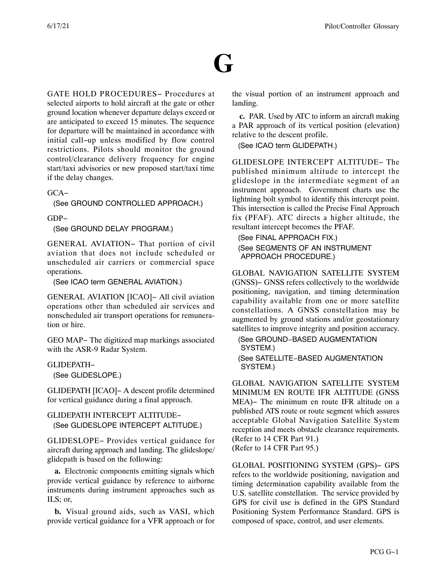### **G**

initial call-up unless modified by flow control restrictions. Pilots should monitor the ground GATE HOLD PROCEDURES-Procedures at selected airports to hold aircraft at the gate or other ground location whenever departure delays exceed or are anticipated to exceed 15 minutes. The sequence for departure will be maintained in accordance with control/clearance delivery frequency for engine start/taxi advisories or new proposed start/taxi time if the delay changes.

GCA-

(See GROUND CONTROLLED APPROACH.)

 $GDP-$ 

(See GROUND DELAY PROGRAM.)

GENERAL AVIATION- That portion of civil aviation that does not include scheduled or unscheduled air carriers or commercial space operations.

(See ICAO term GENERAL AVIATION.)

GENERAL AVIATION [ICAO]- All civil aviation operations other than scheduled air services and nonscheduled air transport operations for remuneration or hire.

GEO MAP – The digitized map markings associated with the ASR-9 Radar System.

GLIDEPATH-(See GLIDESLOPE.)

GLIDEPATH [ICAO]– A descent profile determined for vertical guidance during a final approach.

#### GLIDEPATH INTERCEPT ALTITUDE-(See GLIDESLOPE INTERCEPT ALTITUDE.)

GLIDESLOPE- Provides vertical guidance for aircraft during approach and landing. The glideslope/ glidepath is based on the following:

**a.** Electronic components emitting signals which provide vertical guidance by reference to airborne instruments during instrument approaches such as ILS; or,

 **b.** Visual ground aids, such as VASI, which provide vertical guidance for a VFR approach or for

the visual portion of an instrument approach and landing.

**c.** PAR. Used by ATC to inform an aircraft making a PAR approach of its vertical position (elevation) relative to the descent profile.

(See ICAO term GLIDEPATH.)

 published minimum altitude to intercept the fix (PFAF). ATC directs a higher altitude, the GLIDESLOPE INTERCEPT ALTITUDE-The glideslope in the intermediate segment of an instrument approach. Government charts use the lightning bolt symbol to identify this intercept point. This intersection is called the Precise Final Approach resultant intercept becomes the PFAF.

(See FINAL APPROACH FIX.) (See SEGMENTS OF AN INSTRUMENT APPROACH PROCEDURE.)

 capability available from one or more satellite constellations. A GNSS constellation may be GLOBAL NAVIGATION SATELLITE SYSTEM (GNSS)– GNSS refers collectively to the worldwide positioning, navigation, and timing determination augmented by ground stations and/or geostationary satellites to improve integrity and position accuracy.

(See GROUND-BASED AUGMENTATION SYSTEM.) (See SATELLITE-BASED AUGMENTATION

SYSTEM.)

 acceptable Global Navigation Satellite System GLOBAL NAVIGATION SATELLITE SYSTEM MINIMUM EN ROUTE IFR ALTITUDE (GNSS MEA)– The minimum en route IFR altitude on a published ATS route or route segment which assures reception and meets obstacle clearance requirements. (Refer to 14 CFR Part 91.)

(Refer to 14 CFR Part 95.)

GLOBAL POSITIONING SYSTEM (GPS)- GPS refers to the worldwide positioning, navigation and timing determination capability available from the U.S. satellite constellation. The service provided by GPS for civil use is defined in the GPS Standard Positioning System Performance Standard. GPS is composed of space, control, and user elements.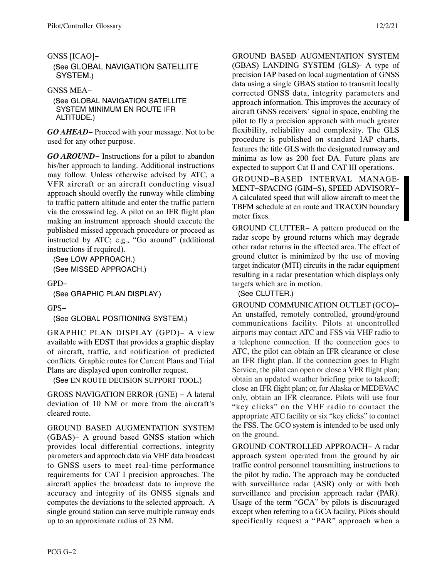GNSS [ICAO]-(See GLOBAL NAVIGATION SATELLITE SYSTEM.)

**GNSS MEA-**

(See GLOBAL NAVIGATION SATELLITE SYSTEM MINIMUM EN ROUTE IFR ALTITUDE.)

*GO AHEAD* – Proceed with your message. Not to be used for any other purpose.

 VFR aircraft or an aircraft conducting visual *GO AROUND* – Instructions for a pilot to abandon his/her approach to landing. Additional instructions may follow. Unless otherwise advised by ATC, a approach should overfly the runway while climbing to traffic pattern altitude and enter the traffic pattern via the crosswind leg. A pilot on an IFR flight plan making an instrument approach should execute the published missed approach procedure or proceed as instructed by ATC; e.g., "Go around" (additional instructions if required).

(See LOW APPROACH.) (See MISSED APPROACH.)

GPD-

(See GRAPHIC PLAN DISPLAY.)

GPS-

(See GLOBAL POSITIONING SYSTEM.)

GRAPHIC PLAN DISPLAY (GPD)- A view of aircraft, traffic, and notification of predicted available with EDST that provides a graphic display conflicts. Graphic routes for Current Plans and Trial Plans are displayed upon controller request.

(See EN ROUTE DECISION SUPPORT TOOL.)

 deviation of 10 NM or more from the aircraft's GROSS NAVIGATION ERROR (GNE) – A lateral cleared route.

 (GBAS)– A ground based GNSS station which provides local differential corrections, integrity to GNSS users to meet real-time performance accuracy and integrity of its GNSS signals and GROUND BASED AUGMENTATION SYSTEM parameters and approach data via VHF data broadcast requirements for CAT I precision approaches. The aircraft applies the broadcast data to improve the computes the deviations to the selected approach. A single ground station can serve multiple runway ends up to an approximate radius of 23 NM.

 corrected GNSS data, integrity parameters and flexibility, reliability and complexity. The GLS GROUND BASED AUGMENTATION SYSTEM (GBAS) LANDING SYSTEM (GLS)- A type of precision IAP based on local augmentation of GNSS data using a single GBAS station to transmit locally approach information. This improves the accuracy of aircraft GNSS receivers' signal in space, enabling the pilot to fly a precision approach with much greater procedure is published on standard IAP charts, features the title GLS with the designated runway and minima as low as 200 feet DA. Future plans are expected to support Cat II and CAT III operations.

GROUND-BASED INTERVAL MANAGE-MENT-SPACING (GIM-S), SPEED ADVISORY-A calculated speed that will allow aircraft to meet the TBFM schedule at en route and TRACON boundary meter fixes.

GROUND CLUTTER– A pattern produced on the radar scope by ground returns which may degrade other radar returns in the affected area. The effect of ground clutter is minimized by the use of moving target indicator (MTI) circuits in the radar equipment resulting in a radar presentation which displays only targets which are in motion.

(See CLUTTER.)

 communications facility. Pilots at uncontrolled "key clicks" on the VHF radio to contact the GROUND COMMUNICATION OUTLET (GCO)-An unstaffed, remotely controlled, ground/ground airports may contact ATC and FSS via VHF radio to a telephone connection. If the connection goes to ATC, the pilot can obtain an IFR clearance or close an IFR flight plan. If the connection goes to Flight Service, the pilot can open or close a VFR flight plan; obtain an updated weather briefing prior to takeoff; close an IFR flight plan; or, for Alaska or MEDEVAC only, obtain an IFR clearance. Pilots will use four appropriate ATC facility or six "key clicks" to contact the FSS. The GCO system is intended to be used only on the ground.

GROUND CONTROLLED APPROACH- A radar approach system operated from the ground by air traffic control personnel transmitting instructions to the pilot by radio. The approach may be conducted with surveillance radar (ASR) only or with both surveillance and precision approach radar (PAR). Usage of the term "GCA" by pilots is discouraged except when referring to a GCA facility. Pilots should specifically request a "PAR" approach when a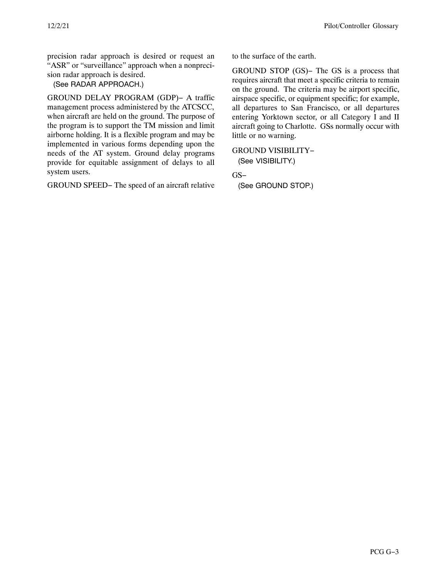precision radar approach is desired or request an "ASR" or "surveillance" approach when a nonprecision radar approach is desired.

(See RADAR APPROACH.)

GROUND DELAY PROGRAM (GDP)- A traffic management process administered by the ATCSCC, when aircraft are held on the ground. The purpose of the program is to support the TM mission and limit airborne holding. It is a flexible program and may be implemented in various forms depending upon the needs of the AT system. Ground delay programs provide for equitable assignment of delays to all system users.

GROUND SPEED- The speed of an aircraft relative

to the surface of the earth.

GROUND STOP  $(GS)$ – The GS is a process that requires aircraft that meet a specific criteria to remain on the ground. The criteria may be airport specific, airspace specific, or equipment specific; for example, all departures to San Francisco, or all departures entering Yorktown sector, or all Category I and II aircraft going to Charlotte. GSs normally occur with little or no warning.

GROUND VISIBILITY-(See VISIBILITY.)

 $GS-$ 

(See GROUND STOP.)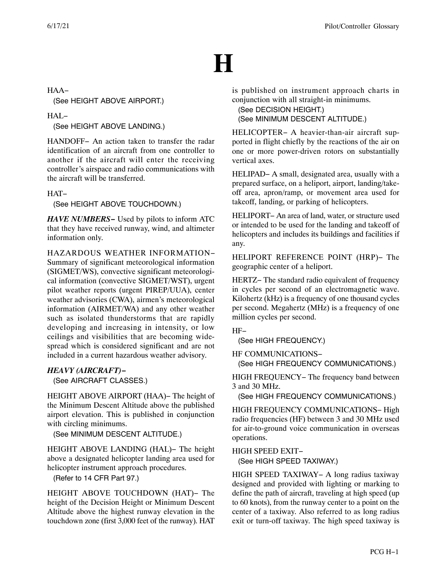### **H**

### $HAA-$

(See HEIGHT ABOVE AIRPORT.)

 $HAI$ 

(See HEIGHT ABOVE LANDING.)

 another if the aircraft will enter the receiving HANDOFF- An action taken to transfer the radar identification of an aircraft from one controller to controller's airspace and radio communications with the aircraft will be transferred.

#### $HAT-$

(See HEIGHT ABOVE TOUCHDOWN.)

*HAVE NUMBERS* – Used by pilots to inform ATC that they have received runway, wind, and altimeter information only.

 such as isolated thunderstorms that are rapidly developing and increasing in intensity, or low ceilings and visibilities that are becoming wide-HAZARDOUS WEATHER INFORMATION-Summary of significant meteorological information (SIGMET/WS), convective significant meteorological information (convective SIGMET/WST), urgent pilot weather reports (urgent PIREP/UUA), center weather advisories (CWA), airmen's meteorological information (AIRMET/WA) and any other weather spread which is considered significant and are not included in a current hazardous weather advisory.

#### *HEAVY (AIRCRAFT)ï*

(See AIRCRAFT CLASSES.)

HEIGHT ABOVE AIRPORT (HAA)– The height of the Minimum Descent Altitude above the published airport elevation. This is published in conjunction with circling minimums.

(See MINIMUM DESCENT ALTITUDE.)

HEIGHT ABOVE LANDING (HAL)- The height above a designated helicopter landing area used for helicopter instrument approach procedures.

(Refer to 14 CFR Part 97.)

HEIGHT ABOVE TOUCHDOWN (HAT)- The height of the Decision Height or Minimum Descent Altitude above the highest runway elevation in the touchdown zone (first 3,000 feet of the runway). HAT

 is published on instrument approach charts in conjunction with all straight-in minimums.

(See DECISION HEIGHT.) (See MINIMUM DESCENT ALTITUDE.)

HELICOPTER- A heavier-than-air aircraft supported in flight chiefly by the reactions of the air on one or more power-driven rotors on substantially vertical axes.

HELIPAD – A small, designated area, usually with a prepared surface, on a heliport, airport, landing/takeoff area, apron/ramp, or movement area used for takeoff, landing, or parking of helicopters.

HELIPORT – An area of land, water, or structure used or intended to be used for the landing and takeoff of helicopters and includes its buildings and facilities if any.

HELIPORT REFERENCE POINT (HRP)- The geographic center of a heliport.

HERTZ- The standard radio equivalent of frequency in cycles per second of an electromagnetic wave. Kilohertz (kHz) is a frequency of one thousand cycles per second. Megahertz (MHz) is a frequency of one million cycles per second.

 $HF-$ 

(See HIGH FREQUENCY.)

HF COMMUNICATIONS-(See HIGH FREQUENCY COMMUNICATIONS.)

HIGH FREQUENCY- The frequency band between 3 and 30 MHz.

(See HIGH FREQUENCY COMMUNICATIONS.)

HIGH FREQUENCY COMMUNICATIONS-High radio frequencies (HF) between 3 and 30 MHz used for air-to-ground voice communication in overseas operations.

#### HIGH SPEED EXIT-

(See HIGH SPEED TAXIWAY.)

HIGH SPEED TAXIWAY- A long radius taxiway designed and provided with lighting or marking to define the path of aircraft, traveling at high speed (up to 60 knots), from the runway center to a point on the center of a taxiway. Also referred to as long radius exit or turn-off taxiway. The high speed taxiway is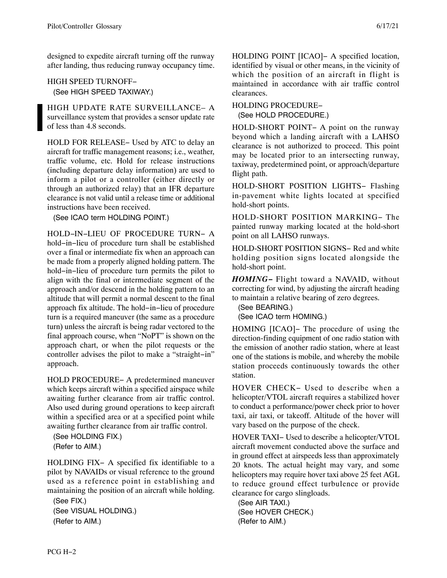designed to expedite aircraft turning off the runway after landing, thus reducing runway occupancy time.

HIGH SPEED TURNOFF-(See HIGH SPEED TAXIWAY.)

 HIGH UPDATE RATE SURVEILLANCE– A surveillance system that provides a sensor update rate of less than 4.8 seconds.

 inform a pilot or a controller (either directly or HOLD FOR RELEASE– Used by ATC to delay an aircraft for traffic management reasons; i.e., weather, traffic volume, etc. Hold for release instructions (including departure delay information) are used to through an authorized relay) that an IFR departure clearance is not valid until a release time or additional instructions have been received.

(See ICAO term HOLDING POINT.)

HOLD-IN-LIEU OF PROCEDURE TURN- A hold-in-lieu of procedure turn shall be established over a final or intermediate fix when an approach can be made from a properly aligned holding pattern. The hold-in-lieu of procedure turn permits the pilot to align with the final or intermediate segment of the approach and/or descend in the holding pattern to an altitude that will permit a normal descent to the final approach fix altitude. The hold-in-lieu of procedure turn is a required maneuver (the same as a procedure turn) unless the aircraft is being radar vectored to the final approach course, when "NoPT" is shown on the approach chart, or when the pilot requests or the controller advises the pilot to make a "straight-in" approach.

HOLD PROCEDURE- A predetermined maneuver which keeps aircraft within a specified airspace while awaiting further clearance from air traffic control. Also used during ground operations to keep aircraft within a specified area or at a specified point while awaiting further clearance from air traffic control.

(See HOLDING FIX.) (Refer to AIM.)

HOLDING FIX- A specified fix identifiable to a pilot by NAVAIDs or visual reference to the ground used as a reference point in establishing and maintaining the position of an aircraft while holding.

(See FIX.) (See VISUAL HOLDING.) (Refer to AIM.)

 which the position of an aircraft in flight is HOLDING POINT [ICAO]- A specified location, identified by visual or other means, in the vicinity of maintained in accordance with air traffic control clearances.

HOLDING PROCEDURE-(See HOLD PROCEDURE.)

HOLD-SHORT POINT- A point on the runway beyond which a landing aircraft with a LAHSO may be located prior to an intersecting runway, clearance is not authorized to proceed. This point taxiway, predetermined point, or approach/departure flight path.

 in-pavement white lights located at specified HOLD-SHORT POSITION LIGHTS- Flashing hold-short points.

HOLD-SHORT POSITION MARKING-The painted runway marking located at the hold-short point on all LAHSO runways.

 holding position signs located alongside the HOLD-SHORT POSITION SIGNS- Red and white hold-short point.

 *HOMINGï* Flight toward a NAVAID, without correcting for wind, by adjusting the aircraft heading to maintain a relative bearing of zero degrees.

(See BEARING.) (See ICAO term HOMING.)

HOMING  $[ICAO]$ – The procedure of using the station proceeds continuously towards the other direction-finding equipment of one radio station with the emission of another radio station, where at least one of the stations is mobile, and whereby the mobile station.

HOVER CHECK- Used to describe when a helicopter/VTOL aircraft requires a stabilized hover to conduct a performance/power check prior to hover taxi, air taxi, or takeoff. Altitude of the hover will vary based on the purpose of the check.

HOVER TAXI- Used to describe a helicopter/VTOL aircraft movement conducted above the surface and in ground effect at airspeeds less than approximately 20 knots. The actual height may vary, and some helicopters may require hover taxi above 25 feet AGL to reduce ground effect turbulence or provide clearance for cargo slingloads.

(See AIR TAXI.) (See HOVER CHECK.) (Refer to AIM.)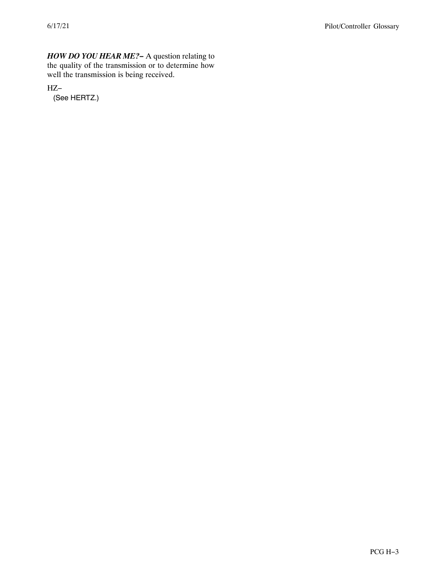HOW DO YOU HEAR ME?- A question relating to the quality of the transmission or to determine how well the transmission is being received.

 $\rm HZ-$ 

(See HERTZ.)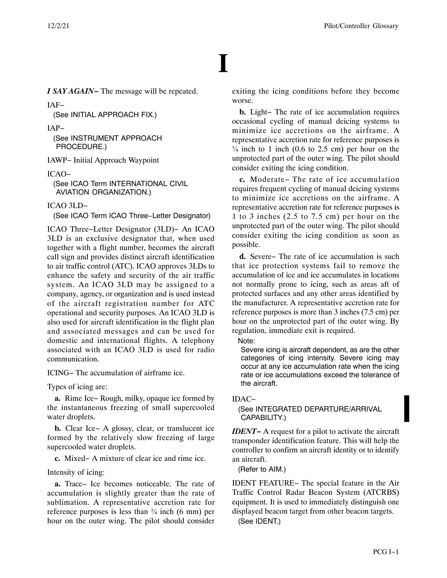# **I**

*I SAY AGAIN* – The message will be repeated.

 $IAF-$ 

(See INITIAL APPROACH FIX.)

 $IAP-$ 

(See INSTRUMENT APPROACH PROCEDURE.)

IAWP- Initial Approach Waypoint

#### $ICAO$

(See ICAO Term INTERNATIONAL CIVIL AVIATION ORGANIZATION.)

ICAO 3LD-

(See ICAO Term ICAO Three-Letter Designator)

 3LD is an exclusive designator that, when used enhance the safety and security of the air traffic system. An ICAO 3LD may be assigned to a company, agency, or organization and is used instead of the aircraft registration number for ATC and associated messages and can be used for domestic and international flights. A telephony associated with an ICAO 3LD is used for radio ICAO Three-Letter Designator (3LD)- An ICAO together with a flight number, becomes the aircraft call sign and provides distinct aircraft identification to air traffic control (ATC). ICAO approves 3LDs to operational and security purposes. An ICAO 3LD is also used for aircraft identification in the flight plan communication.

ICING- The accumulation of airframe ice.

Types of icing are:

 the instantaneous freezing of small supercooled **a.** Rime Ice– Rough, milky, opaque ice formed by water droplets.

 formed by the relatively slow freezing of large **b.** Clear Ice– A glossy, clear, or translucent ice supercooled water droplets.

**c.** Mixed– A mixture of clear ice and rime ice.

Intensity of icing:

 accumulation is slightly greater than the rate of sublimation. A representative accretion rate for **a.** Trace– Ice becomes noticeable. The rate of reference purposes is less than  $\frac{1}{4}$  inch (6 mm) per hour on the outer wing. The pilot should consider

 exiting the icing conditions before they become worse.

 minimize ice accretions on the airframe. A **b.** Light– The rate of ice accumulation requires occasional cycling of manual deicing systems to representative accretion rate for reference purposes is  $\frac{1}{4}$  inch to 1 inch (0.6 to 2.5 cm) per hour on the unprotected part of the outer wing. The pilot should consider exiting the icing condition.

c. Moderate-The rate of ice accumulation to minimize ice accretions on the airframe. A 1 to 3 inches (2.5 to 7.5 cm) per hour on the requires frequent cycling of manual deicing systems representative accretion rate for reference purposes is unprotected part of the outer wing. The pilot should consider exiting the icing condition as soon as possible.

 that ice protection systems fail to remove the d. Severe- The rate of ice accumulation is such accumulation of ice and ice accumulates in locations not normally prone to icing, such as areas aft of protected surfaces and any other areas identified by the manufacturer. A representative accretion rate for reference purposes is more than 3 inches (7.5 cm) per hour on the unprotected part of the outer wing. By regulation, immediate exit is required.

Note:

Severe icing is aircraft dependent, as are the other categories of icing intensity. Severe icing may occur at any ice accumulation rate when the icing rate or ice accumulations exceed the tolerance of the aircraft.

#### $IDAC-$

#### (See INTEGRATED DEPARTURE/ARRIVAL CAPABILITY.)

*IDENT* – A request for a pilot to activate the aircraft transponder identification feature. This will help the controller to confirm an aircraft identity or to identify an aircraft.

(Refer to AIM.)

IDENT FEATURE– The special feature in the Air Traffic Control Radar Beacon System (ATCRBS) equipment. It is used to immediately distinguish one displayed beacon target from other beacon targets.

(See IDENT.)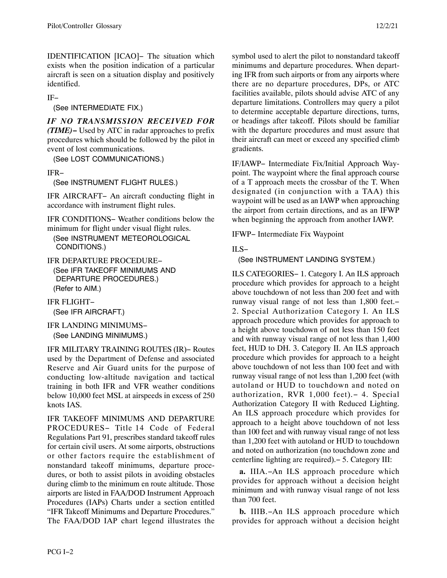IDENTIFICATION [ICAO]- The situation which exists when the position indication of a particular aircraft is seen on a situation display and positively identified.

 $IF-$ 

#### (See INTERMEDIATE FIX.)

*IF NO TRANSMISSION RECEIVED FOR (TIME)* – Used by ATC in radar approaches to prefix procedures which should be followed by the pilot in event of lost communications.

(See LOST COMMUNICATIONS.)

IFR-

(See INSTRUMENT FLIGHT RULES.)

IFR AIRCRAFT- An aircraft conducting flight in accordance with instrument flight rules.

IFR CONDITIONS- Weather conditions below the minimum for flight under visual flight rules.

(See INSTRUMENT METEOROLOGICAL CONDITIONS.)

IFR DEPARTURE PROCEDURE-(See IFR TAKEOFF MINIMUMS AND DEPARTURE PROCEDURES.) (Refer to AIM.)

**IFR FLIGHT-**(See IFR AIRCRAFT.)

IFR LANDING MINIMUMS-(See LANDING MINIMUMS.)

 Reserve and Air Guard units for the purpose of IFR MILITARY TRAINING ROUTES (IR)- Routes used by the Department of Defense and associated conducting low-altitude navigation and tactical training in both IFR and VFR weather conditions below 10,000 feet MSL at airspeeds in excess of 250 knots IAS.

PROCEDURES- Title 14 Code of Federal The FAA/DOD IAP chart legend illustrates the IFR TAKEOFF MINIMUMS AND DEPARTURE Regulations Part 91, prescribes standard takeoff rules for certain civil users. At some airports, obstructions or other factors require the establishment of nonstandard takeoff minimums, departure procedures, or both to assist pilots in avoiding obstacles during climb to the minimum en route altitude. Those airports are listed in FAA/DOD Instrument Approach Procedures (IAPs) Charts under a section entitled "IFR Takeoff Minimums and Departure Procedures."

 there are no departure procedures, DPs, or ATC symbol used to alert the pilot to nonstandard takeoff minimums and departure procedures. When departing IFR from such airports or from any airports where facilities available, pilots should advise ATC of any departure limitations. Controllers may query a pilot to determine acceptable departure directions, turns, or headings after takeoff. Pilots should be familiar with the departure procedures and must assure that their aircraft can meet or exceed any specified climb gradients.

 designated (in conjunction with a TAA) this IF/IAWP- Intermediate Fix/Initial Approach Waypoint. The waypoint where the final approach course of a T approach meets the crossbar of the T. When waypoint will be used as an IAWP when approaching the airport from certain directions, and as an IFWP when beginning the approach from another IAWP.

IFWP- Intermediate Fix Waypoint

 $ILS-$ 

(See INSTRUMENT LANDING SYSTEM.)

 autoland or HUD to touchdown and noted on authorization, RVR 1,000 feet). 4. Special An ILS approach procedure which provides for ILS CATEGORIES - 1. Category I. An ILS approach procedure which provides for approach to a height above touchdown of not less than 200 feet and with runway visual range of not less than 1,800 feet.-2. Special Authorization Category I. An ILS approach procedure which provides for approach to a height above touchdown of not less than 150 feet and with runway visual range of not less than 1,400 feet, HUD to DH. 3. Category II. An ILS approach procedure which provides for approach to a height above touchdown of not less than 100 feet and with runway visual range of not less than 1,200 feet (with Authorization Category II with Reduced Lighting. approach to a height above touchdown of not less than 100 feet and with runway visual range of not less than 1,200 feet with autoland or HUD to touchdown and noted on authorization (no touchdown zone and centerline lighting are required). $-5$ . Category III:

 provides for approach without a decision height **a.** IIIA.<sup>-</sup>An ILS approach procedure which minimum and with runway visual range of not less than 700 feet.

 provides for approach without a decision height **b.** IIIB.-An ILS approach procedure which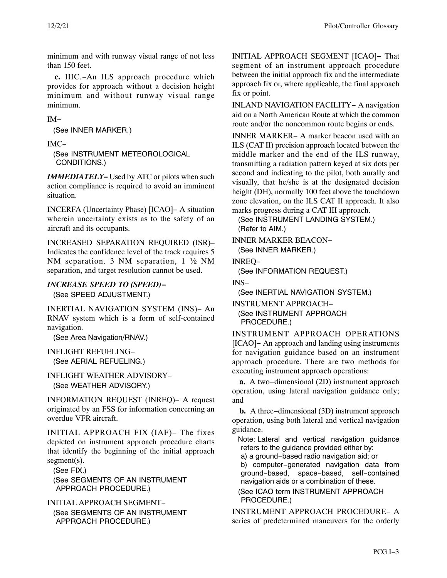minimum and with runway visual range of not less than 150 feet.

c. IIIC.-An ILS approach procedure which provides for approach without a decision height minimum and without runway visual range minimum.

#### $IM-$

(See INNER MARKER.)

#### IMC-

(See INSTRUMENT METEOROLOGICAL CONDITIONS.)

*IMMEDIATELY*– Used by ATC or pilots when such action compliance is required to avoid an imminent situation.

 wherein uncertainty exists as to the safety of an  $INCERFA (Uncertainty Phase) [ICAO] – A situation$ aircraft and its occupants.

 NM separation. 3 NM separation, 1 ½ NM INCREASED SEPARATION REQUIRED (ISR)– Indicates the confidence level of the track requires 5 separation, and target resolution cannot be used.

#### *INCREASE SPEED TO (SPEED)ï*

(See SPEED ADJUSTMENT.)

INERTIAL NAVIGATION SYSTEM (INS)- An RNAV system which is a form of self-contained navigation.

(See Area Navigation/RNAV.)

```
INFLIGHT REFUELINGï
(See AERIAL REFUELING.)
```
INFLIGHT WEATHER ADVISORY-(See WEATHER ADVISORY.)

INFORMATION REQUEST (INREQ)- A request originated by an FSS for information concerning an overdue VFR aircraft.

INITIAL APPROACH FIX (IAF)- The fixes depicted on instrument approach procedure charts that identify the beginning of the initial approach segment(s).

(See FIX.) (See SEGMENTS OF AN INSTRUMENT APPROACH PROCEDURE.)

INITIAL APPROACH SEGMENT-(See SEGMENTS OF AN INSTRUMENT APPROACH PROCEDURE.)

 segment of an instrument approach procedure INITIAL APPROACH SEGMENT [ICAO]- That between the initial approach fix and the intermediate approach fix or, where applicable, the final approach fix or point.

INLAND NAVIGATION FACILITY- A navigation aid on a North American Route at which the common route and/or the noncommon route begins or ends.

 middle marker and the end of the ILS runway, INNER MARKER- A marker beacon used with an ILS (CAT II) precision approach located between the transmitting a radiation pattern keyed at six dots per second and indicating to the pilot, both aurally and visually, that he/she is at the designated decision height (DH), normally 100 feet above the touchdown zone elevation, on the ILS CAT II approach. It also marks progress during a CAT III approach.

(See INSTRUMENT LANDING SYSTEM.) (Refer to AIM.)

**INNER MARKER BEACON-**(See INNER MARKER.)

INREQ-

(See INFORMATION REQUEST.)

INS-

(See INERTIAL NAVIGATION SYSTEM.)

INSTRUMENT APPROACH-(See INSTRUMENT APPROACH

PROCEDURE.)

 for navigation guidance based on an instrument approach procedure. There are two methods for INSTRUMENT APPROACH OPERATIONS  $[ICAO]$ – An approach and landing using instruments executing instrument approach operations:

**a.** A two-dimensional (2D) instrument approach operation, using lateral navigation guidance only; and

**b.** A three-dimensional (3D) instrument approach operation, using both lateral and vertical navigation guidance.

Note: Lateral and vertical navigation guidance refers to the guidance provided either by:

a) a ground-based radio navigation aid; or

b) computer-generated navigation data from ground-based, space-based, self-contained navigation aids or a combination of these.

(See ICAO term INSTRUMENT APPROACH PROCEDURE.)

INSTRUMENT APPROACH PROCEDURE- A series of predetermined maneuvers for the orderly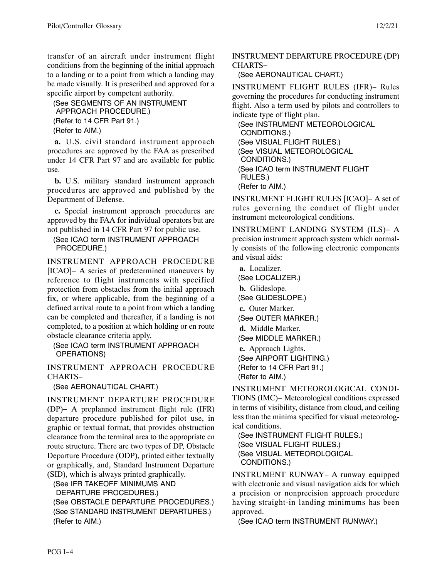transfer of an aircraft under instrument flight conditions from the beginning of the initial approach to a landing or to a point from which a landing may be made visually. It is prescribed and approved for a specific airport by competent authority.

(See SEGMENTS OF AN INSTRUMENT APPROACH PROCEDURE.) (Refer to 14 CFR Part 91.) (Refer to AIM.)

 **a.** U.S. civil standard instrument approach procedures are approved by the FAA as prescribed under 14 CFR Part 97 and are available for public use.

 procedures are approved and published by the **b.** U.S. military standard instrument approach Department of Defense.

**c.** Special instrument approach procedures are approved by the FAA for individual operators but are not published in 14 CFR Part 97 for public use.

(See ICAO term INSTRUMENT APPROACH PROCEDURE.)

 reference to flight instruments with specified INSTRUMENT APPROACH PROCEDURE  $[ICAO]$ – A series of predetermined maneuvers by protection from obstacles from the initial approach fix, or where applicable, from the beginning of a defined arrival route to a point from which a landing can be completed and thereafter, if a landing is not completed, to a position at which holding or en route obstacle clearance criteria apply.

(See ICAO term INSTRUMENT APPROACH OPERATIONS)

INSTRUMENT APPROACH PROCEDURE CHARTS-

(See AERONAUTICAL CHART.)

 departure procedure published for pilot use, in INSTRUMENT DEPARTURE PROCEDURE  $(DP)$ – A preplanned instrument flight rule (IFR) graphic or textual format, that provides obstruction clearance from the terminal area to the appropriate en route structure. There are two types of DP, Obstacle Departure Procedure (ODP), printed either textually or graphically, and, Standard Instrument Departure (SID), which is always printed graphically.

(See IFR TAKEOFF MINIMUMS AND DEPARTURE PROCEDURES.) (See OBSTACLE DEPARTURE PROCEDURES.) (See STANDARD INSTRUMENT DEPARTURES.) (Refer to AIM.)

INSTRUMENT DEPARTURE PROCEDURE (DP) CHARTS-

(See AERONAUTICAL CHART.)

INSTRUMENT FLIGHT RULES (IFR)- Rules governing the procedures for conducting instrument flight. Also a term used by pilots and controllers to indicate type of flight plan.

(See INSTRUMENT METEOROLOGICAL CONDITIONS.) (See VISUAL FLIGHT RULES.) (See VISUAL METEOROLOGICAL CONDITIONS.) (See ICAO term INSTRUMENT FLIGHT RULES.) (Refer to AIM.)

INSTRUMENT FLIGHT RULES [ICAO]– A set of rules governing the conduct of flight under instrument meteorological conditions.

INSTRUMENT LANDING SYSTEM (ILS)- A precision instrument approach system which normally consists of the following electronic components and visual aids:

**a.** Localizer. (See LOCALIZER.) **b.** Glideslope. (See GLIDESLOPE.) **c.** Outer Marker. (See OUTER MARKER.) **d.** Middle Marker. (See MIDDLE MARKER.) **e.** Approach Lights. (See AIRPORT LIGHTING.) (Refer to 14 CFR Part 91.)

(Refer to AIM.)

INSTRUMENT METEOROLOGICAL CONDI-TIONS (IMC)– Meteorological conditions expressed in terms of visibility, distance from cloud, and ceiling less than the minima specified for visual meteorological conditions.

(See INSTRUMENT FLIGHT RULES.) (See VISUAL FLIGHT RULES.) (See VISUAL METEOROLOGICAL CONDITIONS.)

 a precision or nonprecision approach procedure INSTRUMENT RUNWAY - A runway equipped with electronic and visual navigation aids for which having straight-in landing minimums has been approved.

(See ICAO term INSTRUMENT RUNWAY.)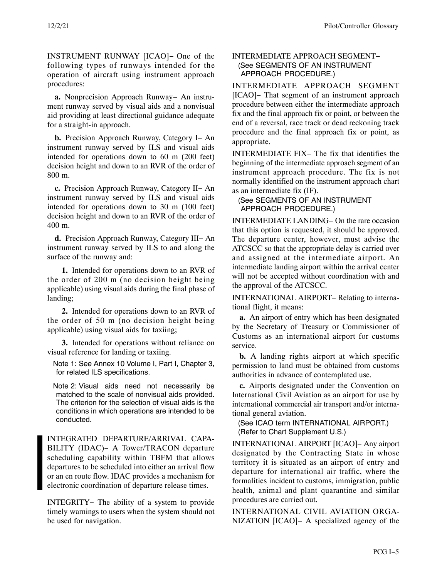INSTRUMENT RUNWAY [ICAO]– One of the following types of runways intended for the operation of aircraft using instrument approach procedures:

**a.** Nonprecision Approach Runway- An instrument runway served by visual aids and a nonvisual aid providing at least directional guidance adequate for a straight-in approach.

**b.** Precision Approach Runway, Category I- An instrument runway served by ILS and visual aids intended for operations down to 60 m (200 feet) decision height and down to an RVR of the order of 800 m.

**c.** Precision Approach Runway, Category II-An instrument runway served by ILS and visual aids intended for operations down to 30 m (100 feet) decision height and down to an RVR of the order of 400 m.

**d.** Precision Approach Runway, Category III–An instrument runway served by ILS to and along the surface of the runway and:

 the order of 200 m (no decision height being **1.** Intended for operations down to an RVR of applicable) using visual aids during the final phase of landing;

 the order of 50 m (no decision height being **2.** Intended for operations down to an RVR of applicable) using visual aids for taxiing;

**3.** Intended for operations without reliance on visual reference for landing or taxiing.

Note 1: See Annex 10 Volume I, Part I, Chapter 3, for related ILS specifications.

Note 2: Visual aids need not necessarily be matched to the scale of nonvisual aids provided. The criterion for the selection of visual aids is the conditions in which operations are intended to be conducted.

 scheduling capability within TBFM that allows INTEGRATED DEPARTURE/ARRIVAL CAPA-BILITY (IDAC)– A Tower/TRACON departure departures to be scheduled into either an arrival flow or an en route flow. IDAC provides a mechanism for electronic coordination of departure release times.

INTEGRITY- The ability of a system to provide timely warnings to users when the system should not be used for navigation.

#### INTERMEDIATE APPROACH SEGMENT-(See SEGMENTS OF AN INSTRUMENT APPROACH PROCEDURE.)

INTERMEDIATE APPROACH SEGMENT [ICAO]– That segment of an instrument approach procedure between either the intermediate approach fix and the final approach fix or point, or between the end of a reversal, race track or dead reckoning track procedure and the final approach fix or point, as appropriate.

 instrument approach procedure. The fix is not INTERMEDIATE FIX $-$  The fix that identifies the beginning of the intermediate approach segment of an normally identified on the instrument approach chart as an intermediate fix (IF).

(See SEGMENTS OF AN INSTRUMENT APPROACH PROCEDURE.)

 The departure center, however, must advise the and assigned at the intermediate airport. An INTERMEDIATE LANDING - On the rare occasion that this option is requested, it should be approved. ATCSCC so that the appropriate delay is carried over intermediate landing airport within the arrival center will not be accepted without coordination with and the approval of the ATCSCC.

INTERNATIONAL AIRPORT- Relating to international flight, it means:

**a.** An airport of entry which has been designated by the Secretary of Treasury or Commissioner of Customs as an international airport for customs service.

 **b.** A landing rights airport at which specific permission to land must be obtained from customs authorities in advance of contemplated use.

**c.** Airports designated under the Convention on International Civil Aviation as an airport for use by international commercial air transport and/or international general aviation.

(See ICAO term INTERNATIONAL AIRPORT.) (Refer to Chart Supplement U.S.)

 designated by the Contracting State in whose territory it is situated as an airport of entry and departure for international air traffic, where the health, animal and plant quarantine and similar INTERNATIONAL AIRPORT [ICAO]- Any airport formalities incident to customs, immigration, public procedures are carried out.

 INTERNATIONAL CIVIL AVIATION ORGA-NIZATION  $[ICAO]$ - A specialized agency of the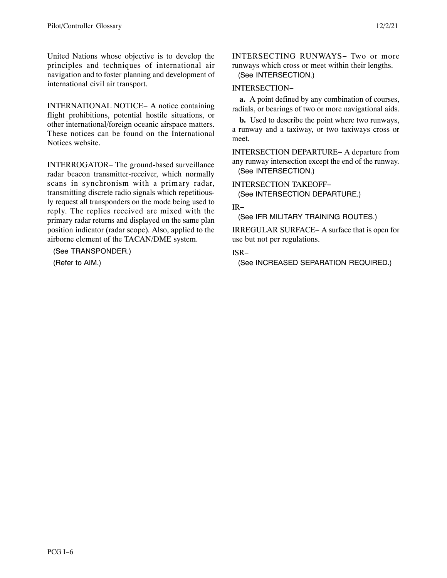principles and techniques of international air United Nations whose objective is to develop the navigation and to foster planning and development of international civil air transport.

 These notices can be found on the International INTERNATIONAL NOTICE- A notice containing flight prohibitions, potential hostile situations, or other international/foreign oceanic airspace matters. Notices website.

 scans in synchronism with a primary radar, reply. The replies received are mixed with the INTERROGATOR- The ground-based surveillance radar beacon transmitter-receiver, which normally transmitting discrete radio signals which repetitiously request all transponders on the mode being used to primary radar returns and displayed on the same plan position indicator (radar scope). Also, applied to the airborne element of the TACAN/DME system.

(See TRANSPONDER.) (Refer to AIM.)

INTERSECTING RUNWAYS- Two or more runways which cross or meet within their lengths. (See INTERSECTION.)

#### INTERSECTION-

**a.** A point defined by any combination of courses, radials, or bearings of two or more navigational aids.

**b.** Used to describe the point where two runways, a runway and a taxiway, or two taxiways cross or meet.

INTERSECTION DEPARTURE- A departure from any runway intersection except the end of the runway. (See INTERSECTION.)

INTERSECTION TAKEOFF-

(See INTERSECTION DEPARTURE.)

#### $IR -$

(See IFR MILITARY TRAINING ROUTES.)

IRREGULAR SURFACE – A surface that is open for use but not per regulations.

#### ISR-

(See INCREASED SEPARATION REQUIRED.)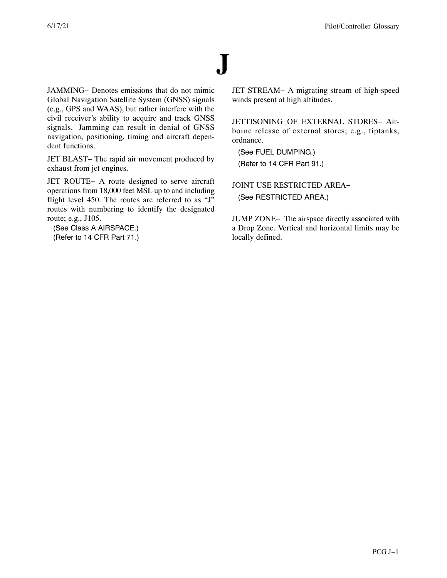### **J**

 signals. Jamming can result in denial of GNSS JAMMING – Denotes emissions that do not mimic Global Navigation Satellite System (GNSS) signals (e.g., GPS and WAAS), but rather interfere with the civil receiver's ability to acquire and track GNSS navigation, positioning, timing and aircraft dependent functions.

JET BLAST- The rapid air movement produced by exhaust from jet engines.

JET ROUTE- A route designed to serve aircraft operations from 18,000 feet MSL up to and including flight level 450. The routes are referred to as "J" routes with numbering to identify the designated route; e.g., J105.

(See Class A AIRSPACE.) (Refer to 14 CFR Part 71.) JET STREAM - A migrating stream of high-speed winds present at high altitudes.

JETTISONING OF EXTERNAL STORES- Airborne release of external stores; e.g., tiptanks, ordnance.

(See FUEL DUMPING.) (Refer to 14 CFR Part 91.)

JOINT USE RESTRICTED AREA-(See RESTRICTED AREA.)

JUMP ZONE – The airspace directly associated with a Drop Zone. Vertical and horizontal limits may be locally defined.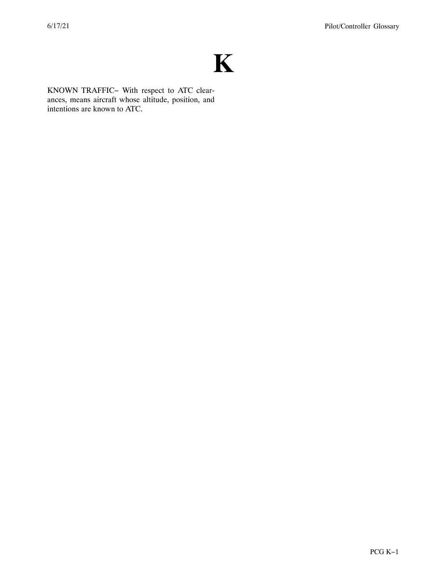KNOWN TRAFFIC- With respect to ATC clearances, means aircraft whose altitude, position, and intentions are known to ATC.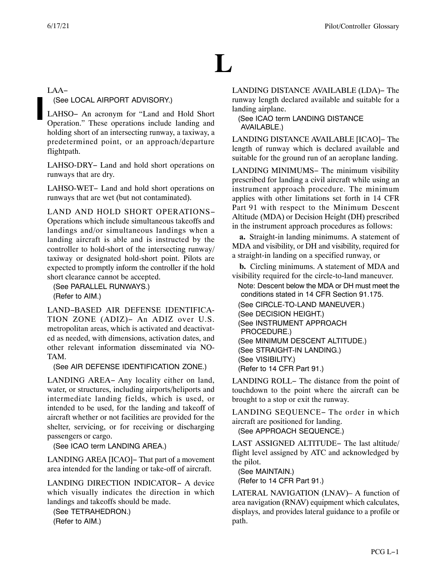## $\mathbf{L}$

#### $LAA$

#### (See LOCAL AIRPORT ADVISORY.)

 predetermined point, or an approach/departure LAHSO- An acronym for "Land and Hold Short Operation." These operations include landing and holding short of an intersecting runway, a taxiway, a flightpath.

LAHSO-DRY– Land and hold short operations on runways that are dry.

LAHSO-WET- Land and hold short operations on runways that are wet (but not contaminated).

LAND AND HOLD SHORT OPERATIONS- landings and/or simultaneous landings when a landing aircraft is able and is instructed by the Operations which include simultaneous takeoffs and controller to hold-short of the intersecting runway/ taxiway or designated hold-short point. Pilots are expected to promptly inform the controller if the hold short clearance cannot be accepted.

(See PARALLEL RUNWAYS.) (Refer to AIM.)

TION ZONE (ADIZ)- An ADIZ over U.S. LAND-BASED AIR DEFENSE IDENTIFICAmetropolitan areas, which is activated and deactivated as needed, with dimensions, activation dates, and other relevant information disseminated via NO-TAM.

(See AIR DEFENSE IDENTIFICATION ZONE.)

LANDING AREA- Any locality either on land, water, or structures, including airports/heliports and intermediate landing fields, which is used, or intended to be used, for the landing and takeoff of aircraft whether or not facilities are provided for the shelter, servicing, or for receiving or discharging passengers or cargo.

(See ICAO term LANDING AREA.)

LANDING AREA [ICAO]– That part of a movement area intended for the landing or take-off of aircraft.

 which visually indicates the direction in which LANDING DIRECTION INDICATOR- A device landings and takeoffs should be made.

(See TETRAHEDRON.) (Refer to AIM.)

LANDING DISTANCE AVAILABLE (LDA)- The runway length declared available and suitable for a landing airplane.

(See ICAO term LANDING DISTANCE AVAILABLE.)

LANDING DISTANCE AVAILABLE [ICAO]- The length of runway which is declared available and suitable for the ground run of an aeroplane landing.

 instrument approach procedure. The minimum Part 91 with respect to the Minimum Descent LANDING MINIMUMS- The minimum visibility prescribed for landing a civil aircraft while using an applies with other limitations set forth in 14 CFR Altitude (MDA) or Decision Height (DH) prescribed in the instrument approach procedures as follows:

**a.** Straight-in landing minimums. A statement of MDA and visibility, or DH and visibility, required for a straight-in landing on a specified runway, or

**b.** Circling minimums. A statement of MDA and visibility required for the circle-to-land maneuver.

Note: Descent below the MDA or DH must meet the conditions stated in 14 CFR Section 91.175. (See CIRCLE-TO-LAND MANEUVER.) (See DECISION HEIGHT.) (See INSTRUMENT APPROACH PROCEDURE.) (See MINIMUM DESCENT ALTITUDE.) (See STRAIGHT-IN LANDING.) (See VISIBILITY.) (Refer to 14 CFR Part 91.)

LANDING ROLL- The distance from the point of touchdown to the point where the aircraft can be brought to a stop or exit the runway.

LANDING SEQUENCE- The order in which aircraft are positioned for landing.

(See APPROACH SEQUENCE.)

LAST ASSIGNED ALTITUDE- The last altitude/ flight level assigned by ATC and acknowledged by the pilot.

(See MAINTAIN.) (Refer to 14 CFR Part 91.)

LATERAL NAVIGATION (LNAV)– A function of area navigation (RNAV) equipment which calculates, displays, and provides lateral guidance to a profile or path.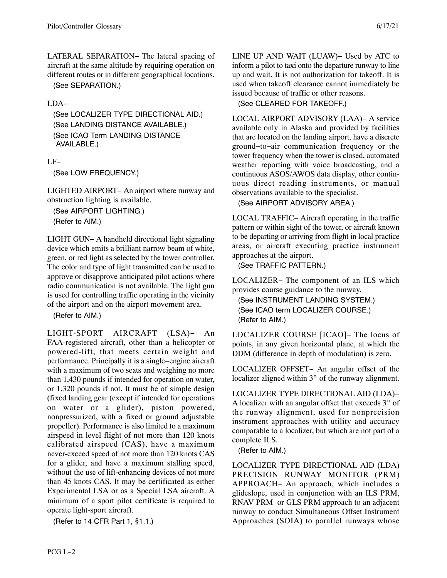LATERAL SEPARATION- The lateral spacing of aircraft at the same altitude by requiring operation on different routes or in different geographical locations.

(See SEPARATION.)

#### LDA-

(See LOCALIZER TYPE DIRECTIONAL AID.) (See LANDING DISTANCE AVAILABLE.) (See ICAO Term LANDING DISTANCE AVAILABLE.)

#### $LF-$

(See LOW FREQUENCY.)

LIGHTED AIRPORT - An airport where runway and obstruction lighting is available.

(See AIRPORT LIGHTING.)

(Refer to AIM.)

LIGHT GUN– A handheld directional light signaling device which emits a brilliant narrow beam of white, green, or red light as selected by the tower controller. The color and type of light transmitted can be used to approve or disapprove anticipated pilot actions where radio communication is not available. The light gun is used for controlling traffic operating in the vicinity of the airport and on the airport movement area.

(Refer to AIM.)

 powered-lift, that meets certain weight and on water or a glider), piston powered, calibrated airspeed (CAS), have a maximum LIGHT-SPORT AIRCRAFT (LSA)- An FAA-registered aircraft, other than a helicopter or performance. Principally it is a single-engine aircraft with a maximum of two seats and weighing no more than 1,430 pounds if intended for operation on water, or 1,320 pounds if not. It must be of simple design (fixed landing gear (except if intended for operations nonpressurized, with a fixed or ground adjustable propeller). Performance is also limited to a maximum airspeed in level flight of not more than 120 knots never-exceed speed of not more than 120 knots CAS for a glider, and have a maximum stalling speed, without the use of lift-enhancing devices of not more than 45 knots CAS. It may be certificated as either Experimental LSA or as a Special LSA aircraft. A minimum of a sport pilot certificate is required to operate light-sport aircraft.

(Refer to 14 CFR Part 1, §1.1.)

LINE UP AND WAIT (LUAW)- Used by ATC to inform a pilot to taxi onto the departure runway to line up and wait. It is not authorization for takeoff. It is used when takeoff clearance cannot immediately be issued because of traffic or other reasons.

(See CLEARED FOR TAKEOFF.)

ground-to-air communication frequency or the uous direct reading instruments, or manual LOCAL AIRPORT ADVISORY (LAA)– A service available only in Alaska and provided by facilities that are located on the landing airport, have a discrete tower frequency when the tower is closed, automated weather reporting with voice broadcasting, and a continuous ASOS/AWOS data display, other continobservations available to the specialist.

(See AIRPORT ADVISORY AREA.)

LOCAL TRAFFIC- Aircraft operating in the traffic pattern or within sight of the tower, or aircraft known to be departing or arriving from flight in local practice areas, or aircraft executing practice instrument approaches at the airport.

(See TRAFFIC PATTERN.)

LOCALIZER- The component of an ILS which provides course guidance to the runway.

(See INSTRUMENT LANDING SYSTEM.) (See ICAO term LOCALIZER COURSE.) (Refer to AIM.)

LOCALIZER COURSE [ICAO]- The locus of points, in any given horizontal plane, at which the DDM (difference in depth of modulation) is zero.

LOCALIZER OFFSET- An angular offset of the localizer aligned within  $3^\circ$  of the runway alignment.

 the runway alignment, used for nonprecision instrument approaches with utility and accuracy LOCALIZER TYPE DIRECTIONAL AID (LDA)-A localizer with an angular offset that exceeds  $3°$  of comparable to a localizer, but which are not part of a complete ILS.

(Refer to AIM.)

APPROACH- An approach, which includes a Approaches (SOIA) to parallel runways whose LOCALIZER TYPE DIRECTIONAL AID (LDA) PRECISION RUNWAY MONITOR (PRM) glideslope, used in conjunction with an ILS PRM, RNAV PRM or GLS PRM approach to an adjacent runway to conduct Simultaneous Offset Instrument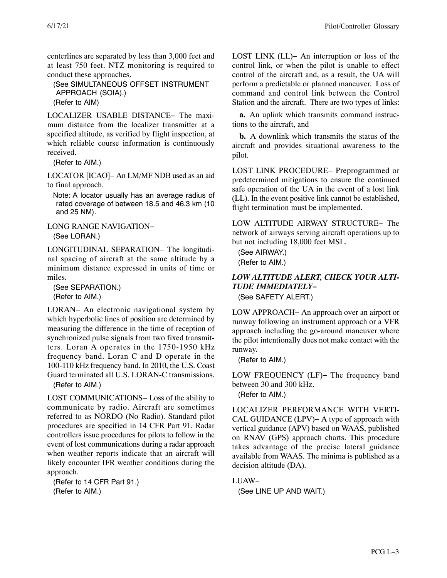centerlines are separated by less than 3,000 feet and at least 750 feet. NTZ monitoring is required to conduct these approaches.

(See SIMULTANEOUS OFFSET INSTRUMENT APPROACH (SOIA).)

(Refer to AIM)

LOCALIZER USABLE DISTANCE- The maximum distance from the localizer transmitter at a specified altitude, as verified by flight inspection, at which reliable course information is continuously received.

(Refer to AIM.)

LOCATOR [ICAO]- An LM/MF NDB used as an aid to final approach.

Note: A locator usually has an average radius of rated coverage of between 18.5 and 46.3 km (10 and 25 NM).

LONG RANGE NAVIGATION-(See LORAN.)

 nal spacing of aircraft at the same altitude by a minimum distance expressed in units of time or LONGITUDINAL SEPARATION- The longitudimiles.

(See SEPARATION.) (Refer to AIM.)

LORAN- An electronic navigational system by ters. Loran A operates in the 1750-1950 kHz which hyperbolic lines of position are determined by measuring the difference in the time of reception of synchronized pulse signals from two fixed transmitfrequency band. Loran C and D operate in the 100-110 kHz frequency band. In 2010, the U.S. Coast Guard terminated all U.S. LORAN-C transmissions. (Refer to AIM.)

 communicate by radio. Aircraft are sometimes LOST COMMUNICATIONS - Loss of the ability to referred to as NORDO (No Radio). Standard pilot procedures are specified in 14 CFR Part 91. Radar controllers issue procedures for pilots to follow in the event of lost communications during a radar approach when weather reports indicate that an aircraft will likely encounter IFR weather conditions during the approach.

(Refer to 14 CFR Part 91.) (Refer to AIM.)

 command and control link between the Control LOST LINK  $(LL)$ – An interruption or loss of the control link, or when the pilot is unable to effect control of the aircraft and, as a result, the UA will perform a predictable or planned maneuver. Loss of Station and the aircraft. There are two types of links:

**a.** An uplink which transmits command instructions to the aircraft, and

**b.** A downlink which transmits the status of the aircraft and provides situational awareness to the pilot.

LOST LINK PROCEDURE- Preprogrammed or predetermined mitigations to ensure the continued safe operation of the UA in the event of a lost link (LL). In the event positive link cannot be established, flight termination must be implemented.

LOW ALTITUDE AIRWAY STRUCTURE- The network of airways serving aircraft operations up to but not including 18,000 feet MSL.

(See AIRWAY.) (Refer to AIM.)

#### *LOW ALTITUDE ALERT, CHECK YOUR ALTI-TUDE IMMEDIATELYï* (See SAFETY ALERT.)

LOW APPROACH - An approach over an airport or runway following an instrument approach or a VFR approach including the go-around maneuver where the pilot intentionally does not make contact with the runway.

(Refer to AIM.)

LOW FREQUENCY (LF)- The frequency band between 30 and 300 kHz.

(Refer to AIM.)

 LOCALIZER PERFORMANCE WITH VERTI- takes advantage of the precise lateral guidance CAL GUIDANCE (LPV)- A type of approach with vertical guidance (APV) based on WAAS, published on RNAV (GPS) approach charts. This procedure available from WAAS. The minima is published as a decision altitude (DA).

LUAW-

(See LINE UP AND WAIT.)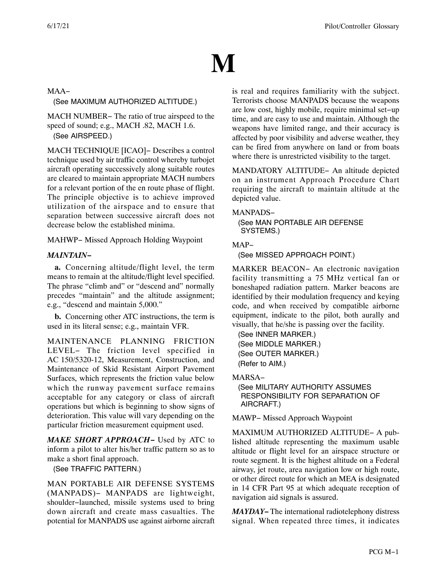# **M**

#### MAA-

(See MAXIMUM AUTHORIZED ALTITUDE.)

MACH NUMBER-The ratio of true airspeed to the speed of sound; e.g., MACH .82, MACH 1.6.

(See AIRSPEED.)

 utilization of the airspace and to ensure that separation between successive aircraft does not MACH TECHNIQUE [ICAO] – Describes a control technique used by air traffic control whereby turbojet aircraft operating successively along suitable routes are cleared to maintain appropriate MACH numbers for a relevant portion of the en route phase of flight. The principle objective is to achieve improved decrease below the established minima.

MAHWP- Missed Approach Holding Waypoint

#### *MAINTAINï*

 **a.** Concerning altitude/flight level, the term means to remain at the altitude/flight level specified. The phrase "climb and" or "descend and" normally precedes "maintain" and the altitude assignment; e.g., "descend and maintain 5,000."

**b.** Concerning other ATC instructions, the term is used in its literal sense; e.g., maintain VFR.

LEVEL- The friction level specified in which the runway pavement surface remains acceptable for any category or class of aircraft MAINTENANCE PLANNING FRICTION AC 150/5320-12, Measurement, Construction, and Maintenance of Skid Resistant Airport Pavement Surfaces, which represents the friction value below operations but which is beginning to show signs of deterioration. This value will vary depending on the particular friction measurement equipment used.

*MAKE SHORT APPROACH*- Used by ATC to inform a pilot to alter his/her traffic pattern so as to make a short final approach.

(See TRAFFIC PATTERN.)

 down aircraft and create mass casualties. The MAN PORTABLE AIR DEFENSE SYSTEMS (MANPADS)- MANPADS are lightweight, shoulder-launched, missile systems used to bring potential for MANPADS use against airborne aircraft

is real and requires familiarity with the subject. Terrorists choose MANPADS because the weapons are low cost, highly mobile, require minimal set-up time, and are easy to use and maintain. Although the weapons have limited range, and their accuracy is affected by poor visibility and adverse weather, they can be fired from anywhere on land or from boats where there is unrestricted visibility to the target.

 on an instrument Approach Procedure Chart requiring the aircraft to maintain altitude at the MANDATORY ALTITUDE- An altitude depicted depicted value.

MANPADS-

(See MAN PORTABLE AIR DEFENSE SYSTEMS.)

 $MAP-$ 

(See MISSED APPROACH POINT.)

MARKER BEACON– An electronic navigation facility transmitting a 75 MHz vertical fan or boneshaped radiation pattern. Marker beacons are identified by their modulation frequency and keying code, and when received by compatible airborne equipment, indicate to the pilot, both aurally and visually, that he/she is passing over the facility.

(See INNER MARKER.) (See MIDDLE MARKER.) (See OUTER MARKER.) (Refer to AIM.)

MARSA-

(See MILITARY AUTHORITY ASSUMES RESPONSIBILITY FOR SEPARATION OF AIRCRAFT.)

MAWP- Missed Approach Waypoint

MAXIMUM AUTHORIZED ALTITUDE- A published altitude representing the maximum usable altitude or flight level for an airspace structure or route segment. It is the highest altitude on a Federal airway, jet route, area navigation low or high route, or other direct route for which an MEA is designated in 14 CFR Part 95 at which adequate reception of navigation aid signals is assured.

 signal. When repeated three times, it indicates *MAYDAY*–The international radiotelephony distress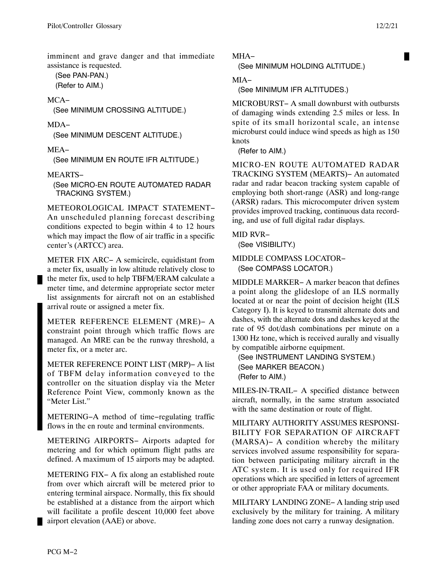imminent and grave danger and that immediate assistance is requested.

 (See PAN-PAN.) (Refer to AIM.)

MCA-

(See MINIMUM CROSSING ALTITUDE.)

MDA-

(See MINIMUM DESCENT ALTITUDE.)

#### $MEA-$

(See MINIMUM EN ROUTE IFR ALTITUDE.)

#### **MEARTS-**

(See MICRO-EN ROUTE AUTOMATED RADAR TRACKING SYSTEM.)

 An unscheduled planning forecast describing METEOROLOGICAL IMPACT STATEMENTconditions expected to begin within 4 to 12 hours which may impact the flow of air traffic in a specific center's (ARTCC) area.

METER FIX ARC- A semicircle, equidistant from a meter fix, usually in low altitude relatively close to the meter fix, used to help TBFM/ERAM calculate a meter time, and determine appropriate sector meter list assignments for aircraft not on an established arrival route or assigned a meter fix.

METER REFERENCE ELEMENT (MRE)- A constraint point through which traffic flows are managed. An MRE can be the runway threshold, a meter fix, or a meter arc.

 controller on the situation display via the Meter Reference Point View, commonly known as the METER REFERENCE POINT LIST (MRP)- A list of TBFM delay information conveyed to the "Meter List."

METERING-A method of time-regulating traffic flows in the en route and terminal environments.

METERING AIRPORTS- Airports adapted for metering and for which optimum flight paths are defined. A maximum of 15 airports may be adapted.

METERING FIX $-$  A fix along an established route from over which aircraft will be metered prior to entering terminal airspace. Normally, this fix should be established at a distance from the airport which will facilitate a profile descent 10,000 feet above airport elevation (AAE) or above.

MHA-

(See MINIMUM HOLDING ALTITUDE.)

#### MIA-

(See MINIMUM IFR ALTITUDES.)

 spite of its small horizontal scale, an intense MICROBURST- A small downburst with outbursts of damaging winds extending 2.5 miles or less. In microburst could induce wind speeds as high as 150 knots

(Refer to AIM.)

MICRO-EN ROUTE AUTOMATED RADAR TRACKING SYSTEM (MEARTS)- An automated radar and radar beacon tracking system capable of employing both short-range (ASR) and long-range (ARSR) radars. This microcomputer driven system provides improved tracking, continuous data recording, and use of full digital radar displays.

MID RVR-

(See VISIBILITY.)

MIDDLE COMPASS LOCATOR-(See COMPASS LOCATOR.)

 a point along the glideslope of an ILS normally MIDDLE MARKER– A marker beacon that defines located at or near the point of decision height (ILS Category I). It is keyed to transmit alternate dots and dashes, with the alternate dots and dashes keyed at the rate of 95 dot/dash combinations per minute on a 1300 Hz tone, which is received aurally and visually by compatible airborne equipment.

(See INSTRUMENT LANDING SYSTEM.) (See MARKER BEACON.) (Refer to AIM.)

MILES-IN-TRAIL- A specified distance between aircraft, normally, in the same stratum associated with the same destination or route of flight.

 BILITY FOR SEPARATION OF AIRCRAFT  $(MARSA)-$  A condition whereby the military ATC system. It is used only for required IFR MILITARY AUTHORITY ASSUMES RESPONSIservices involved assume responsibility for separation between participating military aircraft in the operations which are specified in letters of agreement or other appropriate FAA or military documents.

MILITARY LANDING ZONE- A landing strip used exclusively by the military for training. A military landing zone does not carry a runway designation.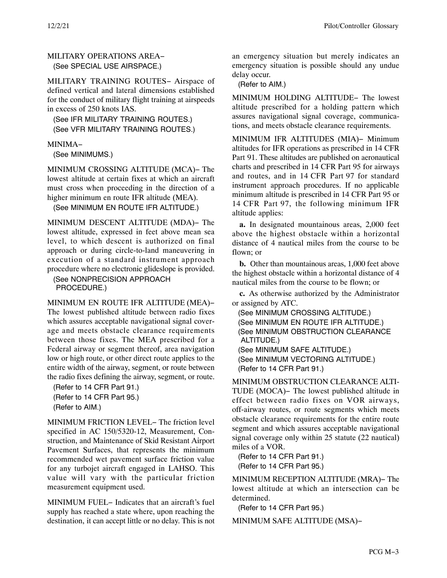#### **MILITARY OPERATIONS AREA-**(See SPECIAL USE AIRSPACE.)

MILITARY TRAINING ROUTES- Airspace of defined vertical and lateral dimensions established for the conduct of military flight training at airspeeds in excess of 250 knots IAS.

(See IFR MILITARY TRAINING ROUTES.) (See VFR MILITARY TRAINING ROUTES.)

#### MINIMA-

(See MINIMUMS.)

MINIMUM CROSSING ALTITUDE (MCA)- The lowest altitude at certain fixes at which an aircraft must cross when proceeding in the direction of a higher minimum en route IFR altitude (MEA).

(See MINIMUM EN ROUTE IFR ALTITUDE.)

 level, to which descent is authorized on final execution of a standard instrument approach MINIMUM DESCENT ALTITUDE (MDA)– The lowest altitude, expressed in feet above mean sea approach or during circle-to-land maneuvering in procedure where no electronic glideslope is provided.

(See NONPRECISION APPROACH PROCEDURE.)

 age and meets obstacle clearance requirements between those fixes. The MEA prescribed for a MINIMUM EN ROUTE IFR ALTITUDE (MEA)-The lowest published altitude between radio fixes which assures acceptable navigational signal cover-Federal airway or segment thereof, area navigation low or high route, or other direct route applies to the entire width of the airway, segment, or route between the radio fixes defining the airway, segment, or route.

(Refer to 14 CFR Part 91.) (Refer to 14 CFR Part 95.) (Refer to AIM.)

 value will vary with the particular friction MINIMUM FRICTION LEVEL– The friction level specified in AC 150/5320-12, Measurement, Construction, and Maintenance of Skid Resistant Airport Pavement Surfaces, that represents the minimum recommended wet pavement surface friction value for any turbojet aircraft engaged in LAHSO. This measurement equipment used.

MINIMUM FUEL- Indicates that an aircraft's fuel supply has reached a state where, upon reaching the destination, it can accept little or no delay. This is not

 an emergency situation but merely indicates an emergency situation is possible should any undue delay occur.

(Refer to AIM.)

 altitude prescribed for a holding pattern which MINIMUM HOLDING ALTITUDE- The lowest assures navigational signal coverage, communications, and meets obstacle clearance requirements.

 and routes, and in 14 CFR Part 97 for standard 14 CFR Part 97, the following minimum IFR MINIMUM IFR ALTITUDES (MIA)- Minimum altitudes for IFR operations as prescribed in 14 CFR Part 91. These altitudes are published on aeronautical charts and prescribed in 14 CFR Part 95 for airways instrument approach procedures. If no applicable minimum altitude is prescribed in 14 CFR Part 95 or altitude applies:

 above the highest obstacle within a horizontal **a.** In designated mountainous areas, 2,000 feet distance of 4 nautical miles from the course to be flown; or

**b.** Other than mountainous areas, 1,000 feet above the highest obstacle within a horizontal distance of 4 nautical miles from the course to be flown; or

**c.** As otherwise authorized by the Administrator or assigned by ATC.

(See MINIMUM CROSSING ALTITUDE.) (See MINIMUM EN ROUTE IFR ALTITUDE.) (See MINIMUM OBSTRUCTION CLEARANCE ALTITUDE.) (See MINIMUM SAFE ALTITUDE.) (See MINIMUM VECTORING ALTITUDE.) (Refer to 14 CFR Part 91.)

 effect between radio fixes on VOR airways, MINIMUM OBSTRUCTION CLEARANCE ALTI-TUDE (MOCA)– The lowest published altitude in off-airway routes, or route segments which meets obstacle clearance requirements for the entire route segment and which assures acceptable navigational signal coverage only within 25 statute (22 nautical) miles of a VOR.

(Refer to 14 CFR Part 91.) (Refer to 14 CFR Part 95.)

MINIMUM RECEPTION ALTITUDE (MRA)- The lowest altitude at which an intersection can be determined.

(Refer to 14 CFR Part 95.)

MINIMUM SAFE ALTITUDE (MSA)-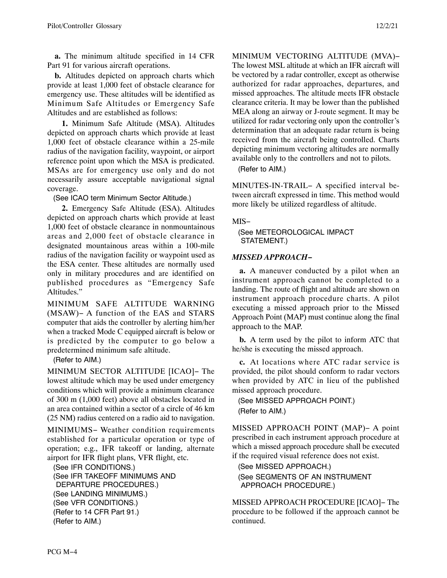**a.** The minimum altitude specified in 14 CFR Part 91 for various aircraft operations.

**b.** Altitudes depicted on approach charts which provide at least 1,000 feet of obstacle clearance for emergency use. These altitudes will be identified as Minimum Safe Altitudes or Emergency Safe Altitudes and are established as follows:

 MSAs are for emergency use only and do not **1.** Minimum Safe Altitude (MSA). Altitudes depicted on approach charts which provide at least 1,000 feet of obstacle clearance within a 25-mile radius of the navigation facility, waypoint, or airport reference point upon which the MSA is predicated. necessarily assure acceptable navigational signal coverage.

(See ICAO term Minimum Sector Altitude.)

 areas and 2,000 feet of obstacle clearance in **2.** Emergency Safe Altitude (ESA). Altitudes depicted on approach charts which provide at least 1,000 feet of obstacle clearance in nonmountainous designated mountainous areas within a 100-mile radius of the navigation facility or waypoint used as the ESA center. These altitudes are normally used only in military procedures and are identified on published procedures as "Emergency Safe Altitudes."

(MSAW)- A function of the EAS and STARS is predicted by the computer to go below a MINIMUM SAFE ALTITUDE WARNING computer that aids the controller by alerting him/her when a tracked Mode C equipped aircraft is below or predetermined minimum safe altitude.

(Refer to AIM.)

MINIMUM SECTOR ALTITUDE [ICAO]– The lowest altitude which may be used under emergency conditions which will provide a minimum clearance of 300 m (1,000 feet) above all obstacles located in an area contained within a sector of a circle of 46 km (25 NM) radius centered on a radio aid to navigation.

 established for a particular operation or type of MINIMUMS- Weather condition requirements operation; e.g., IFR takeoff or landing, alternate airport for IFR flight plans, VFR flight, etc.

(See IFR CONDITIONS.) (See IFR TAKEOFF MINIMUMS AND DEPARTURE PROCEDURES.) (See LANDING MINIMUMS.) (See VFR CONDITIONS.) (Refer to 14 CFR Part 91.) (Refer to AIM.)

 authorized for radar approaches, departures, and MINIMUM VECTORING ALTITUDE (MVA)-The lowest MSL altitude at which an IFR aircraft will be vectored by a radar controller, except as otherwise missed approaches. The altitude meets IFR obstacle clearance criteria. It may be lower than the published MEA along an airway or J-route segment. It may be utilized for radar vectoring only upon the controller's determination that an adequate radar return is being received from the aircraft being controlled. Charts

available only to the controllers and not to pilots. (Refer to AIM.)

MINUTES-IN-TRAIL- A specified interval between aircraft expressed in time. This method would more likely be utilized regardless of altitude.

depicting minimum vectoring altitudes are normally

 $MIS-$ 

(See METEOROLOGICAL IMPACT STATEMENT.)

#### *MISSED APPROACHï*

 **a.** A maneuver conducted by a pilot when an instrument approach cannot be completed to a instrument approach procedure charts. A pilot landing. The route of flight and altitude are shown on executing a missed approach prior to the Missed Approach Point (MAP) must continue along the final approach to the MAP.

**b.** A term used by the pilot to inform ATC that he/she is executing the missed approach.

 **c.** At locations where ATC radar service is when provided by ATC in lieu of the published provided, the pilot should conform to radar vectors missed approach procedure.

(See MISSED APPROACH POINT.) (Refer to AIM.)

MISSED APPROACH POINT (MAP)– A point prescribed in each instrument approach procedure at which a missed approach procedure shall be executed if the required visual reference does not exist.

(See MISSED APPROACH.) (See SEGMENTS OF AN INSTRUMENT APPROACH PROCEDURE.)

MISSED APPROACH PROCEDURE [ICAO]– The procedure to be followed if the approach cannot be continued.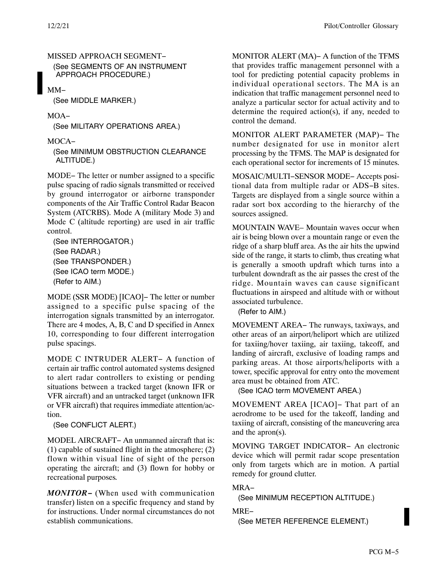### MISSED APPROACH SEGMENT-(See SEGMENTS OF AN INSTRUMENT APPROACH PROCEDURE.)

### $MM -$

(See MIDDLE MARKER.)

### $MOA$ -

(See MILITARY OPERATIONS AREA.)

### $MOCA-$

#### (See MINIMUM OBSTRUCTION CLEARANCE ALTITUDE.)

 by ground interrogator or airborne transponder MODE– The letter or number assigned to a specific pulse spacing of radio signals transmitted or received components of the Air Traffic Control Radar Beacon System (ATCRBS). Mode A (military Mode 3) and Mode C (altitude reporting) are used in air traffic control.

(See INTERROGATOR.) (See RADAR.) (See TRANSPONDER.) (See ICAO term MODE.) (Refer to AIM.)

 10, corresponding to four different interrogation MODE (SSR MODE) [ICAO]– The letter or number assigned to a specific pulse spacing of the interrogation signals transmitted by an interrogator. There are 4 modes, A, B, C and D specified in Annex pulse spacings.

 to alert radar controllers to existing or pending MODE C INTRUDER ALERT- A function of certain air traffic control automated systems designed situations between a tracked target (known IFR or VFR aircraft) and an untracked target (unknown IFR or VFR aircraft) that requires immediate attention/action.

(See CONFLICT ALERT.)

 flown within visual line of sight of the person MODEL AIRCRAFT - An unmanned aircraft that is: (1) capable of sustained flight in the atmosphere; (2) operating the aircraft; and (3) flown for hobby or recreational purposes*.* 

 *MONITORï* (When used with communication transfer) listen on a specific frequency and stand by for instructions. Under normal circumstances do not establish communications.

 individual operational sectors. The MA is an MONITOR ALERT ( $MA$ )– A function of the TFMS that provides traffic management personnel with a tool for predicting potential capacity problems in indication that traffic management personnel need to analyze a particular sector for actual activity and to determine the required action(s), if any, needed to control the demand.

 number designated for use in monitor alert MONITOR ALERT PARAMETER (MAP)- The processing by the TFMS. The MAP is designated for each operational sector for increments of 15 minutes.

tional data from multiple radar or ADS-B sites. radar sort box according to the hierarchy of the MOSAIC/MULTI-SENSOR MODE- Accepts posi-Targets are displayed from a single source within a sources assigned.

 ridge. Mountain waves can cause significant MOUNTAIN WAVE– Mountain waves occur when air is being blown over a mountain range or even the ridge of a sharp bluff area. As the air hits the upwind side of the range, it starts to climb, thus creating what is generally a smooth updraft which turns into a turbulent downdraft as the air passes the crest of the fluctuations in airspeed and altitude with or without associated turbulence.

(Refer to AIM.)

 parking areas. At those airports/heliports with a MOVEMENT AREA-The runways, taxiways, and other areas of an airport/heliport which are utilized for taxiing/hover taxiing, air taxiing, takeoff, and landing of aircraft, exclusive of loading ramps and tower, specific approval for entry onto the movement area must be obtained from ATC.

(See ICAO term MOVEMENT AREA.)

MOVEMENT AREA [ICAO]– That part of an aerodrome to be used for the takeoff, landing and taxiing of aircraft, consisting of the maneuvering area and the apron(s).

MOVING TARGET INDICATOR- An electronic device which will permit radar scope presentation only from targets which are in motion. A partial remedy for ground clutter.

MRA-

(See MINIMUM RECEPTION ALTITUDE.)

 $MRE-$ 

(See METER REFERENCE ELEMENT.)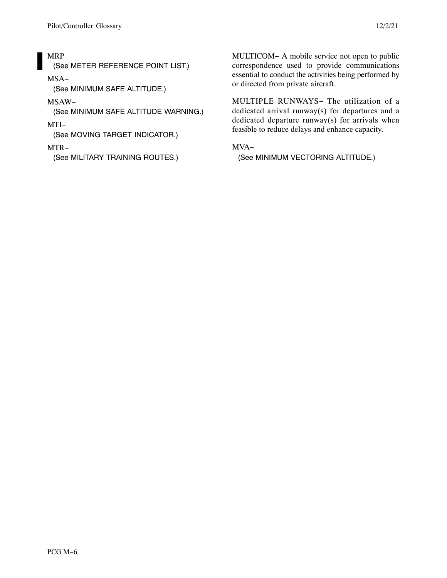### MRP

(See METER REFERENCE POINT LIST.)

 $MSA-$ 

(See MINIMUM SAFE ALTITUDE.)

MSAW-

(See MINIMUM SAFE ALTITUDE WARNING.)  $MTI-$ 

(See MOVING TARGET INDICATOR.)

### MTR-

(See MILITARY TRAINING ROUTES.)

MULTICOM- A mobile service not open to public correspondence used to provide communications essential to conduct the activities being performed by or directed from private aircraft.

MULTIPLE RUNWAYS- The utilization of a dedicated departure runway(s) for arrivals when dedicated arrival runway(s) for departures and a feasible to reduce delays and enhance capacity.

### $MVA-$

(See MINIMUM VECTORING ALTITUDE.)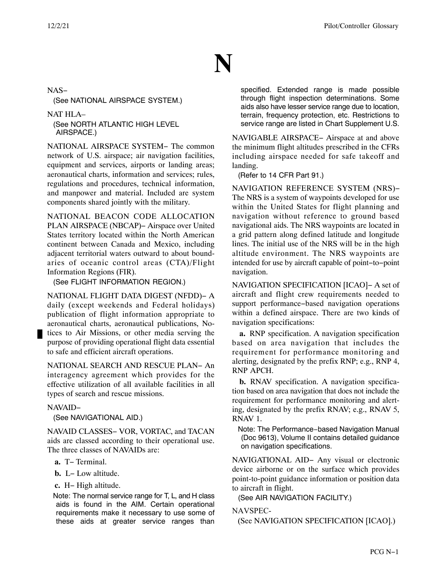### **N**

 $NAS-$ 

```
(See NATIONAL AIRSPACE SYSTEM.)
```
NAT HLA–

(See NORTH ATLANTIC HIGH LEVEL AIRSPACE.)

NATIONAL AIRSPACE SYSTEM - The common network of U.S. airspace; air navigation facilities, equipment and services, airports or landing areas; aeronautical charts, information and services; rules, regulations and procedures, technical information, and manpower and material. Included are system components shared jointly with the military.

 aries of oceanic control areas (CTA)/Flight NATIONAL BEACON CODE ALLOCATION PLAN AIRSPACE (NBCAP)- Airspace over United States territory located within the North American continent between Canada and Mexico, including adjacent territorial waters outward to about bound-Information Regions (FIR).

(See FLIGHT INFORMATION REGION.)

 daily (except weekends and Federal holidays) publication of flight information appropriate to NATIONAL FLIGHT DATA DIGEST (NFDD)- A aeronautical charts, aeronautical publications, Notices to Air Missions, or other media serving the purpose of providing operational flight data essential to safe and efficient aircraft operations.

 interagency agreement which provides for the NATIONAL SEARCH AND RESCUE PLAN- An effective utilization of all available facilities in all types of search and rescue missions.

### NAVAID-

(See NAVIGATIONAL AID.)

NAVAID CLASSES- VOR, VORTAC, and TACAN aids are classed according to their operational use. The three classes of NAVAIDs are:

- **a.** T-Terminal.
- **b.** L-Low altitude.
- **c.** H High altitude.

 Note: The normal service range for T, L, and H class aids is found in the AIM. Certain operational requirements make it necessary to use some of these aids at greater service ranges than

specified. Extended range is made possible through flight inspection determinations. Some aids also have lesser service range due to location, terrain, frequency protection, etc. Restrictions to service range are listed in Chart Supplement U.S.

 including airspace needed for safe takeoff and NAVIGABLE AIRSPACE – Airspace at and above the minimum flight altitudes prescribed in the CFRs landing.

(Refer to 14 CFR Part 91.)

NAVIGATION REFERENCE SYSTEM (NRS)- within the United States for flight planning and navigation without reference to ground based altitude environment. The NRS waypoints are The NRS is a system of waypoints developed for use navigational aids. The NRS waypoints are located in a grid pattern along defined latitude and longitude lines. The initial use of the NRS will be in the high intended for use by aircraft capable of point-to-point navigation.

 aircraft and flight crew requirements needed to NAVIGATION SPECIFICATION [ICAO]– A set of support performance–based navigation operations within a defined airspace. There are two kinds of navigation specifications:

 based on area navigation that includes the **a.** RNP specification. A navigation specification requirement for performance monitoring and alerting, designated by the prefix RNP; e.g., RNP 4, RNP APCH.

**b.** RNAV specification. A navigation specification based on area navigation that does not include the requirement for performance monitoring and alerting, designated by the prefix RNAV; e.g., RNAV 5, RNAV 1.

Note: The Performance-based Navigation Manual (Doc 9613), Volume II contains detailed guidance on navigation specifications.

NAVIGATIONAL AID- Any visual or electronic device airborne or on the surface which provides point-to-point guidance information or position data to aircraft in flight.

(See AIR NAVIGATION FACILITY.)

### NAVSPEC-

(See NAVIGATION SPECIFICATION [ICAO].)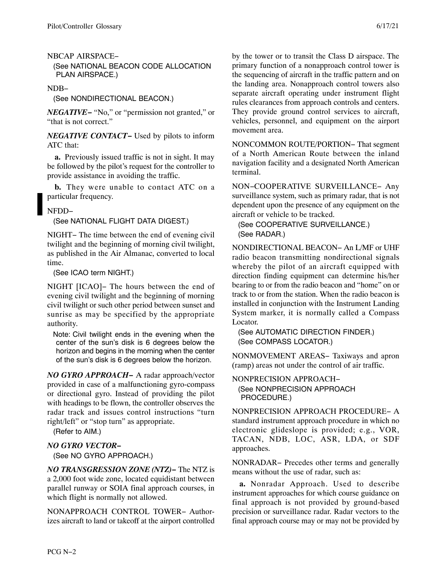NBCAP AIRSPACE-

(See NATIONAL BEACON CODE ALLOCATION PLAN AIRSPACE.)

NDB-

(See NONDIRECTIONAL BEACON.)

*NEGATIVE* – "No," or "permission not granted," or "that is not correct."

*NEGATIVE CONTACT* – Used by pilots to inform ATC that:

**a.** Previously issued traffic is not in sight. It may be followed by the pilot's request for the controller to provide assistance in avoiding the traffic.

 **b.** They were unable to contact ATC on a particular frequency.

NFDD-

(See NATIONAL FLIGHT DATA DIGEST.)

NIGHT– The time between the end of evening civil twilight and the beginning of morning civil twilight, as published in the Air Almanac, converted to local time.

(See ICAO term NIGHT.)

 $NIGHT [ICAO]$ – The hours between the end of sunrise as may be specified by the appropriate evening civil twilight and the beginning of morning civil twilight or such other period between sunset and authority.

Note: Civil twilight ends in the evening when the center of the sun's disk is 6 degrees below the horizon and begins in the morning when the center of the sun's disk is 6 degrees below the horizon.

 radar track and issues control instructions "turn *NO GYRO APPROACH* – A radar approach/vector provided in case of a malfunctioning gyro-compass or directional gyro. Instead of providing the pilot with headings to be flown, the controller observes the right/left" or "stop turn" as appropriate.

(Refer to AIM.)

### *NO GYRO VECTORï*

(See NO GYRO APPROACH.)

*NO TRANSGRESSION ZONE (NTZ)* – The NTZ is a 2,000 foot wide zone, located equidistant between parallel runway or SOIA final approach courses, in which flight is normally not allowed.

NONAPPROACH CONTROL TOWER- Authorizes aircraft to land or takeoff at the airport controlled by the tower or to transit the Class D airspace. The primary function of a nonapproach control tower is the sequencing of aircraft in the traffic pattern and on the landing area. Nonapproach control towers also separate aircraft operating under instrument flight rules clearances from approach controls and centers. They provide ground control services to aircraft, vehicles, personnel, and equipment on the airport movement area.

NONCOMMON ROUTE/PORTION- That segment of a North American Route between the inland navigation facility and a designated North American terminal.

NON-COOPERATIVE SURVEILLANCE- Any surveillance system, such as primary radar, that is not dependent upon the presence of any equipment on the aircraft or vehicle to be tracked.

(See COOPERATIVE SURVEILLANCE.) (See RADAR.)

 whereby the pilot of an aircraft equipped with System marker, it is normally called a Compass NONDIRECTIONAL BEACON- An L/MF or UHF radio beacon transmitting nondirectional signals direction finding equipment can determine his/her bearing to or from the radio beacon and "home" on or track to or from the station. When the radio beacon is installed in conjunction with the Instrument Landing Locator.

(See AUTOMATIC DIRECTION FINDER.) (See COMPASS LOCATOR.)

NONMOVEMENT AREAS- Taxiways and apron (ramp) areas not under the control of air traffic.

NONPRECISION APPROACH-(See NONPRECISION APPROACH PROCEDURE.)

NONPRECISION APPROACH PROCEDURE- A standard instrument approach procedure in which no electronic glideslope is provided; e.g., VOR, TACAN, NDB, LOC, ASR, LDA, or SDF approaches.

NONRADAR– Precedes other terms and generally means without the use of radar, such as:

 **a.** Nonradar Approach. Used to describe final approach is not provided by ground-based instrument approaches for which course guidance on precision or surveillance radar. Radar vectors to the final approach course may or may not be provided by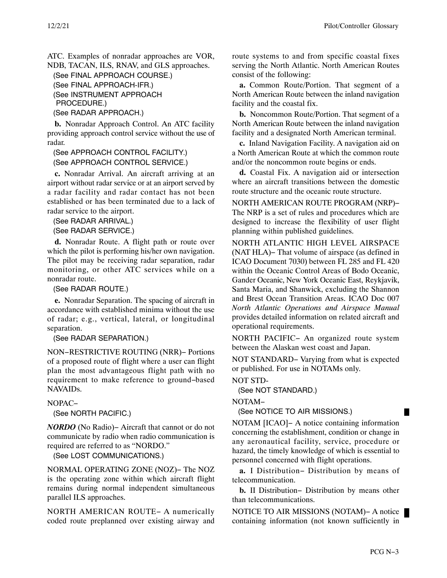ATC. Examples of nonradar approaches are VOR, NDB, TACAN, ILS, RNAV, and GLS approaches.

(See FINAL APPROACH COURSE.) (See FINAL APPROACH-IFR.) (See INSTRUMENT APPROACH PROCEDURE.) (See RADAR APPROACH.)

**b.** Nonradar Approach Control. An ATC facility providing approach control service without the use of radar.

(See APPROACH CONTROL FACILITY.) (See APPROACH CONTROL SERVICE.)

 a radar facility and radar contact has not been **c.** Nonradar Arrival. An aircraft arriving at an airport without radar service or at an airport served by established or has been terminated due to a lack of radar service to the airport.

(See RADAR ARRIVAL.) (See RADAR SERVICE.)

 monitoring, or other ATC services while on a **d.** Nonradar Route. A flight path or route over which the pilot is performing his/her own navigation. The pilot may be receiving radar separation, radar nonradar route.

(See RADAR ROUTE.)

 of radar; e.g., vertical, lateral, or longitudinal **e.** Nonradar Separation. The spacing of aircraft in accordance with established minima without the use separation.

(See RADAR SEPARATION.)

 plan the most advantageous flight path with no requirement to make reference to ground-based NON-RESTRICTIVE ROUTING (NRR)- Portions of a proposed route of flight where a user can flight NAVAIDs.

NOPAC-

(See NORTH PACIFIC.)

*NORDO* (No Radio)– Aircraft that cannot or do not communicate by radio when radio communication is required are referred to as "NORDO."

(See LOST COMMUNICATIONS.)

NORMAL OPERATING ZONE (NOZ)- The NOZ is the operating zone within which aircraft flight remains during normal independent simultaneous parallel ILS approaches.

NORTH AMERICAN ROUTE – A numerically coded route preplanned over existing airway and

 route systems to and from specific coastal fixes serving the North Atlantic. North American Routes consist of the following:

**a.** Common Route/Portion. That segment of a North American Route between the inland navigation facility and the coastal fix.

**b.** Noncommon Route/Portion. That segment of a North American Route between the inland navigation facility and a designated North American terminal.

**c.** Inland Navigation Facility. A navigation aid on a North American Route at which the common route and/or the noncommon route begins or ends.

**d.** Coastal Fix. A navigation aid or intersection where an aircraft transitions between the domestic route structure and the oceanic route structure.

NORTH AMERICAN ROUTE PROGRAM (NRP)-The NRP is a set of rules and procedures which are designed to increase the flexibility of user flight planning within published guidelines.

 NORTH ATLANTIC HIGH LEVEL AIRSPACE (NAT HLA) $-$  That volume of airspace (as defined in ICAO Document 7030) between FL 285 and FL 420 within the Oceanic Control Areas of Bodo Oceanic, Gander Oceanic, New York Oceanic East, Reykjavik, Santa Maria, and Shanwick, excluding the Shannon and Brest Ocean Transition Areas. ICAO Doc 007 *North Atlantic Operations and Airspace Manual*  provides detailed information on related aircraft and operational requirements.

NORTH PACIFIC- An organized route system between the Alaskan west coast and Japan.

NOT STANDARD– Varying from what is expected or published. For use in NOTAMs only.

NOT STD-

(See NOT STANDARD.)

NOTAM-

(See NOTICE TO AIR MISSIONS.)

 any aeronautical facility, service, procedure or NOTAM [ICAO]– A notice containing information concerning the establishment, condition or change in hazard, the timely knowledge of which is essential to personnel concerned with flight operations.

a. I Distribution- Distribution by means of telecommunication.

**b.** II Distribution– Distribution by means other than telecommunications.

NOTICE TO AIR MISSIONS (NOTAM)– A notice containing information (not known sufficiently in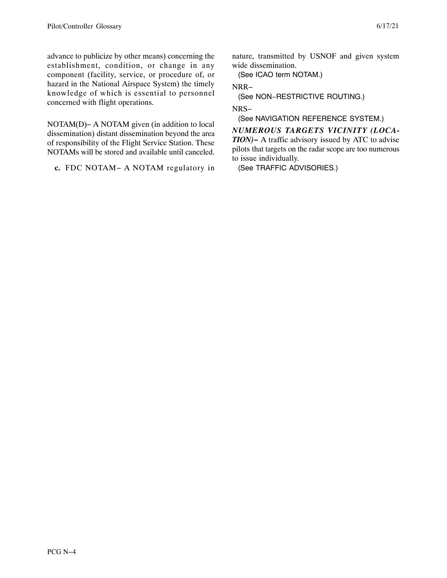establishment, condition, or change in any component (facility, service, or procedure of, or knowledge of which is essential to personnel advance to publicize by other means) concerning the hazard in the National Airspace System) the timely concerned with flight operations.

 $NOTAM(D)$ – A NOTAM given (in addition to local dissemination) distant dissemination beyond the area of responsibility of the Flight Service Station. These NOTAMs will be stored and available until canceled.

c. FDC NOTAM- A NOTAM regulatory in

nature, transmitted by USNOF and given system wide dissemination.

(See ICAO term NOTAM.)

NRR-

(See NON-RESTRICTIVE ROUTING.)

NRS-

(See NAVIGATION REFERENCE SYSTEM.)

 *NUMEROUS TARGETS VICINITY (LOCA-TION*) – A traffic advisory issued by ATC to advise pilots that targets on the radar scope are too numerous to issue individually.

(See TRAFFIC ADVISORIES.)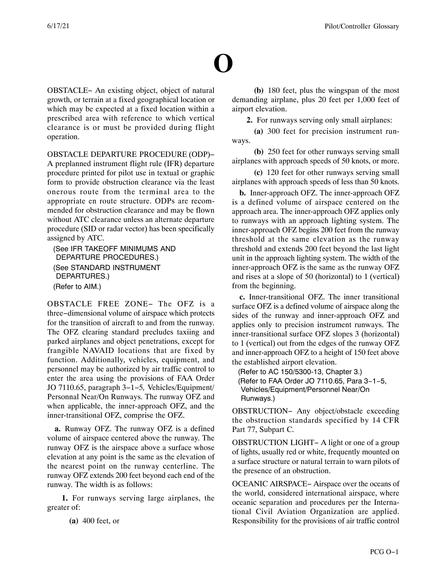# **O**

 prescribed area with reference to which vertical clearance is or must be provided during flight OBSTACLE– An existing object, object of natural growth, or terrain at a fixed geographical location or which may be expected at a fixed location within a operation.

OBSTACLE DEPARTURE PROCEDURE (ODP)-

 onerous route from the terminal area to the appropriate en route structure. ODPs are recom-A preplanned instrument flight rule (IFR) departure procedure printed for pilot use in textual or graphic form to provide obstruction clearance via the least mended for obstruction clearance and may be flown without ATC clearance unless an alternate departure procedure (SID or radar vector) has been specifically assigned by ATC.

(See IFR TAKEOFF MINIMUMS AND DEPARTURE PROCEDURES.) (See STANDARD INSTRUMENT DEPARTURES.) (Refer to AIM.)

OBSTACLE FREE ZONE- The OFZ is a frangible NAVAID locations that are fixed by function. Additionally, vehicles, equipment, and three–dimensional volume of airspace which protects for the transition of aircraft to and from the runway. The OFZ clearing standard precludes taxiing and parked airplanes and object penetrations, except for personnel may be authorized by air traffic control to enter the area using the provisions of FAA Order JO 7110.65, paragraph 3–1–5, Vehicles/Equipment/ Personnal Near/On Runways. The runway OFZ and when applicable, the inner-approach OFZ, and the inner-transitional OFZ, comprise the OFZ.

 the nearest point on the runway centerline. The **a.** Runway OFZ. The runway OFZ is a defined volume of airspace centered above the runway. The runway OFZ is the airspace above a surface whose elevation at any point is the same as the elevation of runway OFZ extends 200 feet beyond each end of the runway. The width is as follows:

 **1.** For runways serving large airplanes, the greater of:

**(a)** 400 feet, or

**(b)** 180 feet, plus the wingspan of the most demanding airplane, plus 20 feet per 1,000 feet of airport elevation.

**2.** For runways serving only small airplanes:

**(a)** 300 feet for precision instrument runways.

**(b)** 250 feet for other runways serving small airplanes with approach speeds of 50 knots, or more.

**(c)** 120 feet for other runways serving small airplanes with approach speeds of less than 50 knots.

 is a defined volume of airspace centered on the threshold at the same elevation as the runway **b.** Inner-approach OFZ. The inner-approach OFZ approach area. The inner-approach OFZ applies only to runways with an approach lighting system. The inner-approach OFZ begins 200 feet from the runway threshold and extends 200 feet beyond the last light unit in the approach lighting system. The width of the inner-approach OFZ is the same as the runway OFZ and rises at a slope of 50 (horizontal) to 1 (vertical) from the beginning.

**c.** Inner-transitional OFZ. The inner transitional surface OFZ is a defined volume of airspace along the sides of the runway and inner-approach OFZ and applies only to precision instrument runways. The inner-transitional surface OFZ slopes 3 (horizontal) to 1 (vertical) out from the edges of the runway OFZ and inner-approach OFZ to a height of 150 feet above the established airport elevation.

(Refer to AC 150/5300-13, Chapter 3.) (Refer to FAA Order JO 7110.65, Para  $3-1-5$ , Vehicles/Equipment/Personnel Near/On Runways.)

OBSTRUCTION- Any object/obstacle exceeding the obstruction standards specified by 14 CFR Part 77, Subpart C.

OBSTRUCTION LIGHT– A light or one of a group of lights, usually red or white, frequently mounted on a surface structure or natural terrain to warn pilots of the presence of an obstruction.

 tional Civil Aviation Organization are applied. OCEANIC AIRSPACE– Airspace over the oceans of the world, considered international airspace, where oceanic separation and procedures per the Interna-Responsibility for the provisions of air traffic control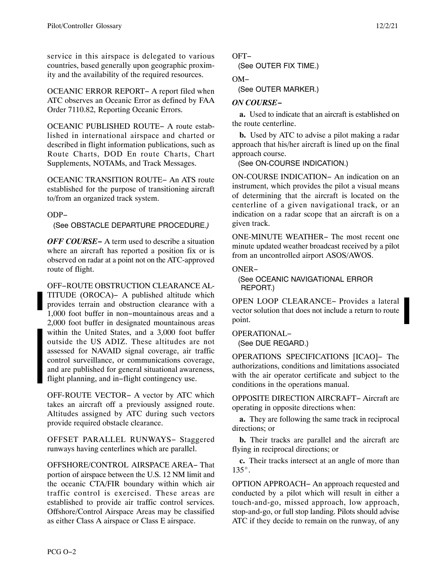service in this airspace is delegated to various countries, based generally upon geographic proximity and the availability of the required resources.

OCEANIC ERROR REPORT – A report filed when ATC observes an Oceanic Error as defined by FAA Order 7110.82, Reporting Oceanic Errors.

 lished in international airspace and charted or Route Charts, DOD En route Charts, Chart OCEANIC PUBLISHED ROUTE- A route estabdescribed in flight information publications, such as Supplements, NOTAMs, and Track Messages.

OCEANIC TRANSITION ROUTE- An ATS route established for the purpose of transitioning aircraft to/from an organized track system.

 $ODP$ 

(See OBSTACLE DEPARTURE PROCEDURE.)

*OFF COURSE* – A term used to describe a situation where an aircraft has reported a position fix or is observed on radar at a point not on the ATC-approved route of flight.

 outside the US ADIZ. These altitudes are not OFF-ROUTE OBSTRUCTION CLEARANCE AL-TITUDE (OROCA)- A published altitude which provides terrain and obstruction clearance with a 1,000 foot buffer in non-mountainous areas and a 2,000 foot buffer in designated mountainous areas within the United States, and a 3,000 foot buffer assessed for NAVAID signal coverage, air traffic control surveillance, or communications coverage, and are published for general situational awareness, flight planning, and in-flight contingency use.

 Altitudes assigned by ATC during such vectors OFF-ROUTE VECTOR- A vector by ATC which takes an aircraft off a previously assigned route. provide required obstacle clearance.

OFFSET PARALLEL RUNWAYS- Staggered runways having centerlines which are parallel.

 traffic control is exercised. These areas are OFFSHORE/CONTROL AIRSPACE AREA-That portion of airspace between the U.S. 12 NM limit and the oceanic CTA/FIR boundary within which air established to provide air traffic control services. Offshore/Control Airspace Areas may be classified as either Class A airspace or Class E airspace.

OFT-

(See OUTER FIX TIME.)

OM-

(See OUTER MARKER.)

### *ON COURSEï*

**a.** Used to indicate that an aircraft is established on the route centerline.

**b.** Used by ATC to advise a pilot making a radar approach that his/her aircraft is lined up on the final approach course.

(See ON-COURSE INDICATION.)

 centerline of a given navigational track, or an ON-COURSE INDICATION- An indication on an instrument, which provides the pilot a visual means of determining that the aircraft is located on the indication on a radar scope that an aircraft is on a given track.

ONE-MINUTE WEATHER– The most recent one minute updated weather broadcast received by a pilot from an uncontrolled airport ASOS/AWOS.

### ONER-

#### (See OCEANIC NAVIGATIONAL ERROR REPORT.)

OPEN LOOP CLEARANCE- Provides a lateral vector solution that does not include a return to route point.

OPERATIONAL-(See DUE REGARD.)

OPERATIONS SPECIFICATIONS [ICAO]- The authorizations, conditions and limitations associated with the air operator certificate and subject to the conditions in the operations manual.

OPPOSITE DIRECTION AIRCRAFT- Aircraft are operating in opposite directions when:

**a.** They are following the same track in reciprocal directions; or

**b.** Their tracks are parallel and the aircraft are flying in reciprocal directions; or

**c.** Their tracks intersect at an angle of more than  $135^\circ$ .

OPTION APPROACH- An approach requested and conducted by a pilot which will result in either a touch-and-go, missed approach, low approach, stop-and-go, or full stop landing. Pilots should advise ATC if they decide to remain on the runway, of any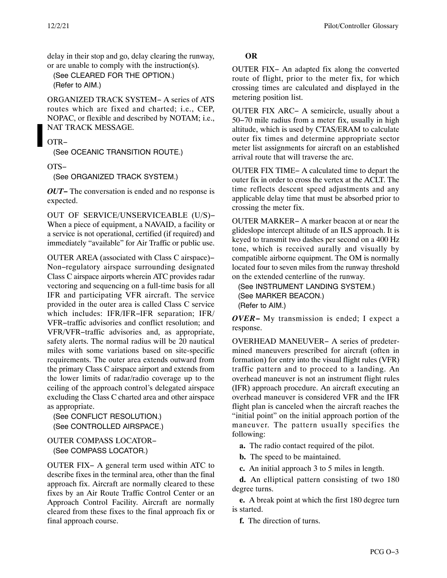delay in their stop and go, delay clearing the runway, or are unable to comply with the instruction(s).

(See CLEARED FOR THE OPTION.) (Refer to AIM.)

 routes which are fixed and charted; i.e., CEP, ORGANIZED TRACK SYSTEM- A series of ATS NOPAC, or flexible and described by NOTAM; i.e., NAT TRACK MESSAGE.

OTR-

(See OCEANIC TRANSITION ROUTE.)

 $OTS-$ 

(See ORGANIZED TRACK SYSTEM.)

*OUT*– The conversation is ended and no response is expected.

OUT OF SERVICE/UNSERVICEABLE (U/S)-When a piece of equipment, a NAVAID, a facility or a service is not operational, certified (if required) and immediately "available" for Air Traffic or public use.

 IFR and participating VFR aircraft. The service OUTER AREA (associated with Class C airspace)– Non-regulatory airspace surrounding designated Class C airspace airports wherein ATC provides radar vectoring and sequencing on a full-time basis for all provided in the outer area is called Class C service which includes: IFR/IFR-IFR separation; IFR/ VFR-traffic advisories and conflict resolution; and VFR/VFR-traffic advisories and, as appropriate, safety alerts. The normal radius will be 20 nautical miles with some variations based on site-specific requirements. The outer area extends outward from the primary Class C airspace airport and extends from the lower limits of radar/radio coverage up to the ceiling of the approach control's delegated airspace excluding the Class C charted area and other airspace as appropriate.

(See CONFLICT RESOLUTION.) (See CONTROLLED AIRSPACE.)

OUTER COMPASS LOCATOR-(See COMPASS LOCATOR.)

OUTER FIX- A general term used within ATC to describe fixes in the terminal area, other than the final approach fix. Aircraft are normally cleared to these fixes by an Air Route Traffic Control Center or an Approach Control Facility. Aircraft are normally cleared from these fixes to the final approach fix or final approach course.

### **OR**

 route of flight, prior to the meter fix, for which OUTER FIX- An adapted fix along the converted crossing times are calculated and displayed in the metering position list.

 outer fix times and determine appropriate sector OUTER FIX ARC- A semicircle, usually about a  $50-70$  mile radius from a meter fix, usually in high altitude, which is used by CTAS/ERAM to calculate meter list assignments for aircraft on an established arrival route that will traverse the arc.

 time reflects descent speed adjustments and any OUTER FIX TIME – A calculated time to depart the outer fix in order to cross the vertex at the ACLT. The applicable delay time that must be absorbed prior to crossing the meter fix.

 tone, which is received aurally and visually by OUTER MARKER– A marker beacon at or near the glideslope intercept altitude of an ILS approach. It is keyed to transmit two dashes per second on a 400 Hz compatible airborne equipment. The OM is normally located four to seven miles from the runway threshold on the extended centerline of the runway.

(See INSTRUMENT LANDING SYSTEM.) (See MARKER BEACON.) (Refer to AIM.)

*OVER* – My transmission is ended; I expect a response.

 traffic pattern and to proceed to a landing. An maneuver. The pattern usually specifies the OVERHEAD MANEUVER- A series of predetermined maneuvers prescribed for aircraft (often in formation) for entry into the visual flight rules (VFR) overhead maneuver is not an instrument flight rules (IFR) approach procedure. An aircraft executing an overhead maneuver is considered VFR and the IFR flight plan is canceled when the aircraft reaches the "initial point" on the initial approach portion of the following:

**a.** The radio contact required of the pilot.

**b.** The speed to be maintained.

**c.** An initial approach 3 to 5 miles in length.

 **d.** An elliptical pattern consisting of two 180 degree turns.

**e.** A break point at which the first 180 degree turn is started.

**f.** The direction of turns.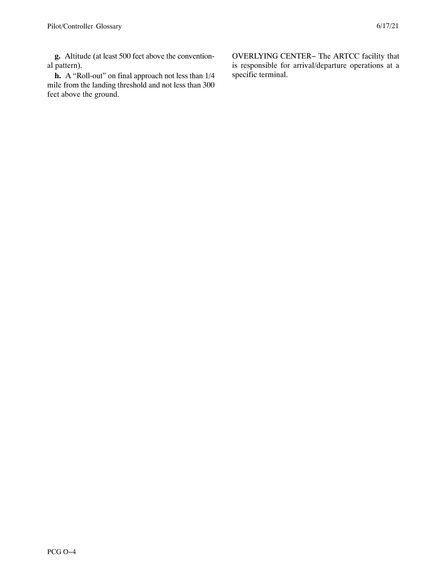al pattern). is responsible for arrival/departure operations at a

**h.** A "Roll-out" on final approach not less than  $1/4$  specific terminal. mile from the landing threshold and not less than 300 feet above the ground.

**g.** Altitude (at least 500 feet above the convention- OVERLYING CENTER- The ARTCC facility that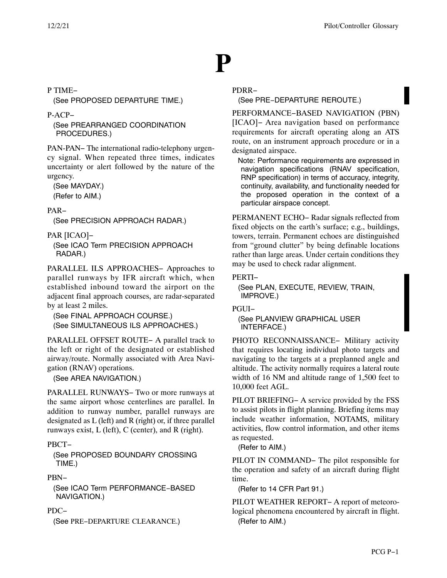# **P**

### **P** TIME-

(See PROPOSED DEPARTURE TIME.)

 $P-ACP-$ 

(See PREARRANGED COORDINATION PROCEDURES.)

 cy signal. When repeated three times, indicates PAN-PAN- The international radio-telephony urgenuncertainty or alert followed by the nature of the urgency.

(See MAYDAY.) (Refer to AIM.)

### PAR-

(See PRECISION APPROACH RADAR.)

PAR [ICAO]-

(See ICAO Term PRECISION APPROACH RADAR.)

 parallel runways by IFR aircraft which, when established inbound toward the airport on the PARALLEL ILS APPROACHES- Approaches to adjacent final approach courses, are radar-separated by at least 2 miles.

(See FINAL APPROACH COURSE.) (See SIMULTANEOUS ILS APPROACHES.)

 the left or right of the designated or established PARALLEL OFFSET ROUTE- A parallel track to airway/route. Normally associated with Area Navigation (RNAV) operations.

(See AREA NAVIGATION.)

PARALLEL RUNWAYS- Two or more runways at the same airport whose centerlines are parallel. In addition to runway number, parallel runways are designated as L (left) and R (right) or, if three parallel runways exist,  $L$  (left),  $C$  (center), and  $R$  (right).

### PBCT-

(See PROPOSED BOUNDARY CROSSING TIME.)

### PBN-

(See ICAO Term PERFORMANCE-BASED NAVIGATION.)

### PDC-

(See PRE-DEPARTURE CLEARANCE.)

PDRR-

(See PRE-DEPARTURE REROUTE.)

[ICAO]- Area navigation based on performance PERFORMANCE-BASED NAVIGATION (PBN) requirements for aircraft operating along an ATS route, on an instrument approach procedure or in a designated airspace.

Note: Performance requirements are expressed in navigation specifications (RNAV specification, RNP specification) in terms of accuracy, integrity, continuity, availability, and functionality needed for the proposed operation in the context of a particular airspace concept.

PERMANENT ECHO– Radar signals reflected from fixed objects on the earth's surface; e.g., buildings, towers, terrain. Permanent echoes are distinguished from "ground clutter" by being definable locations rather than large areas. Under certain conditions they may be used to check radar alignment.

### PERTI-

(See PLAN, EXECUTE, REVIEW, TRAIN, IMPROVE.)

PGUI-

(See PLANVIEW GRAPHICAL USER INTERFACE.)

PHOTO RECONNAISSANCE- Military activity that requires locating individual photo targets and navigating to the targets at a preplanned angle and altitude. The activity normally requires a lateral route width of 16 NM and altitude range of 1,500 feet to 10,000 feet AGL.

PILOT BRIEFING – A service provided by the FSS to assist pilots in flight planning. Briefing items may include weather information, NOTAMS, military activities, flow control information, and other items as requested.

(Refer to AIM.)

PILOT IN COMMAND– The pilot responsible for the operation and safety of an aircraft during flight time.

(Refer to 14 CFR Part 91.)

PILOT WEATHER REPORT – A report of meteorological phenomena encountered by aircraft in flight. (Refer to AIM.)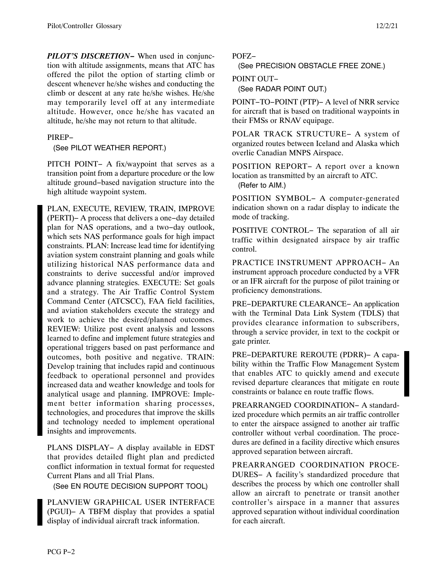offered the pilot the option of starting climb or may temporarily level off at any intermediate altitude. However, once he/she has vacated an **PILOT'S DISCRETION-** When used in conjunction with altitude assignments, means that ATC has descent whenever he/she wishes and conducting the climb or descent at any rate he/she wishes. He/she altitude, he/she may not return to that altitude.

### PIREP-

(See PILOT WEATHER REPORT.)

PITCH POINT- A fix/waypoint that serves as a transition point from a departure procedure or the low altitude ground-based navigation structure into the high altitude waypoint system.

 utilizing historical NAS performance data and work to achieve the desired/planned outcomes. PLAN, EXECUTE, REVIEW, TRAIN, IMPROVE (PERTI) $-$  A process that delivers a one $-$ day detailed plan for NAS operations, and a two-day outlook, which sets NAS performance goals for high impact constraints. PLAN: Increase lead time for identifying aviation system constraint planning and goals while constraints to derive successful and/or improved advance planning strategies. EXECUTE: Set goals and a strategy. The Air Traffic Control System Command Center (ATCSCC), FAA field facilities, and aviation stakeholders execute the strategy and REVIEW: Utilize post event analysis and lessons learned to define and implement future strategies and operational triggers based on past performance and outcomes, both positive and negative. TRAIN: Develop training that includes rapid and continuous feedback to operational personnel and provides increased data and weather knowledge and tools for analytical usage and planning. IMPROVE: Implement better information sharing processes, technologies, and procedures that improve the skills and technology needed to implement operational insights and improvements.

 that provides detailed flight plan and predicted PLANS DISPLAY - A display available in EDST conflict information in textual format for requested Current Plans and all Trial Plans.

(See EN ROUTE DECISION SUPPORT TOOL)

PLANVIEW GRAPHICAL USER INTERFACE (PGUI)- A TBFM display that provides a spatial display of individual aircraft track information.

POFZ-

(See PRECISION OBSTACLE FREE ZONE.)

POINT OUT-

(See RADAR POINT OUT.)

POINT-TO-POINT (PTP)- A level of NRR service for aircraft that is based on traditional waypoints in their FMSs or RNAV equipage.

POLAR TRACK STRUCTURE- A system of organized routes between Iceland and Alaska which overlie Canadian MNPS Airspace.

POSITION REPORT- A report over a known location as transmitted by an aircraft to ATC. (Refer to AIM.)

POSITION SYMBOL- A computer-generated indication shown on a radar display to indicate the mode of tracking.

 traffic within designated airspace by air traffic POSITIVE CONTROL- The separation of all air control.

PRACTICE INSTRUMENT APPROACH- An instrument approach procedure conducted by a VFR or an IFR aircraft for the purpose of pilot training or proficiency demonstrations.

 provides clearance information to subscribers, PRE-DEPARTURE CLEARANCE- An application with the Terminal Data Link System (TDLS) that through a service provider, in text to the cockpit or gate printer.

 that enables ATC to quickly amend and execute PRE-DEPARTURE REROUTE (PDRR)- A capability within the Traffic Flow Management System revised departure clearances that mitigate en route constraints or balance en route traffic flows.

PREARRANGED COORDINATION- A standardized procedure which permits an air traffic controller to enter the airspace assigned to another air traffic controller without verbal coordination. The procedures are defined in a facility directive which ensures approved separation between aircraft.

 allow an aircraft to penetrate or transit another controller's airspace in a manner that assures PREARRANGED COORDINATION PROCE-DURES- A facility's standardized procedure that describes the process by which one controller shall approved separation without individual coordination for each aircraft.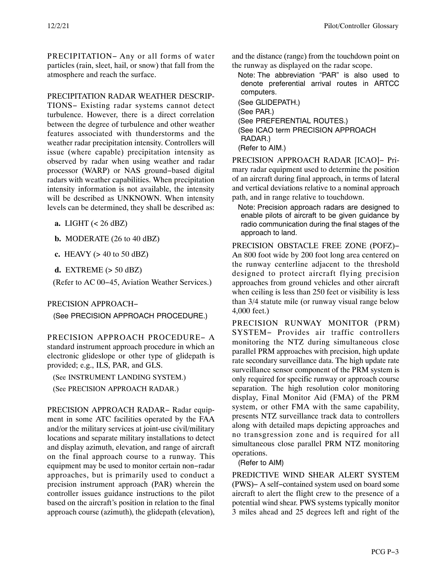PRECIPITATION- Any or all forms of water particles (rain, sleet, hail, or snow) that fall from the atmosphere and reach the surface.

#### PRECIPITATION RADAR WEATHER DESCRIP-

 features associated with thunderstorms and the TIONS- Existing radar systems cannot detect turbulence. However, there is a direct correlation between the degree of turbulence and other weather weather radar precipitation intensity. Controllers will issue (where capable) precipitation intensity as observed by radar when using weather and radar processor (WARP) or NAS ground-based digital radars with weather capabilities. When precipitation intensity information is not available, the intensity will be described as UNKNOWN. When intensity levels can be determined, they shall be described as:

**a.** LIGHT (< 26 dBZ)

**b.** MODERATE (26 to 40 dBZ)

**c.** HEAVY (> 40 to 50 dBZ)

**d.** EXTREME (> 50 dBZ)

(Refer to  $AC$  00–45, Aviation Weather Services.)

### PRECISION APPROACH-

(See PRECISION APPROACH PROCEDURE.)

PRECISION APPROACH PROCEDURE- A standard instrument approach procedure in which an electronic glideslope or other type of glidepath is provided; e.g., ILS, PAR, and GLS.

(See INSTRUMENT LANDING SYSTEM.)

(See PRECISION APPROACH RADAR.)

 on the final approach course to a runway. This approaches, but is primarily used to conduct a PRECISION APPROACH RADAR– Radar equipment in some ATC facilities operated by the FAA and/or the military services at joint-use civil/military locations and separate military installations to detect and display azimuth, elevation, and range of aircraft equipment may be used to monitor certain non-radar precision instrument approach (PAR) wherein the controller issues guidance instructions to the pilot based on the aircraft's position in relation to the final approach course (azimuth), the glidepath (elevation),

and the distance (range) from the touchdown point on the runway as displayed on the radar scope.

Note: The abbreviation "PAR" is also used to denote preferential arrival routes in ARTCC computers.

(See GLIDEPATH.) (See PAR.) (See PREFERENTIAL ROUTES.) (See ICAO term PRECISION APPROACH RADAR.) (Refer to AIM.)

PRECISION APPROACH RADAR [ICAO]- Primary radar equipment used to determine the position of an aircraft during final approach, in terms of lateral and vertical deviations relative to a nominal approach path, and in range relative to touchdown.

Note: Precision approach radars are designed to enable pilots of aircraft to be given guidance by radio communication during the final stages of the approach to land.

 the runway centerline adjacent to the threshold PRECISION OBSTACLE FREE ZONE (POFZ)-An 800 foot wide by 200 foot long area centered on designed to protect aircraft flying precision approaches from ground vehicles and other aircraft when ceiling is less than 250 feet or visibility is less than 3/4 statute mile (or runway visual range below 4,000 feet.)

SYSTEM- Provides air traffic controllers display, Final Monitor Aid (FMA) of the PRM system, or other FMA with the same capability, no transgression zone and is required for all PRECISION RUNWAY MONITOR (PRM) monitoring the NTZ during simultaneous close parallel PRM approaches with precision, high update rate secondary surveillance data. The high update rate surveillance sensor component of the PRM system is only required for specific runway or approach course separation. The high resolution color monitoring presents NTZ surveillance track data to controllers along with detailed maps depicting approaches and simultaneous close parallel PRM NTZ monitoring operations.

(Refer to AIM)

PREDICTIVE WIND SHEAR ALERT SYSTEM  $(PWS)$ – A self-contained system used on board some aircraft to alert the flight crew to the presence of a potential wind shear. PWS systems typically monitor 3 miles ahead and 25 degrees left and right of the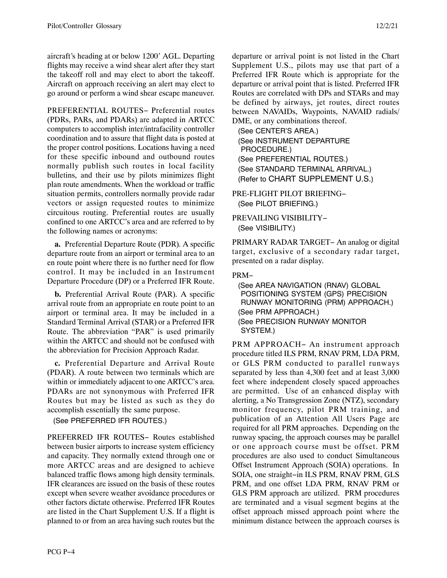aircraft's heading at or below 1200' AGL. Departing flights may receive a wind shear alert after they start the takeoff roll and may elect to abort the takeoff. Aircraft on approach receiving an alert may elect to go around or perform a wind shear escape maneuver.

 for these specific inbound and outbound routes normally publish such routes in local facility vectors or assign requested routes to minimize PREFERENTIAL ROUTES- Preferential routes (PDRs, PARs, and PDARs) are adapted in ARTCC computers to accomplish inter/intrafacility controller coordination and to assure that flight data is posted at the proper control positions. Locations having a need bulletins, and their use by pilots minimizes flight plan route amendments. When the workload or traffic situation permits, controllers normally provide radar circuitous routing. Preferential routes are usually confined to one ARTCC's area and are referred to by the following names or acronyms:

 control. It may be included in an Instrument **a.** Preferential Departure Route (PDR). A specific departure route from an airport or terminal area to an en route point where there is no further need for flow Departure Procedure (DP) or a Preferred IFR Route.

**b.** Preferential Arrival Route (PAR). A specific arrival route from an appropriate en route point to an airport or terminal area. It may be included in a Standard Terminal Arrival (STAR) or a Preferred IFR Route. The abbreviation "PAR" is used primarily within the ARTCC and should not be confused with the abbreviation for Precision Approach Radar.

 **c.** Preferential Departure and Arrival Route PDARs are not synonymous with Preferred IFR Routes but may be listed as such as they do (PDAR). A route between two terminals which are within or immediately adjacent to one ARTCC's area. accomplish essentially the same purpose.

(See PREFERRED IFR ROUTES.)

 more ARTCC areas and are designed to achieve PREFERRED IFR ROUTES- Routes established between busier airports to increase system efficiency and capacity. They normally extend through one or balanced traffic flows among high density terminals. IFR clearances are issued on the basis of these routes except when severe weather avoidance procedures or other factors dictate otherwise. Preferred IFR Routes are listed in the Chart Supplement U.S. If a flight is planned to or from an area having such routes but the

 Supplement U.S., pilots may use that part of a be defined by airways, jet routes, direct routes departure or arrival point is not listed in the Chart Preferred IFR Route which is appropriate for the departure or arrival point that is listed. Preferred IFR Routes are correlated with DPs and STARs and may between NAVAIDs, Waypoints, NAVAID radials/ DME, or any combinations thereof.

(See CENTER'S AREA.) (See INSTRUMENT DEPARTURE PROCEDURE.) (See PREFERENTIAL ROUTES.) (See STANDARD TERMINAL ARRIVAL.) (Refer to CHART SUPPLEMENT U.S.)

PRE-FLIGHT PILOT BRIEFING-(See PILOT BRIEFING.)

PREVAILING VISIBILITY-(See VISIBILITY.)

 target, exclusive of a secondary radar target, PRIMARY RADAR TARGET– An analog or digital presented on a radar display.

### PRM-

(See AREA NAVIGATION (RNAV) GLOBAL POSITIONING SYSTEM (GPS) PRECISION RUNWAY MONITORING (PRM) APPROACH.) (See PRM APPROACH.) (See PRECISION RUNWAY MONITOR SYSTEM.)

PRM APPROACH- An instrument approach or GLS PRM conducted to parallel runways are permitted. Use of an enhanced display with monitor frequency, pilot PRM training, and publication of an Attention All Users Page are or one approach course must be offset. PRM procedure titled ILS PRM, RNAV PRM, LDA PRM, separated by less than 4,300 feet and at least 3,000 feet where independent closely spaced approaches alerting, a No Transgression Zone (NTZ), secondary required for all PRM approaches. Depending on the runway spacing, the approach courses may be parallel procedures are also used to conduct Simultaneous Offset Instrument Approach (SOIA) operations. In SOIA, one straight-in ILS PRM, RNAV PRM, GLS PRM, and one offset LDA PRM, RNAV PRM or GLS PRM approach are utilized. PRM procedures are terminated and a visual segment begins at the offset approach missed approach point where the minimum distance between the approach courses is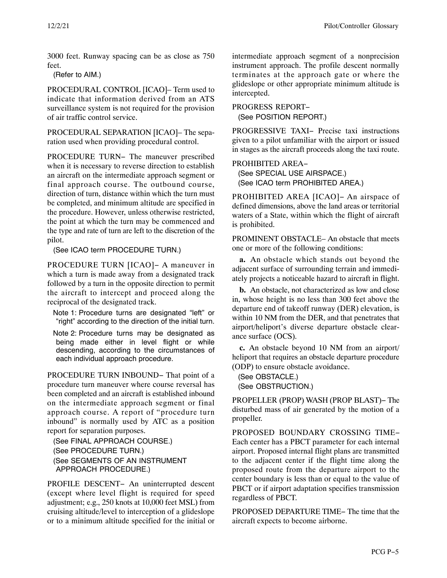3000 feet. Runway spacing can be as close as 750 feet.

(Refer to AIM.)

 indicate that information derived from an ATS PROCEDURAL CONTROL [ICAO]– Term used to surveillance system is not required for the provision of air traffic control service.

PROCEDURAL SEPARATION [ICAO]– The separation used when providing procedural control.

 final approach course. The outbound course, PROCEDURE TURN- The maneuver prescribed when it is necessary to reverse direction to establish an aircraft on the intermediate approach segment or direction of turn, distance within which the turn must be completed, and minimum altitude are specified in the procedure. However, unless otherwise restricted, the point at which the turn may be commenced and the type and rate of turn are left to the discretion of the pilot.

(See ICAO term PROCEDURE TURN.)

PROCEDURE TURN [ICAO]- A maneuver in which a turn is made away from a designated track followed by a turn in the opposite direction to permit the aircraft to intercept and proceed along the reciprocal of the designated track.

Note 1: Procedure turns are designated "left" or "right" according to the direction of the initial turn.

Note 2: Procedure turns may be designated as being made either in level flight or while descending, according to the circumstances of each individual approach procedure.

 on the intermediate approach segment or final approach course. A report of "procedure turn PROCEDURE TURN INBOUND– That point of a procedure turn maneuver where course reversal has been completed and an aircraft is established inbound inbound" is normally used by ATC as a position report for separation purposes.

(See FINAL APPROACH COURSE.) (See PROCEDURE TURN.) (See SEGMENTS OF AN INSTRUMENT APPROACH PROCEDURE.)

 (except where level flight is required for speed PROFILE DESCENT- An uninterrupted descent adjustment; e.g., 250 knots at 10,000 feet MSL) from cruising altitude/level to interception of a glideslope or to a minimum altitude specified for the initial or

 terminates at the approach gate or where the intermediate approach segment of a nonprecision instrument approach. The profile descent normally glideslope or other appropriate minimum altitude is intercepted.

PROGRESS REPORT-

(See POSITION REPORT.)

PROGRESSIVE TAXI- Precise taxi instructions given to a pilot unfamiliar with the airport or issued in stages as the aircraft proceeds along the taxi route.

PROHIBITED AREA-

(See SPECIAL USE AIRSPACE.) (See ICAO term PROHIBITED AREA.)

PROHIBITED AREA [ICAO]- An airspace of defined dimensions, above the land areas or territorial waters of a State, within which the flight of aircraft is prohibited.

PROMINENT OBSTACLE– An obstacle that meets one or more of the following conditions:

 **a.** An obstacle which stands out beyond the adjacent surface of surrounding terrain and immediately projects a noticeable hazard to aircraft in flight.

**b.** An obstacle, not characterized as low and close in, whose height is no less than 300 feet above the departure end of takeoff runway (DER) elevation, is within 10 NM from the DER, and that penetrates that airport/heliport's diverse departure obstacle clearance surface (OCS).

**c.** An obstacle beyond 10 NM from an airport/ heliport that requires an obstacle departure procedure (ODP) to ensure obstacle avoidance.

(See OBSTACLE.) (See OBSTRUCTION.)

PROPELLER (PROP) WASH (PROP BLAST)– The disturbed mass of air generated by the motion of a propeller.

 proposed route from the departure airport to the PROPOSED BOUNDARY CROSSING TIME-Each center has a PBCT parameter for each internal airport. Proposed internal flight plans are transmitted to the adjacent center if the flight time along the center boundary is less than or equal to the value of PBCT or if airport adaptation specifies transmission regardless of PBCT.

PROPOSED DEPARTURE TIME– The time that the aircraft expects to become airborne.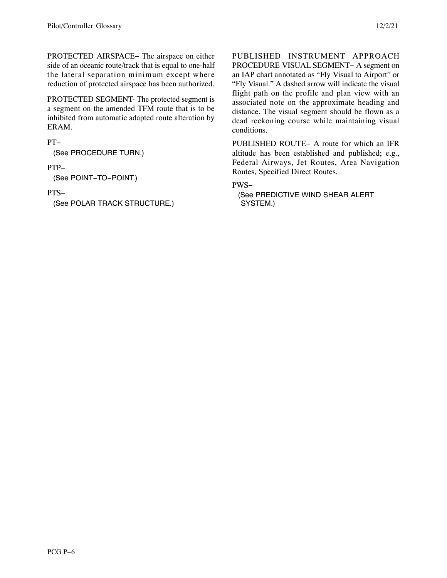PROTECTED AIRSPACE- The airspace on either side of an oceanic route/track that is equal to one-half the lateral separation minimum except where reduction of protected airspace has been authorized.

PROTECTED SEGMENT- The protected segment is a segment on the amended TFM route that is to be inhibited from automatic adapted route alteration by ERAM.

 $PT-$ 

(See PROCEDURE TURN.)

PTP-

(See POINT-TO-POINT.)

PTS-

(See POLAR TRACK STRUCTURE.)

 flight path on the profile and plan view with an associated note on the approximate heading and PUBLISHED INSTRUMENT APPROACH PROCEDURE VISUAL SEGMENT- A segment on an IAP chart annotated as "Fly Visual to Airport" or "Fly Visual." A dashed arrow will indicate the visual distance. The visual segment should be flown as a dead reckoning course while maintaining visual conditions.

 Federal Airways, Jet Routes, Area Navigation PUBLISHED ROUTE– A route for which an IFR altitude has been established and published; e.g., Routes, Specified Direct Routes.

PWS-

(See PREDICTIVE WIND SHEAR ALERT SYSTEM.)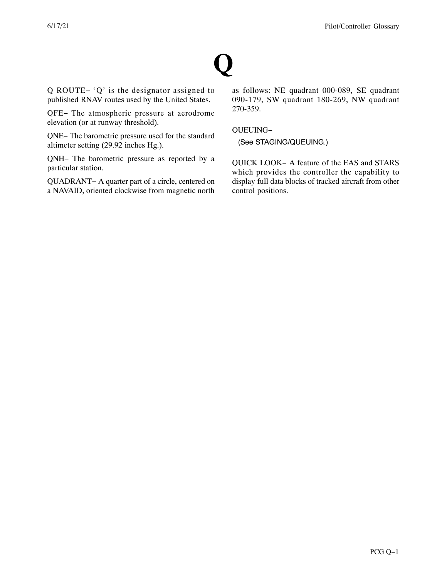# **Q**

Q ROUTE $-$  'Q' is the designator assigned to published RNAV routes used by the United States.

QFE- The atmospheric pressure at aerodrome elevation (or at runway threshold).

QNE- The barometric pressure used for the standard altimeter setting (29.92 inches Hg.).

QNH- The barometric pressure as reported by a particular station.

QUADRANT - A quarter part of a circle, centered on a NAVAID, oriented clockwise from magnetic north

 090-179, SW quadrant 180-269, NW quadrant as follows: NE quadrant 000-089, SE quadrant 270-359.

### QUEUING-

(See STAGING/QUEUING.)

QUICK LOOK- A feature of the EAS and STARS which provides the controller the capability to display full data blocks of tracked aircraft from other control positions.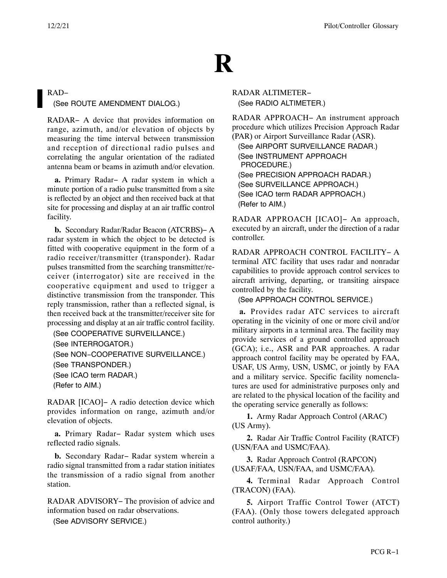### **R**

### $RAD-$ (See ROUTE AMENDMENT DIALOG.)

 range, azimuth, and/or elevation of objects by RADAR- A device that provides information on measuring the time interval between transmission and reception of directional radio pulses and correlating the angular orientation of the radiated antenna beam or beams in azimuth and/or elevation.

a. Primary Radar- A radar system in which a minute portion of a radio pulse transmitted from a site is reflected by an object and then received back at that site for processing and display at an air traffic control facility.

 ceiver (interrogator) site are received in the cooperative equipment and used to trigger a **b.** Secondary Radar/Radar Beacon (ATCRBS)– A radar system in which the object to be detected is fitted with cooperative equipment in the form of a radio receiver/transmitter (transponder). Radar pulses transmitted from the searching transmitter/redistinctive transmission from the transponder. This reply transmission, rather than a reflected signal, is then received back at the transmitter/receiver site for processing and display at an air traffic control facility.

```
(See COOPERATIVE SURVEILLANCE.) 
(See INTERROGATOR.) 
(See NON-COOPERATIVE SURVEILLANCE.)
(See TRANSPONDER.) 
(See ICAO term RADAR.) 
(Refer to AIM.)
```
 provides information on range, azimuth and/or RADAR [ICAO]– A radio detection device which elevation of objects.

a. Primary Radar- Radar system which uses reflected radio signals.

**b.** Secondary Radar-Radar system wherein a the transmission of a radio signal from another radio signal transmitted from a radar station initiates station.

RADAR ADVISORY– The provision of advice and information based on radar observations.

```
(See ADVISORY SERVICE.)
```
### RADAR ALTIMETER-(See RADIO ALTIMETER.)

RADAR APPROACH- An instrument approach procedure which utilizes Precision Approach Radar (PAR) or Airport Surveillance Radar (ASR).

(See AIRPORT SURVEILLANCE RADAR.) (See INSTRUMENT APPROACH PROCEDURE.) (See PRECISION APPROACH RADAR.) (See SURVEILLANCE APPROACH.) (See ICAO term RADAR APPROACH.) (Refer to AIM.)

RADAR APPROACH [ICAO]- An approach, executed by an aircraft, under the direction of a radar controller.

RADAR APPROACH CONTROL FACILITY- A terminal ATC facility that uses radar and nonradar capabilities to provide approach control services to aircraft arriving, departing, or transiting airspace controlled by the facility.

(See APPROACH CONTROL SERVICE.)

 **a.** Provides radar ATC services to aircraft operating in the vicinity of one or more civil and/or military airports in a terminal area. The facility may provide services of a ground controlled approach (GCA); i.e., ASR and PAR approaches. A radar approach control facility may be operated by FAA, USAF, US Army, USN, USMC, or jointly by FAA and a military service. Specific facility nomenclatures are used for administrative purposes only and are related to the physical location of the facility and the operating service generally as follows:

**1.** Army Radar Approach Control (ARAC) (US Army).

**2.** Radar Air Traffic Control Facility (RATCF) (USN/FAA and USMC/FAA).

**3.** Radar Approach Control (RAPCON) (USAF/FAA, USN/FAA, and USMC/FAA).

**4.** Terminal Radar Approach Control (TRACON) (FAA).

**5.** Airport Traffic Control Tower (ATCT) (FAA). (Only those towers delegated approach control authority.)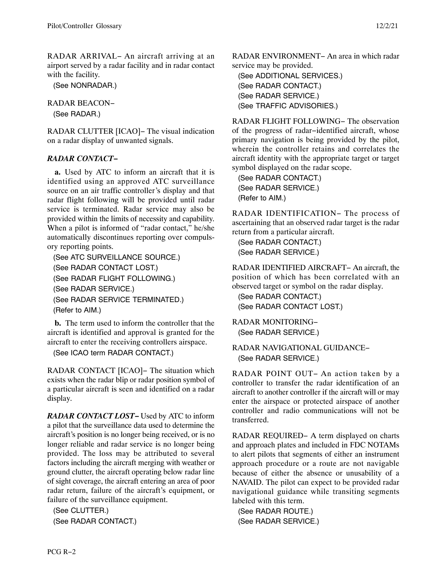RADAR ARRIVAL- An aircraft arriving at an airport served by a radar facility and in radar contact with the facility.

(See NONRADAR.)

### RADAR BEACON-

(See RADAR.)

RADAR CLUTTER [ICAO]- The visual indication on a radar display of unwanted signals.

### *RADAR CONTACTï*

 identified using an approved ATC surveillance **a.** Used by ATC to inform an aircraft that it is source on an air traffic controller's display and that radar flight following will be provided until radar service is terminated. Radar service may also be provided within the limits of necessity and capability. When a pilot is informed of "radar contact," he/she automatically discontinues reporting over compulsory reporting points.

(See ATC SURVEILLANCE SOURCE.) (See RADAR CONTACT LOST.) (See RADAR FLIGHT FOLLOWING.) (See RADAR SERVICE.) (See RADAR SERVICE TERMINATED.) (Refer to AIM.)

**b.** The term used to inform the controller that the aircraft is identified and approval is granted for the aircraft to enter the receiving controllers airspace.

(See ICAO term RADAR CONTACT.)

RADAR CONTACT [ICAO]- The situation which exists when the radar blip or radar position symbol of a particular aircraft is seen and identified on a radar display.

 provided. The loss may be attributed to several *RADAR CONTACT LOST* – Used by ATC to inform a pilot that the surveillance data used to determine the aircraft's position is no longer being received, or is no longer reliable and radar service is no longer being factors including the aircraft merging with weather or ground clutter, the aircraft operating below radar line of sight coverage, the aircraft entering an area of poor radar return, failure of the aircraft's equipment, or failure of the surveillance equipment.

(See CLUTTER.) (See RADAR CONTACT.)

RADAR ENVIRONMENT- An area in which radar service may be provided. (See ADDITIONAL SERVICES.) (See RADAR CONTACT.) (See RADAR SERVICE.) (See TRAFFIC ADVISORIES.)

 wherein the controller retains and correlates the RADAR FLIGHT FOLLOWING- The observation of the progress of radar-identified aircraft, whose primary navigation is being provided by the pilot, aircraft identity with the appropriate target or target symbol displayed on the radar scope.

(See RADAR CONTACT.) (See RADAR SERVICE.) (Refer to AIM.)

RADAR IDENTIFICATION- The process of ascertaining that an observed radar target is the radar return from a particular aircraft.

(See RADAR CONTACT.) (See RADAR SERVICE.)

 position of which has been correlated with an RADAR IDENTIFIED AIRCRAFT- An aircraft, the observed target or symbol on the radar display.

(See RADAR CONTACT.) (See RADAR CONTACT LOST.)

RADAR MONITORING-(See RADAR SERVICE.)

### RADAR NAVIGATIONAL GUIDANCE-(See RADAR SERVICE.)

RADAR POINT OUT- An action taken by a controller to transfer the radar identification of an aircraft to another controller if the aircraft will or may enter the airspace or protected airspace of another controller and radio communications will not be transferred.

 approach procedure or a route are not navigable RADAR REQUIRED- A term displayed on charts and approach plates and included in FDC NOTAMs to alert pilots that segments of either an instrument because of either the absence or unusability of a NAVAID. The pilot can expect to be provided radar navigational guidance while transiting segments labeled with this term.

(See RADAR ROUTE.) (See RADAR SERVICE.)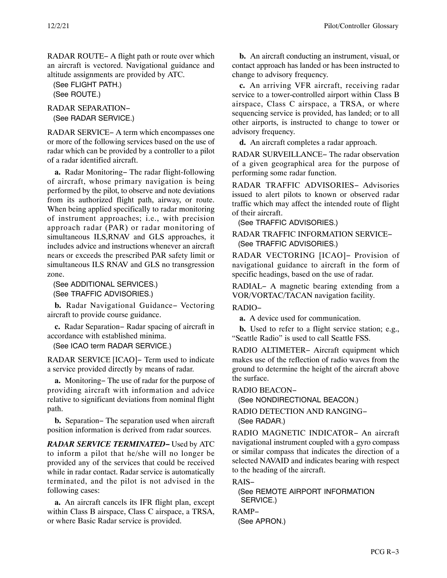RADAR ROUTE - A flight path or route over which an aircraft is vectored. Navigational guidance and altitude assignments are provided by ATC.

(See FLIGHT PATH.) (See ROUTE.)

RADAR SEPARATION-(See RADAR SERVICE.)

RADAR SERVICE- A term which encompasses one or more of the following services based on the use of radar which can be provided by a controller to a pilot of a radar identified aircraft.

 of aircraft, whose primary navigation is being of instrument approaches; i.e., with precision approach radar (PAR) or radar monitoring of a. Radar Monitoring- The radar flight-following performed by the pilot, to observe and note deviations from its authorized flight path, airway, or route. When being applied specifically to radar monitoring simultaneous ILS,RNAV and GLS approaches, it includes advice and instructions whenever an aircraft nears or exceeds the prescribed PAR safety limit or simultaneous ILS RNAV and GLS no transgression zone.

(See ADDITIONAL SERVICES.) (See TRAFFIC ADVISORIES.)

**b.** Radar Navigational Guidance– Vectoring aircraft to provide course guidance.

c. Radar Separation-Radar spacing of aircraft in accordance with established minima.

(See ICAO term RADAR SERVICE.)

RADAR SERVICE [ICAO]– Term used to indicate a service provided directly by means of radar.

 providing aircraft with information and advice **a.** Monitoring–The use of radar for the purpose of relative to significant deviations from nominal flight path.

**b.** Separation–The separation used when aircraft position information is derived from radar sources.

 to inform a pilot that he/she will no longer be terminated, and the pilot is not advised in the *RADAR SERVICE TERMINATED* – Used by ATC provided any of the services that could be received while in radar contact. Radar service is automatically following cases:

**a.** An aircraft cancels its IFR flight plan, except within Class B airspace, Class C airspace, a TRSA, or where Basic Radar service is provided.

**b.** An aircraft conducting an instrument, visual, or contact approach has landed or has been instructed to change to advisory frequency.

 **c.** An arriving VFR aircraft, receiving radar airspace, Class C airspace, a TRSA, or where service to a tower-controlled airport within Class B sequencing service is provided, has landed; or to all other airports, is instructed to change to tower or advisory frequency.

**d.** An aircraft completes a radar approach.

 of a given geographical area for the purpose of RADAR SURVEILLANCE– The radar observation performing some radar function.

RADAR TRAFFIC ADVISORIES- Advisories issued to alert pilots to known or observed radar traffic which may affect the intended route of flight of their aircraft.

(See TRAFFIC ADVISORIES.)

RADAR TRAFFIC INFORMATION SERVICE-(See TRAFFIC ADVISORIES.)

 navigational guidance to aircraft in the form of RADAR VECTORING [ICAO]– Provision of specific headings, based on the use of radar.

RADIAL – A magnetic bearing extending from a VOR/VORTAC/TACAN navigation facility.

RADIO-

**a.** A device used for communication.

**b.** Used to refer to a flight service station; e.g., "Seattle Radio" is used to call Seattle FSS.

RADIO ALTIMETER- Aircraft equipment which makes use of the reflection of radio waves from the ground to determine the height of the aircraft above the surface.

**RADIO BEACON-**

(See NONDIRECTIONAL BEACON.)

RADIO DETECTION AND RANGING-(See RADAR.)

RADIO MAGNETIC INDICATOR- An aircraft navigational instrument coupled with a gyro compass or similar compass that indicates the direction of a selected NAVAID and indicates bearing with respect to the heading of the aircraft.

RAIS-

(See REMOTE AIRPORT INFORMATION SERVICE.)

RAMP-(See APRON.)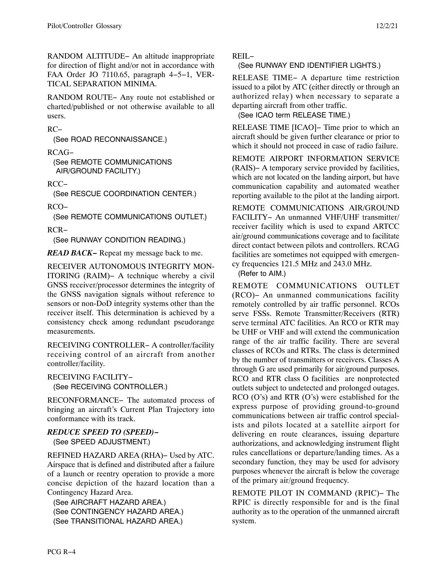RANDOM ALTITUDE- An altitude inappropriate for direction of flight and/or not in accordance with FAA Order JO 7110.65, paragraph  $4-5-1$ , VER-TICAL SEPARATION MINIMA.

RANDOM ROUTE– Any route not established or charted/published or not otherwise available to all users.

 $RC-$ 

(See ROAD RECONNAISSANCE.)

 $RCAG-$ 

(See REMOTE COMMUNICATIONS AIR/GROUND FACILITY.)

 $RCC -$ 

(See RESCUE COORDINATION CENTER.)

 $RCO-$ 

(See REMOTE COMMUNICATIONS OUTLET.)

 $RCR-$ 

(See RUNWAY CONDITION READING.)

*READ BACK* – Repeat my message back to me.

RECEIVER AUTONOMOUS INTEGRITY MON-ITORING  $(RAIM)$ – A technique whereby a civil GNSS receiver/processor determines the integrity of the GNSS navigation signals without reference to sensors or non-DoD integrity systems other than the receiver itself. This determination is achieved by a consistency check among redundant pseudorange measurements.

 receiving control of an aircraft from another RECEIVING CONTROLLER- A controller/facility controller/facility.

RECEIVING FACILITY-(See RECEIVING CONTROLLER.)

RECONFORMANCE– The automated process of bringing an aircraft's Current Plan Trajectory into conformance with its track.

### *REDUCE SPEED TO (SPEED)ï* (See SPEED ADJUSTMENT.)

 concise depiction of the hazard location than a REFINED HAZARD AREA (RHA)- Used by ATC. Airspace that is defined and distributed after a failure of a launch or reentry operation to provide a more Contingency Hazard Area.

(See AIRCRAFT HAZARD AREA.) (See CONTINGENCY HAZARD AREA.) (See TRANSITIONAL HAZARD AREA.)

REIL-

(See RUNWAY END IDENTIFIER LIGHTS.)

 authorized relay) when necessary to separate a RELEASE TIME- A departure time restriction issued to a pilot by ATC (either directly or through an departing aircraft from other traffic.

(See ICAO term RELEASE TIME.)

RELEASE TIME [ICAO]– Time prior to which an aircraft should be given further clearance or prior to which it should not proceed in case of radio failure.

REMOTE AIRPORT INFORMATION SERVICE (RAIS) - A temporary service provided by facilities, which are not located on the landing airport, but have communication capability and automated weather reporting available to the pilot at the landing airport.

REMOTE COMMUNICATIONS AIR/GROUND FACILITY- An unmanned VHF/UHF transmitter/ receiver facility which is used to expand ARTCC air/ground communications coverage and to facilitate direct contact between pilots and controllers. RCAG facilities are sometimes not equipped with emergency frequencies 121.5 MHz and 243.0 MHz.

(Refer to AIM.)

(RCO)- An unmanned communications facility express purpose of providing ground-to-ground ists and pilots located at a satellite airport for REMOTE COMMUNICATIONS OUTLET remotely controlled by air traffic personnel. RCOs serve FSSs. Remote Transmitter/Receivers (RTR) serve terminal ATC facilities. An RCO or RTR may be UHF or VHF and will extend the communication range of the air traffic facility. There are several classes of RCOs and RTRs. The class is determined by the number of transmitters or receivers. Classes A through G are used primarily for air/ground purposes. RCO and RTR class O facilities are nonprotected outlets subject to undetected and prolonged outages. RCO (O's) and RTR (O's) were established for the communications between air traffic control specialdelivering en route clearances, issuing departure authorizations, and acknowledging instrument flight rules cancellations or departure/landing times. As a secondary function, they may be used for advisory purposes whenever the aircraft is below the coverage of the primary air/ground frequency.

 RPIC is directly responsible for and is the final REMOTE PILOT IN COMMAND (RPIC)- The authority as to the operation of the unmanned aircraft system.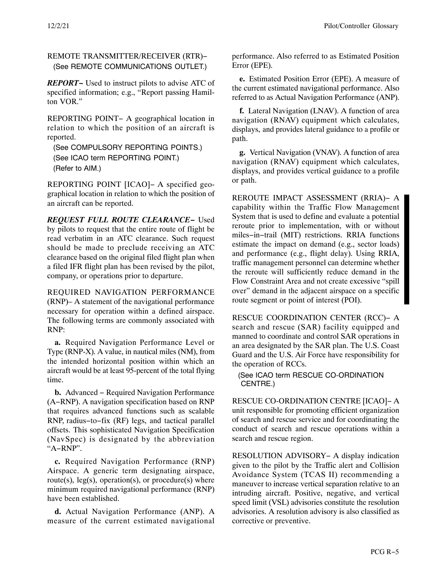### REMOTE TRANSMITTER/RECEIVER (RTR)-(See REMOTE COMMUNICATIONS OUTLET.)

*REPORT*– Used to instruct pilots to advise ATC of specified information; e.g., "Report passing Hamilton VOR."

 relation to which the position of an aircraft is REPORTING POINT– A geographical location in reported.

(See COMPULSORY REPORTING POINTS.) (See ICAO term REPORTING POINT.) (Refer to AIM.)

REPORTING POINT [ICAO]– A specified geographical location in relation to which the position of an aircraft can be reported.

*REQUEST FULL ROUTE CLEARANCE*- Used by pilots to request that the entire route of flight be read verbatim in an ATC clearance. Such request should be made to preclude receiving an ATC clearance based on the original filed flight plan when a filed IFR flight plan has been revised by the pilot, company, or operations prior to departure.

REQUIRED NAVIGATION PERFORMANCE (RNP)– A statement of the navigational performance necessary for operation within a defined airspace. The following terms are commonly associated with RNP:

 **a.** Required Navigation Performance Level or Type (RNP-X). A value, in nautical miles (NM), from the intended horizontal position within which an aircraft would be at least 95-percent of the total flying time.

 (NavSpec) is designated by the abbreviation **b.** Advanced – Required Navigation Performance  $(A-RNP)$ . A navigation specification based on RNP that requires advanced functions such as scalable RNP, radius-to-fix  $(RF)$  legs, and tactical parallel offsets. This sophisticated Navigation Specification " $A-RNP"$ .

 Airspace. A generic term designating airspace, **c.** Required Navigation Performance (RNP) route(s),  $leg(s)$ , operation(s), or procedure(s) where minimum required navigational performance (RNP) have been established.

**d.** Actual Navigation Performance (ANP). A measure of the current estimated navigational performance. Also referred to as Estimated Position Error (EPE).

**e.** Estimated Position Error (EPE). A measure of the current estimated navigational performance. Also referred to as Actual Navigation Performance (ANP).

 navigation (RNAV) equipment which calculates, **f.** Lateral Navigation (LNAV). A function of area displays, and provides lateral guidance to a profile or path.

 navigation (RNAV) equipment which calculates, **g.** Vertical Navigation (VNAV). A function of area displays, and provides vertical guidance to a profile or path.

 capability within the Traffic Flow Management REROUTE IMPACT ASSESSMENT (RRIA)- A System that is used to define and evaluate a potential reroute prior to implementation, with or without miles-in-trail (MIT) restrictions. RRIA functions estimate the impact on demand (e.g., sector loads) and performance (e.g., flight delay). Using RRIA, traffic management personnel can determine whether the reroute will sufficiently reduce demand in the Flow Constraint Area and not create excessive "spill over" demand in the adjacent airspace on a specific route segment or point of interest (POI).

 search and rescue (SAR) facility equipped and RESCUE COORDINATION CENTER (RCC)- A manned to coordinate and control SAR operations in an area designated by the SAR plan. The U.S. Coast Guard and the U.S. Air Force have responsibility for the operation of RCCs.

### (See ICAO term RESCUE CO-ORDINATION CENTRE.)

RESCUE CO-ORDINATION CENTRE [ICAO]- A unit responsible for promoting efficient organization of search and rescue service and for coordinating the conduct of search and rescue operations within a search and rescue region.

 Avoidance System (TCAS II) recommending a RESOLUTION ADVISORY – A display indication given to the pilot by the Traffic alert and Collision maneuver to increase vertical separation relative to an intruding aircraft. Positive, negative, and vertical speed limit (VSL) advisories constitute the resolution advisories. A resolution advisory is also classified as corrective or preventive.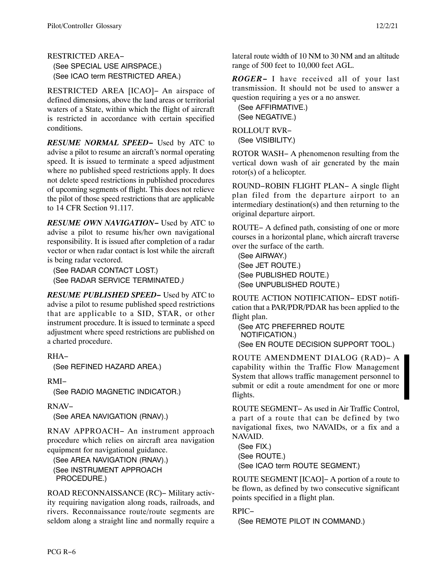### **RESTRICTED AREA-**(See SPECIAL USE AIRSPACE.) (See ICAO term RESTRICTED AREA.)

RESTRICTED AREA [ICAO]- An airspace of defined dimensions, above the land areas or territorial waters of a State, within which the flight of aircraft is restricted in accordance with certain specified conditions.

*RESUME NORMAL SPEED*– Used by ATC to advise a pilot to resume an aircraft's normal operating speed. It is issued to terminate a speed adjustment where no published speed restrictions apply. It does not delete speed restrictions in published procedures of upcoming segments of flight. This does not relieve the pilot of those speed restrictions that are applicable to 14 CFR Section 91.117.

*RESUME OWN NAVIGATION* – Used by ATC to advise a pilot to resume his/her own navigational responsibility. It is issued after completion of a radar vector or when radar contact is lost while the aircraft is being radar vectored.

(See RADAR CONTACT LOST.) (See RADAR SERVICE TERMINATED.)

 that are applicable to a SID, STAR, or other *RESUME PUBLISHED SPEED* – Used by ATC to advise a pilot to resume published speed restrictions instrument procedure. It is issued to terminate a speed adjustment where speed restrictions are published on a charted procedure.

RHA-

(See REFINED HAZARD AREA.)

 $RMI$ 

(See RADIO MAGNETIC INDICATOR.)

**RNAV-**

(See AREA NAVIGATION (RNAV).)

RNAV APPROACH- An instrument approach procedure which relies on aircraft area navigation equipment for navigational guidance.

(See AREA NAVIGATION (RNAV).) (See INSTRUMENT APPROACH PROCEDURE.)

 rivers. Reconnaissance route/route segments are ROAD RECONNAISSANCE (RC)- Military activity requiring navigation along roads, railroads, and seldom along a straight line and normally require a

lateral route width of 10 NM to 30 NM and an altitude range of 500 feet to 10,000 feet AGL.

 *ROGERï* I have received all of your last transmission. It should not be used to answer a question requiring a yes or a no answer.

(See AFFIRMATIVE.) (See NEGATIVE.)

**ROLLOUT RVR-**(See VISIBILITY.)

ROTOR WASH- A phenomenon resulting from the vertical down wash of air generated by the main rotor(s) of a helicopter.

 plan filed from the departure airport to an ROUND-ROBIN FLIGHT PLAN- A single flight intermediary destination(s) and then returning to the original departure airport.

ROUTE – A defined path, consisting of one or more courses in a horizontal plane, which aircraft traverse over the surface of the earth.

(See AIRWAY.) (See JET ROUTE.) (See PUBLISHED ROUTE.) (See UNPUBLISHED ROUTE.)

ROUTE ACTION NOTIFICATION- EDST notification that a PAR/PDR/PDAR has been applied to the flight plan.

(See ATC PREFERRED ROUTE NOTIFICATION.) (See EN ROUTE DECISION SUPPORT TOOL.)

 capability within the Traffic Flow Management ROUTE AMENDMENT DIALOG (RAD)- A System that allows traffic management personnel to submit or edit a route amendment for one or more flights.

 a part of a route that can be defined by two ROUTE SEGMENT- As used in Air Traffic Control, navigational fixes, two NAVAIDs, or a fix and a NAVAID.

(See FIX.) (See ROUTE.) (See ICAO term ROUTE SEGMENT.)

ROUTE SEGMENT [ICAO]– A portion of a route to be flown, as defined by two consecutive significant points specified in a flight plan.

 $RPIC-$ 

(See REMOTE PILOT IN COMMAND.)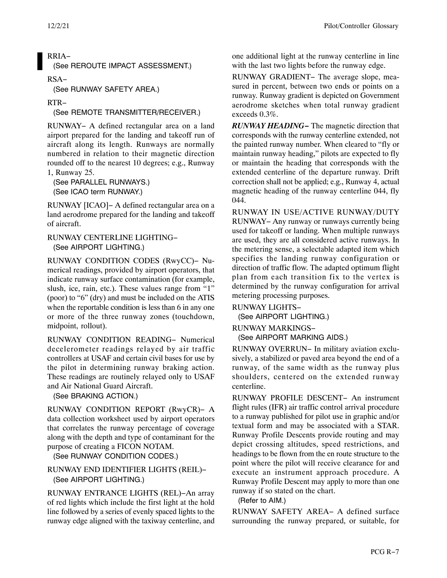### RRIA-

(See REROUTE IMPACT ASSESSMENT.)

 $RSA-$ 

(See RUNWAY SAFETY AREA.)

 $RTR -$ 

(See REMOTE TRANSMITTER/RECEIVER.)

 aircraft along its length. Runways are normally numbered in relation to their magnetic direction RUNWAY – A defined rectangular area on a land airport prepared for the landing and takeoff run of rounded off to the nearest 10 degrees; e.g., Runway 1, Runway 25.

(See PARALLEL RUNWAYS.) (See ICAO term RUNWAY.)

RUNWAY [ICAO]– A defined rectangular area on a land aerodrome prepared for the landing and takeoff of aircraft.

RUNWAY CENTERLINE LIGHTING-(See AIRPORT LIGHTING.)

 or more of the three runway zones (touchdown, RUNWAY CONDITION CODES (RwyCC)- Numerical readings, provided by airport operators, that indicate runway surface contamination (for example, slush, ice, rain, etc.). These values range from "1" (poor) to "6" (dry) and must be included on the ATIS when the reportable condition is less than 6 in any one midpoint, rollout).

 decelerometer readings relayed by air traffic the pilot in determining runway braking action. RUNWAY CONDITION READING- Numerical controllers at USAF and certain civil bases for use by These readings are routinely relayed only to USAF and Air National Guard Aircraft.

(See BRAKING ACTION.)

RUNWAY CONDITION REPORT (RwyCR)- A data collection worksheet used by airport operators that correlates the runway percentage of coverage along with the depth and type of contaminant for the purpose of creating a FICON NOTAM.

(See RUNWAY CONDITION CODES.)

### RUNWAY END IDENTIFIER LIGHTS (REIL)ï (See AIRPORT LIGHTING.)

RUNWAY ENTRANCE LIGHTS (REL)-An array of red lights which include the first light at the hold line followed by a series of evenly spaced lights to the runway edge aligned with the taxiway centerline, and

one additional light at the runway centerline in line with the last two lights before the runway edge.

RUNWAY GRADIENT- The average slope, measured in percent, between two ends or points on a runway. Runway gradient is depicted on Government aerodrome sketches when total runway gradient exceeds 0.3%.

*RUNWAY HEADING* – The magnetic direction that corresponds with the runway centerline extended, not the painted runway number. When cleared to "fly or maintain runway heading," pilots are expected to fly or maintain the heading that corresponds with the extended centerline of the departure runway. Drift correction shall not be applied; e.g., Runway 4, actual magnetic heading of the runway centerline 044, fly 044.

 specifies the landing runway configuration or plan from each transition fix to the vertex is RUNWAY IN USE/ACTIVE RUNWAY/DUTY RUNWAY – Any runway or runways currently being used for takeoff or landing. When multiple runways are used, they are all considered active runways. In the metering sense, a selectable adapted item which direction of traffic flow. The adapted optimum flight determined by the runway configuration for arrival metering processing purposes.

**RUNWAY LIGHTS-**

(See AIRPORT LIGHTING.)

**RUNWAY MARKINGS-**

(See AIRPORT MARKING AIDS.)

 runway, of the same width as the runway plus shoulders, centered on the extended runway RUNWAY OVERRUN- In military aviation exclusively, a stabilized or paved area beyond the end of a centerline.

 depict crossing altitudes, speed restrictions, and execute an instrument approach procedure. A RUNWAY PROFILE DESCENT- An instrument flight rules (IFR) air traffic control arrival procedure to a runway published for pilot use in graphic and/or textual form and may be associated with a STAR. Runway Profile Descents provide routing and may headings to be flown from the en route structure to the point where the pilot will receive clearance for and Runway Profile Descent may apply to more than one runway if so stated on the chart.

(Refer to AIM.)

RUNWAY SAFETY AREA- A defined surface surrounding the runway prepared, or suitable, for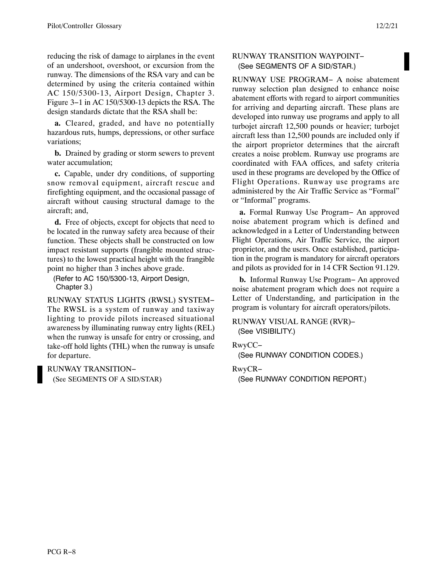AC 150/5300-13, Airport Design, Chapter 3. reducing the risk of damage to airplanes in the event of an undershoot, overshoot, or excursion from the runway. The dimensions of the RSA vary and can be determined by using the criteria contained within Figure  $3-1$  in AC 150/5300-13 depicts the RSA. The design standards dictate that the RSA shall be:

 **a.** Cleared, graded, and have no potentially hazardous ruts, humps, depressions, or other surface variations;

**b.** Drained by grading or storm sewers to prevent water accumulation;

 snow removal equipment, aircraft rescue and **c.** Capable, under dry conditions, of supporting firefighting equipment, and the occasional passage of aircraft without causing structural damage to the aircraft; and,

**d.** Free of objects, except for objects that need to be located in the runway safety area because of their function. These objects shall be constructed on low impact resistant supports (frangible mounted structures) to the lowest practical height with the frangible point no higher than 3 inches above grade.

(Refer to AC 150/5300-13, Airport Design, Chapter 3.)

 The RWSL is a system of runway and taxiway RUNWAY STATUS LIGHTS (RWSL) SYSTEMï lighting to provide pilots increased situational awareness by illuminating runway entry lights (REL) when the runway is unsafe for entry or crossing, and take-off hold lights (THL) when the runway is unsafe for departure.

RUNWAY TRANSITION-(See SEGMENTS OF A SID/STAR)

### RUNWAY TRANSITION WAYPOINT-(See SEGMENTS OF A SID/STAR.)

 Flight Operations. Runway use programs are RUNWAY USE PROGRAM- A noise abatement runway selection plan designed to enhance noise abatement efforts with regard to airport communities for arriving and departing aircraft. These plans are developed into runway use programs and apply to all turbojet aircraft 12,500 pounds or heavier; turbojet aircraft less than 12,500 pounds are included only if the airport proprietor determines that the aircraft creates a noise problem. Runway use programs are coordinated with FAA offices, and safety criteria used in these programs are developed by the Office of administered by the Air Traffic Service as "Formal" or "Informal" programs.

**a.** Formal Runway Use Program- An approved noise abatement program which is defined and acknowledged in a Letter of Understanding between Flight Operations, Air Traffic Service, the airport proprietor, and the users. Once established, participation in the program is mandatory for aircraft operators and pilots as provided for in 14 CFR Section 91.129.

**b.** Informal Runway Use Program - An approved noise abatement program which does not require a Letter of Understanding, and participation in the program is voluntary for aircraft operators/pilots.

RUNWAY VISUAL RANGE (RVR)-(See VISIBILITY.)

RwyCC-

(See RUNWAY CONDITION CODES.)

RwyCR-

(See RUNWAY CONDITION REPORT.)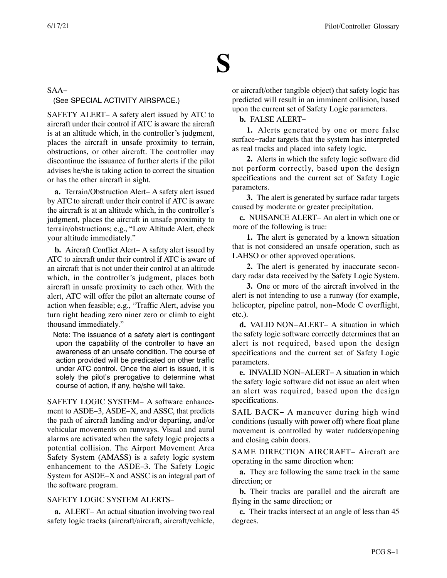### **S**

### $SAA-$ (See SPECIAL ACTIVITY AIRSPACE.)

SAFETY ALERT – A safety alert issued by ATC to aircraft under their control if ATC is aware the aircraft is at an altitude which, in the controller's judgment, places the aircraft in unsafe proximity to terrain, obstructions, or other aircraft. The controller may discontinue the issuance of further alerts if the pilot advises he/she is taking action to correct the situation or has the other aircraft in sight.

**a.** Terrain/Obstruction Alert– A safety alert issued by ATC to aircraft under their control if ATC is aware the aircraft is at an altitude which, in the controller's judgment, places the aircraft in unsafe proximity to terrain/obstructions; e.g., "Low Altitude Alert, check your altitude immediately."

**b.** Aircraft Conflict Alert– A safety alert issued by ATC to aircraft under their control if ATC is aware of an aircraft that is not under their control at an altitude which, in the controller's judgment, places both aircraft in unsafe proximity to each other. With the alert, ATC will offer the pilot an alternate course of action when feasible; e.g., "Traffic Alert, advise you turn right heading zero niner zero or climb to eight thousand immediately."

Note: The issuance of a safety alert is contingent upon the capability of the controller to have an awareness of an unsafe condition. The course of action provided will be predicated on other traffic under ATC control. Once the alert is issued, it is solely the pilot's prerogative to determine what course of action, if any, he/she will take.

 potential collision. The Airport Movement Area enhancement to the ASDE-3. The Safety Logic SAFETY LOGIC SYSTEM- A software enhancement to  $ASDE-3$ ,  $ASDE-X$ , and  $ASSC$ , that predicts the path of aircraft landing and/or departing, and/or vehicular movements on runways. Visual and aural alarms are activated when the safety logic projects a Safety System (AMASS) is a safety logic system System for  $ASDE-X$  and  $ASSC$  is an integral part of the software program.

### SAFETY LOGIC SYSTEM ALERTS-

**a.** ALERT– An actual situation involving two real safety logic tracks (aircraft/aircraft, aircraft/vehicle, or aircraft/other tangible object) that safety logic has predicted will result in an imminent collision, based upon the current set of Safety Logic parameters.

**b.** FALSE ALERT-

 **1.** Alerts generated by one or more false surface–radar targets that the system has interpreted as real tracks and placed into safety logic.

 not perform correctly, based upon the design **2.** Alerts in which the safety logic software did specifications and the current set of Safety Logic parameters.

**3.** The alert is generated by surface radar targets caused by moderate or greater precipitation.

c. NUISANCE ALERT- An alert in which one or more of the following is true:

**1.** The alert is generated by a known situation that is not considered an unsafe operation, such as LAHSO or other approved operations.

**2.** The alert is generated by inaccurate secondary radar data received by the Safety Logic System.

**3.** One or more of the aircraft involved in the alert is not intending to use a runway (for example, helicopter, pipeline patrol, non-Mode C overflight, etc.).

 alert is not required, based upon the design **d.** VALID NON-ALERT- A situation in which the safety logic software correctly determines that an specifications and the current set of Safety Logic parameters.

 an alert was required, based upon the design **e. INVALID NON-ALERT-** A situation in which the safety logic software did not issue an alert when specifications.

SAIL BACK- A maneuver during high wind conditions (usually with power off) where float plane movement is controlled by water rudders/opening and closing cabin doors.

SAME DIRECTION AIRCRAFT- Aircraft are operating in the same direction when:

**a.** They are following the same track in the same direction; or

**b.** Their tracks are parallel and the aircraft are flying in the same direction; or

**c.** Their tracks intersect at an angle of less than 45 degrees.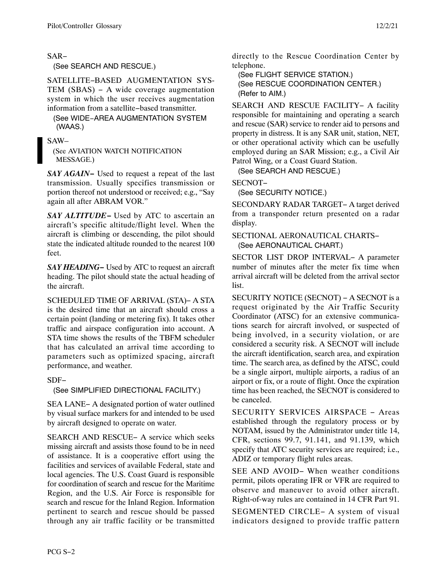### SAR-

(See SEARCH AND RESCUE.)

TEM  $(SBAS) - A$  wide coverage augmentation system in which the user receives augmentation SATELLITE-BASED AUGMENTATION SYSinformation from a satellite-based transmitter.

(See WIDE-AREA AUGMENTATION SYSTEM (WAAS.)

### SAW–

(See AVIATION WATCH NOTIFICATION MESSAGE.)

 transmission. Usually specifies transmission or *SAY AGAIN* – Used to request a repeat of the last portion thereof not understood or received; e.g., "Say again all after ABRAM VOR."

SAY ALTITUDE - Used by ATC to ascertain an aircraft's specific altitude/flight level. When the aircraft is climbing or descending, the pilot should state the indicated altitude rounded to the nearest 100 feet.

*SAY HEADING* – Used by ATC to request an aircraft heading. The pilot should state the actual heading of the aircraft.

 that has calculated an arrival time according to SCHEDULED TIME OF ARRIVAL (STA)- A STA is the desired time that an aircraft should cross a certain point (landing or metering fix). It takes other traffic and airspace configuration into account. A STA time shows the results of the TBFM scheduler parameters such as optimized spacing, aircraft performance, and weather.

 $SDF<sub>1</sub>$ 

(See SIMPLIFIED DIRECTIONAL FACILITY.)

SEA LANE – A designated portion of water outlined by visual surface markers for and intended to be used by aircraft designed to operate on water.

 pertinent to search and rescue should be passed through any air traffic facility or be transmitted SEARCH AND RESCUE- A service which seeks missing aircraft and assists those found to be in need of assistance. It is a cooperative effort using the facilities and services of available Federal, state and local agencies. The U.S. Coast Guard is responsible for coordination of search and rescue for the Maritime Region, and the U.S. Air Force is responsible for search and rescue for the Inland Region. Information

 directly to the Rescue Coordination Center by telephone.

(See FLIGHT SERVICE STATION.) (See RESCUE COORDINATION CENTER.) (Refer to AIM.)

SEARCH AND RESCUE FACILITY- A facility responsible for maintaining and operating a search and rescue (SAR) service to render aid to persons and property in distress. It is any SAR unit, station, NET, or other operational activity which can be usefully employed during an SAR Mission; e.g., a Civil Air Patrol Wing, or a Coast Guard Station.

(See SEARCH AND RESCUE.)

SECNOT-

(See SECURITY NOTICE.)

 from a transponder return presented on a radar SECONDARY RADAR TARGET- A target derived display.

SECTIONAL AERONAUTICAL CHARTS-(See AERONAUTICAL CHART.)

SECTOR LIST DROP INTERVAL- A parameter number of minutes after the meter fix time when arrival aircraft will be deleted from the arrival sector list.

 being involved, in a security violation, or are SECURITY NOTICE (SECNOT) - A SECNOT is a request originated by the Air Traffic Security Coordinator (ATSC) for an extensive communications search for aircraft involved, or suspected of considered a security risk. A SECNOT will include the aircraft identification, search area, and expiration time. The search area, as defined by the ATSC, could be a single airport, multiple airports, a radius of an airport or fix, or a route of flight. Once the expiration time has been reached, the SECNOT is considered to be canceled.

SECURITY SERVICES AIRSPACE - Areas established through the regulatory process or by NOTAM, issued by the Administrator under title 14, CFR, sections 99.7, 91.141, and 91.139, which specify that ATC security services are required; i.e., ADIZ or temporary flight rules areas.

SEE AND AVOID- When weather conditions observe and maneuver to avoid other aircraft. permit, pilots operating IFR or VFR are required to Right-of-way rules are contained in 14 CFR Part 91.

SEGMENTED CIRCLE- A system of visual indicators designed to provide traffic pattern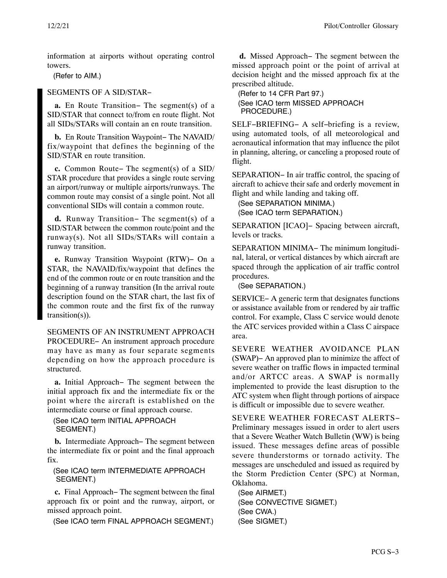information at airports without operating control towers.

(Refer to AIM.)

### SEGMENTS OF A SID/STAR-

**a.** En Route Transition– The segment(s) of a SID/STAR that connect to/from en route flight. Not all SIDs/STARs will contain an en route transition.

 fix/waypoint that defines the beginning of the **b.** En Route Transition Waypoint– The NAVAID/ SID/STAR en route transition.

**c.** Common Route– The segment(s) of a  $\text{SID}/$ STAR procedure that provides a single route serving an airport/runway or multiple airports/runways. The common route may consist of a single point. Not all conventional SIDs will contain a common route.

**d.** Runway Transition- The segment(s) of a runway(s). Not all SIDs/STARs will contain a SID/STAR between the common route/point and the runway transition.

**e.** Runway Transition Waypoint (RTW)– On a STAR, the NAVAID/fix/waypoint that defines the end of the common route or en route transition and the beginning of a runway transition (In the arrival route description found on the STAR chart, the last fix of the common route and the first fix of the runway transition(s)).

 may have as many as four separate segments depending on how the approach procedure is SEGMENTS OF AN INSTRUMENT APPROACH PROCEDURE- An instrument approach procedure structured.

 point where the aircraft is established on the **a.** Initial Approach– The segment between the initial approach fix and the intermediate fix or the intermediate course or final approach course.

(See ICAO term INITIAL APPROACH SEGMENT.)

**b.** Intermediate Approach–The segment between the intermediate fix or point and the final approach fix.

(See ICAO term INTERMEDIATE APPROACH SEGMENT.)

**c.** Final Approach– The segment between the final approach fix or point and the runway, airport, or missed approach point.

(See ICAO term FINAL APPROACH SEGMENT.)

 missed approach point or the point of arrival at **d.** Missed Approach– The segment between the decision height and the missed approach fix at the prescribed altitude.

(Refer to 14 CFR Part 97.) (See ICAO term MISSED APPROACH PROCEDURE.)

SELF-BRIEFING- A self-briefing is a review, using automated tools, of all meteorological and aeronautical information that may influence the pilot in planning, altering, or canceling a proposed route of flight.

SEPARATION– In air traffic control, the spacing of aircraft to achieve their safe and orderly movement in flight and while landing and taking off.

(See SEPARATION MINIMA.) (See ICAO term SEPARATION.)

SEPARATION [ICAO]- Spacing between aircraft, levels or tracks.

SEPARATION MINIMA- The minimum longitudinal, lateral, or vertical distances by which aircraft are spaced through the application of air traffic control procedures.

(See SEPARATION.)

SERVICE – A generic term that designates functions or assistance available from or rendered by air traffic control. For example, Class C service would denote the ATC services provided within a Class C airspace area.

 and/or ARTCC areas. A SWAP is normally SEVERE WEATHER AVOIDANCE PLAN  $(SWAP)$ – An approved plan to minimize the affect of severe weather on traffic flows in impacted terminal implemented to provide the least disruption to the ATC system when flight through portions of airspace is difficult or impossible due to severe weather.

 issued. These messages define areas of possible severe thunderstorms or tornado activity. The the Storm Prediction Center (SPC) at Norman, SEVERE WEATHER FORECAST ALERTS-Preliminary messages issued in order to alert users that a Severe Weather Watch Bulletin (WW) is being messages are unscheduled and issued as required by Oklahoma.

(See AIRMET.) (See CONVECTIVE SIGMET.) (See CWA.) (See SIGMET.)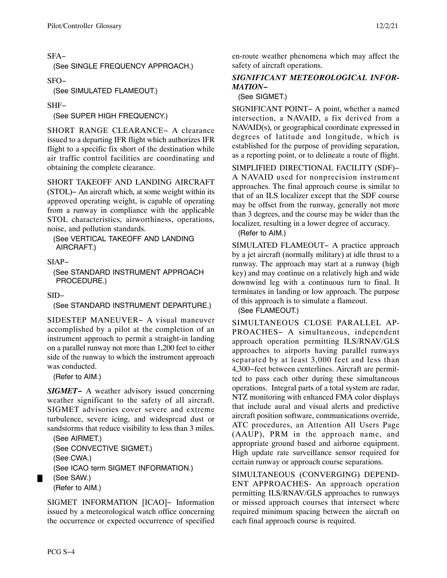SFA-

(See SINGLE FREQUENCY APPROACH.)

 $SFO-$ 

(See SIMULATED FLAMEOUT.)

SHF-

(See SUPER HIGH FREQUENCY.)

 air traffic control facilities are coordinating and SHORT RANGE CLEARANCE- A clearance issued to a departing IFR flight which authorizes IFR flight to a specific fix short of the destination while obtaining the complete clearance.

SHORT TAKEOFF AND LANDING AIRCRAFT (STOL)– An aircraft which, at some weight within its approved operating weight, is capable of operating from a runway in compliance with the applicable STOL characteristics, airworthiness, operations, noise, and pollution standards.

(See VERTICAL TAKEOFF AND LANDING AIRCRAFT.)

SIAP-

(See STANDARD INSTRUMENT APPROACH PROCEDURE.)

 $SID$ 

(See STANDARD INSTRUMENT DEPARTURE.)

 accomplished by a pilot at the completion of an SIDESTEP MANEUVER- A visual maneuver instrument approach to permit a straight-in landing on a parallel runway not more than 1,200 feet to either side of the runway to which the instrument approach was conducted.

(Refer to AIM.)

 weather significant to the safety of all aircraft. SIGMET advisories cover severe and extreme *SIGMET*- A weather advisory issued concerning turbulence, severe icing, and widespread dust or sandstorms that reduce visibility to less than 3 miles.

(See AIRMET.) (See CONVECTIVE SIGMET.) (See CWA.) (See ICAO term SIGMET INFORMATION.) (See SAW.) (Refer to AIM.)

SIGMET INFORMATION [ICAO]- Information issued by a meteorological watch office concerning the occurrence or expected occurrence of specified

en-route weather phenomena which may affect the safety of aircraft operations.

### *SIGNIFICANT METEOROLOGICAL INFOR-MATIONï*

(See SIGMET.)

 degrees of latitude and longitude, which is SIGNIFICANT POINT - A point, whether a named intersection, a NAVAID, a fix derived from a NAVAID(s), or geographical coordinate expressed in established for the purpose of providing separation, as a reporting point, or to delineate a route of flight.

SIMPLIFIED DIRECTIONAL FACILITY (SDF)-A NAVAID used for nonprecision instrument approaches. The final approach course is similar to that of an ILS localizer except that the SDF course may be offset from the runway, generally not more than 3 degrees, and the course may be wider than the localizer, resulting in a lower degree of accuracy.

(Refer to AIM.)

SIMULATED FLAMEOUT- A practice approach by a jet aircraft (normally military) at idle thrust to a runway. The approach may start at a runway (high key) and may continue on a relatively high and wide downwind leg with a continuous turn to final. It terminates in landing or low approach. The purpose of this approach is to simulate a flameout.

(See FLAMEOUT.)

 approach operation permitting ILS/RNAV/GLS approaches to airports having parallel runways separated by at least 3,000 feet and less than ATC procedures, an Attention All Users Page (AAUP), PRM in the approach name, and SIMULTANEOUS CLOSE PARALLEL AP-PROACHES- A simultaneous, independent 4,300–feet between centerlines. Aircraft are permitted to pass each other during these simultaneous operations. Integral parts of a total system are radar, NTZ monitoring with enhanced FMA color displays that include aural and visual alerts and predictive aircraft position software, communications override, appropriate ground based and airborne equipment. High update rate surveillance sensor required for certain runway or approach course separations.

 or missed approach courses that intersect where SIMULTANEOUS (CONVERGING) DEPEND-ENT APPROACHES- An approach operation permitting ILS/RNAV/GLS approaches to runways required minimum spacing between the aircraft on each final approach course is required.

ш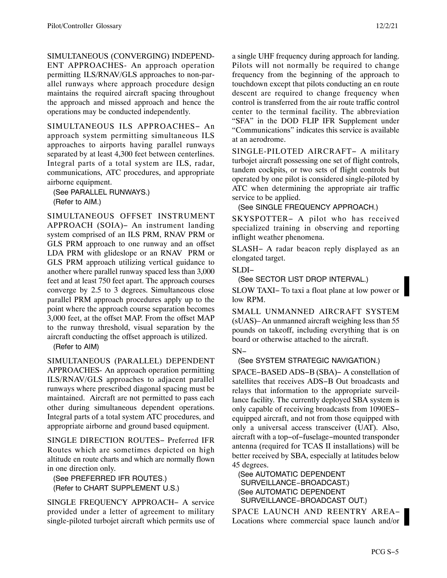allel runways where approach procedure design SIMULTANEOUS (CONVERGING) INDEPEND-ENT APPROACHES- An approach operation permitting ILS/RNAV/GLS approaches to non-parmaintains the required aircraft spacing throughout the approach and missed approach and hence the operations may be conducted independently.

 approaches to airports having parallel runways Integral parts of a total system are ILS, radar, SIMULTANEOUS ILS APPROACHES- An approach system permitting simultaneous ILS separated by at least 4,300 feet between centerlines. communications, ATC procedures, and appropriate airborne equipment.

(See PARALLEL RUNWAYS.) (Refer to AIM.)

APPROACH (SOIA)- An instrument landing SIMULTANEOUS OFFSET INSTRUMENT system comprised of an ILS PRM, RNAV PRM or GLS PRM approach to one runway and an offset LDA PRM with glideslope or an RNAV PRM or GLS PRM approach utilizing vertical guidance to another where parallel runway spaced less than 3,000 feet and at least 750 feet apart. The approach courses converge by 2.5 to 3 degrees. Simultaneous close parallel PRM approach procedures apply up to the point where the approach course separation becomes 3,000 feet, at the offset MAP. From the offset MAP to the runway threshold, visual separation by the aircraft conducting the offset approach is utilized.

(Refer to AIM)

 ILS/RNAV/GLS approaches to adjacent parallel SIMULTANEOUS (PARALLEL) DEPENDENT APPROACHES- An approach operation permitting runways where prescribed diagonal spacing must be maintained. Aircraft are not permitted to pass each other during simultaneous dependent operations. Integral parts of a total system ATC procedures, and appropriate airborne and ground based equipment.

 Routes which are sometimes depicted on high SINGLE DIRECTION ROUTES- Preferred IFR altitude en route charts and which are normally flown in one direction only.

(See PREFERRED IFR ROUTES.) (Refer to CHART SUPPLEMENT U.S.)

 provided under a letter of agreement to military SINGLE FREQUENCY APPROACH- A service single-piloted turbojet aircraft which permits use of

 Pilots will not normally be required to change descent are required to change frequency when center to the terminal facility. The abbreviation a single UHF frequency during approach for landing. frequency from the beginning of the approach to touchdown except that pilots conducting an en route control is transferred from the air route traffic control "SFA" in the DOD FLIP IFR Supplement under "Communications" indicates this service is available at an aerodrome.

SINGLE-PILOTED AIRCRAFT- A military turbojet aircraft possessing one set of flight controls, tandem cockpits, or two sets of flight controls but operated by one pilot is considered single-piloted by ATC when determining the appropriate air traffic service to be applied.

(See SINGLE FREQUENCY APPROACH.)

SKYSPOTTER- A pilot who has received specialized training in observing and reporting inflight weather phenomena.

SLASH- A radar beacon reply displayed as an elongated target.

### SLDI-

(See SECTOR LIST DROP INTERVAL.)

SLOW TAXI– To taxi a float plane at low power or low RPM.

SMALL UNMANNED AIRCRAFT SYSTEM (sUAS)– An unmanned aircraft weighing less than 55 pounds on takeoff, including everything that is on board or otherwise attached to the aircraft.

 $SN-$ 

(See SYSTEM STRATEGIC NAVIGATION.)

SPACE-BASED ADS-B (SBA)- A constellation of satellites that receives ADS-B Out broadcasts and relays that information to the appropriate surveillance facility. The currently deployed SBA system is only capable of receiving broadcasts from 1090ESequipped aircraft, and not from those equipped with only a universal access transceiver (UAT). Also, aircraft with a top-of-fuselage-mounted transponder antenna (required for TCAS II installations) will be better received by SBA, especially at latitudes below 45 degrees.

(See AUTOMATIC DEPENDENT SURVEILLANCE-BROADCAST.) (See AUTOMATIC DEPENDENT SURVEILLANCE-BROADCAST OUT.)

SPACE LAUNCH AND REENTRY AREA-Locations where commercial space launch and/or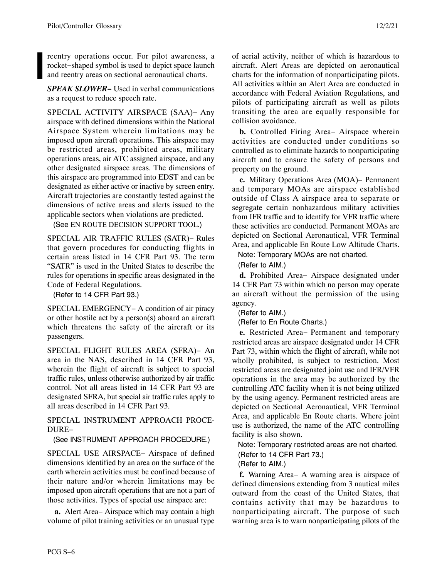reentry operations occur. For pilot awareness, a rocket-shaped symbol is used to depict space launch and reentry areas on sectional aeronautical charts.

**SPEAK SLOWER**- Used in verbal communications as a request to reduce speech rate.

 Airspace System wherein limitations may be SPECIAL ACTIVITY AIRSPACE (SAA)- Any airspace with defined dimensions within the National imposed upon aircraft operations. This airspace may be restricted areas, prohibited areas, military operations areas, air ATC assigned airspace, and any other designated airspace areas. The dimensions of this airspace are programmed into EDST and can be designated as either active or inactive by screen entry. Aircraft trajectories are constantly tested against the dimensions of active areas and alerts issued to the applicable sectors when violations are predicted.

(See EN ROUTE DECISION SUPPORT TOOL.)

 that govern procedures for conducting flights in SPECIAL AIR TRAFFIC RULES (SATR)– Rules certain areas listed in 14 CFR Part 93. The term "SATR" is used in the United States to describe the rules for operations in specific areas designated in the Code of Federal Regulations.

(Refer to 14 CFR Part 93.)

 which threatens the safety of the aircraft or its SPECIAL EMERGENCY- A condition of air piracy or other hostile act by a person(s) aboard an aircraft passengers.

 area in the NAS, described in 14 CFR Part 93, SPECIAL FLIGHT RULES AREA (SFRA)- An wherein the flight of aircraft is subject to special traffic rules, unless otherwise authorized by air traffic control. Not all areas listed in 14 CFR Part 93 are designated SFRA, but special air traffic rules apply to all areas described in 14 CFR Part 93.

SPECIAL INSTRUMENT APPROACH PROCE-DURE-

(See INSTRUMENT APPROACH PROCEDURE.)

 their nature and/or wherein limitations may be SPECIAL USE AIRSPACE- Airspace of defined dimensions identified by an area on the surface of the earth wherein activities must be confined because of imposed upon aircraft operations that are not a part of those activities. Types of special use airspace are:

**a.** Alert Area– Airspace which may contain a high volume of pilot training activities or an unusual type

 pilots of participating aircraft as well as pilots transiting the area are equally responsible for of aerial activity, neither of which is hazardous to aircraft. Alert Areas are depicted on aeronautical charts for the information of nonparticipating pilots. All activities within an Alert Area are conducted in accordance with Federal Aviation Regulations, and collision avoidance.

 activities are conducted under conditions so aircraft and to ensure the safety of persons and **b.** Controlled Firing Area- Airspace wherein controlled as to eliminate hazards to nonparticipating property on the ground.

 and temporary MOAs are airspace established outside of Class A airspace area to separate or **c.** Military Operations Area (MOA)– Permanent segregate certain nonhazardous military activities from IFR traffic and to identify for VFR traffic where these activities are conducted. Permanent MOAs are depicted on Sectional Aeronautical, VFR Terminal Area, and applicable En Route Low Altitude Charts.

Note: Temporary MOAs are not charted.

(Refer to AIM.)

 an aircraft without the permission of the using **d.** Prohibited Area– Airspace designated under 14 CFR Part 73 within which no person may operate agency.

(Refer to AIM.)

(Refer to En Route Charts.)

**e.** Restricted Area– Permanent and temporary restricted areas are airspace designated under 14 CFR Part 73, within which the flight of aircraft, while not wholly prohibited, is subject to restriction. Most restricted areas are designated joint use and IFR/VFR operations in the area may be authorized by the controlling ATC facility when it is not being utilized by the using agency. Permanent restricted areas are depicted on Sectional Aeronautical, VFR Terminal Area, and applicable En Route charts. Where joint use is authorized, the name of the ATC controlling facility is also shown.

Note: Temporary restricted areas are not charted. (Refer to 14 CFR Part 73.) (Refer to AIM.)

 contains activity that may be hazardous to nonparticipating aircraft. The purpose of such **f.** Warning Area– A warning area is airspace of defined dimensions extending from 3 nautical miles outward from the coast of the United States, that warning area is to warn nonparticipating pilots of the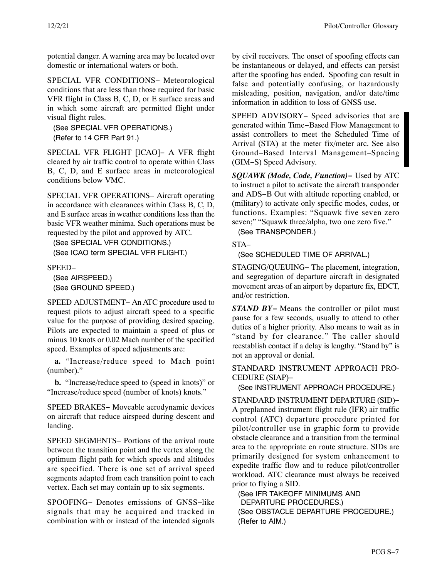potential danger. A warning area may be located over domestic or international waters or both.

SPECIAL VFR CONDITIONS- Meteorological conditions that are less than those required for basic VFR flight in Class B, C, D, or E surface areas and in which some aircraft are permitted flight under visual flight rules.

(See SPECIAL VFR OPERATIONS.) (Refer to 14 CFR Part 91.)

 B, C, D, and E surface areas in meteorological SPECIAL VFR FLIGHT [ICAO]- A VFR flight cleared by air traffic control to operate within Class conditions below VMC.

SPECIAL VFR OPERATIONS- Aircraft operating in accordance with clearances within Class B, C, D, and E surface areas in weather conditions less than the basic VFR weather minima. Such operations must be requested by the pilot and approved by ATC.

(See SPECIAL VFR CONDITIONS.) (See ICAO term SPECIAL VFR FLIGHT.)

SPEED-

(See AIRSPEED.) (See GROUND SPEED.)

SPEED ADJUSTMENT- An ATC procedure used to request pilots to adjust aircraft speed to a specific value for the purpose of providing desired spacing. Pilots are expected to maintain a speed of plus or minus 10 knots or 0.02 Mach number of the specified speed. Examples of speed adjustments are:

**a.** "Increase/reduce speed to Mach point (number)."

**b.** "Increase/reduce speed to (speed in knots)" or "Increase/reduce speed (number of knots) knots."

SPEED BRAKES- Moveable aerodynamic devices on aircraft that reduce airspeed during descent and landing.

 are specified. There is one set of arrival speed SPEED SEGMENTS- Portions of the arrival route between the transition point and the vertex along the optimum flight path for which speeds and altitudes segments adapted from each transition point to each vertex. Each set may contain up to six segments.

SPOOFING- Denotes emissions of GNSS-like signals that may be acquired and tracked in combination with or instead of the intended signals

 false and potentially confusing, or hazardously by civil receivers. The onset of spoofing effects can be instantaneous or delayed, and effects can persist after the spoofing has ended. Spoofing can result in misleading, position, navigation, and/or date/time information in addition to loss of GNSS use.

SPEED ADVISORY- Speed advisories that are generated within Time–Based Flow Management to assist controllers to meet the Scheduled Time of Arrival (STA) at the meter fix/meter arc. See also Ground-Based Interval Management-Spacing (GIM-S) Speed Advisory.

 functions. Examples: "Squawk five seven zero *SQUAWK (Mode, Code, Function)* – Used by ATC to instruct a pilot to activate the aircraft transponder and ADS–B Out with altitude reporting enabled, or (military) to activate only specific modes, codes, or seven;" "Squawk three/alpha, two one zero five."

(See TRANSPONDER.)

 $STA-$ 

(See SCHEDULED TIME OF ARRIVAL.)

STAGING/QUEUING - The placement, integration, and segregation of departure aircraft in designated movement areas of an airport by departure fix, EDCT, and/or restriction.

 "stand by for clearance." The caller should *STAND BY*– Means the controller or pilot must pause for a few seconds, usually to attend to other duties of a higher priority. Also means to wait as in reestablish contact if a delay is lengthy. "Stand by" is not an approval or denial.

STANDARD INSTRUMENT APPROACH PRO-CEDURE (SIAP)-

(See INSTRUMENT APPROACH PROCEDURE.)

 pilot/controller use in graphic form to provide primarily designed for system enhancement to STANDARD INSTRUMENT DEPARTURE (SID)-A preplanned instrument flight rule (IFR) air traffic control (ATC) departure procedure printed for obstacle clearance and a transition from the terminal area to the appropriate en route structure. SIDs are expedite traffic flow and to reduce pilot/controller workload. ATC clearance must always be received prior to flying a SID.

(See IFR TAKEOFF MINIMUMS AND DEPARTURE PROCEDURES.) (See OBSTACLE DEPARTURE PROCEDURE.) (Refer to AIM.)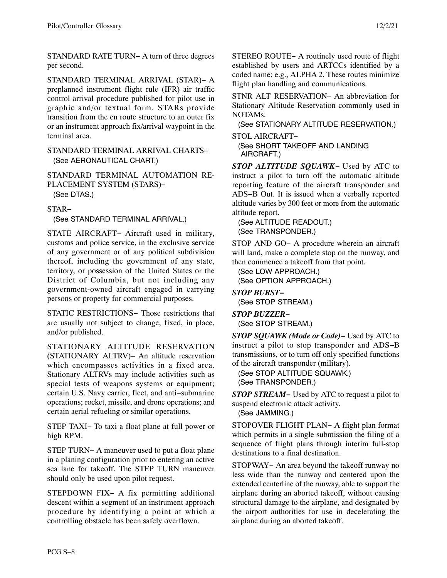STANDARD RATE TURN- A turn of three degrees per second.

 graphic and/or textual form. STARs provide STANDARD TERMINAL ARRIVAL (STAR)- A preplanned instrument flight rule (IFR) air traffic control arrival procedure published for pilot use in transition from the en route structure to an outer fix or an instrument approach fix/arrival waypoint in the terminal area.

STANDARD TERMINAL ARRIVAL CHARTS-(See AERONAUTICAL CHART.)

STANDARD TERMINAL AUTOMATION RE-PLACEMENT SYSTEM (STARS)-(See DTAS.)

STAR-

(See STANDARD TERMINAL ARRIVAL.)

 thereof, including the government of any state, District of Columbia, but not including any STATE AIRCRAFT- Aircraft used in military, customs and police service, in the exclusive service of any government or of any political subdivision territory, or possession of the United States or the government-owned aircraft engaged in carrying persons or property for commercial purposes.

STATIC RESTRICTIONS- Those restrictions that are usually not subject to change, fixed, in place, and/or published.

 which encompasses activities in a fixed area. special tests of weapons systems or equipment; STATIONARY ALTITUDE RESERVATION (STATIONARY ALTRV)– An altitude reservation Stationary ALTRVs may include activities such as certain U.S. Navy carrier, fleet, and anti-submarine operations; rocket, missile, and drone operations; and certain aerial refueling or similar operations.

STEP TAXI- To taxi a float plane at full power or high RPM.

STEP TURN– A maneuver used to put a float plane in a planing configuration prior to entering an active sea lane for takeoff. The STEP TURN maneuver should only be used upon pilot request.

STEPDOWN FIX- A fix permitting additional descent within a segment of an instrument approach procedure by identifying a point at which a controlling obstacle has been safely overflown.

STEREO ROUTE- A routinely used route of flight established by users and ARTCCs identified by a coded name; e.g., ALPHA 2. These routes minimize flight plan handling and communications.

STNR ALT RESERVATION– An abbreviation for Stationary Altitude Reservation commonly used in NOTAMs.

(See STATIONARY ALTITUDE RESERVATION.)

STOL AIRCRAFT-

(See SHORT TAKEOFF AND LANDING AIRCRAFT.)

*STOP ALTITUDE SQUAWK*- Used by ATC to reporting feature of the aircraft transponder and instruct a pilot to turn off the automatic altitude ADS-B Out. It is issued when a verbally reported altitude varies by 300 feet or more from the automatic altitude report.

(See ALTITUDE READOUT.) (See TRANSPONDER.)

STOP AND GO- A procedure wherein an aircraft will land, make a complete stop on the runway, and then commence a takeoff from that point.

(See LOW APPROACH.) (See OPTION APPROACH.)

*STOP BURSTï* (See STOP STREAM.)

### *STOP BUZZERï*

(See STOP STREAM.)

instruct a pilot to stop transponder and  $ADS-B$ *STOP SQUAWK (Mode or Code)* – Used by ATC to transmissions, or to turn off only specified functions of the aircraft transponder (military).

(See STOP ALTITUDE SQUAWK.) (See TRANSPONDER.)

*STOP STREAM* – Used by ATC to request a pilot to suspend electronic attack activity.

(See JAMMING.)

STOPOVER FLIGHT PLAN- A flight plan format which permits in a single submission the filing of a sequence of flight plans through interim full-stop destinations to a final destination.

STOPWAY – An area beyond the takeoff runway no less wide than the runway and centered upon the extended centerline of the runway, able to support the airplane during an aborted takeoff, without causing structural damage to the airplane, and designated by the airport authorities for use in decelerating the airplane during an aborted takeoff.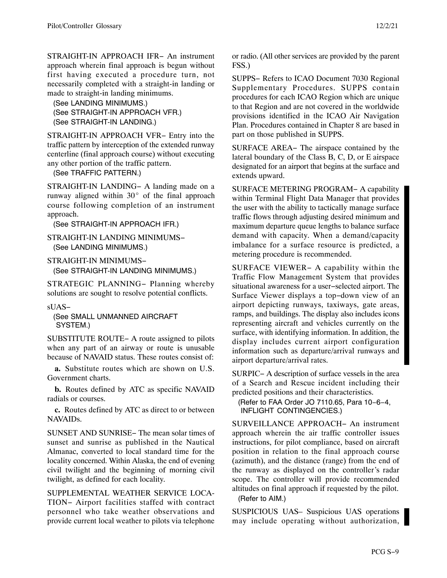first having executed a procedure turn, not STRAIGHT-IN APPROACH IFR- An instrument approach wherein final approach is begun without necessarily completed with a straight-in landing or made to straight-in landing minimums.

(See LANDING MINIMUMS.) (See STRAIGHT-IN APPROACH VFR.) (See STRAIGHT-IN LANDING.)

STRAIGHT-IN APPROACH VFR- Entry into the traffic pattern by interception of the extended runway centerline (final approach course) without executing any other portion of the traffic pattern.

(See TRAFFIC PATTERN.)

 course following completion of an instrument STRAIGHT-IN LANDING - A landing made on a runway aligned within  $30^{\circ}$  of the final approach approach.

(See STRAIGHT-IN APPROACH IFR.)

STRAIGHT-IN LANDING MINIMUMS-(See LANDING MINIMUMS.)

STRAIGHT-IN MINIMUMS-(See STRAIGHT-IN LANDING MINIMUMS.)

STRATEGIC PLANNING- Planning whereby solutions are sought to resolve potential conflicts.

 $sIIAS-$ 

(See SMALL UNMANNED AIRCRAFT SYSTEM.)

SUBSTITUTE ROUTE- A route assigned to pilots when any part of an airway or route is unusable because of NAVAID status. These routes consist of:

 **a.** Substitute routes which are shown on U.S. Government charts.

**b.** Routes defined by ATC as specific NAVAID radials or courses.

**c.** Routes defined by ATC as direct to or between NAVAIDs.

 sunset and sunrise as published in the Nautical SUNSET AND SUNRISE- The mean solar times of Almanac, converted to local standard time for the locality concerned. Within Alaska, the end of evening civil twilight and the beginning of morning civil twilight, as defined for each locality.

 personnel who take weather observations and SUPPLEMENTAL WEATHER SERVICE LOCA-TION- Airport facilities staffed with contract provide current local weather to pilots via telephone

or radio. (All other services are provided by the parent FSS.)

 Supplementary Procedures. SUPPS contain SUPPS– Refers to ICAO Document 7030 Regional procedures for each ICAO Region which are unique to that Region and are not covered in the worldwide provisions identified in the ICAO Air Navigation Plan. Procedures contained in Chapter 8 are based in part on those published in SUPPS.

SURFACE AREA– The airspace contained by the lateral boundary of the Class B, C, D, or E airspace designated for an airport that begins at the surface and extends upward.

 imbalance for a surface resource is predicted, a SURFACE METERING PROGRAM- A capability within Terminal Flight Data Manager that provides the user with the ability to tactically manage surface traffic flows through adjusting desired minimum and maximum departure queue lengths to balance surface demand with capacity. When a demand/capacity metering procedure is recommended.

SURFACE VIEWER- A capability within the Traffic Flow Management System that provides Surface Viewer displays a top-down view of an airport depicting runways, taxiways, gate areas, display includes current airport configuration situational awareness for a user-selected airport. The ramps, and buildings. The display also includes icons representing aircraft and vehicles currently on the surface, with identifying information. In addition, the information such as departure/arrival runways and airport departure/arrival rates.

 of a Search and Rescue incident including their SURPIC - A description of surface vessels in the area predicted positions and their characteristics.

(Refer to FAA Order JO 7110.65, Para  $10-6-4$ , INFLIGHT CONTINGENCIES.)

 position in relation to the final approach course SURVEILLANCE APPROACH- An instrument approach wherein the air traffic controller issues instructions, for pilot compliance, based on aircraft (azimuth), and the distance (range) from the end of the runway as displayed on the controller's radar scope. The controller will provide recommended altitudes on final approach if requested by the pilot.

(Refer to AIM.)

 may include operating without authorization, SUSPICIOUS UAS– Suspicious UAS operations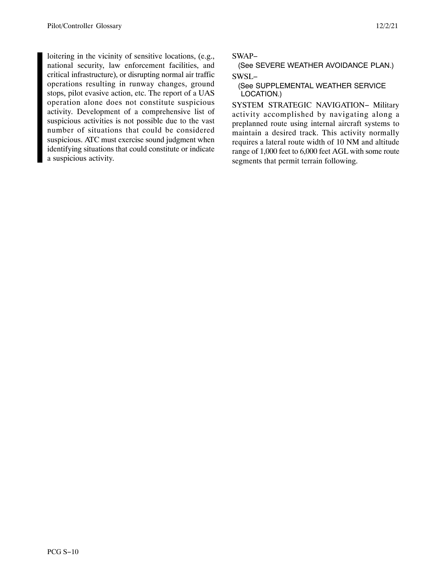operations resulting in runway changes, ground operation alone does not constitute suspicious number of situations that could be considered loitering in the vicinity of sensitive locations, (e.g., national security, law enforcement facilities, and critical infrastructure), or disrupting normal air traffic stops, pilot evasive action, etc. The report of a UAS activity. Development of a comprehensive list of suspicious activities is not possible due to the vast suspicious. ATC must exercise sound judgment when identifying situations that could constitute or indicate a suspicious activity.

SWAP-

(See SEVERE WEATHER AVOIDANCE PLAN.)  $SWSL-$ 

### (See SUPPLEMENTAL WEATHER SERVICE LOCATION.)

 activity accomplished by navigating along a maintain a desired track. This activity normally SYSTEM STRATEGIC NAVIGATION- Military preplanned route using internal aircraft systems to requires a lateral route width of 10 NM and altitude range of 1,000 feet to 6,000 feet AGL with some route segments that permit terrain following.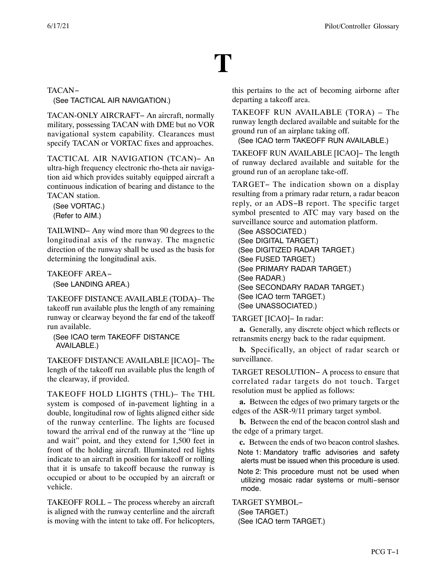# **T**

### TACAN*ï* (See TACTICAL AIR NAVIGATION.)

 navigational system capability. Clearances must TACAN-ONLY AIRCRAFT- An aircraft, normally military, possessing TACAN with DME but no VOR specify TACAN or VORTAC fixes and approaches.

TACTICAL AIR NAVIGATION (TCAN)- An ultra-high frequency electronic rho-theta air navigation aid which provides suitably equipped aircraft a continuous indication of bearing and distance to the TACAN station.

(See VORTAC.) (Refer to AIM.)

 longitudinal axis of the runway. The magnetic TAILWIND – Any wind more than 90 degrees to the direction of the runway shall be used as the basis for determining the longitudinal axis.

# TAKEOFF AREA*ï*

(See LANDING AREA.)

TAKEOFF DISTANCE AVAILABLE (TODA)– The takeoff run available plus the length of any remaining runway or clearway beyond the far end of the takeoff run available.

(See ICAO term TAKEOFF DISTANCE AVAILABLE.)

TAKEOFF DISTANCE AVAILABLE [ICAO]- The length of the takeoff run available plus the length of the clearway, if provided.

 TAKEOFF HOLD LIGHTS (THL)– The THL of the runway centerline. The lights are focused system is composed of in-pavement lighting in a double, longitudinal row of lights aligned either side toward the arrival end of the runway at the "line up and wait" point, and they extend for 1,500 feet in front of the holding aircraft. Illuminated red lights indicate to an aircraft in position for takeoff or rolling that it is unsafe to takeoff because the runway is occupied or about to be occupied by an aircraft or vehicle.

TAKEOFF ROLL – The process whereby an aircraft is aligned with the runway centerline and the aircraft is moving with the intent to take off. For helicopters,

this pertains to the act of becoming airborne after departing a takeoff area.

TAKEOFF RUN AVAILABLE (TORA) – The runway length declared available and suitable for the ground run of an airplane taking off.

(See ICAO term TAKEOFF RUN AVAILABLE.)

TAKEOFF RUN AVAILABLE [ICAO]- The length of runway declared available and suitable for the ground run of an aeroplane take-off.

reply, or an ADS-B report. The specific target TARGET– The indication shown on a display resulting from a primary radar return, a radar beacon symbol presented to ATC may vary based on the surveillance source and automation platform.

(See ASSOCIATED.) (See DIGITAL TARGET.) (See DIGITIZED RADAR TARGET.) (See FUSED TARGET.) (See PRIMARY RADAR TARGET.) (See RADAR.) (See SECONDARY RADAR TARGET.) (See ICAO term TARGET.) (See UNASSOCIATED.)

# TARGET [ICAO]– In radar:

**a.** Generally, any discrete object which reflects or retransmits energy back to the radar equipment.

 **b.** Specifically, an object of radar search or surveillance.

 correlated radar targets do not touch. Target TARGET RESOLUTION- A process to ensure that resolution must be applied as follows:

**a.** Between the edges of two primary targets or the edges of the ASR-9/11 primary target symbol.

**b.** Between the end of the beacon control slash and the edge of a primary target.

- **c.** Between the ends of two beacon control slashes. Note 1: Mandatory traffic advisories and safety alerts must be issued when this procedure is used.
- Note 2: This procedure must not be used when utilizing mosaic radar systems or multi-sensor mode.

TARGET SYMBOL-

(See TARGET.) (See ICAO term TARGET.)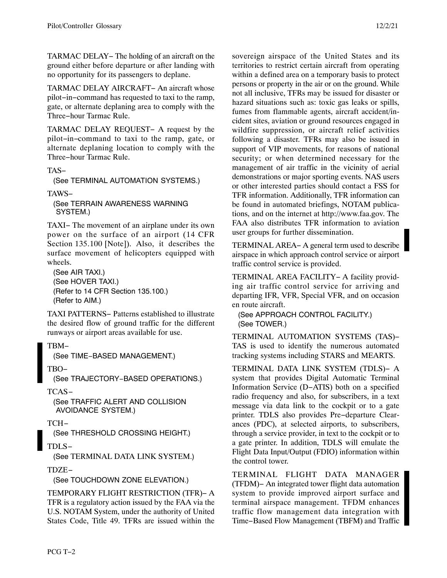TARMAC DELAY – The holding of an aircraft on the ground either before departure or after landing with no opportunity for its passengers to deplane.

TARMAC DELAY AIRCRAFT - An aircraft whose pilot-in-command has requested to taxi to the ramp, gate, or alternate deplaning area to comply with the Three-hour Tarmac Rule.

pilot-in-command to taxi to the ramp, gate, or alternate deplaning location to comply with the TARMAC DELAY REQUEST- A request by the Three-hour Tarmac Rule.

TAS-

(See TERMINAL AUTOMATION SYSTEMS.)

TAWS-

(See TERRAIN AWARENESS WARNING SYSTEM.)

 power on the surface of an airport (14 CFR Section 135.100 [Note]). Also, it describes the surface movement of helicopters equipped with TAXI– The movement of an airplane under its own wheels.

(See AIR TAXI.) (See HOVER TAXI.) (Refer to 14 CFR Section 135.100.) (Refer to AIM.)

TAXI PATTERNS- Patterns established to illustrate the desired flow of ground traffic for the different runways or airport areas available for use.

TBM-

(See TIME-BASED MANAGEMENT.)

TBO-

(See TRAJECTORY-BASED OPERATIONS.)

TCAS*ï*

(See TRAFFIC ALERT AND COLLISION AVOIDANCE SYSTEM.)

TCH*ï*

(See THRESHOLD CROSSING HEIGHT.)

TDLS*ï*

(See TERMINAL DATA LINK SYSTEM.)

TDZE*ï*

(See TOUCHDOWN ZONE ELEVATION.)

TEMPORARY FLIGHT RESTRICTION (TFR)- A TFR is a regulatory action issued by the FAA via the U.S. NOTAM System, under the authority of United States Code, Title 49. TFRs are issued within the

 sovereign airspace of the United States and its wildfire suppression, or aircraft relief activities security; or when determined necessary for the territories to restrict certain aircraft from operating within a defined area on a temporary basis to protect persons or property in the air or on the ground. While not all inclusive, TFRs may be issued for disaster or hazard situations such as: toxic gas leaks or spills, fumes from flammable agents, aircraft accident/incident sites, aviation or ground resources engaged in following a disaster. TFRs may also be issued in support of VIP movements, for reasons of national management of air traffic in the vicinity of aerial demonstrations or major sporting events. NAS users or other interested parties should contact a FSS for TFR information. Additionally, TFR information can be found in automated briefings, NOTAM publications, and on the internet at [http://www.faa.gov.](http:http://www.faa.gov) The FAA also distributes TFR information to aviation user groups for further dissemination.

TERMINAL AREA– A general term used to describe airspace in which approach control service or airport traffic control service is provided.

 ing air traffic control service for arriving and TERMINAL AREA FACILITY - A facility providdeparting IFR, VFR, Special VFR, and on occasion en route aircraft.

(See APPROACH CONTROL FACILITY.) (See TOWER.)

TERMINAL AUTOMATION SYSTEMS (TAS)-TAS is used to identify the numerous automated tracking systems including STARS and MEARTS.

TERMINAL DATA LINK SYSTEM (TDLS)- A system that provides Digital Automatic Terminal Information Service  $(D-ATIS)$  both on a specified radio frequency and also, for subscribers, in a text message via data link to the cockpit or to a gate printer. TDLS also provides Pre-departure Clearances (PDC), at selected airports, to subscribers, through a service provider, in text to the cockpit or to a gate printer. In addition, TDLS will emulate the Flight Data Input/Output (FDIO) information within the control tower.

 TERMINAL FLIGHT DATA MANAGER system to provide improved airport surface and terminal airspace management. TFDM enhances traffic flow management data integration with (TFDM)– An integrated tower flight data automation Time–Based Flow Management (TBFM) and Traffic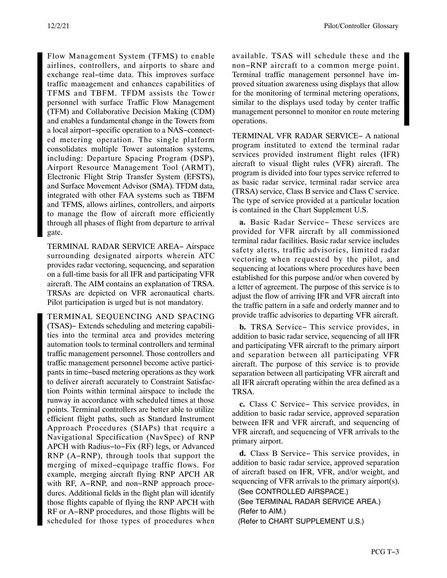Flow Management System (TFMS) to enable airlines, controllers, and airports to share and exchange real-time data. This improves surface traffic management and enhances capabilities of TFMS and TBFM. TFDM assists the Tower ed metering operation. The single platform including: Departure Spacing Program (DSP), to manage the flow of aircraft more efficiently personnel with surface Traffic Flow Management (TFM) and Collaborative Decision Making (CDM) and enables a fundamental change in the Towers from a local airport-specific operation to a NAS-connectconsolidates multiple Tower automation systems, Airport Resource Management Tool (ARMT), Electronic Flight Strip Transfer System (EFSTS), and Surface Movement Advisor (SMA). TFDM data, integrated with other FAA systems such as TBFM and TFMS, allows airlines, controllers, and airports through all phases of flight from departure to arrival gate.

TERMINAL RADAR SERVICE AREA- Airspace surrounding designated airports wherein ATC provides radar vectoring, sequencing, and separation on a full-time basis for all IFR and participating VFR aircraft. The AIM contains an explanation of TRSA. TRSAs are depicted on VFR aeronautical charts. Pilot participation is urged but is not mandatory.

 Approach Procedures (SIAPs) that require a Navigational Specification (NavSpec) of RNP  $RNP$  (A-RNP), through tools that support the TERMINAL SEQUENCING AND SPACING (TSAS)– Extends scheduling and metering capabilities into the terminal area and provides metering automation tools to terminal controllers and terminal traffic management personnel. Those controllers and traffic management personnel become active participants in time-based metering operations as they work to deliver aircraft accurately to Constraint Satisfaction Points within terminal airspace to include the runway in accordance with scheduled times at those points. Terminal controllers are better able to utilize efficient flight paths, such as Standard Instrument APCH with Radius-to-Fix  $(RF)$  legs, or Advanced merging of mixed-equipage traffic flows. For example, merging aircraft flying RNP APCH AR with RF, A-RNP, and non-RNP approach procedures. Additional fields in the flight plan will identify those flights capable of flying the RNP APCH with  $RF$  or  $A-RNP$  procedures, and those flights will be scheduled for those types of procedures when

 available. TSAS will schedule these and the non-RNP aircraft to a common merge point. Terminal traffic management personnel have improved situation awareness using displays that allow for the monitoring of terminal metering operations, similar to the displays used today by center traffic management personnel to monitor en route metering operations.

 program instituted to extend the terminal radar TERMINAL VFR RADAR SERVICE- A national services provided instrument flight rules (IFR) aircraft to visual flight rules (VFR) aircraft. The program is divided into four types service referred to as basic radar service, terminal radar service area (TRSA) service, Class B service and Class C service. The type of service provided at a particular location is contained in the Chart Supplement U.S.

 provided for VFR aircraft by all commissioned vectoring when requested by the pilot, and a. Basic Radar Service- These services are terminal radar facilities. Basic radar service includes safety alerts, traffic advisories, limited radar sequencing at locations where procedures have been established for this purpose and/or when covered by a letter of agreement. The purpose of this service is to adjust the flow of arriving IFR and VFR aircraft into the traffic pattern in a safe and orderly manner and to provide traffic advisories to departing VFR aircraft.

**b.** TRSA Service- This service provides, in addition to basic radar service, sequencing of all IFR and participating VFR aircraft to the primary airport and separation between all participating VFR aircraft. The purpose of this service is to provide separation between all participating VFR aircraft and all IFR aircraft operating within the area defined as a TRSA.

c. Class C Service- This service provides, in addition to basic radar service, approved separation between IFR and VFR aircraft, and sequencing of VFR aircraft, and sequencing of VFR arrivals to the primary airport.

d. Class B Service- This service provides, in addition to basic radar service, approved separation of aircraft based on IFR, VFR, and/or weight, and sequencing of VFR arrivals to the primary airport(s).

(See CONTROLLED AIRSPACE.)

(See TERMINAL RADAR SERVICE AREA.) (Refer to AIM.)

(Refer to CHART SUPPLEMENT U.S.)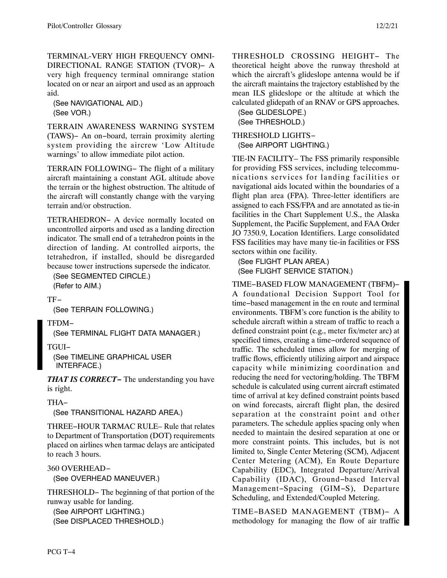very high frequency terminal omnirange station TERMINAL-VERY HIGH FREQUENCY OMNI-DIRECTIONAL RANGE STATION (TVOR)- A located on or near an airport and used as an approach aid.

(See NAVIGATIONAL AID.) (See VOR.)

 TERRAIN AWARENESS WARNING SYSTEM system providing the aircrew 'Low Altitude (TAWS)- An on-board, terrain proximity alerting warnings' to allow immediate pilot action.

TERRAIN FOLLOWING- The flight of a military aircraft maintaining a constant AGL altitude above the terrain or the highest obstruction. The altitude of the aircraft will constantly change with the varying terrain and/or obstruction.

 direction of landing. At controlled airports, the tetrahedron, if installed, should be disregarded TETRAHEDRON- A device normally located on uncontrolled airports and used as a landing direction indicator. The small end of a tetrahedron points in the because tower instructions supersede the indicator.

(See SEGMENTED CIRCLE.) (Refer to AIM.)

TF*ï*

(See TERRAIN FOLLOWING.)

TFDM-

(See TERMINAL FLIGHT DATA MANAGER.)

TGUI-

(See TIMELINE GRAPHICAL USER INTERFACE.)

*THAT IS CORRECT*— The understanding you have is right.

# THA-

(See TRANSITIONAL HAZARD AREA.)

THREE-HOUR TARMAC RULE– Rule that relates to Department of Transportation (DOT) requirements placed on airlines when tarmac delays are anticipated to reach 3 hours.

360 OVERHEAD*ï*

(See OVERHEAD MANEUVER.)

THRESHOLD– The beginning of that portion of the runway usable for landing.

(See AIRPORT LIGHTING.) (See DISPLACED THRESHOLD.) THRESHOLD CROSSING HEIGHT- The theoretical height above the runway threshold at which the aircraft's glideslope antenna would be if the aircraft maintains the trajectory established by the mean ILS glideslope or the altitude at which the calculated glidepath of an RNAV or GPS approaches.

(See GLIDESLOPE.) (See THRESHOLD.)

THRESHOLD LIGHTS*ï* (See AIRPORT LIGHTING.)

TIE-IN FACILITY– The FSS primarily responsible for providing FSS services, including telecommunications services for landing facilities or navigational aids located within the boundaries of a flight plan area (FPA). Three-letter identifiers are assigned to each FSS/FPA and are annotated as tie-in facilities in the Chart Supplement U.S., the Alaska Supplement, the Pacific Supplement, and FAA Order JO 7350.9, Location Identifiers. Large consolidated FSS facilities may have many tie-in facilities or FSS sectors within one facility.

(See FLIGHT PLAN AREA.) (See FLIGHT SERVICE STATION.)

 A foundational Decision Support Tool for separation at the constraint point and other Center Metering (ACM), En Route Departure Capability (EDC), Integrated Departure/Arrival TIME-BASED FLOW MANAGEMENT (TBFM)time-based management in the en route and terminal environments. TBFM's core function is the ability to schedule aircraft within a stream of traffic to reach a defined constraint point (e.g., meter fix/meter arc) at specified times, creating a time-ordered sequence of traffic. The scheduled times allow for merging of traffic flows, efficiently utilizing airport and airspace capacity while minimizing coordination and reducing the need for vectoring/holding. The TBFM schedule is calculated using current aircraft estimated time of arrival at key defined constraint points based on wind forecasts, aircraft flight plan, the desired parameters. The schedule applies spacing only when needed to maintain the desired separation at one or more constraint points. This includes, but is not limited to, Single Center Metering (SCM), Adjacent Capability (IDAC), Ground-based Interval Management-Spacing (GIM-S), Departure Scheduling, and Extended/Coupled Metering.

TIME-BASED MANAGEMENT (TBM)- A methodology for managing the flow of air traffic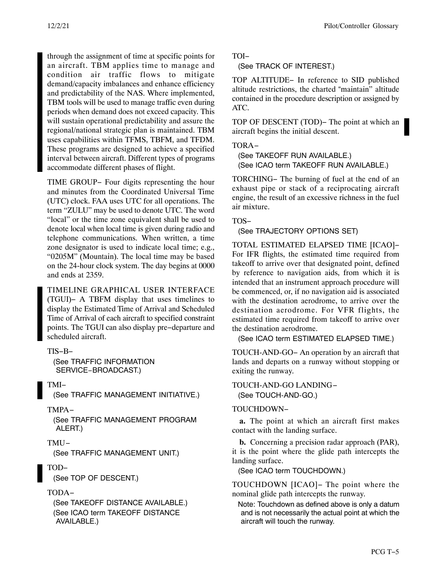an aircraft. TBM applies time to manage and condition air traffic flows to mitigate through the assignment of time at specific points for demand/capacity imbalances and enhance efficiency and predictability of the NAS. Where implemented, TBM tools will be used to manage traffic even during periods when demand does not exceed capacity. This will sustain operational predictability and assure the regional/national strategic plan is maintained. TBM uses capabilities within TFMS, TBFM, and TFDM. These programs are designed to achieve a specified interval between aircraft. Different types of programs accommodate different phases of flight.

TIME GROUP- Four digits representing the hour and minutes from the Coordinated Universal Time (UTC) clock. FAA uses UTC for all operations. The term "ZULU" may be used to denote UTC. The word "local" or the time zone equivalent shall be used to denote local when local time is given during radio and telephone communications. When written, a time zone designator is used to indicate local time; e.g., "0205M" (Mountain). The local time may be based on the 24-hour clock system. The day begins at 0000 and ends at 2359.

TIMELINE GRAPHICAL USER INTERFACE (TGUI)- A TBFM display that uses timelines to display the Estimated Time of Arrival and Scheduled Time of Arrival of each aircraft to specified constraint points. The TGUI can also display pre-departure and scheduled aircraft.

 $TIS-R$ 

(See TRAFFIC INFORMATION SERVICE-BROADCAST.)

### $TMI-$

(See TRAFFIC MANAGEMENT INITIATIVE.)

TMPA*ï*

(See TRAFFIC MANAGEMENT PROGRAM ALERT.)

# TMU*ï*

(See TRAFFIC MANAGEMENT UNIT.)

### TOD-

(See TOP OF DESCENT.)

### TODA*ï*

(See TAKEOFF DISTANCE AVAILABLE.) (See ICAO term TAKEOFF DISTANCE AVAILABLE.)

TOI-

(See TRACK OF INTEREST.)

TOP ALTITUDE- In reference to SID published altitude restrictions, the charted "maintain" altitude contained in the procedure description or assigned by ATC.

TOP OF DESCENT (TOD)– The point at which an aircraft begins the initial descent.

### TORA*ï*

(See TAKEOFF RUN AVAILABLE.) (See ICAO term TAKEOFF RUN AVAILABLE.)

 exhaust pipe or stack of a reciprocating aircraft TORCHING– The burning of fuel at the end of an engine, the result of an excessive richness in the fuel air mixture.

TOS-

(See TRAJECTORY OPTIONS SET)

 destination aerodrome. For VFR flights, the TOTAL ESTIMATED ELAPSED TIME [ICAO]-For IFR flights, the estimated time required from takeoff to arrive over that designated point, defined by reference to navigation aids, from which it is intended that an instrument approach procedure will be commenced, or, if no navigation aid is associated with the destination aerodrome, to arrive over the estimated time required from takeoff to arrive over the destination aerodrome.

(See ICAO term ESTIMATED ELAPSED TIME.)

TOUCH-AND-GO- An operation by an aircraft that lands and departs on a runway without stopping or exiting the runway.

### TOUCH-AND-GO LANDING*ï* (See TOUCH-AND-GO.)

#### TOUCHDOWN-

 **a.** The point at which an aircraft first makes contact with the landing surface.

**b.** Concerning a precision radar approach (PAR), it is the point where the glide path intercepts the landing surface.

(See ICAO term TOUCHDOWN.)

TOUCHDOWN [ICAO]– The point where the nominal glide path intercepts the runway.

Note: Touchdown as defined above is only a datum and is not necessarily the actual point at which the aircraft will touch the runway.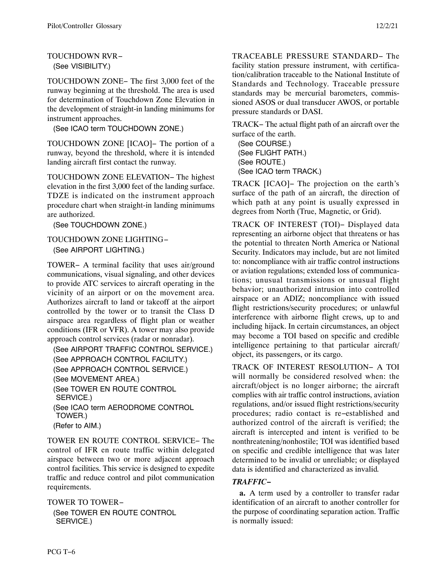TOUCHDOWN RVR*ï* (See VISIBILITY.)

TOUCHDOWN ZONE– The first 3,000 feet of the runway beginning at the threshold. The area is used for determination of Touchdown Zone Elevation in the development of straight-in landing minimums for instrument approaches.

(See ICAO term TOUCHDOWN ZONE.)

TOUCHDOWN ZONE [ICAO]- The portion of a runway, beyond the threshold, where it is intended landing aircraft first contact the runway.

 TDZE is indicated on the instrument approach TOUCHDOWN ZONE ELEVATION- The highest elevation in the first 3,000 feet of the landing surface. procedure chart when straight-in landing minimums are authorized.

(See TOUCHDOWN ZONE.)

### TOUCHDOWN ZONE LIGHTING*ï* (See AIRPORT LIGHTING.)

 vicinity of an airport or on the movement area. TOWER- A terminal facility that uses air/ground communications, visual signaling, and other devices to provide ATC services to aircraft operating in the Authorizes aircraft to land or takeoff at the airport controlled by the tower or to transit the Class D airspace area regardless of flight plan or weather conditions (IFR or VFR). A tower may also provide approach control services (radar or nonradar).

(See AIRPORT TRAFFIC CONTROL SERVICE.) (See APPROACH CONTROL FACILITY.) (See APPROACH CONTROL SERVICE.) (See MOVEMENT AREA.) (See TOWER EN ROUTE CONTROL SERVICE.) (See ICAO term AERODROME CONTROL TOWER.) (Refer to AIM.)

 control of IFR en route traffic within delegated TOWER EN ROUTE CONTROL SERVICE- The airspace between two or more adjacent approach control facilities. This service is designed to expedite traffic and reduce control and pilot communication requirements.

TOWER TO TOWER*ï* (See TOWER EN ROUTE CONTROL SERVICE.)

TRACEABLE PRESSURE STANDARD-The facility station pressure instrument, with certification/calibration traceable to the National Institute of Standards and Technology. Traceable pressure standards may be mercurial barometers, commissioned ASOS or dual transducer AWOS, or portable pressure standards or DASI.

TRACK– The actual flight path of an aircraft over the surface of the earth.

(See COURSE.) (See FLIGHT PATH.) (See ROUTE.) (See ICAO term TRACK.)

 $TRACK$   $[ICAO]$  The projection on the earth's which path at any point is usually expressed in surface of the path of an aircraft, the direction of degrees from North (True, Magnetic, or Grid).

TRACK OF INTEREST (TOI)- Displayed data representing an airborne object that threatens or has the potential to threaten North America or National Security. Indicators may include, but are not limited to: noncompliance with air traffic control instructions or aviation regulations; extended loss of communications; unusual transmissions or unusual flight behavior; unauthorized intrusion into controlled airspace or an ADIZ; noncompliance with issued flight restrictions/security procedures; or unlawful interference with airborne flight crews, up to and including hijack. In certain circumstances, an object may become a TOI based on specific and credible intelligence pertaining to that particular aircraft/ object, its passengers, or its cargo.

 will normally be considered resolved when: the aircraft/object is no longer airborne; the aircraft procedures; radio contact is re-established and authorized control of the aircraft is verified; the TRACK OF INTEREST RESOLUTION- A TOI complies with air traffic control instructions, aviation regulations, and/or issued flight restrictions/security aircraft is intercepted and intent is verified to be nonthreatening/nonhostile; TOI was identified based on specific and credible intelligence that was later determined to be invalid or unreliable; or displayed data is identified and characterized as invalid*.* 

# *TRAFFICï*

**a.** A term used by a controller to transfer radar identification of an aircraft to another controller for the purpose of coordinating separation action. Traffic is normally issued: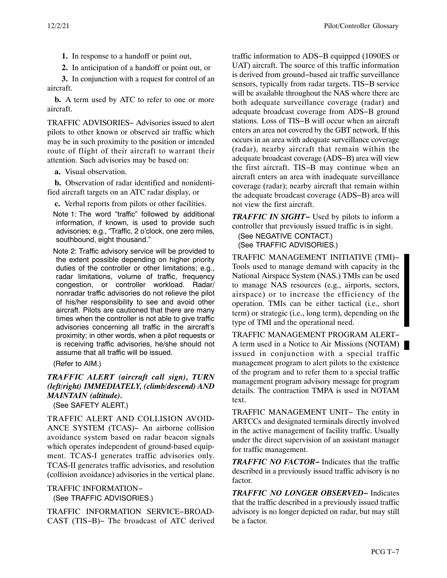- **1.** In response to a handoff or point out,
- **2.** In anticipation of a handoff or point out, or

**3.** In conjunction with a request for control of an aircraft.

**b.** A term used by ATC to refer to one or more aircraft.

 route of flight of their aircraft to warrant their TRAFFIC ADVISORIES – Advisories issued to alert pilots to other known or observed air traffic which may be in such proximity to the position or intended attention. Such advisories may be based on:

**a.** Visual observation.

**b.** Observation of radar identified and nonidentified aircraft targets on an ATC radar display, or

**c.** Verbal reports from pilots or other facilities.

Note 1: The word "traffic" followed by additional information, if known, is used to provide such advisories; e.g., "Traffic, 2 o'clock, one zero miles, southbound, eight thousand."

Note 2: Traffic advisory service will be provided to the extent possible depending on higher priority duties of the controller or other limitations; e.g., radar limitations, volume of traffic, frequency congestion, or controller workload. Radar/ nonradar traffic advisories do not relieve the pilot of his/her responsibility to see and avoid other aircraft. Pilots are cautioned that there are many times when the controller is not able to give traffic advisories concerning all traffic in the aircraft's proximity; in other words, when a pilot requests or is receiving traffic advisories, he/she should not assume that all traffic will be issued.

(Refer to AIM.)

 *TRAFFIC ALERT (aircraft call sign), TURN (left/right) IMMEDIATELY, (climb/descend) AND MAINTAIN (altitude).* 

(See SAFETY ALERT.)

 avoidance system based on radar beacon signals ment. TCAS-I generates traffic advisories only. TRAFFIC ALERT AND COLLISION AVOID-ANCE SYSTEM (TCAS)- An airborne collision which operates independent of ground-based equip-TCAS-II generates traffic advisories, and resolution (collision avoidance) advisories in the vertical plane.

### TRAFFIC INFORMATION*ï*

(See TRAFFIC ADVISORIES.)

CAST (TIS-B)- The broadcast of ATC derived TRAFFIC INFORMATION SERVICE-BROAD-

 both adequate surveillance coverage (radar) and (radar), nearby aircraft that remain within the traffic information to ADS-B equipped (1090ES or UAT) aircraft. The source of this traffic information is derived from ground-based air traffic surveillance sensors, typically from radar targets. TIS-B service will be available throughout the NAS where there are adequate broadcast coverage from ADS-B ground stations. Loss of TIS-B will occur when an aircraft enters an area not covered by the GBT network. If this occurs in an area with adequate surveillance coverage adequate broadcast coverage (ADS-B) area will view the first aircraft. TIS-B may continue when an aircraft enters an area with inadequate surveillance coverage (radar); nearby aircraft that remain within the adequate broadcast coverage (ADS-B) area will not view the first aircraft.

*TRAFFIC IN SIGHT* – Used by pilots to inform a controller that previously issued traffic is in sight. (See NEGATIVE CONTACT.)

(See TRAFFIC ADVISORIES.)

 airspace) or to increase the efficiency of the TRAFFIC MANAGEMENT INITIATIVE (TMI)-Tools used to manage demand with capacity in the National Airspace System (NAS.) TMIs can be used to manage NAS resources (e.g., airports, sectors, operation. TMIs can be either tactical (i.e., short term) or strategic (i.e., long term), depending on the type of TMI and the operational need.

TRAFFIC MANAGEMENT PROGRAM ALERTï A term used in a Notice to Air Missions (NOTAM) issued in conjunction with a special traffic management program to alert pilots to the existence of the program and to refer them to a special traffic management program advisory message for program details. The contraction TMPA is used in NOTAM text.

TRAFFIC MANAGEMENT UNIT- The entity in ARTCCs and designated terminals directly involved in the active management of facility traffic. Usually under the direct supervision of an assistant manager for traffic management.

**TRAFFIC NO FACTOR-** Indicates that the traffic described in a previously issued traffic advisory is no factor.

*TRAFFIC NO LONGER OBSERVED* Indicates that the traffic described in a previously issued traffic advisory is no longer depicted on radar, but may still be a factor.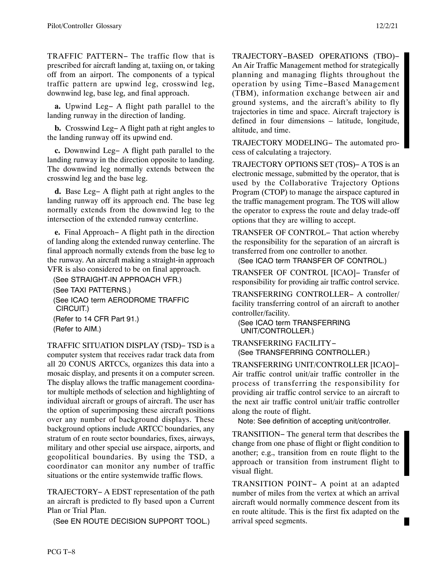TRAFFIC PATTERN- The traffic flow that is traffic pattern are upwind leg, crosswind leg, prescribed for aircraft landing at, taxiing on, or taking off from an airport. The components of a typical downwind leg, base leg, and final approach.

**a.** Upwind Leg- A flight path parallel to the landing runway in the direction of landing.

**b.** Crosswind Leg-A flight path at right angles to the landing runway off its upwind end.

**c.** Downwind Leg– A flight path parallel to the landing runway in the direction opposite to landing. The downwind leg normally extends between the crosswind leg and the base leg.

 normally extends from the downwind leg to the **d.** Base Leg– A flight path at right angles to the landing runway off its approach end. The base leg intersection of the extended runway centerline.

**e.** Final Approach– A flight path in the direction of landing along the extended runway centerline. The final approach normally extends from the base leg to the runway. An aircraft making a straight-in approach VFR is also considered to be on final approach.

(See STRAIGHT-IN APPROACH VFR.) (See TAXI PATTERNS.) (See ICAO term AERODROME TRAFFIC CIRCUIT.) (Refer to 14 CFR Part 91.) (Refer to AIM.)

 over any number of background displays. These geopolitical boundaries. By using the TSD, a coordinator can monitor any number of traffic TRAFFIC SITUATION DISPLAY (TSD)-TSD is a computer system that receives radar track data from all 20 CONUS ARTCCs, organizes this data into a mosaic display, and presents it on a computer screen. The display allows the traffic management coordinator multiple methods of selection and highlighting of individual aircraft or groups of aircraft. The user has the option of superimposing these aircraft positions background options include ARTCC boundaries, any stratum of en route sector boundaries, fixes, airways, military and other special use airspace, airports, and situations or the entire systemwide traffic flows.

TRAJECTORY – A EDST representation of the path an aircraft is predicted to fly based upon a Current Plan or Trial Plan.

(See EN ROUTE DECISION SUPPORT TOOL.)

 ground systems, and the aircraft's ability to fly TRAJECTORY-BASED OPERATIONS (TBO)-An Air Traffic Management method for strategically planning and managing flights throughout the operation by using Time-Based Management (TBM), information exchange between air and trajectories in time and space. Aircraft trajectory is defined in four dimensions – latitude, longitude, altitude, and time.

TRAJECTORY MODELING- The automated process of calculating a trajectory.

 used by the Collaborative Trajectory Options TRAJECTORY OPTIONS SET (TOS)- A TOS is an electronic message, submitted by the operator, that is Program (CTOP) to manage the airspace captured in the traffic management program. The TOS will allow the operator to express the route and delay trade-off options that they are willing to accept.

TRANSFER OF CONTROL- That action whereby the responsibility for the separation of an aircraft is transferred from one controller to another.

(See ICAO term TRANSFER OF CONTROL.)

TRANSFER OF CONTROL [ICAO]- Transfer of responsibility for providing air traffic control service.

TRANSFERRING CONTROLLER- A controller/ facility transferring control of an aircraft to another controller/facility.

(See ICAO term TRANSFERRING UNIT/CONTROLLER.)

TRANSFERRING FACILITY*ï* (See TRANSFERRING CONTROLLER.)

TRANSFERRING UNIT/CONTROLLER [ICAO]-Air traffic control unit/air traffic controller in the process of transferring the responsibility for providing air traffic control service to an aircraft to the next air traffic control unit/air traffic controller along the route of flight.

Note: See definition of accepting unit/controller.

TRANSITION– The general term that describes the change from one phase of flight or flight condition to another; e.g., transition from en route flight to the approach or transition from instrument flight to visual flight.

TRANSITION POINT - A point at an adapted number of miles from the vertex at which an arrival aircraft would normally commence descent from its en route altitude. This is the first fix adapted on the arrival speed segments.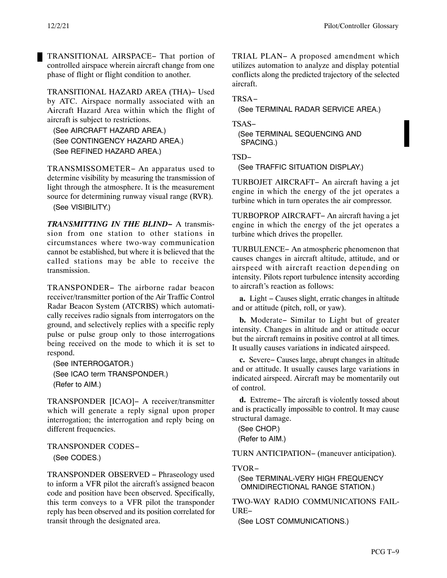TRANSITIONAL AIRSPACE- That portion of controlled airspace wherein aircraft change from one phase of flight or flight condition to another.

 Aircraft Hazard Area within which the flight of TRANSITIONAL HAZARD AREA (THA)- Used by ATC. Airspace normally associated with an aircraft is subject to restrictions.

(See AIRCRAFT HAZARD AREA.) (See CONTINGENCY HAZARD AREA.) (See REFINED HAZARD AREA.)

TRANSMISSOMETER- An apparatus used to determine visibility by measuring the transmission of light through the atmosphere. It is the measurement source for determining runway visual range (RVR).

(See VISIBILITY.)

 sion from one station to other stations in called stations may be able to receive the *TRANSMITTING IN THE BLIND- A transmis*circumstances where two-way communication cannot be established, but where it is believed that the transmission.

TRANSPONDER- The airborne radar beacon receiver/transmitter portion of the Air Traffic Control Radar Beacon System (ATCRBS) which automatically receives radio signals from interrogators on the ground, and selectively replies with a specific reply pulse or pulse group only to those interrogations being received on the mode to which it is set to respond.

(See INTERROGATOR.) (See ICAO term TRANSPONDER.) (Refer to AIM.)

 which will generate a reply signal upon proper TRANSPONDER [ICAO]- A receiver/transmitter interrogation; the interrogation and reply being on different frequencies.

TRANSPONDER CODES*ï*

(See CODES.)

TRANSPONDER OBSERVED - Phraseology used to inform a VFR pilot the aircraft's assigned beacon code and position have been observed. Specifically, this term conveys to a VFR pilot the transponder reply has been observed and its position correlated for transit through the designated area.

TRIAL PLAN- A proposed amendment which utilizes automation to analyze and display potential conflicts along the predicted trajectory of the selected aircraft.

TRSA*ï*

(See TERMINAL RADAR SERVICE AREA.)

TSAS-

(See TERMINAL SEQUENCING AND SPACING.)

TSD-

(See TRAFFIC SITUATION DISPLAY.)

 engine in which the energy of the jet operates a TURBOJET AIRCRAFT- An aircraft having a jet turbine which in turn operates the air compressor.

 engine in which the energy of the jet operates a TURBOPROP AIRCRAFT- An aircraft having a jet turbine which drives the propeller.

 airspeed with aircraft reaction depending on TURBULENCE- An atmospheric phenomenon that causes changes in aircraft altitude, attitude, and or intensity. Pilots report turbulence intensity according to aircraft's reaction as follows:

**a.** Light – Causes slight, erratic changes in altitude and or attitude (pitch, roll, or yaw).

**b.** Moderate– Similar to Light but of greater but the aircraft remains in positive control at all times. intensity. Changes in altitude and or attitude occur It usually causes variations in indicated airspeed.

**c.** Severe– Causes large, abrupt changes in altitude and or attitude. It usually causes large variations in indicated airspeed. Aircraft may be momentarily out of control.

**d.** Extreme– The aircraft is violently tossed about and is practically impossible to control. It may cause structural damage.

(See CHOP.) (Refer to AIM.)

TURN ANTICIPATION- (maneuver anticipation).

TVOR*ï*

(See TERMINAL-VERY HIGH FREQUENCY OMNIDIRECTIONAL RANGE STATION.)

TWO-WAY RADIO COMMUNICATIONS FAIL-URE-

(See LOST COMMUNICATIONS.)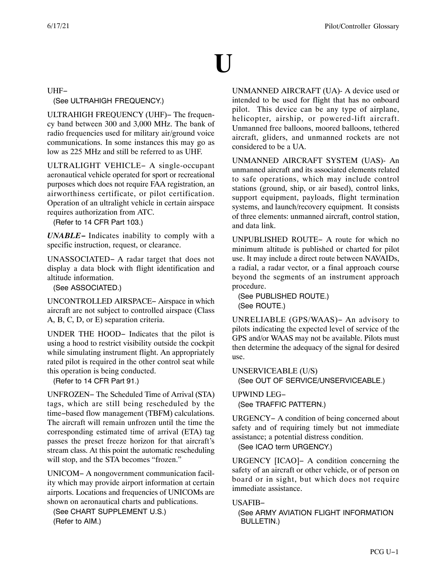# **U**

### $UHF-$

# (See ULTRAHIGH FREQUENCY.)

ULTRAHIGH FREQUENCY (UHF)- The frequency band between 300 and 3,000 MHz. The bank of radio frequencies used for military air/ground voice communications. In some instances this may go as low as 225 MHz and still be referred to as UHF.

 airworthiness certificate, or pilot certification. ULTRALIGHT VEHICLE- A single-occupant aeronautical vehicle operated for sport or recreational purposes which does not require FAA registration, an Operation of an ultralight vehicle in certain airspace requires authorization from ATC.

(Refer to 14 CFR Part 103.)

*UNABLE*- Indicates inability to comply with a specific instruction, request, or clearance.

UNASSOCIATED- A radar target that does not display a data block with flight identification and altitude information.

(See ASSOCIATED.)

UNCONTROLLED AIRSPACE- Airspace in which aircraft are not subject to controlled airspace (Class A, B, C, D, or E) separation criteria.

UNDER THE HOOD- Indicates that the pilot is using a hood to restrict visibility outside the cockpit while simulating instrument flight. An appropriately rated pilot is required in the other control seat while this operation is being conducted.

(Refer to 14 CFR Part 91.)

 tags, which are still being rescheduled by the UNFROZEN– The Scheduled Time of Arrival (STA) time-based flow management (TBFM) calculations. The aircraft will remain unfrozen until the time the corresponding estimated time of arrival (ETA) tag passes the preset freeze horizon for that aircraft's stream class. At this point the automatic rescheduling will stop, and the STA becomes "frozen."

UNICOM- A nongovernment communication facility which may provide airport information at certain airports. Locations and frequencies of UNICOMs are shown on aeronautical charts and publications.

(See CHART SUPPLEMENT U.S.) (Refer to AIM.)

 pilot. This device can be any type of airplane, aircraft, gliders, and unmanned rockets are not UNMANNED AIRCRAFT (UA)- A device used or intended to be used for flight that has no onboard helicopter, airship, or powered-lift aircraft. Unmanned free balloons, moored balloons, tethered considered to be a UA.

 to safe operations, which may include control support equipment, payloads, flight termination UNMANNED AIRCRAFT SYSTEM (UAS)- An unmanned aircraft and its associated elements related stations (ground, ship, or air based), control links, systems, and launch/recovery equipment. It consists of three elements: unmanned aircraft, control station, and data link.

 beyond the segments of an instrument approach UNPUBLISHED ROUTE- A route for which no minimum altitude is published or charted for pilot use. It may include a direct route between NAVAIDs, a radial, a radar vector, or a final approach course procedure.

(See PUBLISHED ROUTE.) (See ROUTE.)

UNRELIABLE (GPS/WAAS)- An advisory to pilots indicating the expected level of service of the GPS and/or WAAS may not be available. Pilots must then determine the adequacy of the signal for desired use.

UNSERVICEABLE (U/S) (See OUT OF SERVICE/UNSERVICEABLE.)

UPWIND LEG-

(See TRAFFIC PATTERN.)

 $URGENCY-$  A condition of being concerned about safety and of requiring timely but not immediate assistance; a potential distress condition.

(See ICAO term URGENCY.)

 board or in sight, but which does not require URGENCY  $[ICAO]$ - A condition concerning the safety of an aircraft or other vehicle, or of person on immediate assistance.

USAFIB-

(See ARMY AVIATION FLIGHT INFORMATION BULLETIN.)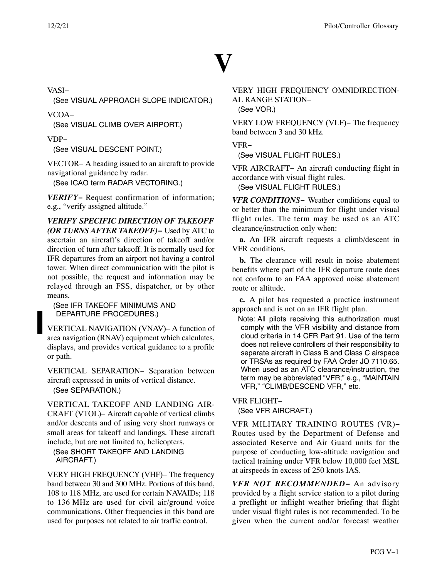# **V**

VASI-

(See VISUAL APPROACH SLOPE INDICATOR.)

 $VCOA-$ 

(See VISUAL CLIMB OVER AIRPORT.)

 $VDP-$ 

(See VISUAL DESCENT POINT.)

VECTOR – A heading issued to an aircraft to provide navigational guidance by radar.

(See ICAO term RADAR VECTORING.)

*VERIFY*- Request confirmation of information; e.g., "verify assigned altitude."

 relayed through an FSS, dispatcher, or by other *VERIFY SPECIFIC DIRECTION OF TAKEOFF (OR TURNS AFTER TAKEOFF)* – Used by ATC to ascertain an aircraft's direction of takeoff and/or direction of turn after takeoff. It is normally used for IFR departures from an airport not having a control tower. When direct communication with the pilot is not possible, the request and information may be means.

(See IFR TAKEOFF MINIMUMS AND DEPARTURE PROCEDURES.)

VERTICAL NAVIGATION (VNAV)– A function of area navigation (RNAV) equipment which calculates, displays, and provides vertical guidance to a profile or path.

VERTICAL SEPARATION- Separation between aircraft expressed in units of vertical distance.

(See SEPARATION.)

 VERTICAL TAKEOFF AND LANDING AIR- $CRAFT (VTOL)$ – Aircraft capable of vertical climbs and/or descents and of using very short runways or small areas for takeoff and landings. These aircraft include, but are not limited to, helicopters.

(See SHORT TAKEOFF AND LANDING AIRCRAFT.)

 108 to 118 MHz, are used for certain NAVAIDs; 118 to 136 MHz are used for civil air/ground voice VERY HIGH FREQUENCY (VHF)- The frequency band between 30 and 300 MHz. Portions of this band, communications. Other frequencies in this band are used for purposes not related to air traffic control.

### VERY HIGH FREQUENCY OMNIDIRECTION-AL RANGE STATION-

(See VOR.)

VERY LOW FREQUENCY (VLF)– The frequency band between 3 and 30 kHz.

 $VFR-$ 

(See VISUAL FLIGHT RULES.)

VFR AIRCRAFT- An aircraft conducting flight in accordance with visual flight rules.

(See VISUAL FLIGHT RULES.)

 flight rules. The term may be used as an ATC *VFR CONDITIONS* – Weather conditions equal to or better than the minimum for flight under visual clearance/instruction only when:

**a.** An IFR aircraft requests a climb/descent in VFR conditions.

**b.** The clearance will result in noise abatement benefits where part of the IFR departure route does not conform to an FAA approved noise abatement route or altitude.

 **c.** A pilot has requested a practice instrument approach and is not on an IFR flight plan.

Note: All pilots receiving this authorization must comply with the VFR visibility and distance from cloud criteria in 14 CFR Part 91. Use of the term does not relieve controllers of their responsibility to separate aircraft in Class B and Class C airspace or TRSAs as required by FAA Order JO 7110.65. When used as an ATC clearance/instruction, the term may be abbreviated "VFR;" e.g., "MAINTAIN VFR," "CLIMB/DESCEND VFR," etc.

# VFR FLIGHT-

(See VFR AIRCRAFT.)

 Routes used by the Department of Defense and associated Reserve and Air Guard units for the VFR MILITARY TRAINING ROUTES (VR)ï purpose of conducting low-altitude navigation and tactical training under VFR below 10,000 feet MSL at airspeeds in excess of 250 knots IAS.

 given when the current and/or forecast weather *VFR NOT RECOMMENDED* - An advisory provided by a flight service station to a pilot during a preflight or inflight weather briefing that flight under visual flight rules is not recommended. To be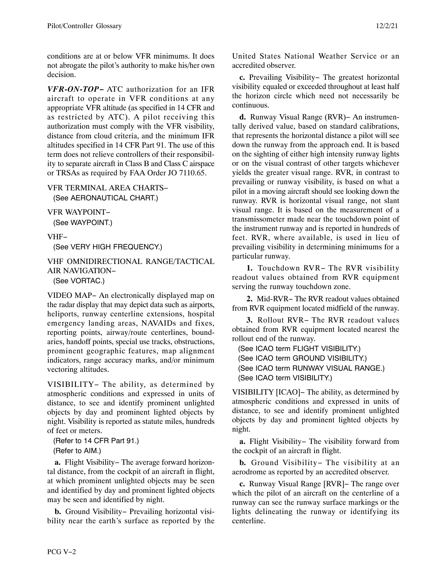conditions are at or below VFR minimums. It does not abrogate the pilot's authority to make his/her own decision.

 aircraft to operate in VFR conditions at any as restricted by ATC). A pilot receiving this *VFR-ON-TOP*- ATC authorization for an IFR appropriate VFR altitude (as specified in 14 CFR and authorization must comply with the VFR visibility, distance from cloud criteria, and the minimum IFR altitudes specified in 14 CFR Part 91. The use of this term does not relieve controllers of their responsibility to separate aircraft in Class B and Class C airspace or TRSAs as required by FAA Order JO 7110.65.

```
VFR TERMINAL AREA CHARTS-
 (See AERONAUTICAL CHART.)
```
VFR WAYPOINT-(See WAYPOINT.)

VHF-

(See VERY HIGH FREQUENCY.)

VHF OMNIDIRECTIONAL RANGE/TACTICAL AIR NAVIGATION-

(See VORTAC.)

 heliports, runway centerline extensions, hospital emergency landing areas, NAVAIDs and fixes, prominent geographic features, map alignment VIDEO MAP- An electronically displayed map on the radar display that may depict data such as airports, reporting points, airway/route centerlines, boundaries, handoff points, special use tracks, obstructions, indicators, range accuracy marks, and/or minimum vectoring altitudes.

VISIBILITY- The ability, as determined by atmospheric conditions and expressed in units of distance, to see and identify prominent unlighted objects by day and prominent lighted objects by night. Visibility is reported as statute miles, hundreds of feet or meters.

(Refer to 14 CFR Part 91.) (Refer to AIM.)

**a.** Flight Visibility– The average forward horizontal distance, from the cockpit of an aircraft in flight, at which prominent unlighted objects may be seen and identified by day and prominent lighted objects may be seen and identified by night.

 bility near the earth's surface as reported by the **b.** Ground Visibility– Prevailing horizontal visi-

 United States National Weather Service or an accredited observer.

c. Prevailing Visibility- The greatest horizontal visibility equaled or exceeded throughout at least half the horizon circle which need not necessarily be continuous.

 feet. RVR, where available, is used in lieu of **d.** Runway Visual Range (RVR)– An instrumentally derived value, based on standard calibrations, that represents the horizontal distance a pilot will see down the runway from the approach end. It is based on the sighting of either high intensity runway lights or on the visual contrast of other targets whichever yields the greater visual range. RVR, in contrast to prevailing or runway visibility, is based on what a pilot in a moving aircraft should see looking down the runway. RVR is horizontal visual range, not slant visual range. It is based on the measurement of a transmissometer made near the touchdown point of the instrument runway and is reported in hundreds of prevailing visibility in determining minimums for a particular runway.

1. Touchdown RVR-The RVR visibility readout values obtained from RVR equipment serving the runway touchdown zone.

**2.** Mid-RVR–The RVR readout values obtained from RVR equipment located midfield of the runway.

**3.** Rollout RVR- The RVR readout values obtained from RVR equipment located nearest the rollout end of the runway.

(See ICAO term FLIGHT VISIBILITY.) (See ICAO term GROUND VISIBILITY.) (See ICAO term RUNWAY VISUAL RANGE.) (See ICAO term VISIBILITY.)

VISIBILITY [ICAO]– The ability, as determined by atmospheric conditions and expressed in units of distance, to see and identify prominent unlighted objects by day and prominent lighted objects by night.

a. Flight Visibility- The visibility forward from the cockpit of an aircraft in flight.

**b.** Ground Visibility- The visibility at an aerodrome as reported by an accredited observer.

 lights delineating the runway or identifying its **c.** Runway Visual Range [RVR]– The range over which the pilot of an aircraft on the centerline of a runway can see the runway surface markings or the centerline.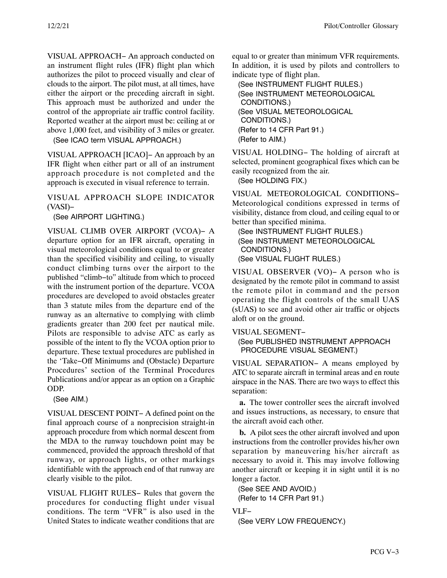VISUAL APPROACH- An approach conducted on an instrument flight rules (IFR) flight plan which authorizes the pilot to proceed visually and clear of clouds to the airport. The pilot must, at all times, have either the airport or the preceding aircraft in sight. This approach must be authorized and under the control of the appropriate air traffic control facility. Reported weather at the airport must be: ceiling at or above 1,000 feet, and visibility of 3 miles or greater.

(See ICAO term VISUAL APPROACH.)

VISUAL APPROACH [ICAO]– An approach by an IFR flight when either part or all of an instrument approach procedure is not completed and the approach is executed in visual reference to terrain.

VISUAL APPROACH SLOPE INDICATOR  $(VASI)$ -

(See AIRPORT LIGHTING.)

 conduct climbing turns over the airport to the Pilots are responsible to advise ATC as early as Procedures' section of the Terminal Procedures VISUAL CLIMB OVER AIRPORT (VCOA)- A departure option for an IFR aircraft, operating in visual meteorological conditions equal to or greater than the specified visibility and ceiling, to visually published "climb-to" altitude from which to proceed with the instrument portion of the departure. VCOA procedures are developed to avoid obstacles greater than 3 statute miles from the departure end of the runway as an alternative to complying with climb gradients greater than 200 feet per nautical mile. possible of the intent to fly the VCOA option prior to departure. These textual procedures are published in the 'Take-Off Minimums and (Obstacle) Departure Publications and/or appear as an option on a Graphic ODP.

(See AIM.)

 runway, or approach lights, or other markings VISUAL DESCENT POINT – A defined point on the final approach course of a nonprecision straight-in approach procedure from which normal descent from the MDA to the runway touchdown point may be commenced, provided the approach threshold of that identifiable with the approach end of that runway are clearly visible to the pilot.

 conditions. The term "VFR" is also used in the VISUAL FLIGHT RULES- Rules that govern the procedures for conducting flight under visual United States to indicate weather conditions that are

equal to or greater than minimum VFR requirements. In addition, it is used by pilots and controllers to indicate type of flight plan.

(See INSTRUMENT FLIGHT RULES.) (See INSTRUMENT METEOROLOGICAL CONDITIONS.) (See VISUAL METEOROLOGICAL CONDITIONS.) (Refer to 14 CFR Part 91.) (Refer to AIM.)

VISUAL HOLDING- The holding of aircraft at selected, prominent geographical fixes which can be easily recognized from the air.

(See HOLDING FIX.)

 Meteorological conditions expressed in terms of VISUAL METEOROLOGICAL CONDITIONSvisibility, distance from cloud, and ceiling equal to or better than specified minima.

(See INSTRUMENT FLIGHT RULES.) (See INSTRUMENT METEOROLOGICAL CONDITIONS.) (See VISUAL FLIGHT RULES.)

VISUAL OBSERVER (VO)– A person who is the remote pilot in command and the person operating the flight controls of the small UAS designated by the remote pilot in command to assist (sUAS) to see and avoid other air traffic or objects aloft or on the ground.

### VISUAL SEGMENT-

(See PUBLISHED INSTRUMENT APPROACH PROCEDURE VISUAL SEGMENT.)

VISUAL SEPARATION- A means employed by ATC to separate aircraft in terminal areas and en route airspace in the NAS. There are two ways to effect this separation:

**a.** The tower controller sees the aircraft involved and issues instructions, as necessary, to ensure that the aircraft avoid each other.

**b.** A pilot sees the other aircraft involved and upon instructions from the controller provides his/her own separation by maneuvering his/her aircraft as necessary to avoid it. This may involve following another aircraft or keeping it in sight until it is no longer a factor.

(See SEE AND AVOID.) (Refer to 14 CFR Part 91.)

 $VI.F-$ 

(See VERY LOW FREQUENCY.)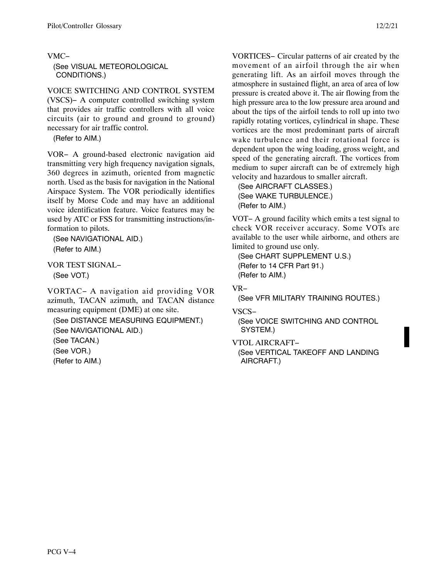### VMC-

(See VISUAL METEOROLOGICAL CONDITIONS.)

VOICE SWITCHING AND CONTROL SYSTEM  $(VSCS)$ – A computer controlled switching system that provides air traffic controllers with all voice circuits (air to ground and ground to ground) necessary for air traffic control.

(Refer to AIM.)

 360 degrees in azimuth, oriented from magnetic VOR- A ground-based electronic navigation aid transmitting very high frequency navigation signals, north. Used as the basis for navigation in the National Airspace System. The VOR periodically identifies itself by Morse Code and may have an additional voice identification feature. Voice features may be used by ATC or FSS for transmitting instructions/information to pilots.

(See NAVIGATIONAL AID.) (Refer to AIM.)

VOR TEST SIGNAL-(See VOT.)

VORTAC- A navigation aid providing VOR azimuth, TACAN azimuth, and TACAN distance measuring equipment (DME) at one site.

(See DISTANCE MEASURING EQUIPMENT.) (See NAVIGATIONAL AID.) (See TACAN.) (See VOR.) (Refer to AIM.)

 movement of an airfoil through the air when generating lift. As an airfoil moves through the wake turbulence and their rotational force is VORTICES- Circular patterns of air created by the atmosphere in sustained flight, an area of area of low pressure is created above it. The air flowing from the high pressure area to the low pressure area around and about the tips of the airfoil tends to roll up into two rapidly rotating vortices, cylindrical in shape. These vortices are the most predominant parts of aircraft dependent upon the wing loading, gross weight, and speed of the generating aircraft. The vortices from medium to super aircraft can be of extremely high velocity and hazardous to smaller aircraft.

(See AIRCRAFT CLASSES.) (See WAKE TURBULENCE.) (Refer to AIM.)

 check VOR receiver accuracy. Some VOTs are VOT- A ground facility which emits a test signal to available to the user while airborne, and others are limited to ground use only.

(See CHART SUPPLEMENT U.S.) (Refer to 14 CFR Part 91.) (Refer to AIM.)

# $VR-$

(See VFR MILITARY TRAINING ROUTES.)

### VSCS-

(See VOICE SWITCHING AND CONTROL SYSTEM.)

### VTOL AIRCRAFT-

(See VERTICAL TAKEOFF AND LANDING AIRCRAFT.)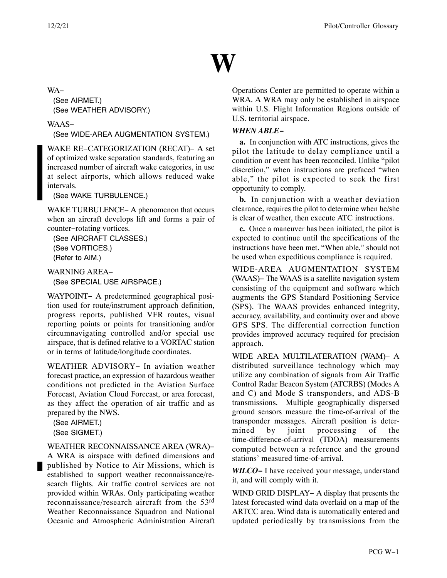# **W**

### WA-

(See AIRMET.) (See WEATHER ADVISORY.)

# WAAS-

(See WIDE-AREA AUGMENTATION SYSTEM.)

 at select airports, which allows reduced wake WAKE RE-CATEGORIZATION (RECAT)- A set of optimized wake separation standards, featuring an increased number of aircraft wake categories, in use intervals.

(See WAKE TURBULENCE.)

WAKE TURBULENCE– A phenomenon that occurs when an aircraft develops lift and forms a pair of counter-rotating vortices.

(See AIRCRAFT CLASSES.) (See VORTICES.) (Refer to AIM.)

WARNING AREA-(See SPECIAL USE AIRSPACE.)

 progress reports, published VFR routes, visual circumnavigating controlled and/or special use WAYPOINT- A predetermined geographical position used for route/instrument approach definition, reporting points or points for transitioning and/or airspace, that is defined relative to a VORTAC station or in terms of latitude/longitude coordinates.

WEATHER ADVISORY- In aviation weather as they affect the operation of air traffic and as forecast practice, an expression of hazardous weather conditions not predicted in the Aviation Surface Forecast, Aviation Cloud Forecast, or area forecast, prepared by the NWS.

```
(See AIRMET.) 
(See SIGMET.)
```
WEATHER RECONNAISSANCE AREA (WRA)-

 published by Notice to Air Missions, which is Weather Reconnaissance Squadron and National A WRA is airspace with defined dimensions and established to support weather reconnaissance/research flights. Air traffic control services are not provided within WRAs. Only participating weather reconnaissance/research aircraft from the 53rd Oceanic and Atmospheric Administration Aircraft

Operations Center are permitted to operate within a WRA. A WRA may only be established in airspace within U.S. Flight Information Regions outside of U.S. territorial airspace.

# *WHEN ABLEï*

 able," the pilot is expected to seek the first **a.** In conjunction with ATC instructions, gives the pilot the latitude to delay compliance until a condition or event has been reconciled. Unlike "pilot discretion," when instructions are prefaced "when opportunity to comply.

**b.** In conjunction with a weather deviation clearance, requires the pilot to determine when he/she is clear of weather, then execute ATC instructions.

**c.** Once a maneuver has been initiated, the pilot is expected to continue until the specifications of the instructions have been met. "When able," should not be used when expeditious compliance is required.

 consisting of the equipment and software which augments the GPS Standard Positioning Service (SPS). The WAAS provides enhanced integrity, GPS SPS. The differential correction function WIDE-AREA AUGMENTATION SYSTEM  $(WAAS)$ – The WAAS is a satellite navigation system accuracy, availability, and continuity over and above provides improved accuracy required for precision approach.

 and C) and Mode S transponders, and ADS-B mined by joint processing of the computed between a reference and the ground WIDE AREA MULTILATERATION (WAM)– A distributed surveillance technology which may utilize any combination of signals from Air Traffic Control Radar Beacon System (ATCRBS) (Modes A transmissions. Multiple geographically dispersed ground sensors measure the time-of-arrival of the transponder messages. Aircraft position is detertime-difference-of-arrival (TDOA) measurements stations' measured time-of-arrival.

WILCO- I have received your message, understand it, and will comply with it.

WIND GRID DISPLAY - A display that presents the latest forecasted wind data overlaid on a map of the ARTCC area. Wind data is automatically entered and updated periodically by transmissions from the